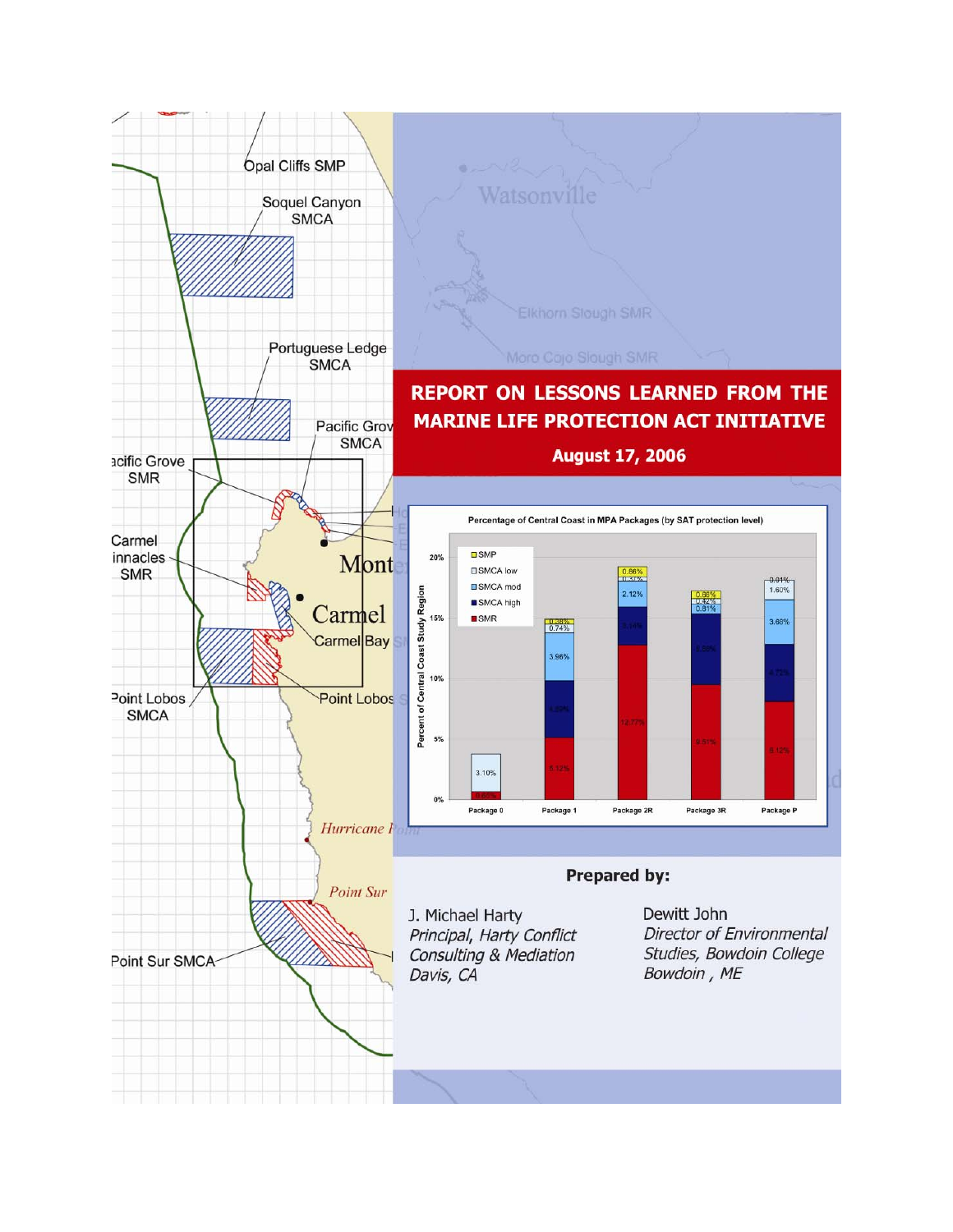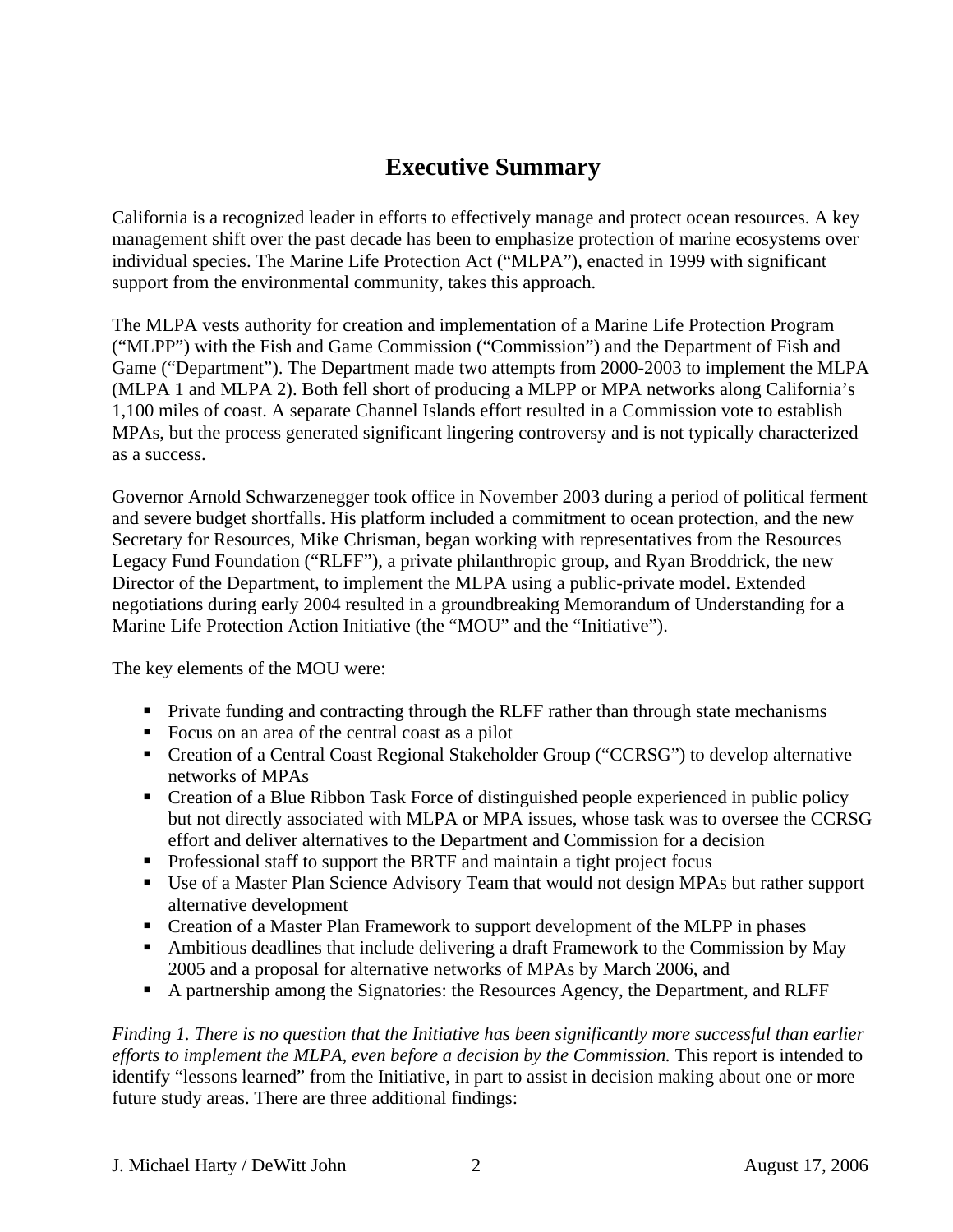# **Executive Summary**

<span id="page-1-0"></span>California is a recognized leader in efforts to effectively manage and protect ocean resources. A key management shift over the past decade has been to emphasize protection of marine ecosystems over individual species. The Marine Life Protection Act ("MLPA"), enacted in 1999 with significant support from the environmental community, takes this approach.

The MLPA vests authority for creation and implementation of a Marine Life Protection Program ("MLPP") with the Fish and Game Commission ("Commission") and the Department of Fish and Game ("Department"). The Department made two attempts from 2000-2003 to implement the MLPA (MLPA 1 and MLPA 2). Both fell short of producing a MLPP or MPA networks along California's 1,100 miles of coast. A separate Channel Islands effort resulted in a Commission vote to establish MPAs, but the process generated significant lingering controversy and is not typically characterized as a success.

Governor Arnold Schwarzenegger took office in November 2003 during a period of political ferment and severe budget shortfalls. His platform included a commitment to ocean protection, and the new Secretary for Resources, Mike Chrisman, began working with representatives from the Resources Legacy Fund Foundation ("RLFF"), a private philanthropic group, and Ryan Broddrick, the new Director of the Department, to implement the MLPA using a public-private model. Extended negotiations during early 2004 resulted in a groundbreaking Memorandum of Understanding for a Marine Life Protection Action Initiative (the "MOU" and the "Initiative").

The key elements of the MOU were:

- **Private funding and contracting through the RLFF rather than through state mechanisms**
- Focus on an area of the central coast as a pilot
- Creation of a Central Coast Regional Stakeholder Group ("CCRSG") to develop alternative networks of MPAs
- Creation of a Blue Ribbon Task Force of distinguished people experienced in public policy but not directly associated with MLPA or MPA issues, whose task was to oversee the CCRSG effort and deliver alternatives to the Department and Commission for a decision
- Professional staff to support the BRTF and maintain a tight project focus
- Use of a Master Plan Science Advisory Team that would not design MPAs but rather support alternative development
- Creation of a Master Plan Framework to support development of the MLPP in phases
- Ambitious deadlines that include delivering a draft Framework to the Commission by May 2005 and a proposal for alternative networks of MPAs by March 2006, and
- A partnership among the Signatories: the Resources Agency, the Department, and RLFF

*Finding 1. There is no question that the Initiative has been significantly more successful than earlier efforts to implement the MLPA, even before a decision by the Commission.* This report is intended to identify "lessons learned" from the Initiative, in part to assist in decision making about one or more future study areas. There are three additional findings: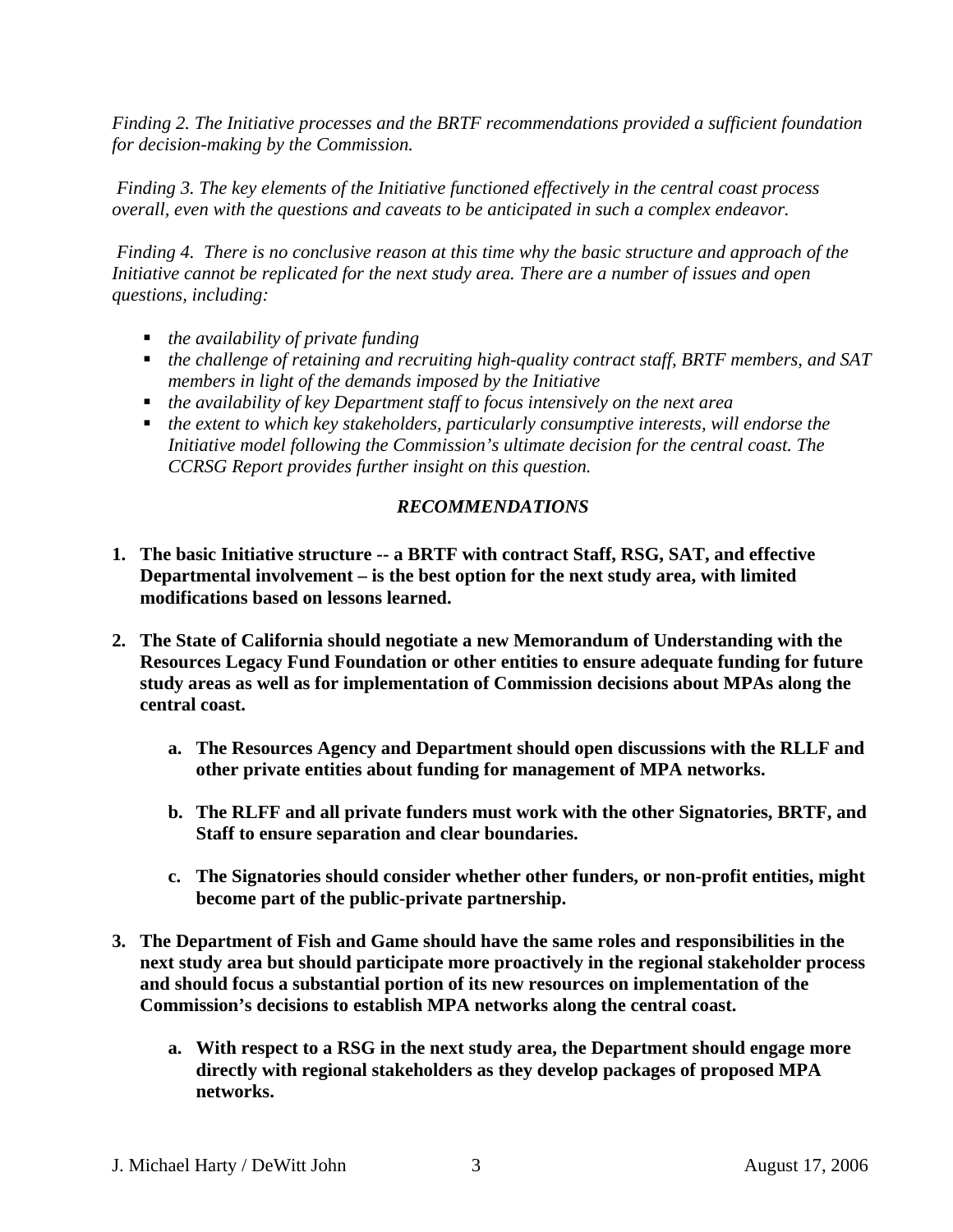<span id="page-2-0"></span>*Finding 2. The Initiative processes and the BRTF recommendations provided a sufficient foundation for decision-making by the Commission.* 

 *Finding 3. The key elements of the Initiative functioned effectively in the central coast process overall, even with the questions and caveats to be anticipated in such a complex endeavor.*

 *Finding 4. There is no conclusive reason at this time why the basic structure and approach of the Initiative cannot be replicated for the next study area. There are a number of issues and open questions, including:* 

- *the availability of private funding*
- *the challenge of retaining and recruiting high-quality contract staff, BRTF members, and SAT members in light of the demands imposed by the Initiative*
- *the availability of key Department staff to focus intensively on the next area*
- *the extent to which key stakeholders, particularly consumptive interests, will endorse the Initiative model following the Commission's ultimate decision for the central coast. The CCRSG Report provides further insight on this question.*

### *RECOMMENDATIONS*

- **1. The basic Initiative structure -- a BRTF with contract Staff, RSG, SAT, and effective Departmental involvement – is the best option for the next study area, with limited modifications based on lessons learned.**
- **2. The State of California should negotiate a new Memorandum of Understanding with the Resources Legacy Fund Foundation or other entities to ensure adequate funding for future study areas as well as for implementation of Commission decisions about MPAs along the central coast.** 
	- **a. The Resources Agency and Department should open discussions with the RLLF and other private entities about funding for management of MPA networks.**
	- **b. The RLFF and all private funders must work with the other Signatories, BRTF, and Staff to ensure separation and clear boundaries.**
	- **c. The Signatories should consider whether other funders, or non-profit entities, might become part of the public-private partnership.**
- **3. The Department of Fish and Game should have the same roles and responsibilities in the next study area but should participate more proactively in the regional stakeholder process and should focus a substantial portion of its new resources on implementation of the Commission's decisions to establish MPA networks along the central coast.** 
	- **a. With respect to a RSG in the next study area, the Department should engage more directly with regional stakeholders as they develop packages of proposed MPA networks.**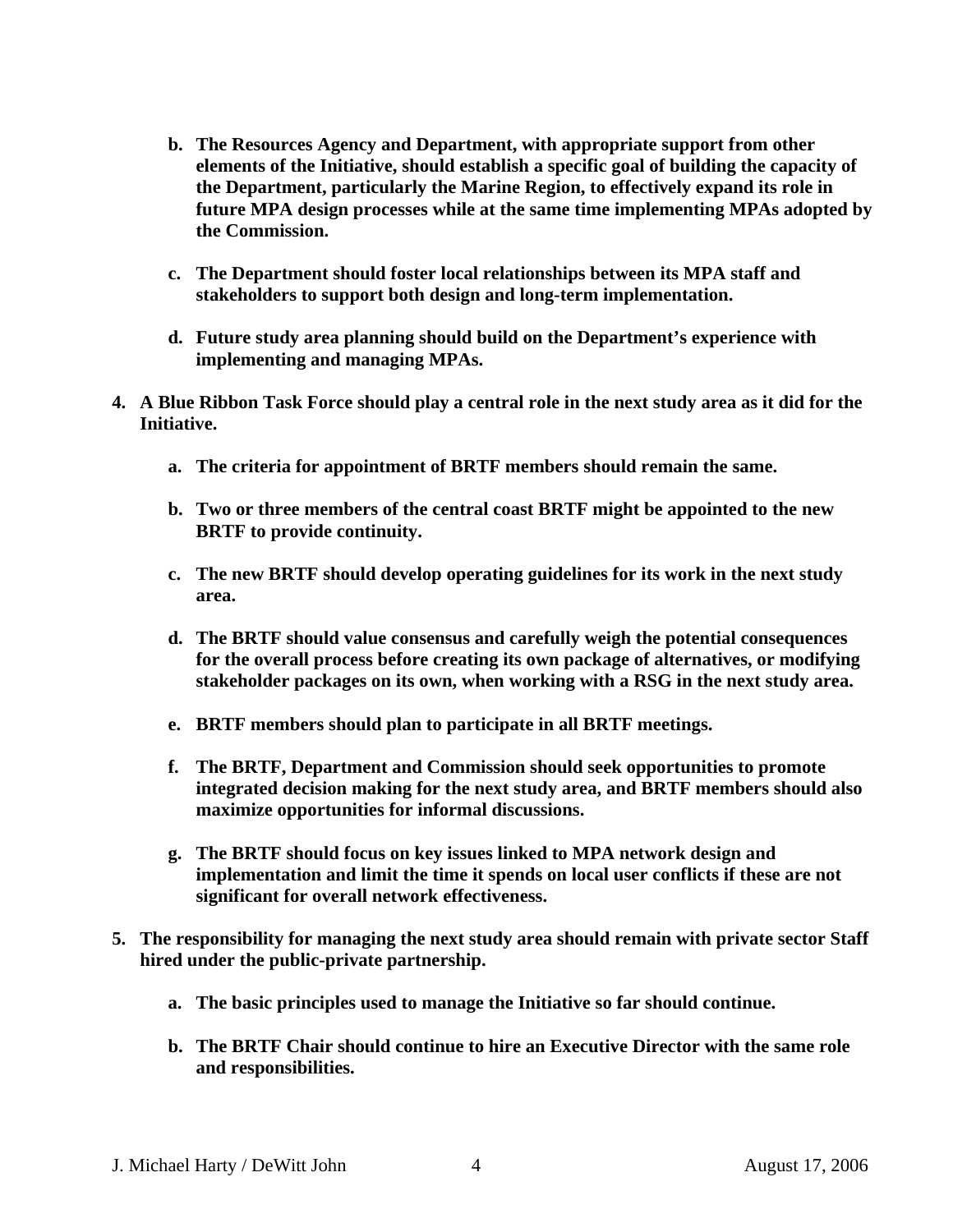- **b. The Resources Agency and Department, with appropriate support from other elements of the Initiative, should establish a specific goal of building the capacity of the Department, particularly the Marine Region, to effectively expand its role in future MPA design processes while at the same time implementing MPAs adopted by the Commission.**
- **c. The Department should foster local relationships between its MPA staff and stakeholders to support both design and long-term implementation.**
- **d. Future study area planning should build on the Department's experience with implementing and managing MPAs.**
- **4. A Blue Ribbon Task Force should play a central role in the next study area as it did for the Initiative.** 
	- **a. The criteria for appointment of BRTF members should remain the same.**
	- **b. Two or three members of the central coast BRTF might be appointed to the new BRTF to provide continuity.**
	- **c. The new BRTF should develop operating guidelines for its work in the next study area.**
	- **d. The BRTF should value consensus and carefully weigh the potential consequences for the overall process before creating its own package of alternatives, or modifying stakeholder packages on its own, when working with a RSG in the next study area.**
	- **e. BRTF members should plan to participate in all BRTF meetings.**
	- **f. The BRTF, Department and Commission should seek opportunities to promote integrated decision making for the next study area, and BRTF members should also maximize opportunities for informal discussions.**
	- **g. The BRTF should focus on key issues linked to MPA network design and implementation and limit the time it spends on local user conflicts if these are not significant for overall network effectiveness.**
- **5. The responsibility for managing the next study area should remain with private sector Staff hired under the public-private partnership.** 
	- **a. The basic principles used to manage the Initiative so far should continue.**
	- **b. The BRTF Chair should continue to hire an Executive Director with the same role and responsibilities.**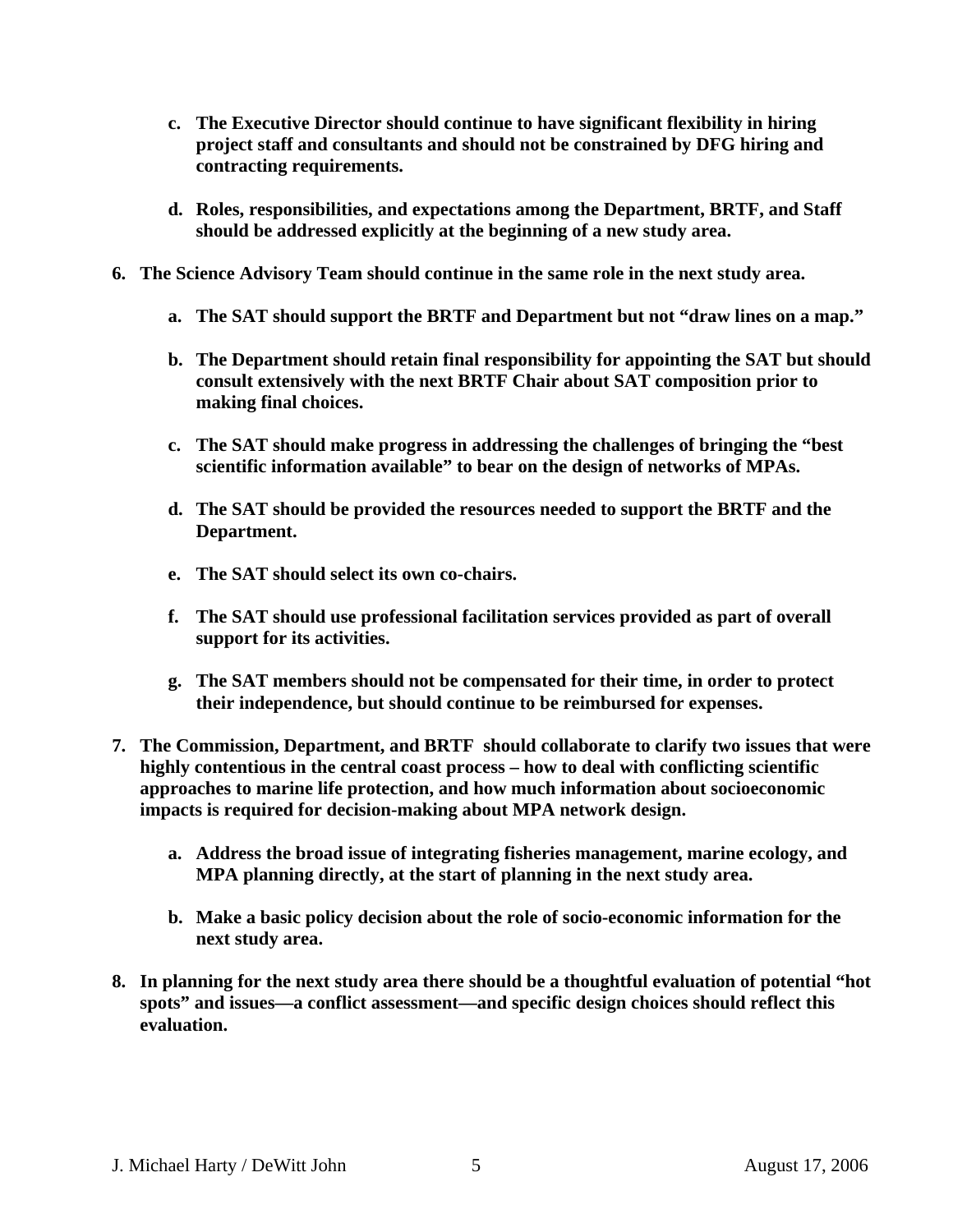- **c. The Executive Director should continue to have significant flexibility in hiring project staff and consultants and should not be constrained by DFG hiring and contracting requirements.**
- **d. Roles, responsibilities, and expectations among the Department, BRTF, and Staff should be addressed explicitly at the beginning of a new study area.**
- **6. The Science Advisory Team should continue in the same role in the next study area.** 
	- **a. The SAT should support the BRTF and Department but not "draw lines on a map."**
	- **b. The Department should retain final responsibility for appointing the SAT but should consult extensively with the next BRTF Chair about SAT composition prior to making final choices.**
	- **c. The SAT should make progress in addressing the challenges of bringing the "best scientific information available" to bear on the design of networks of MPAs.**
	- **d. The SAT should be provided the resources needed to support the BRTF and the Department.**
	- **e. The SAT should select its own co-chairs.**
	- **f. The SAT should use professional facilitation services provided as part of overall support for its activities.**
	- **g. The SAT members should not be compensated for their time, in order to protect their independence, but should continue to be reimbursed for expenses.**
- **7. The Commission, Department, and BRTF should collaborate to clarify two issues that were highly contentious in the central coast process – how to deal with conflicting scientific approaches to marine life protection, and how much information about socioeconomic impacts is required for decision-making about MPA network design.** 
	- **a. Address the broad issue of integrating fisheries management, marine ecology, and MPA planning directly, at the start of planning in the next study area.**
	- **b. Make a basic policy decision about the role of socio-economic information for the next study area.**
- **8. In planning for the next study area there should be a thoughtful evaluation of potential "hot spots" and issues—a conflict assessment—and specific design choices should reflect this evaluation.**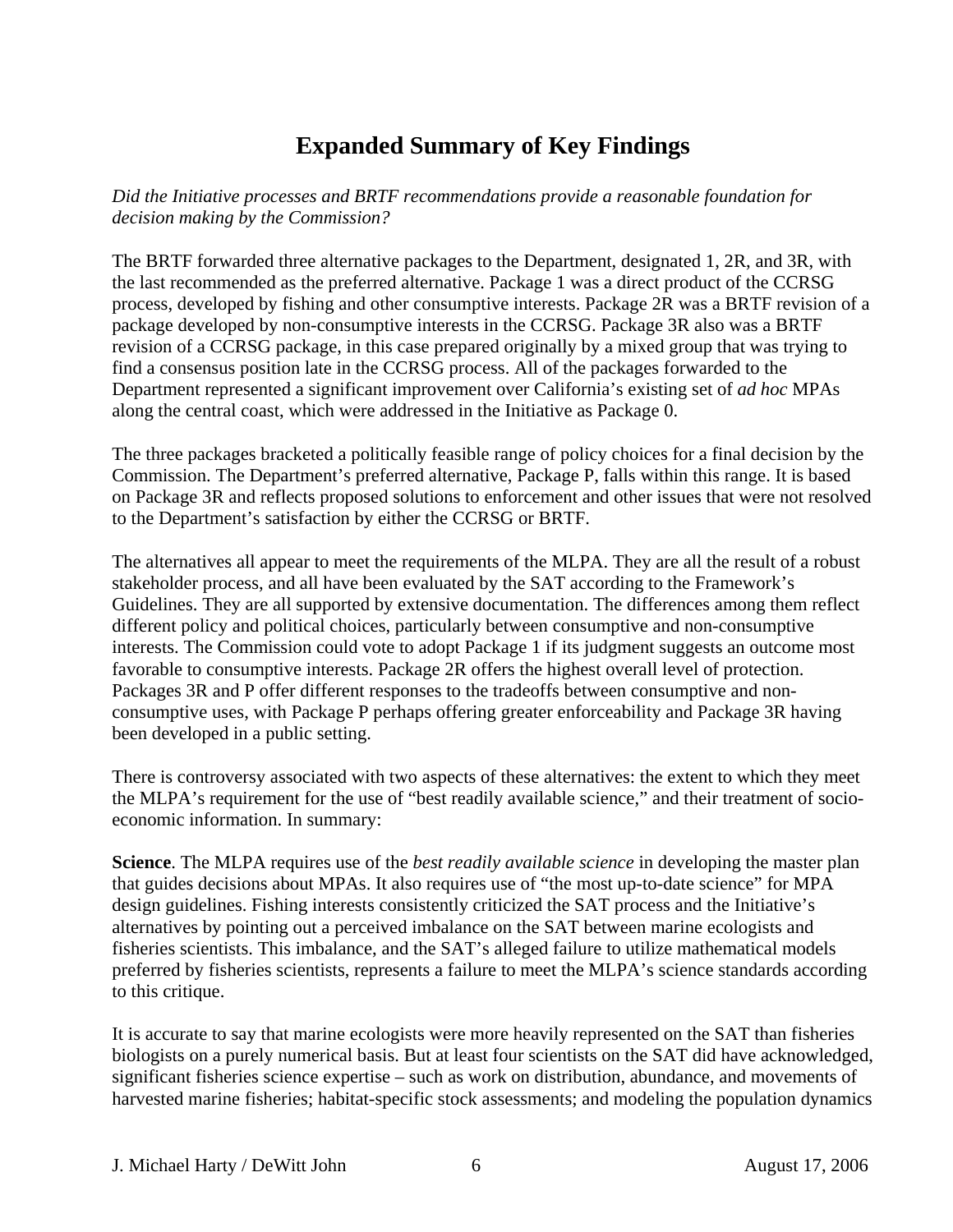# **Expanded Summary of Key Findings**

<span id="page-5-0"></span>*Did the Initiative processes and BRTF recommendations provide a reasonable foundation for decision making by the Commission?* 

The BRTF forwarded three alternative packages to the Department, designated 1, 2R, and 3R, with the last recommended as the preferred alternative. Package 1 was a direct product of the CCRSG process, developed by fishing and other consumptive interests. Package 2R was a BRTF revision of a package developed by non-consumptive interests in the CCRSG. Package 3R also was a BRTF revision of a CCRSG package, in this case prepared originally by a mixed group that was trying to find a consensus position late in the CCRSG process. All of the packages forwarded to the Department represented a significant improvement over California's existing set of *ad hoc* MPAs along the central coast, which were addressed in the Initiative as Package 0.

The three packages bracketed a politically feasible range of policy choices for a final decision by the Commission. The Department's preferred alternative, Package P, falls within this range. It is based on Package 3R and reflects proposed solutions to enforcement and other issues that were not resolved to the Department's satisfaction by either the CCRSG or BRTF.

The alternatives all appear to meet the requirements of the MLPA. They are all the result of a robust stakeholder process, and all have been evaluated by the SAT according to the Framework's Guidelines. They are all supported by extensive documentation. The differences among them reflect different policy and political choices, particularly between consumptive and non-consumptive interests. The Commission could vote to adopt Package 1 if its judgment suggests an outcome most favorable to consumptive interests. Package 2R offers the highest overall level of protection. Packages 3R and P offer different responses to the tradeoffs between consumptive and nonconsumptive uses, with Package P perhaps offering greater enforceability and Package 3R having been developed in a public setting.

There is controversy associated with two aspects of these alternatives: the extent to which they meet the MLPA's requirement for the use of "best readily available science," and their treatment of socioeconomic information. In summary:

**Science**. The MLPA requires use of the *best readily available science* in developing the master plan that guides decisions about MPAs. It also requires use of "the most up-to-date science" for MPA design guidelines. Fishing interests consistently criticized the SAT process and the Initiative's alternatives by pointing out a perceived imbalance on the SAT between marine ecologists and fisheries scientists. This imbalance, and the SAT's alleged failure to utilize mathematical models preferred by fisheries scientists, represents a failure to meet the MLPA's science standards according to this critique.

It is accurate to say that marine ecologists were more heavily represented on the SAT than fisheries biologists on a purely numerical basis. But at least four scientists on the SAT did have acknowledged, significant fisheries science expertise – such as work on distribution, abundance, and movements of harvested marine fisheries; habitat-specific stock assessments; and modeling the population dynamics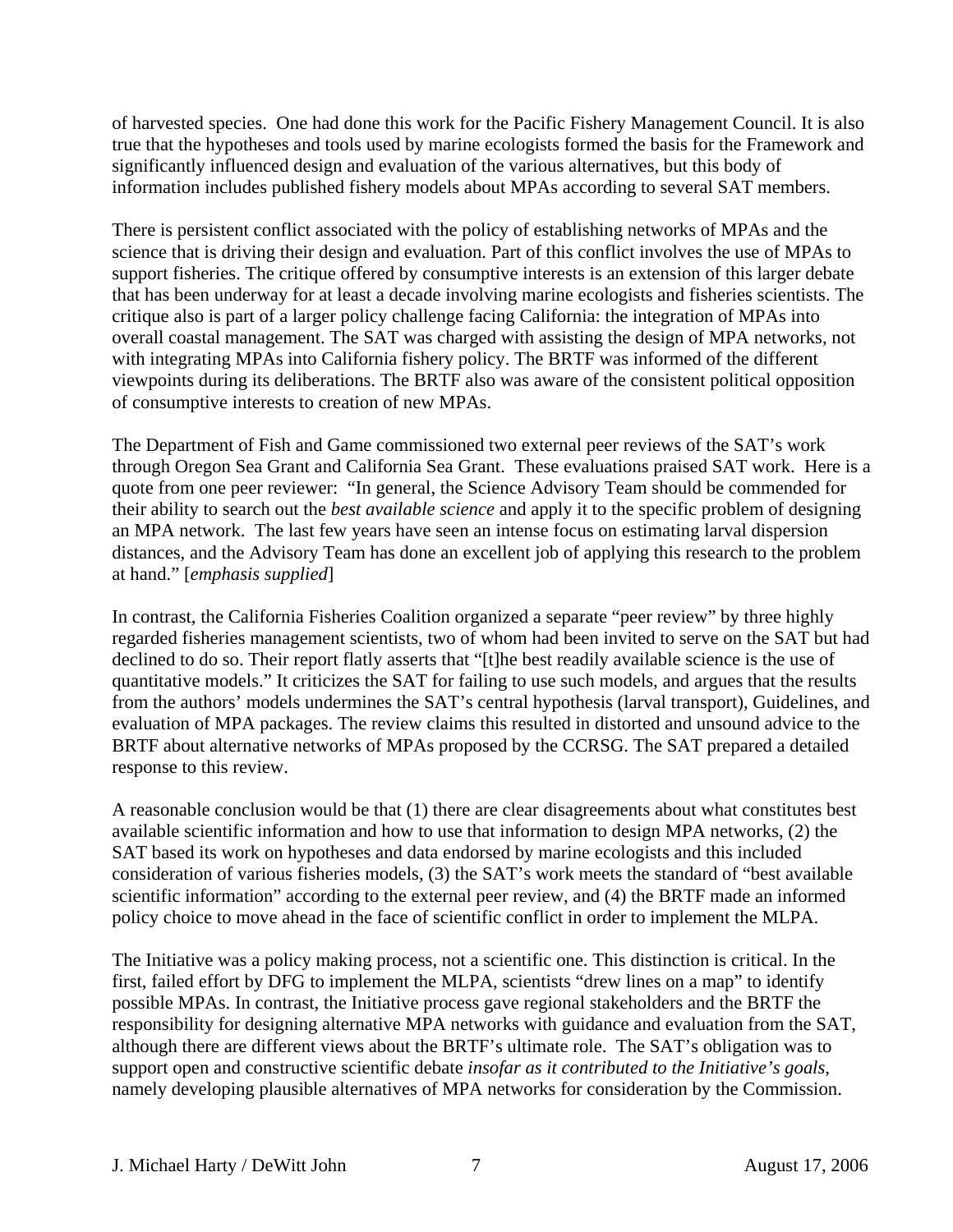of harvested species. One had done this work for the Pacific Fishery Management Council. It is also true that the hypotheses and tools used by marine ecologists formed the basis for the Framework and significantly influenced design and evaluation of the various alternatives, but this body of information includes published fishery models about MPAs according to several SAT members.

There is persistent conflict associated with the policy of establishing networks of MPAs and the science that is driving their design and evaluation. Part of this conflict involves the use of MPAs to support fisheries. The critique offered by consumptive interests is an extension of this larger debate that has been underway for at least a decade involving marine ecologists and fisheries scientists. The critique also is part of a larger policy challenge facing California: the integration of MPAs into overall coastal management. The SAT was charged with assisting the design of MPA networks, not with integrating MPAs into California fishery policy. The BRTF was informed of the different viewpoints during its deliberations. The BRTF also was aware of the consistent political opposition of consumptive interests to creation of new MPAs.

The Department of Fish and Game commissioned two external peer reviews of the SAT's work through Oregon Sea Grant and California Sea Grant. These evaluations praised SAT work. Here is a quote from one peer reviewer: "In general, the Science Advisory Team should be commended for their ability to search out the *best available science* and apply it to the specific problem of designing an MPA network. The last few years have seen an intense focus on estimating larval dispersion distances, and the Advisory Team has done an excellent job of applying this research to the problem at hand." [*emphasis supplied*]

In contrast, the California Fisheries Coalition organized a separate "peer review" by three highly regarded fisheries management scientists, two of whom had been invited to serve on the SAT but had declined to do so. Their report flatly asserts that "[t]he best readily available science is the use of quantitative models." It criticizes the SAT for failing to use such models, and argues that the results from the authors' models undermines the SAT's central hypothesis (larval transport), Guidelines, and evaluation of MPA packages. The review claims this resulted in distorted and unsound advice to the BRTF about alternative networks of MPAs proposed by the CCRSG. The SAT prepared a detailed response to this review.

A reasonable conclusion would be that (1) there are clear disagreements about what constitutes best available scientific information and how to use that information to design MPA networks, (2) the SAT based its work on hypotheses and data endorsed by marine ecologists and this included consideration of various fisheries models, (3) the SAT's work meets the standard of "best available scientific information" according to the external peer review, and (4) the BRTF made an informed policy choice to move ahead in the face of scientific conflict in order to implement the MLPA.

The Initiative was a policy making process, not a scientific one. This distinction is critical. In the first, failed effort by DFG to implement the MLPA, scientists "drew lines on a map" to identify possible MPAs. In contrast, the Initiative process gave regional stakeholders and the BRTF the responsibility for designing alternative MPA networks with guidance and evaluation from the SAT, although there are different views about the BRTF's ultimate role. The SAT's obligation was to support open and constructive scientific debate *insofar as it contributed to the Initiative's goals*, namely developing plausible alternatives of MPA networks for consideration by the Commission.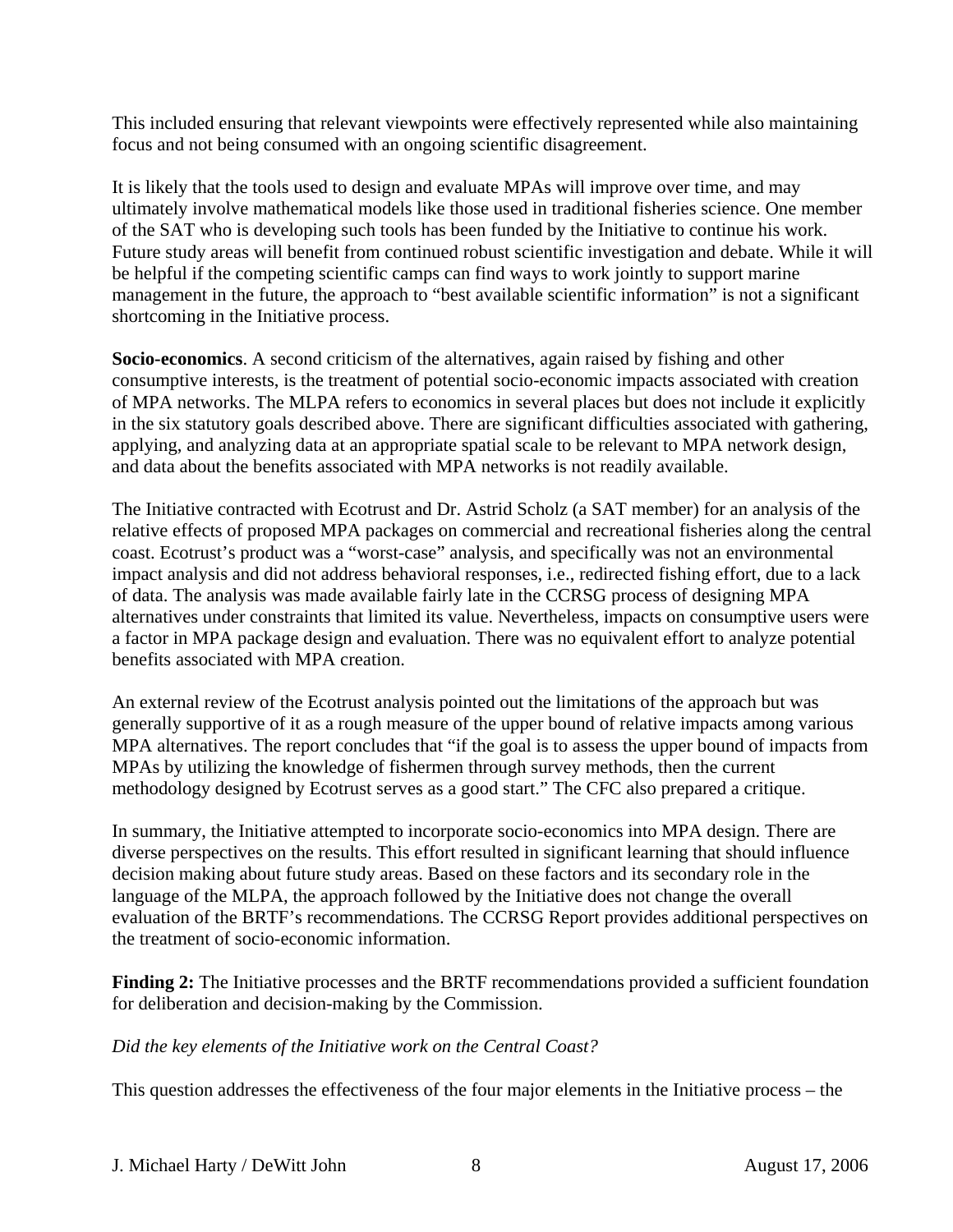This included ensuring that relevant viewpoints were effectively represented while also maintaining focus and not being consumed with an ongoing scientific disagreement.

It is likely that the tools used to design and evaluate MPAs will improve over time, and may ultimately involve mathematical models like those used in traditional fisheries science. One member of the SAT who is developing such tools has been funded by the Initiative to continue his work. Future study areas will benefit from continued robust scientific investigation and debate. While it will be helpful if the competing scientific camps can find ways to work jointly to support marine management in the future, the approach to "best available scientific information" is not a significant shortcoming in the Initiative process.

**Socio-economics**. A second criticism of the alternatives, again raised by fishing and other consumptive interests, is the treatment of potential socio-economic impacts associated with creation of MPA networks. The MLPA refers to economics in several places but does not include it explicitly in the six statutory goals described above. There are significant difficulties associated with gathering, applying, and analyzing data at an appropriate spatial scale to be relevant to MPA network design, and data about the benefits associated with MPA networks is not readily available.

The Initiative contracted with Ecotrust and Dr. Astrid Scholz (a SAT member) for an analysis of the relative effects of proposed MPA packages on commercial and recreational fisheries along the central coast. Ecotrust's product was a "worst-case" analysis, and specifically was not an environmental impact analysis and did not address behavioral responses, i.e., redirected fishing effort, due to a lack of data. The analysis was made available fairly late in the CCRSG process of designing MPA alternatives under constraints that limited its value. Nevertheless, impacts on consumptive users were a factor in MPA package design and evaluation. There was no equivalent effort to analyze potential benefits associated with MPA creation.

An external review of the Ecotrust analysis pointed out the limitations of the approach but was generally supportive of it as a rough measure of the upper bound of relative impacts among various MPA alternatives. The report concludes that "if the goal is to assess the upper bound of impacts from MPAs by utilizing the knowledge of fishermen through survey methods, then the current methodology designed by Ecotrust serves as a good start." The CFC also prepared a critique.

In summary, the Initiative attempted to incorporate socio-economics into MPA design. There are diverse perspectives on the results. This effort resulted in significant learning that should influence decision making about future study areas. Based on these factors and its secondary role in the language of the MLPA, the approach followed by the Initiative does not change the overall evaluation of the BRTF's recommendations. The CCRSG Report provides additional perspectives on the treatment of socio-economic information.

**Finding 2:** The Initiative processes and the BRTF recommendations provided a sufficient foundation for deliberation and decision-making by the Commission.

## *Did the key elements of the Initiative work on the Central Coast?*

This question addresses the effectiveness of the four major elements in the Initiative process – the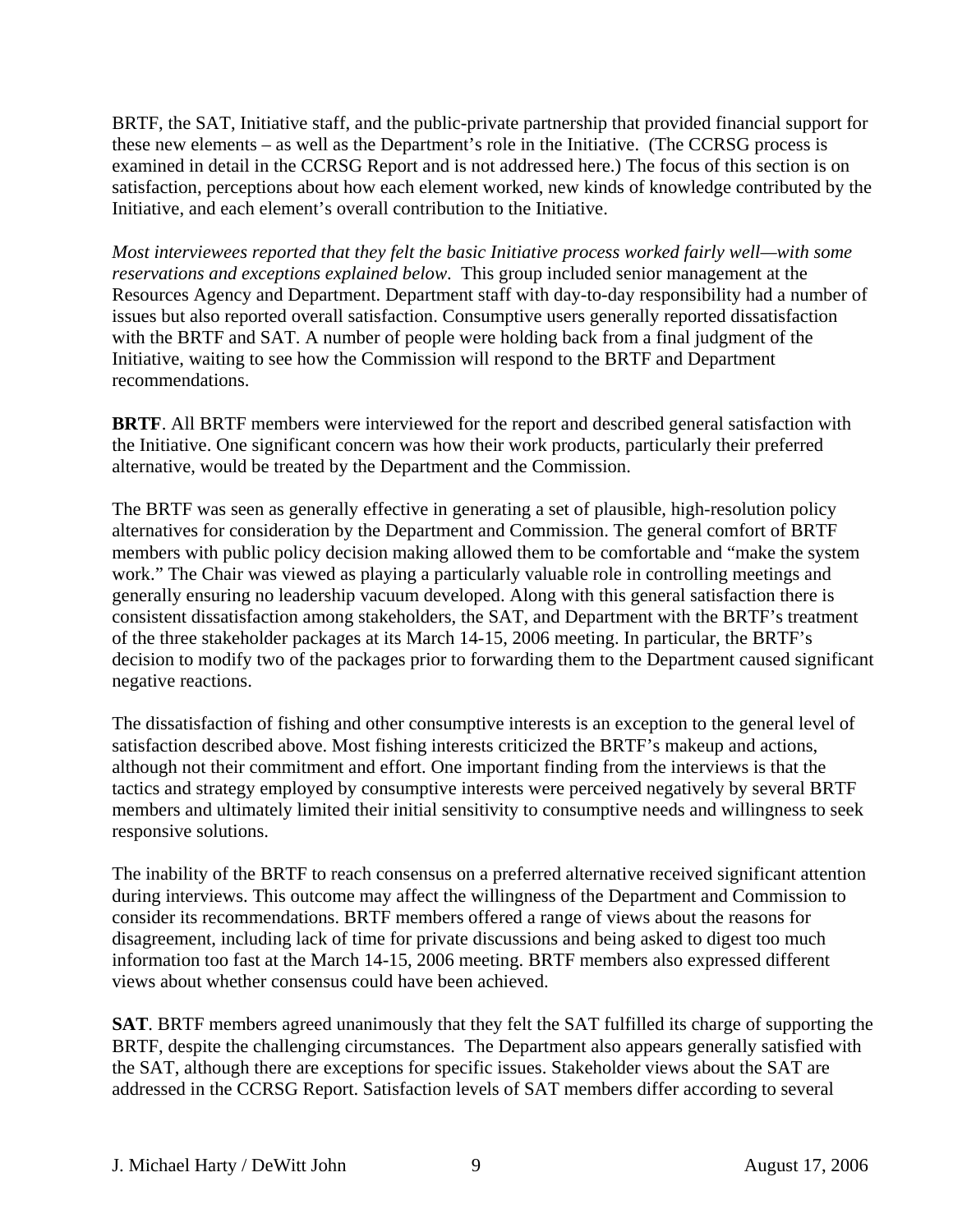BRTF, the SAT, Initiative staff, and the public-private partnership that provided financial support for these new elements – as well as the Department's role in the Initiative. (The CCRSG process is examined in detail in the CCRSG Report and is not addressed here.) The focus of this section is on satisfaction, perceptions about how each element worked, new kinds of knowledge contributed by the Initiative, and each element's overall contribution to the Initiative.

*Most interviewees reported that they felt the basic Initiative process worked fairly well—with some reservations and exceptions explained below*. This group included senior management at the Resources Agency and Department. Department staff with day-to-day responsibility had a number of issues but also reported overall satisfaction. Consumptive users generally reported dissatisfaction with the BRTF and SAT. A number of people were holding back from a final judgment of the Initiative, waiting to see how the Commission will respond to the BRTF and Department recommendations.

**BRTF**. All BRTF members were interviewed for the report and described general satisfaction with the Initiative. One significant concern was how their work products, particularly their preferred alternative, would be treated by the Department and the Commission.

The BRTF was seen as generally effective in generating a set of plausible, high-resolution policy alternatives for consideration by the Department and Commission. The general comfort of BRTF members with public policy decision making allowed them to be comfortable and "make the system work." The Chair was viewed as playing a particularly valuable role in controlling meetings and generally ensuring no leadership vacuum developed. Along with this general satisfaction there is consistent dissatisfaction among stakeholders, the SAT, and Department with the BRTF's treatment of the three stakeholder packages at its March 14-15, 2006 meeting. In particular, the BRTF's decision to modify two of the packages prior to forwarding them to the Department caused significant negative reactions.

The dissatisfaction of fishing and other consumptive interests is an exception to the general level of satisfaction described above. Most fishing interests criticized the BRTF's makeup and actions, although not their commitment and effort. One important finding from the interviews is that the tactics and strategy employed by consumptive interests were perceived negatively by several BRTF members and ultimately limited their initial sensitivity to consumptive needs and willingness to seek responsive solutions.

The inability of the BRTF to reach consensus on a preferred alternative received significant attention during interviews. This outcome may affect the willingness of the Department and Commission to consider its recommendations. BRTF members offered a range of views about the reasons for disagreement, including lack of time for private discussions and being asked to digest too much information too fast at the March 14-15, 2006 meeting. BRTF members also expressed different views about whether consensus could have been achieved.

**SAT**. BRTF members agreed unanimously that they felt the SAT fulfilled its charge of supporting the BRTF, despite the challenging circumstances. The Department also appears generally satisfied with the SAT, although there are exceptions for specific issues. Stakeholder views about the SAT are addressed in the CCRSG Report. Satisfaction levels of SAT members differ according to several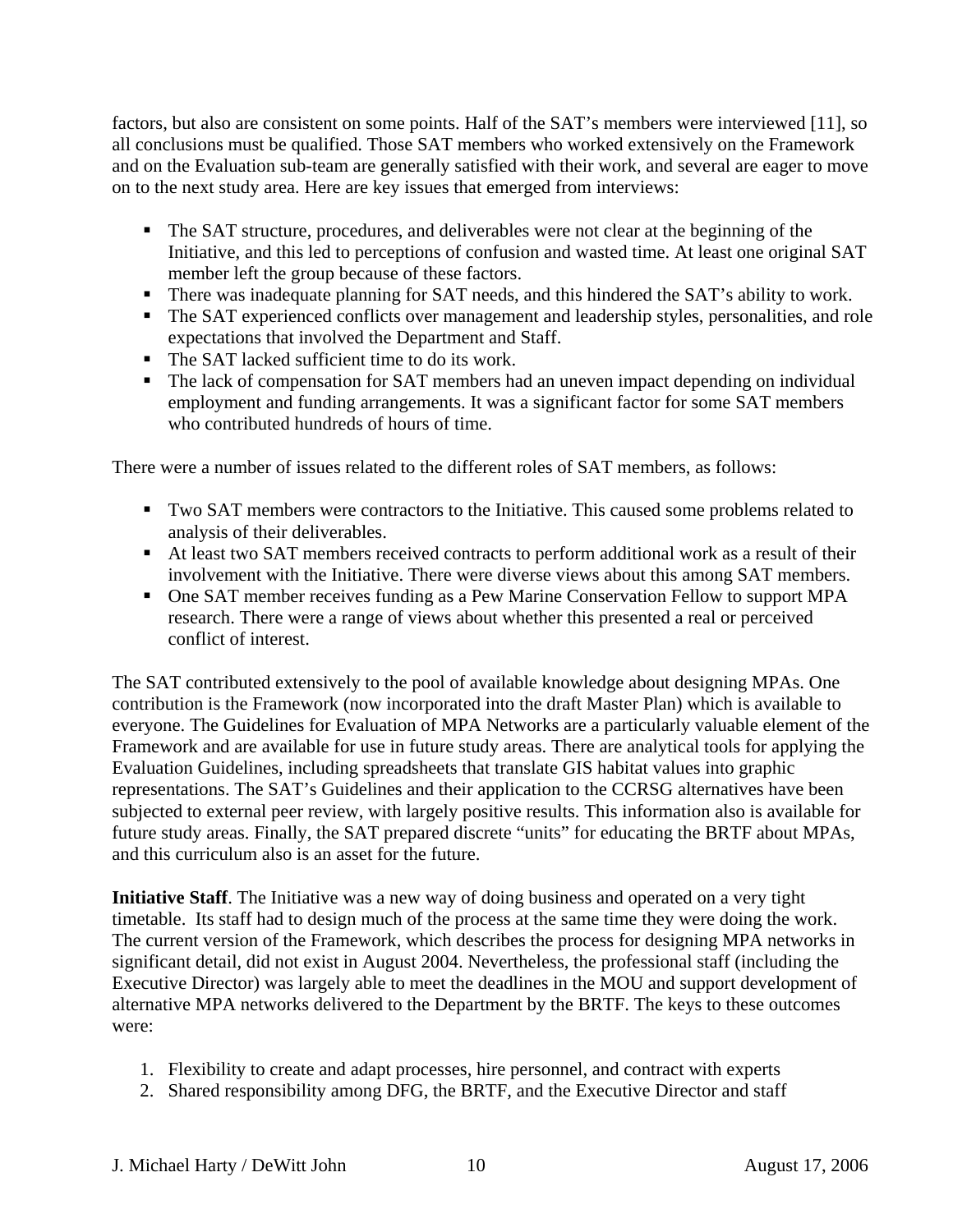factors, but also are consistent on some points. Half of the SAT's members were interviewed [11], so all conclusions must be qualified. Those SAT members who worked extensively on the Framework and on the Evaluation sub-team are generally satisfied with their work, and several are eager to move on to the next study area. Here are key issues that emerged from interviews:

- The SAT structure, procedures, and deliverables were not clear at the beginning of the Initiative, and this led to perceptions of confusion and wasted time. At least one original SAT member left the group because of these factors.
- There was inadequate planning for SAT needs, and this hindered the SAT's ability to work.
- The SAT experienced conflicts over management and leadership styles, personalities, and role expectations that involved the Department and Staff.
- The SAT lacked sufficient time to do its work.
- The lack of compensation for SAT members had an uneven impact depending on individual employment and funding arrangements. It was a significant factor for some SAT members who contributed hundreds of hours of time.

There were a number of issues related to the different roles of SAT members, as follows:

- Two SAT members were contractors to the Initiative. This caused some problems related to analysis of their deliverables.
- At least two SAT members received contracts to perform additional work as a result of their involvement with the Initiative. There were diverse views about this among SAT members.
- One SAT member receives funding as a Pew Marine Conservation Fellow to support MPA research. There were a range of views about whether this presented a real or perceived conflict of interest.

The SAT contributed extensively to the pool of available knowledge about designing MPAs. One contribution is the Framework (now incorporated into the draft Master Plan) which is available to everyone. The Guidelines for Evaluation of MPA Networks are a particularly valuable element of the Framework and are available for use in future study areas. There are analytical tools for applying the Evaluation Guidelines, including spreadsheets that translate GIS habitat values into graphic representations. The SAT's Guidelines and their application to the CCRSG alternatives have been subjected to external peer review, with largely positive results. This information also is available for future study areas. Finally, the SAT prepared discrete "units" for educating the BRTF about MPAs, and this curriculum also is an asset for the future.

**Initiative Staff**. The Initiative was a new way of doing business and operated on a very tight timetable. Its staff had to design much of the process at the same time they were doing the work. The current version of the Framework, which describes the process for designing MPA networks in significant detail, did not exist in August 2004. Nevertheless, the professional staff (including the Executive Director) was largely able to meet the deadlines in the MOU and support development of alternative MPA networks delivered to the Department by the BRTF. The keys to these outcomes were:

- 1. Flexibility to create and adapt processes, hire personnel, and contract with experts
- 2. Shared responsibility among DFG, the BRTF, and the Executive Director and staff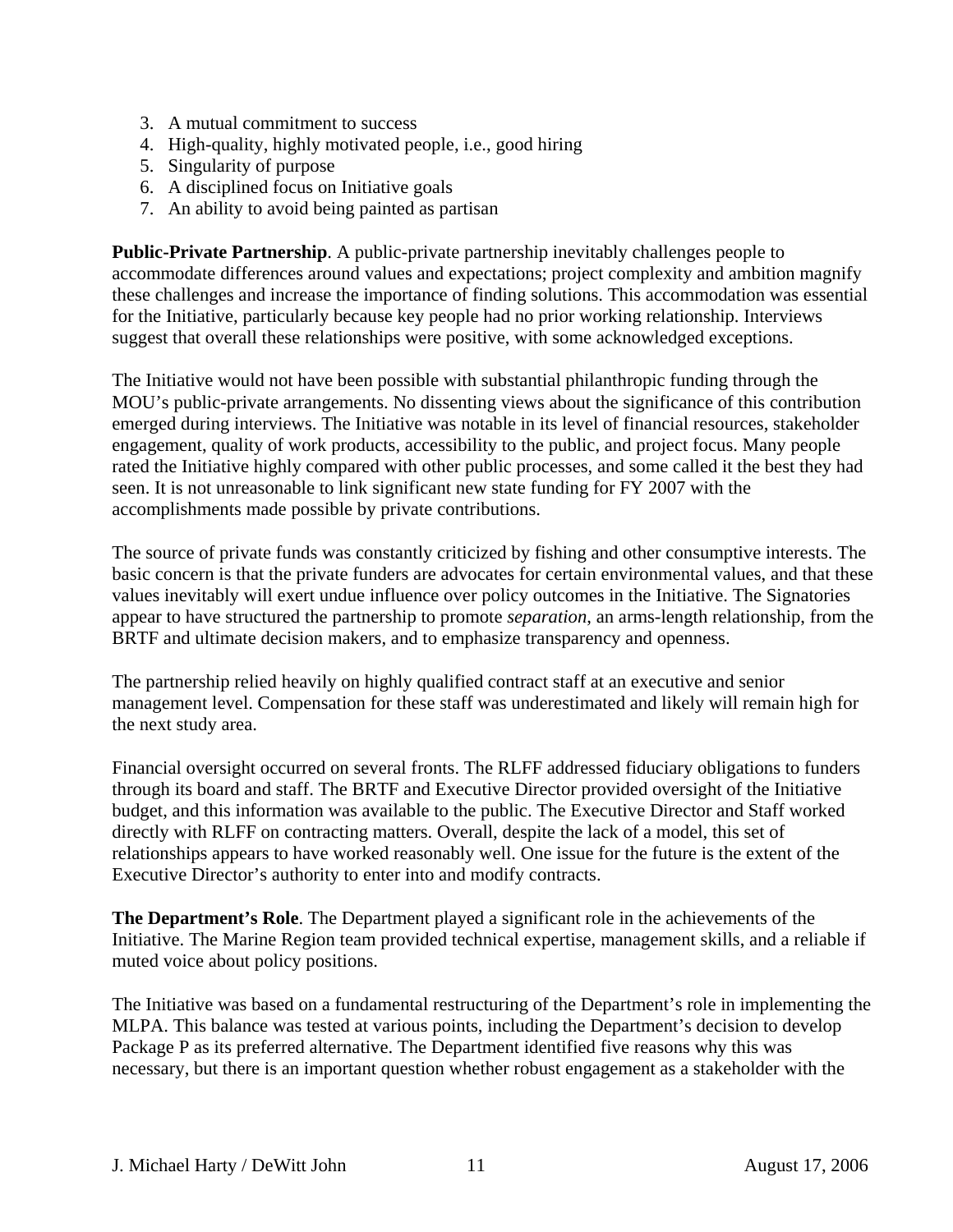- 3. A mutual commitment to success
- 4. High-quality, highly motivated people, i.e., good hiring
- 5. Singularity of purpose
- 6. A disciplined focus on Initiative goals
- 7. An ability to avoid being painted as partisan

**Public-Private Partnership**. A public-private partnership inevitably challenges people to accommodate differences around values and expectations; project complexity and ambition magnify these challenges and increase the importance of finding solutions. This accommodation was essential for the Initiative, particularly because key people had no prior working relationship. Interviews suggest that overall these relationships were positive, with some acknowledged exceptions.

The Initiative would not have been possible with substantial philanthropic funding through the MOU's public-private arrangements. No dissenting views about the significance of this contribution emerged during interviews. The Initiative was notable in its level of financial resources, stakeholder engagement, quality of work products, accessibility to the public, and project focus. Many people rated the Initiative highly compared with other public processes, and some called it the best they had seen. It is not unreasonable to link significant new state funding for FY 2007 with the accomplishments made possible by private contributions.

The source of private funds was constantly criticized by fishing and other consumptive interests. The basic concern is that the private funders are advocates for certain environmental values, and that these values inevitably will exert undue influence over policy outcomes in the Initiative. The Signatories appear to have structured the partnership to promote *separation*, an arms-length relationship, from the BRTF and ultimate decision makers, and to emphasize transparency and openness.

The partnership relied heavily on highly qualified contract staff at an executive and senior management level. Compensation for these staff was underestimated and likely will remain high for the next study area.

Financial oversight occurred on several fronts. The RLFF addressed fiduciary obligations to funders through its board and staff. The BRTF and Executive Director provided oversight of the Initiative budget, and this information was available to the public. The Executive Director and Staff worked directly with RLFF on contracting matters. Overall, despite the lack of a model, this set of relationships appears to have worked reasonably well. One issue for the future is the extent of the Executive Director's authority to enter into and modify contracts.

**The Department's Role**. The Department played a significant role in the achievements of the Initiative. The Marine Region team provided technical expertise, management skills, and a reliable if muted voice about policy positions.

The Initiative was based on a fundamental restructuring of the Department's role in implementing the MLPA. This balance was tested at various points, including the Department's decision to develop Package P as its preferred alternative. The Department identified five reasons why this was necessary, but there is an important question whether robust engagement as a stakeholder with the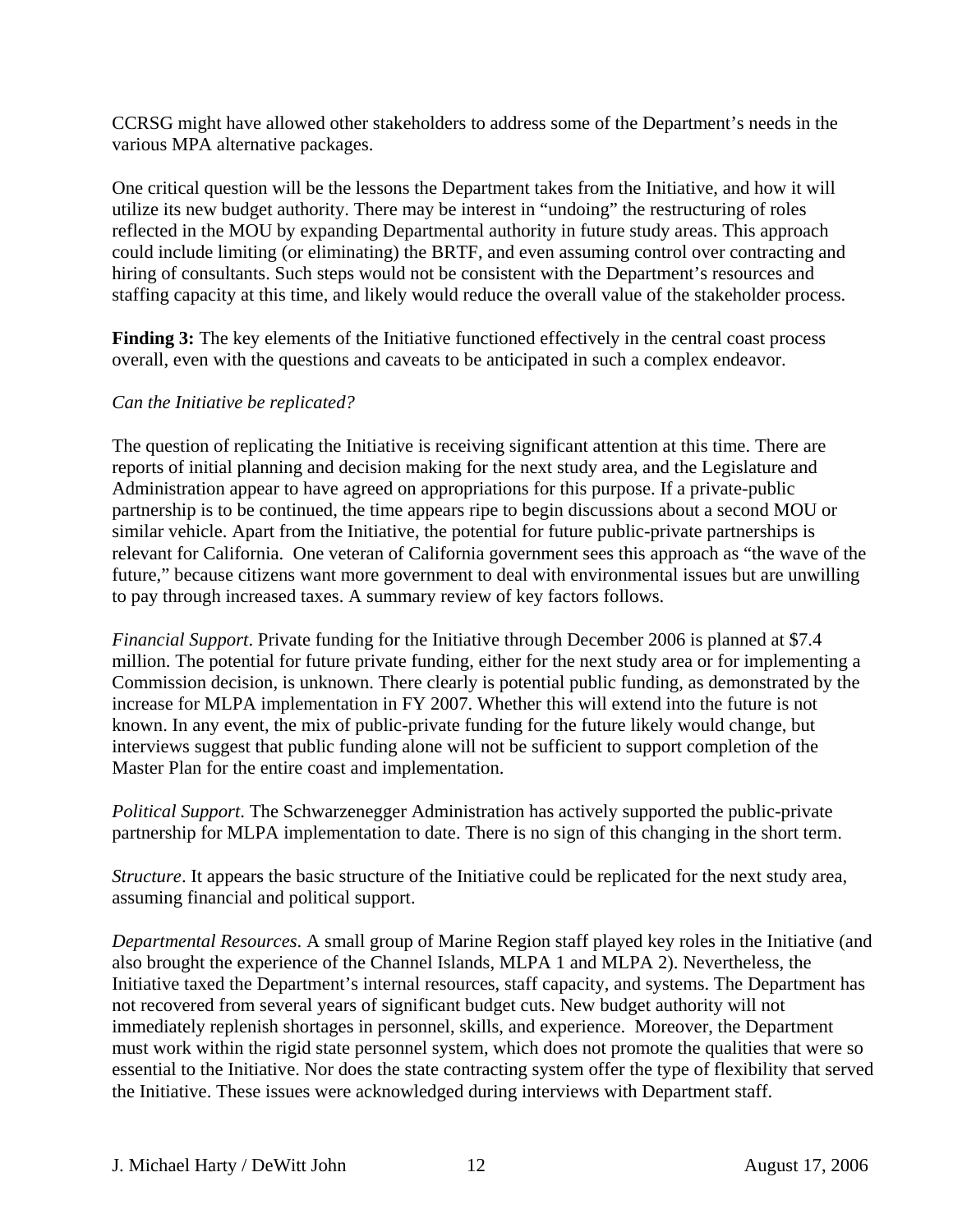CCRSG might have allowed other stakeholders to address some of the Department's needs in the various MPA alternative packages.

One critical question will be the lessons the Department takes from the Initiative, and how it will utilize its new budget authority. There may be interest in "undoing" the restructuring of roles reflected in the MOU by expanding Departmental authority in future study areas. This approach could include limiting (or eliminating) the BRTF, and even assuming control over contracting and hiring of consultants. Such steps would not be consistent with the Department's resources and staffing capacity at this time, and likely would reduce the overall value of the stakeholder process.

**Finding 3:** The key elements of the Initiative functioned effectively in the central coast process overall, even with the questions and caveats to be anticipated in such a complex endeavor.

## *Can the Initiative be replicated?*

The question of replicating the Initiative is receiving significant attention at this time. There are reports of initial planning and decision making for the next study area, and the Legislature and Administration appear to have agreed on appropriations for this purpose. If a private-public partnership is to be continued, the time appears ripe to begin discussions about a second MOU or similar vehicle. Apart from the Initiative, the potential for future public-private partnerships is relevant for California. One veteran of California government sees this approach as "the wave of the future," because citizens want more government to deal with environmental issues but are unwilling to pay through increased taxes. A summary review of key factors follows.

*Financial Support*. Private funding for the Initiative through December 2006 is planned at \$7.4 million. The potential for future private funding, either for the next study area or for implementing a Commission decision, is unknown. There clearly is potential public funding, as demonstrated by the increase for MLPA implementation in FY 2007. Whether this will extend into the future is not known. In any event, the mix of public-private funding for the future likely would change, but interviews suggest that public funding alone will not be sufficient to support completion of the Master Plan for the entire coast and implementation.

*Political Support*. The Schwarzenegger Administration has actively supported the public-private partnership for MLPA implementation to date. There is no sign of this changing in the short term.

*Structure*. It appears the basic structure of the Initiative could be replicated for the next study area, assuming financial and political support.

*Departmental Resources*. A small group of Marine Region staff played key roles in the Initiative (and also brought the experience of the Channel Islands, MLPA 1 and MLPA 2). Nevertheless, the Initiative taxed the Department's internal resources, staff capacity, and systems. The Department has not recovered from several years of significant budget cuts. New budget authority will not immediately replenish shortages in personnel, skills, and experience. Moreover, the Department must work within the rigid state personnel system, which does not promote the qualities that were so essential to the Initiative. Nor does the state contracting system offer the type of flexibility that served the Initiative. These issues were acknowledged during interviews with Department staff.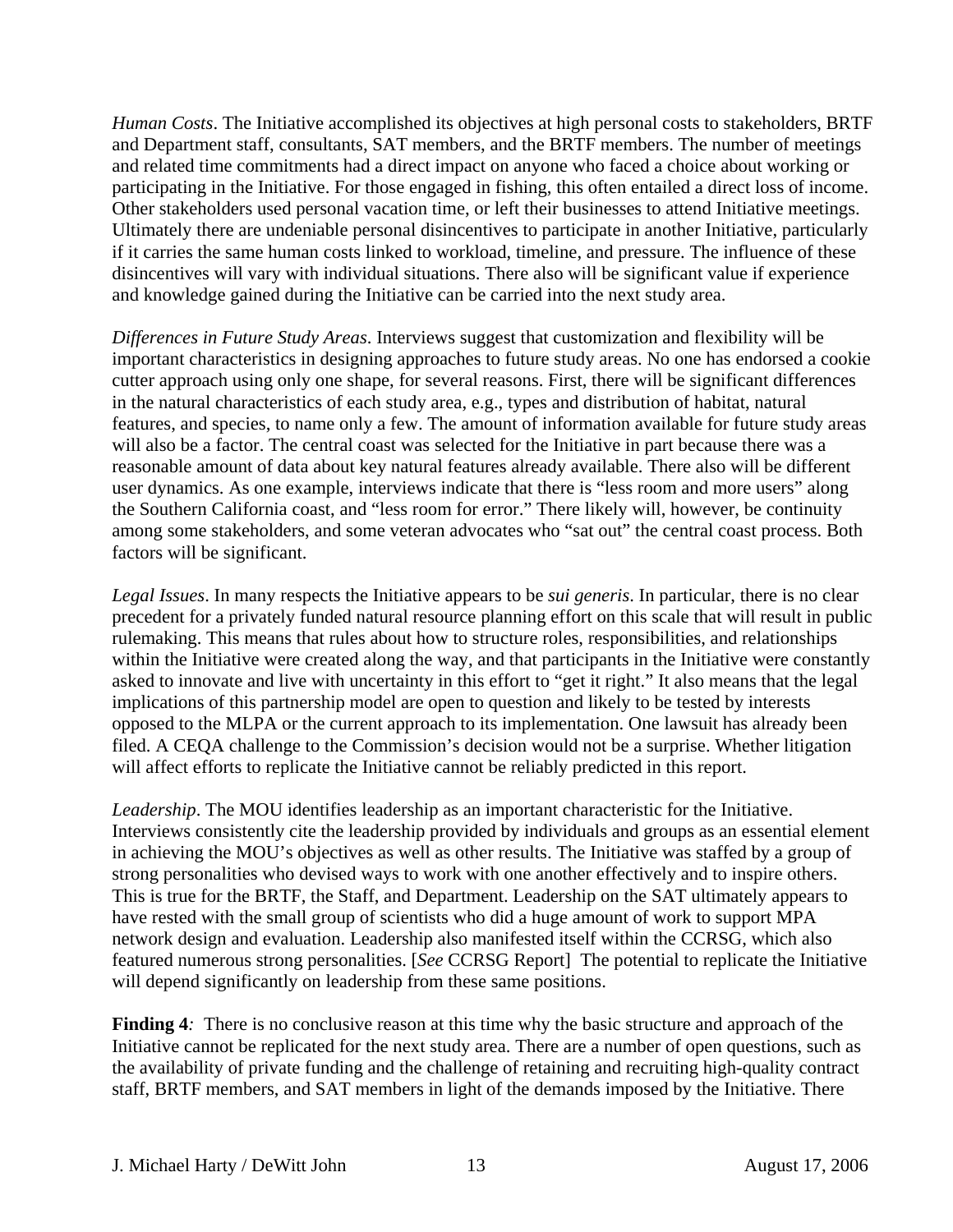*Human Costs*. The Initiative accomplished its objectives at high personal costs to stakeholders, BRTF and Department staff, consultants, SAT members, and the BRTF members. The number of meetings and related time commitments had a direct impact on anyone who faced a choice about working or participating in the Initiative. For those engaged in fishing, this often entailed a direct loss of income. Other stakeholders used personal vacation time, or left their businesses to attend Initiative meetings. Ultimately there are undeniable personal disincentives to participate in another Initiative, particularly if it carries the same human costs linked to workload, timeline, and pressure. The influence of these disincentives will vary with individual situations. There also will be significant value if experience and knowledge gained during the Initiative can be carried into the next study area.

*Differences in Future Study Areas*. Interviews suggest that customization and flexibility will be important characteristics in designing approaches to future study areas. No one has endorsed a cookie cutter approach using only one shape, for several reasons. First, there will be significant differences in the natural characteristics of each study area, e.g., types and distribution of habitat, natural features, and species, to name only a few. The amount of information available for future study areas will also be a factor. The central coast was selected for the Initiative in part because there was a reasonable amount of data about key natural features already available. There also will be different user dynamics. As one example, interviews indicate that there is "less room and more users" along the Southern California coast, and "less room for error." There likely will, however, be continuity among some stakeholders, and some veteran advocates who "sat out" the central coast process. Both factors will be significant.

*Legal Issues*. In many respects the Initiative appears to be *sui generis*. In particular, there is no clear precedent for a privately funded natural resource planning effort on this scale that will result in public rulemaking. This means that rules about how to structure roles, responsibilities, and relationships within the Initiative were created along the way, and that participants in the Initiative were constantly asked to innovate and live with uncertainty in this effort to "get it right." It also means that the legal implications of this partnership model are open to question and likely to be tested by interests opposed to the MLPA or the current approach to its implementation. One lawsuit has already been filed. A CEQA challenge to the Commission's decision would not be a surprise. Whether litigation will affect efforts to replicate the Initiative cannot be reliably predicted in this report.

*Leadership*. The MOU identifies leadership as an important characteristic for the Initiative. Interviews consistently cite the leadership provided by individuals and groups as an essential element in achieving the MOU's objectives as well as other results. The Initiative was staffed by a group of strong personalities who devised ways to work with one another effectively and to inspire others. This is true for the BRTF, the Staff, and Department. Leadership on the SAT ultimately appears to have rested with the small group of scientists who did a huge amount of work to support MPA network design and evaluation. Leadership also manifested itself within the CCRSG, which also featured numerous strong personalities. [*See* CCRSG Report] The potential to replicate the Initiative will depend significantly on leadership from these same positions.

**Finding 4***:* There is no conclusive reason at this time why the basic structure and approach of the Initiative cannot be replicated for the next study area. There are a number of open questions, such as the availability of private funding and the challenge of retaining and recruiting high-quality contract staff, BRTF members, and SAT members in light of the demands imposed by the Initiative. There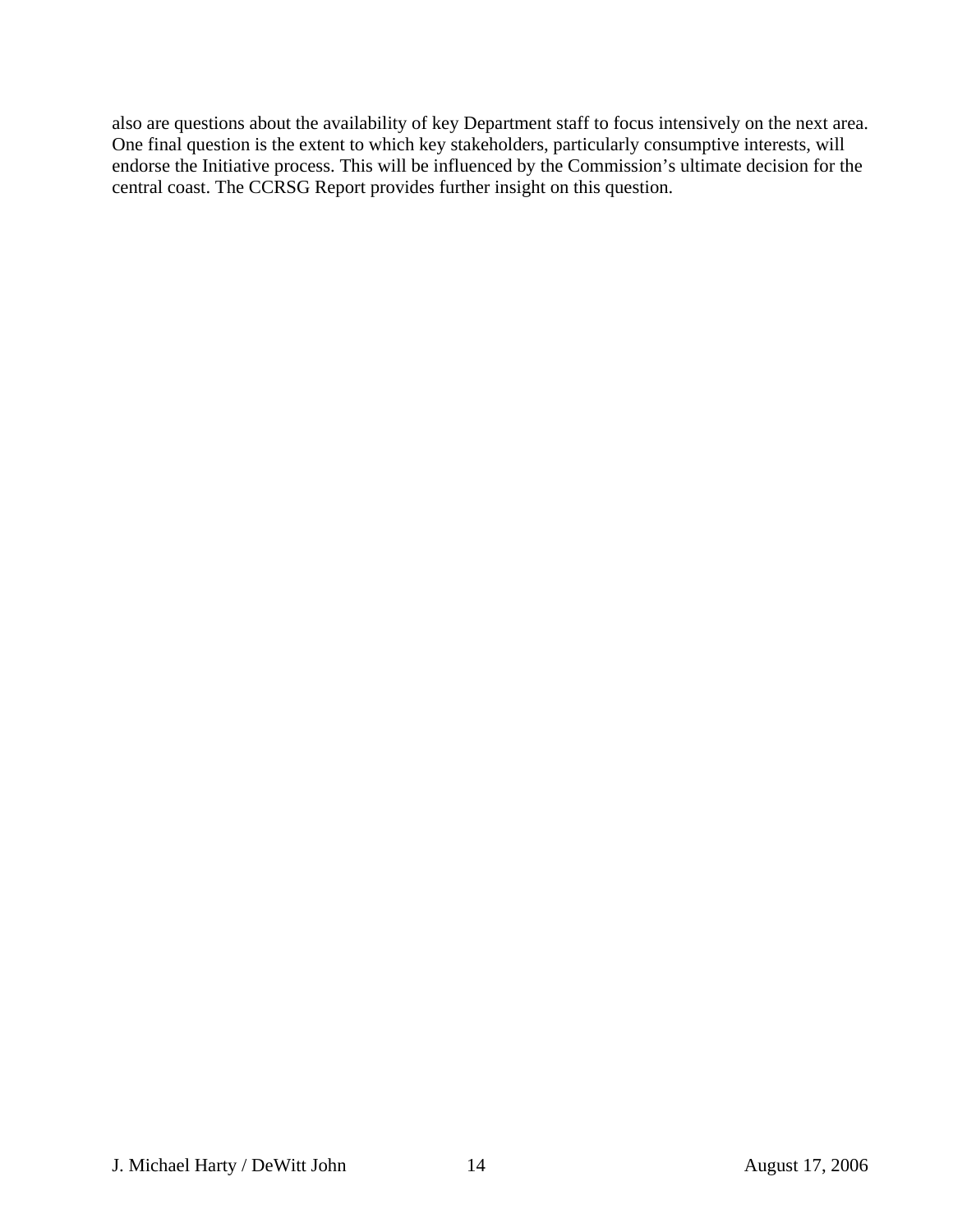also are questions about the availability of key Department staff to focus intensively on the next area. One final question is the extent to which key stakeholders, particularly consumptive interests, will endorse the Initiative process. This will be influenced by the Commission's ultimate decision for the central coast. The CCRSG Report provides further insight on this question.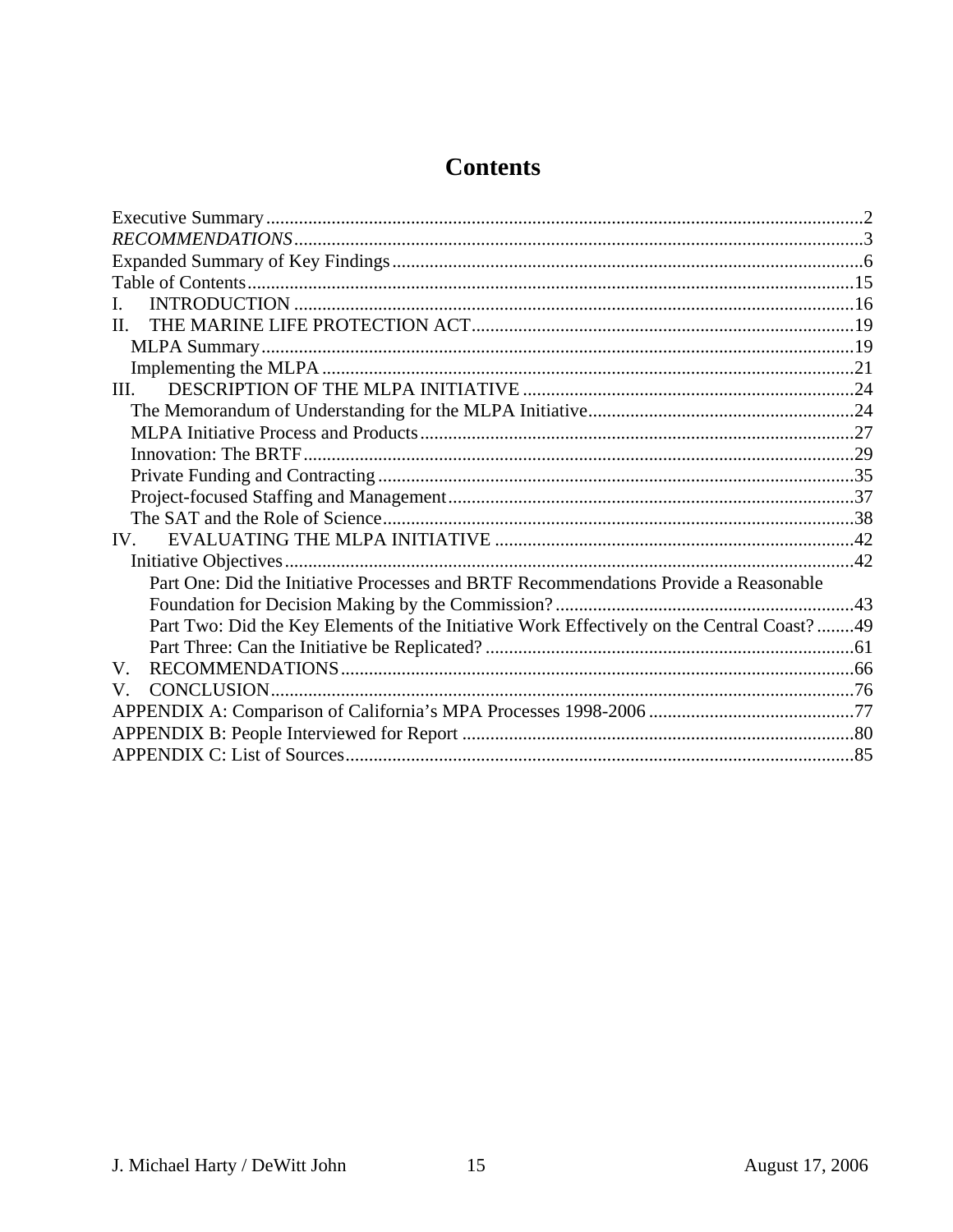# **Contents**

<span id="page-14-0"></span>

| L                                                                                          |  |
|--------------------------------------------------------------------------------------------|--|
| $\Pi$ .                                                                                    |  |
|                                                                                            |  |
|                                                                                            |  |
| III.                                                                                       |  |
|                                                                                            |  |
|                                                                                            |  |
|                                                                                            |  |
|                                                                                            |  |
|                                                                                            |  |
|                                                                                            |  |
| IV.                                                                                        |  |
|                                                                                            |  |
| Part One: Did the Initiative Processes and BRTF Recommendations Provide a Reasonable       |  |
|                                                                                            |  |
| Part Two: Did the Key Elements of the Initiative Work Effectively on the Central Coast? 49 |  |
|                                                                                            |  |
| V.                                                                                         |  |
| V.                                                                                         |  |
|                                                                                            |  |
|                                                                                            |  |
|                                                                                            |  |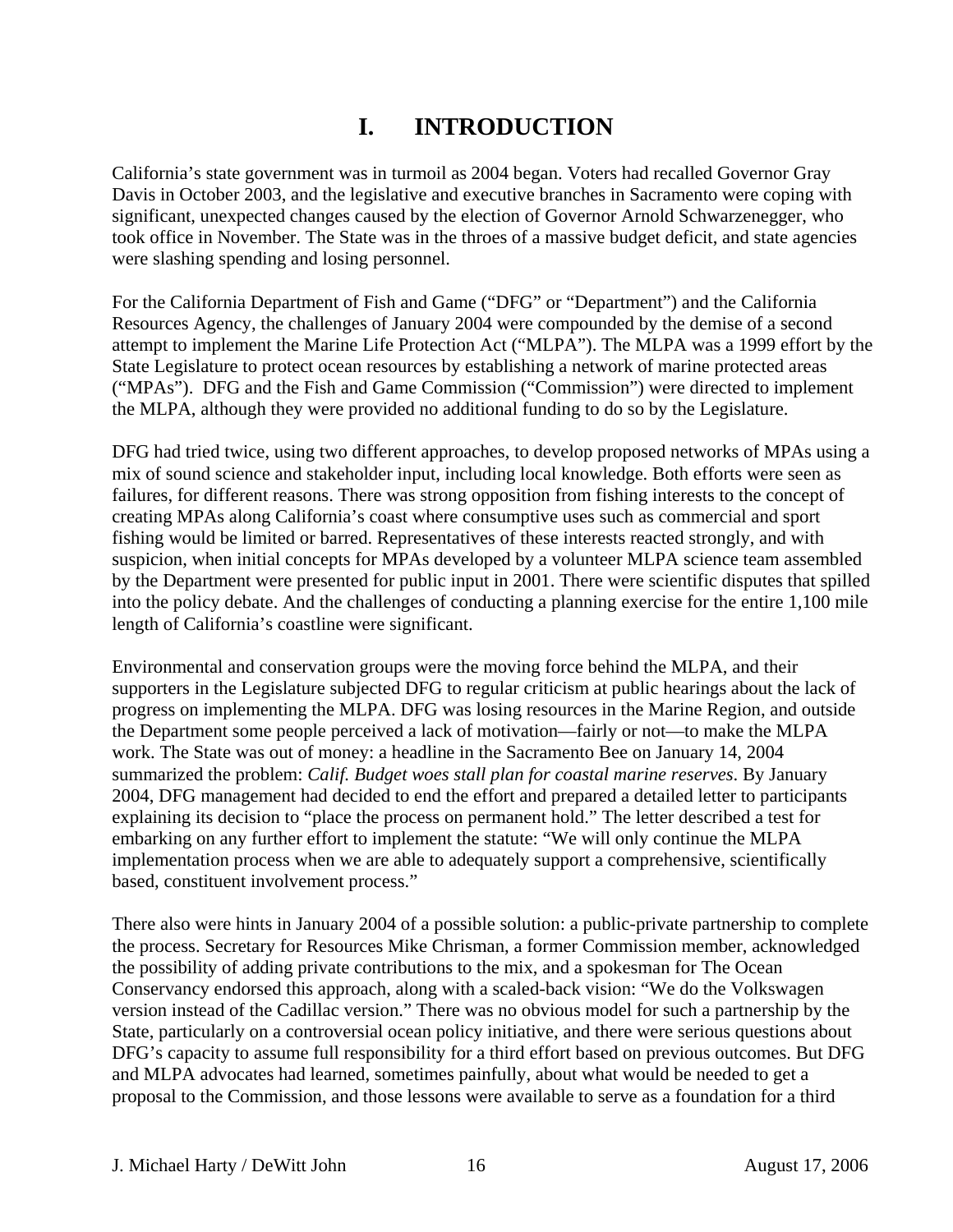# **I. INTRODUCTION**

<span id="page-15-0"></span>California's state government was in turmoil as 2004 began. Voters had recalled Governor Gray Davis in October 2003, and the legislative and executive branches in Sacramento were coping with significant, unexpected changes caused by the election of Governor Arnold Schwarzenegger, who took office in November. The State was in the throes of a massive budget deficit, and state agencies were slashing spending and losing personnel.

For the California Department of Fish and Game ("DFG" or "Department") and the California Resources Agency, the challenges of January 2004 were compounded by the demise of a second attempt to implement the Marine Life Protection Act ("MLPA"). The MLPA was a 1999 effort by the State Legislature to protect ocean resources by establishing a network of marine protected areas ("MPAs"). DFG and the Fish and Game Commission ("Commission") were directed to implement the MLPA, although they were provided no additional funding to do so by the Legislature.

DFG had tried twice, using two different approaches, to develop proposed networks of MPAs using a mix of sound science and stakeholder input, including local knowledge. Both efforts were seen as failures, for different reasons. There was strong opposition from fishing interests to the concept of creating MPAs along California's coast where consumptive uses such as commercial and sport fishing would be limited or barred. Representatives of these interests reacted strongly, and with suspicion, when initial concepts for MPAs developed by a volunteer MLPA science team assembled by the Department were presented for public input in 2001. There were scientific disputes that spilled into the policy debate. And the challenges of conducting a planning exercise for the entire 1,100 mile length of California's coastline were significant.

Environmental and conservation groups were the moving force behind the MLPA, and their supporters in the Legislature subjected DFG to regular criticism at public hearings about the lack of progress on implementing the MLPA. DFG was losing resources in the Marine Region, and outside the Department some people perceived a lack of motivation—fairly or not—to make the MLPA work. The State was out of money: a headline in the Sacramento Bee on January 14, 2004 summarized the problem: *Calif. Budget woes stall plan for coastal marine reserves*. By January 2004, DFG management had decided to end the effort and prepared a detailed letter to participants explaining its decision to "place the process on permanent hold." The letter described a test for embarking on any further effort to implement the statute: "We will only continue the MLPA implementation process when we are able to adequately support a comprehensive, scientifically based, constituent involvement process."

There also were hints in January 2004 of a possible solution: a public-private partnership to complete the process. Secretary for Resources Mike Chrisman, a former Commission member, acknowledged the possibility of adding private contributions to the mix, and a spokesman for The Ocean Conservancy endorsed this approach, along with a scaled-back vision: "We do the Volkswagen version instead of the Cadillac version." There was no obvious model for such a partnership by the State, particularly on a controversial ocean policy initiative, and there were serious questions about DFG's capacity to assume full responsibility for a third effort based on previous outcomes. But DFG and MLPA advocates had learned, sometimes painfully, about what would be needed to get a proposal to the Commission, and those lessons were available to serve as a foundation for a third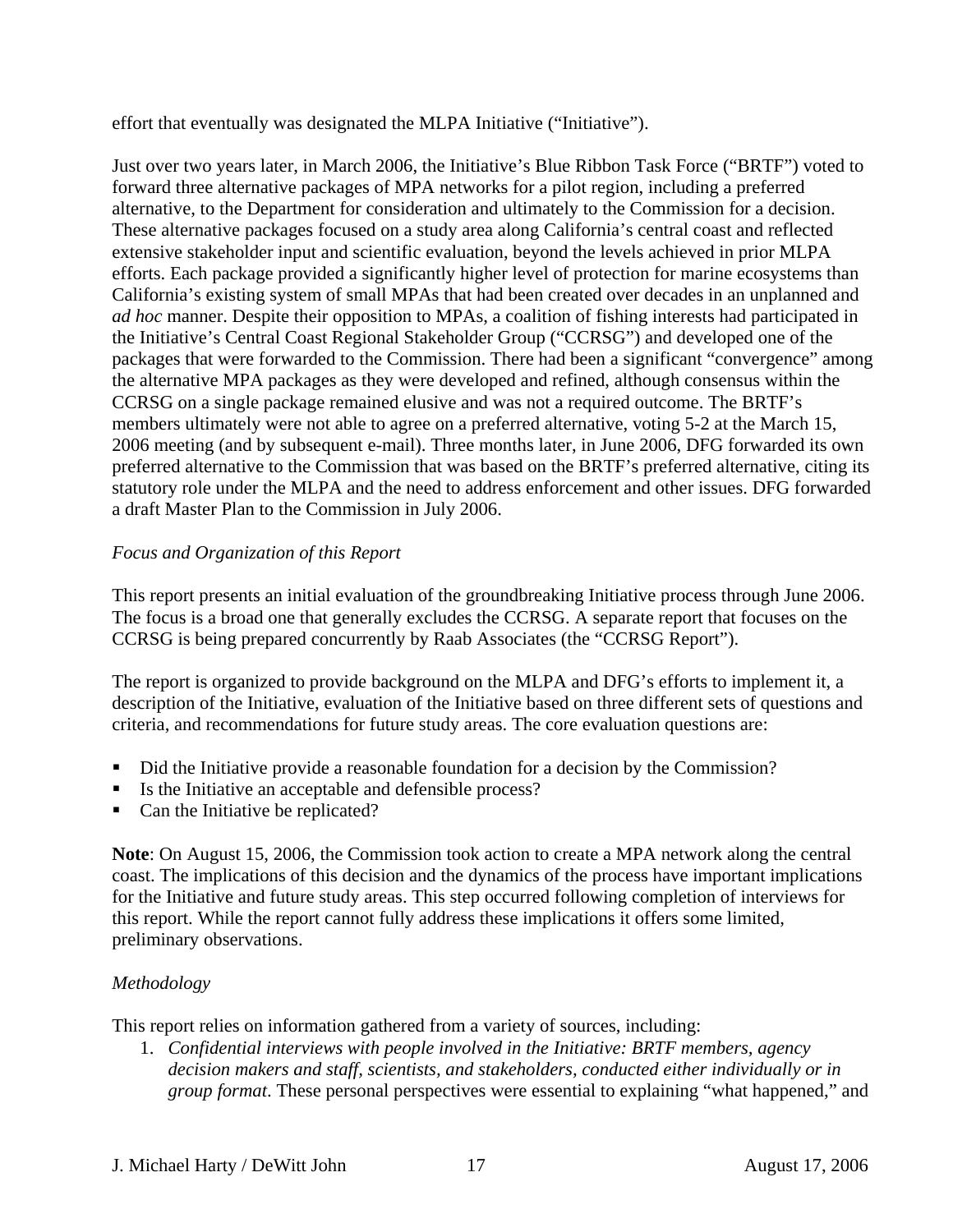effort that eventually was designated the MLPA Initiative ("Initiative").

Just over two years later, in March 2006, the Initiative's Blue Ribbon Task Force ("BRTF") voted to forward three alternative packages of MPA networks for a pilot region, including a preferred alternative, to the Department for consideration and ultimately to the Commission for a decision. These alternative packages focused on a study area along California's central coast and reflected extensive stakeholder input and scientific evaluation, beyond the levels achieved in prior MLPA efforts. Each package provided a significantly higher level of protection for marine ecosystems than California's existing system of small MPAs that had been created over decades in an unplanned and *ad hoc* manner. Despite their opposition to MPAs, a coalition of fishing interests had participated in the Initiative's Central Coast Regional Stakeholder Group ("CCRSG") and developed one of the packages that were forwarded to the Commission. There had been a significant "convergence" among the alternative MPA packages as they were developed and refined, although consensus within the CCRSG on a single package remained elusive and was not a required outcome. The BRTF's members ultimately were not able to agree on a preferred alternative, voting 5-2 at the March 15, 2006 meeting (and by subsequent e-mail). Three months later, in June 2006, DFG forwarded its own preferred alternative to the Commission that was based on the BRTF's preferred alternative, citing its statutory role under the MLPA and the need to address enforcement and other issues. DFG forwarded a draft Master Plan to the Commission in July 2006.

## *Focus and Organization of this Report*

This report presents an initial evaluation of the groundbreaking Initiative process through June 2006. The focus is a broad one that generally excludes the CCRSG. A separate report that focuses on the CCRSG is being prepared concurrently by Raab Associates (the "CCRSG Report").

The report is organized to provide background on the MLPA and DFG's efforts to implement it, a description of the Initiative, evaluation of the Initiative based on three different sets of questions and criteria, and recommendations for future study areas. The core evaluation questions are:

- Did the Initiative provide a reasonable foundation for a decision by the Commission?
- Is the Initiative an acceptable and defensible process?
- Can the Initiative be replicated?

**Note**: On August 15, 2006, the Commission took action to create a MPA network along the central coast. The implications of this decision and the dynamics of the process have important implications for the Initiative and future study areas. This step occurred following completion of interviews for this report. While the report cannot fully address these implications it offers some limited, preliminary observations.

## *Methodology*

This report relies on information gathered from a variety of sources, including:

1. *Confidential interviews with people involved in the Initiative: BRTF members, agency decision makers and staff, scientists, and stakeholders, conducted either individually or in group format*. These personal perspectives were essential to explaining "what happened," and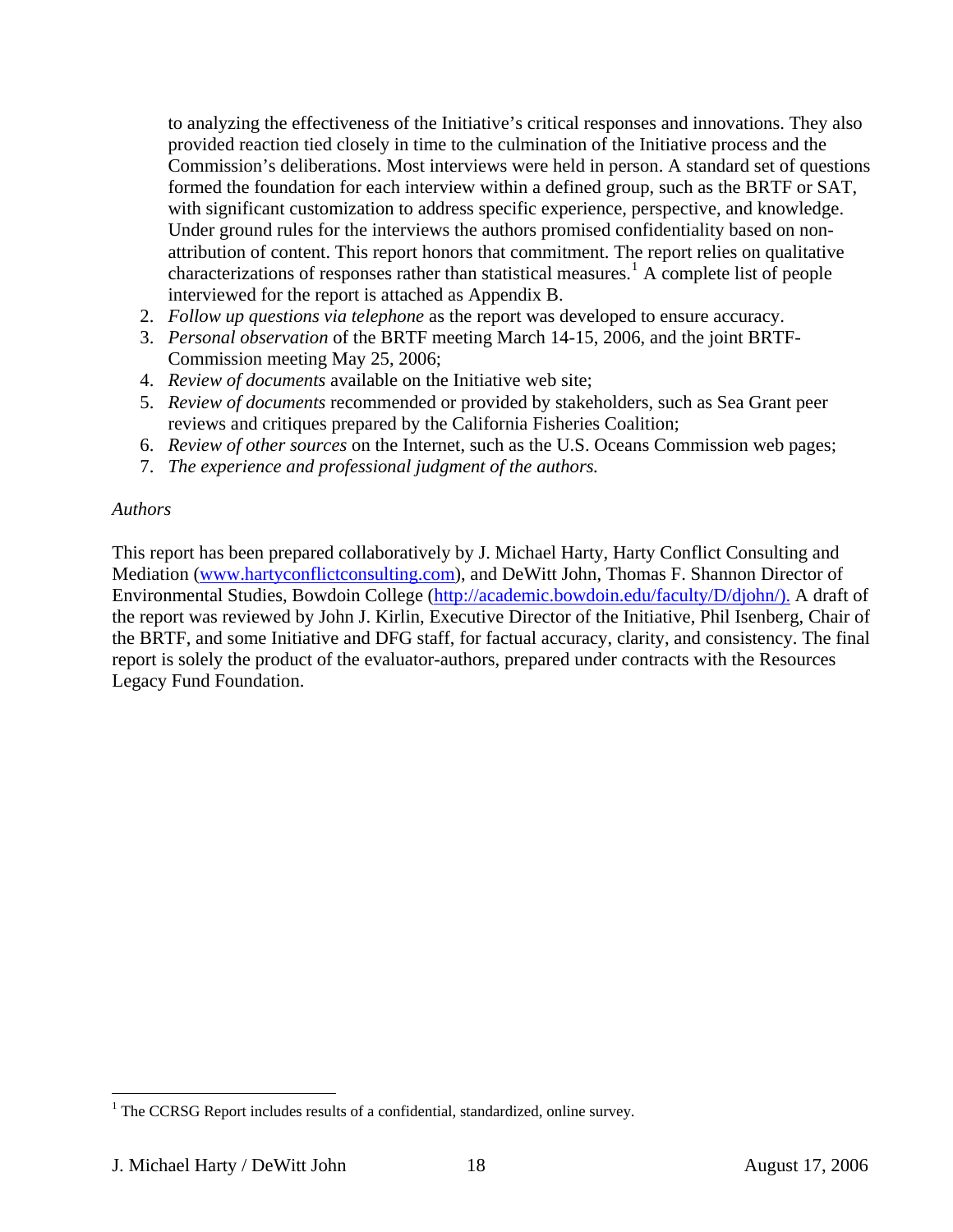to analyzing the effectiveness of the Initiative's critical responses and innovations. They also provided reaction tied closely in time to the culmination of the Initiative process and the Commission's deliberations. Most interviews were held in person. A standard set of questions formed the foundation for each interview within a defined group, such as the BRTF or SAT, with significant customization to address specific experience, perspective, and knowledge. Under ground rules for the interviews the authors promised confidentiality based on nonattribution of content. This report honors that commitment. The report relies on qualitative characterizations of responses rather than statistical measures.<sup>[1](#page-17-0)</sup> A complete list of people interviewed for the report is attached as Appendix B.

- 2. *Follow up questions via telephone* as the report was developed to ensure accuracy.
- 3. *Personal observation* of the BRTF meeting March 14-15, 2006, and the joint BRTF-Commission meeting May 25, 2006;
- 4. *Review of documents* available on the Initiative web site;
- 5. *Review of documents* recommended or provided by stakeholders, such as Sea Grant peer reviews and critiques prepared by the California Fisheries Coalition;
- 6. *Review of other sources* on the Internet, such as the U.S. Oceans Commission web pages;
- 7. *The experience and professional judgment of the authors.*

#### *Authors*

This report has been prepared collaboratively by J. Michael Harty, Harty Conflict Consulting and Mediation (www.hartyconflictconsulting.com), and DeWitt John, Thomas F. Shannon Director of Environmental Studies, Bowdoin College (http://academic.bowdoin.edu/faculty/D/djohn/). A draft of the report was reviewed by John J. Kirlin, Executive Director of the Initiative, Phil Isenberg, Chair of the BRTF, and some Initiative and DFG staff, for factual accuracy, clarity, and consistency. The final report is solely the product of the evaluator-authors, prepared under contracts with the Resources Legacy Fund Foundation.

<span id="page-17-0"></span><sup>&</sup>lt;sup>1</sup> The CCRSG Report includes results of a confidential, standardized, online survey.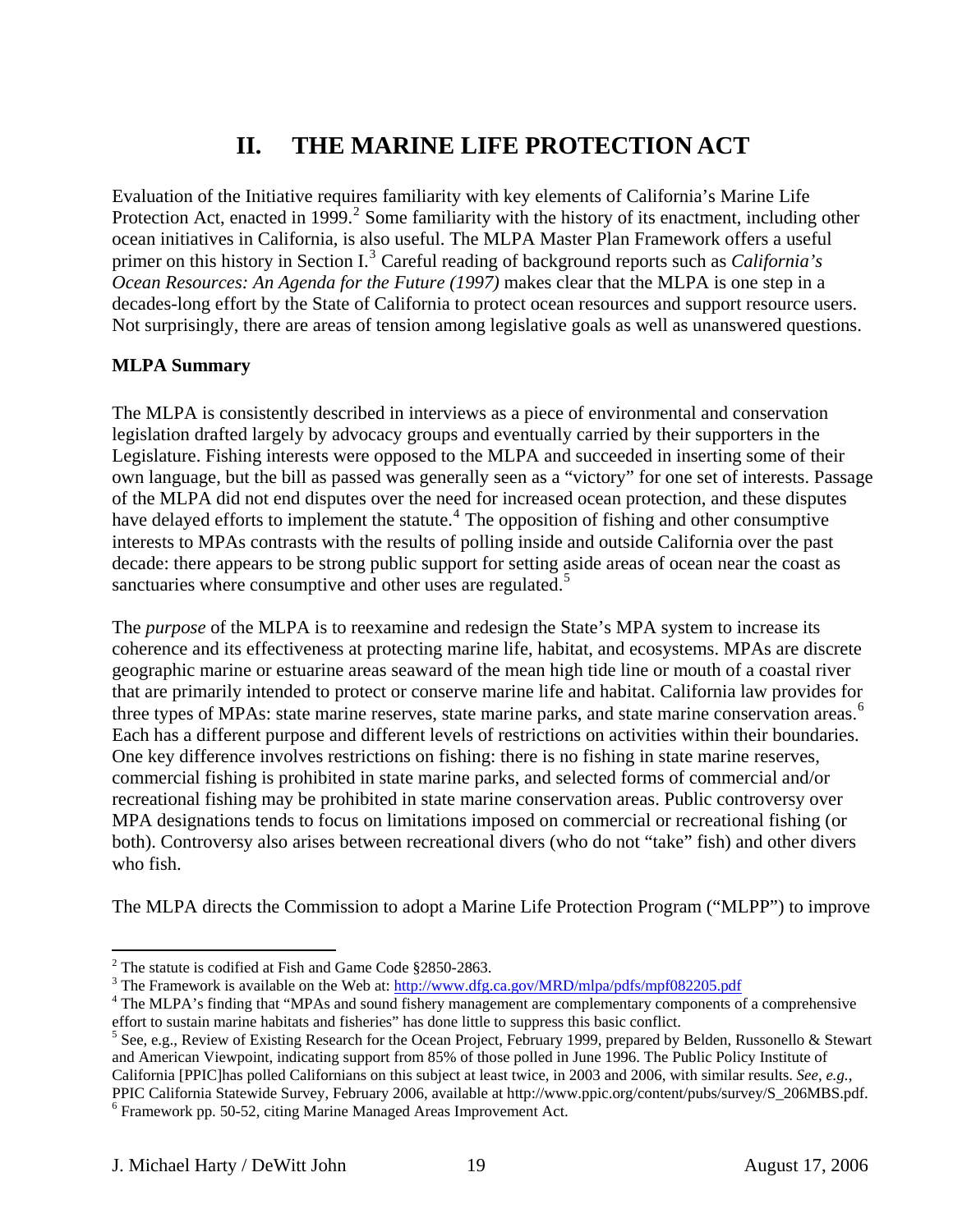# **II. THE MARINE LIFE PROTECTION ACT**

<span id="page-18-0"></span>Evaluation of the Initiative requires familiarity with key elements of California's Marine Life Protection Act, enacted in 1999.<sup>[2](#page-18-1)</sup> Some familiarity with the history of its enactment, including other ocean initiatives in California, is also useful. The MLPA Master Plan Framework offers a useful primer on this history in Section I.<sup>[3](#page-18-2)</sup> Careful reading of background reports such as *California's Ocean Resources: An Agenda for the Future (1997)* makes clear that the MLPA is one step in a decades-long effort by the State of California to protect ocean resources and support resource users. Not surprisingly, there are areas of tension among legislative goals as well as unanswered questions.

## **MLPA Summary**

The MLPA is consistently described in interviews as a piece of environmental and conservation legislation drafted largely by advocacy groups and eventually carried by their supporters in the Legislature. Fishing interests were opposed to the MLPA and succeeded in inserting some of their own language, but the bill as passed was generally seen as a "victory" for one set of interests. Passage of the MLPA did not end disputes over the need for increased ocean protection, and these disputes have delayed efforts to implement the statute.<sup>[4](#page-18-3)</sup> The opposition of fishing and other consumptive interests to MPAs contrasts with the results of polling inside and outside California over the past decade: there appears to be strong public support for setting aside areas of ocean near the coast as sanctuaries where consumptive and other uses are regulated.<sup>[5](#page-18-4)</sup>

The *purpose* of the MLPA is to reexamine and redesign the State's MPA system to increase its coherence and its effectiveness at protecting marine life, habitat, and ecosystems. MPAs are discrete geographic marine or estuarine areas seaward of the mean high tide line or mouth of a coastal river that are primarily intended to protect or conserve marine life and habitat. California law provides for three types of MPAs: state marine reserves, state marine parks, and state marine conservation areas.<sup>[6](#page-18-5)</sup> Each has a different purpose and different levels of restrictions on activities within their boundaries. One key difference involves restrictions on fishing: there is no fishing in state marine reserves, commercial fishing is prohibited in state marine parks, and selected forms of commercial and/or recreational fishing may be prohibited in state marine conservation areas. Public controversy over MPA designations tends to focus on limitations imposed on commercial or recreational fishing (or both). Controversy also arises between recreational divers (who do not "take" fish) and other divers who fish.

The MLPA directs the Commission to adopt a Marine Life Protection Program ("MLPP") to improve

 $\overline{a}$ <sup>2</sup> The statute is codified at Fish and Game Code  $§2850-2863$ .

<span id="page-18-1"></span><sup>&</sup>lt;sup>3</sup> The Framework is available on the Web at:  $\frac{\text{http://www.dfg.ca.gov/MRD/mlpa/pdfs/mpf082205.pdf}}{4 \text{ The } M \text{ PA}}$ <sup>4</sup> The MLBA's finding that "MBAs and sound fishery management are complementary components of

<span id="page-18-3"></span><span id="page-18-2"></span><sup>&</sup>lt;sup>4</sup> The MLPA's finding that "MPAs and sound fishery management are complementary components of a comprehensive effort to sustain marine habitats and fisheries" has done little to suppress this basic conflict. 5

<span id="page-18-4"></span><sup>&</sup>lt;sup>5</sup> See, e.g., Review of Existing Research for the Ocean Project, February 1999, prepared by Belden, Russonello & Stewart and American Viewpoint, indicating support from 85% of those polled in June 1996. The Public Policy Institute of California [PPIC]has polled Californians on this subject at least twice, in 2003 and 2006, with similar results. *See, e.g.,* PPIC California Statewide Survey, February 2006, available at http://www.ppic.org/content/pubs/survey/S\_206MBS.pdf. 6

<span id="page-18-5"></span><sup>&</sup>lt;sup>6</sup> Framework pp. 50-52, citing Marine Managed Areas Improvement Act.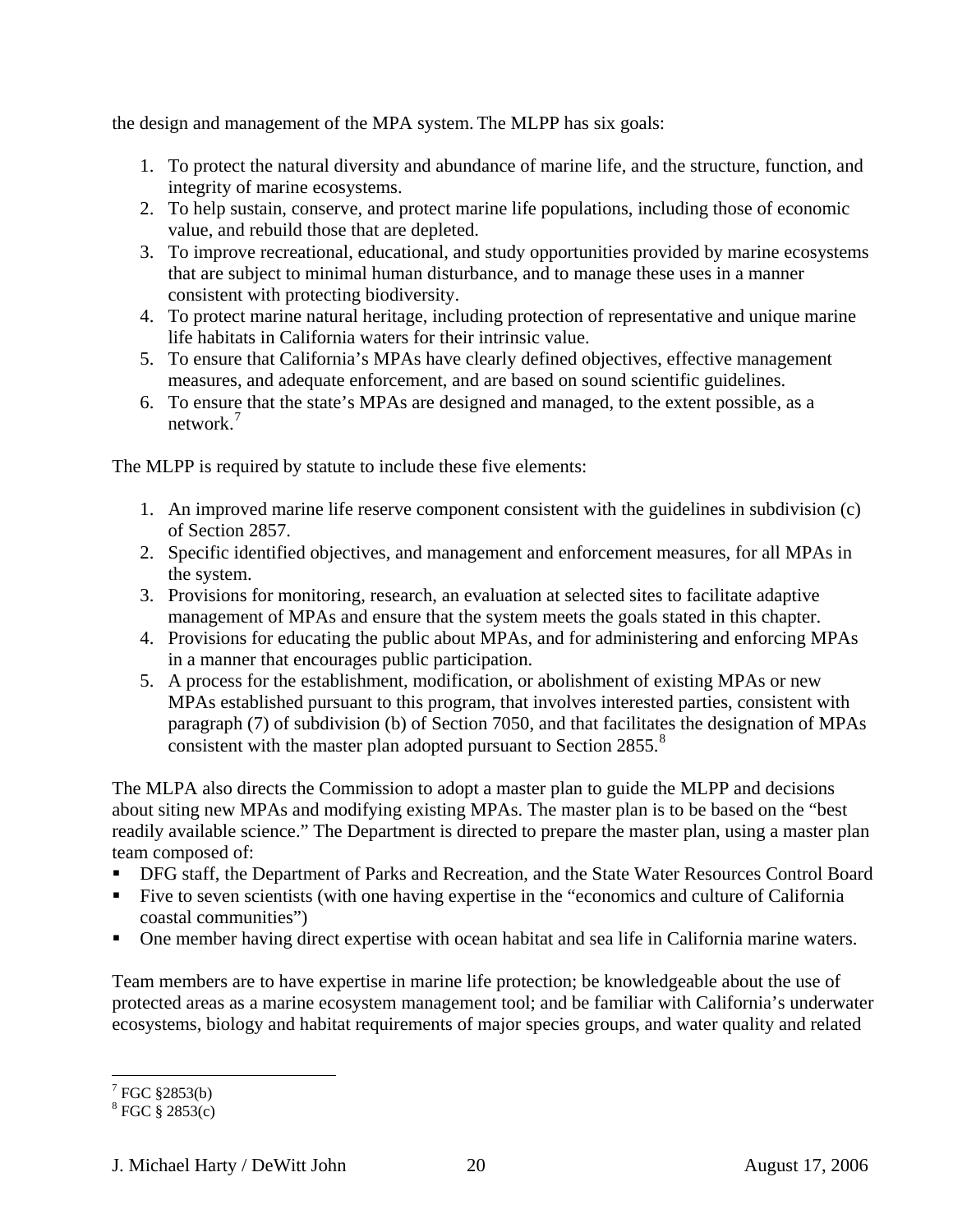the design and management of the MPA system. The MLPP has six goals:

- 1. To protect the natural diversity and abundance of marine life, and the structure, function, and integrity of marine ecosystems.
- 2. To help sustain, conserve, and protect marine life populations, including those of economic value, and rebuild those that are depleted.
- 3. To improve recreational, educational, and study opportunities provided by marine ecosystems that are subject to minimal human disturbance, and to manage these uses in a manner consistent with protecting biodiversity.
- 4. To protect marine natural heritage, including protection of representative and unique marine life habitats in California waters for their intrinsic value.
- 5. To ensure that California's MPAs have clearly defined objectives, effective management measures, and adequate enforcement, and are based on sound scientific guidelines.
- 6. To ensure that the state's MPAs are designed and managed, to the extent possible, as a network.[7](#page-19-0)

The MLPP is required by statute to include these five elements:

- 1. An improved marine life reserve component consistent with the guidelines in subdivision (c) of Section 2857.
- 2. Specific identified objectives, and management and enforcement measures, for all MPAs in the system.
- 3. Provisions for monitoring, research, an evaluation at selected sites to facilitate adaptive management of MPAs and ensure that the system meets the goals stated in this chapter.
- 4. Provisions for educating the public about MPAs, and for administering and enforcing MPAs in a manner that encourages public participation.
- 5. A process for the establishment, modification, or abolishment of existing MPAs or new MPAs established pursuant to this program, that involves interested parties, consistent with paragraph (7) of subdivision (b) of Section 7050, and that facilitates the designation of MPAs consistent with the master plan adopted pursuant to Section 2[8](#page-19-1)55.<sup>8</sup>

The MLPA also directs the Commission to adopt a master plan to guide the MLPP and decisions about siting new MPAs and modifying existing MPAs. The master plan is to be based on the "best readily available science." The Department is directed to prepare the master plan, using a master plan team composed of:

- **DFG staff, the Department of Parks and Recreation, and the State Water Resources Control Board**
- Five to seven scientists (with one having expertise in the "economics and culture of California coastal communities")
- One member having direct expertise with ocean habitat and sea life in California marine waters.

Team members are to have expertise in marine life protection; be knowledgeable about the use of protected areas as a marine ecosystem management tool; and be familiar with California's underwater ecosystems, biology and habitat requirements of major species groups, and water quality and related

<span id="page-19-0"></span> 7 FGC §2853(b)

<span id="page-19-1"></span> $8 \text{ FGC } $2853(c)$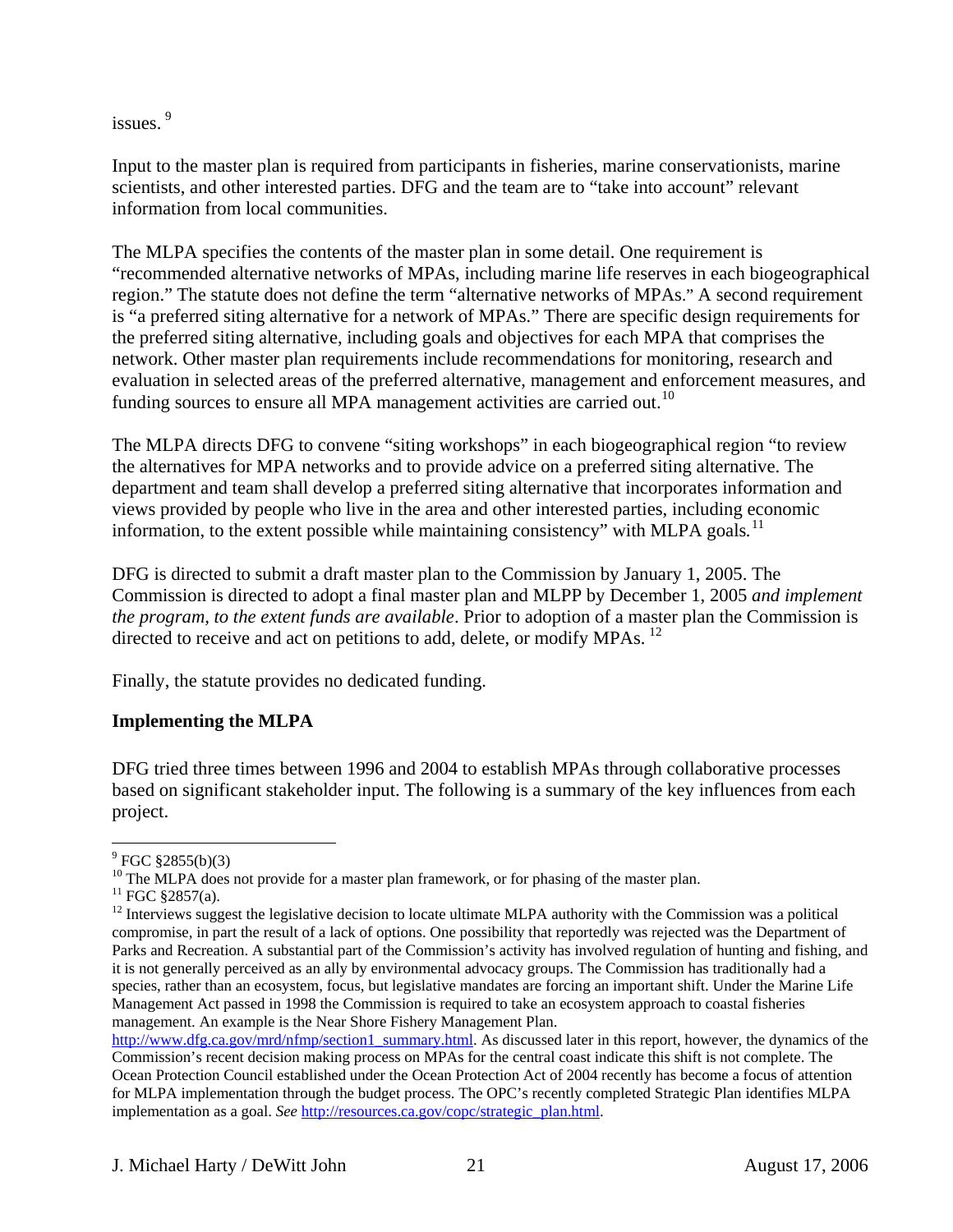<span id="page-20-0"></span>issues.<sup>[9](#page-20-1)</sup>

Input to the master plan is required from participants in fisheries, marine conservationists, marine scientists, and other interested parties. DFG and the team are to "take into account" relevant information from local communities.

The MLPA specifies the contents of the master plan in some detail. One requirement is "recommended alternative networks of MPAs, including marine life reserves in each biogeographical region." The statute does not define the term "alternative networks of MPAs." A second requirement is "a preferred siting alternative for a network of MPAs." There are specific design requirements for the preferred siting alternative, including goals and objectives for each MPA that comprises the network. Other master plan requirements include recommendations for monitoring, research and evaluation in selected areas of the preferred alternative, management and enforcement measures, and funding sources to ensure all MPA management activities are carried out.<sup>[10](#page-20-2)</sup>

The MLPA directs DFG to convene "siting workshops" in each biogeographical region "to review the alternatives for MPA networks and to provide advice on a preferred siting alternative. The department and team shall develop a preferred siting alternative that incorporates information and views provided by people who live in the area and other interested parties, including economic information, to the extent possible while maintaining consistency" with MLPA goals*.* [11](#page-20-3)

DFG is directed to submit a draft master plan to the Commission by January 1, 2005. The Commission is directed to adopt a final master plan and MLPP by December 1, 2005 *and implement the program, to the extent funds are available*. Prior to adoption of a master plan the Commission is directed to receive and act on petitions to add, delete, or modify MPAs.  $^{12}$  $^{12}$  $^{12}$ 

Finally, the statute provides no dedicated funding.

## **Implementing the MLPA**

DFG tried three times between 1996 and 2004 to establish MPAs through collaborative processes based on significant stakeholder input. The following is a summary of the key influences from each project.

<span id="page-20-1"></span> $9^9$  FGC  $$2855(b)(3)$ 

<sup>&</sup>lt;sup>10</sup> The MLPA does not provide for a master plan framework, or for phasing of the master plan.

<span id="page-20-3"></span><span id="page-20-2"></span> $11$  FGC §2857(a).

<span id="page-20-4"></span> $12$  Interviews suggest the legislative decision to locate ultimate MLPA authority with the Commission was a political compromise, in part the result of a lack of options. One possibility that reportedly was rejected was the Department of Parks and Recreation. A substantial part of the Commission's activity has involved regulation of hunting and fishing, and it is not generally perceived as an ally by environmental advocacy groups. The Commission has traditionally had a species, rather than an ecosystem, focus, but legislative mandates are forcing an important shift. Under the Marine Life Management Act passed in 1998 the Commission is required to take an ecosystem approach to coastal fisheries management. An example is the Near Shore Fishery Management Plan.

[http://www.dfg.ca.gov/mrd/nfmp/section1\\_summary.html](http://www.dfg.ca.gov/mrd/nfmp/section1_summary.html). As discussed later in this report, however, the dynamics of the Commission's recent decision making process on MPAs for the central coast indicate this shift is not complete. The Ocean Protection Council established under the Ocean Protection Act of 2004 recently has become a focus of attention for MLPA implementation through the budget process. The OPC's recently completed Strategic Plan identifies MLPA implementation as a goal. *See* [http://resources.ca.gov/copc/strategic\\_plan.html](http://resources.ca.gov/copc/strategic_plan.html).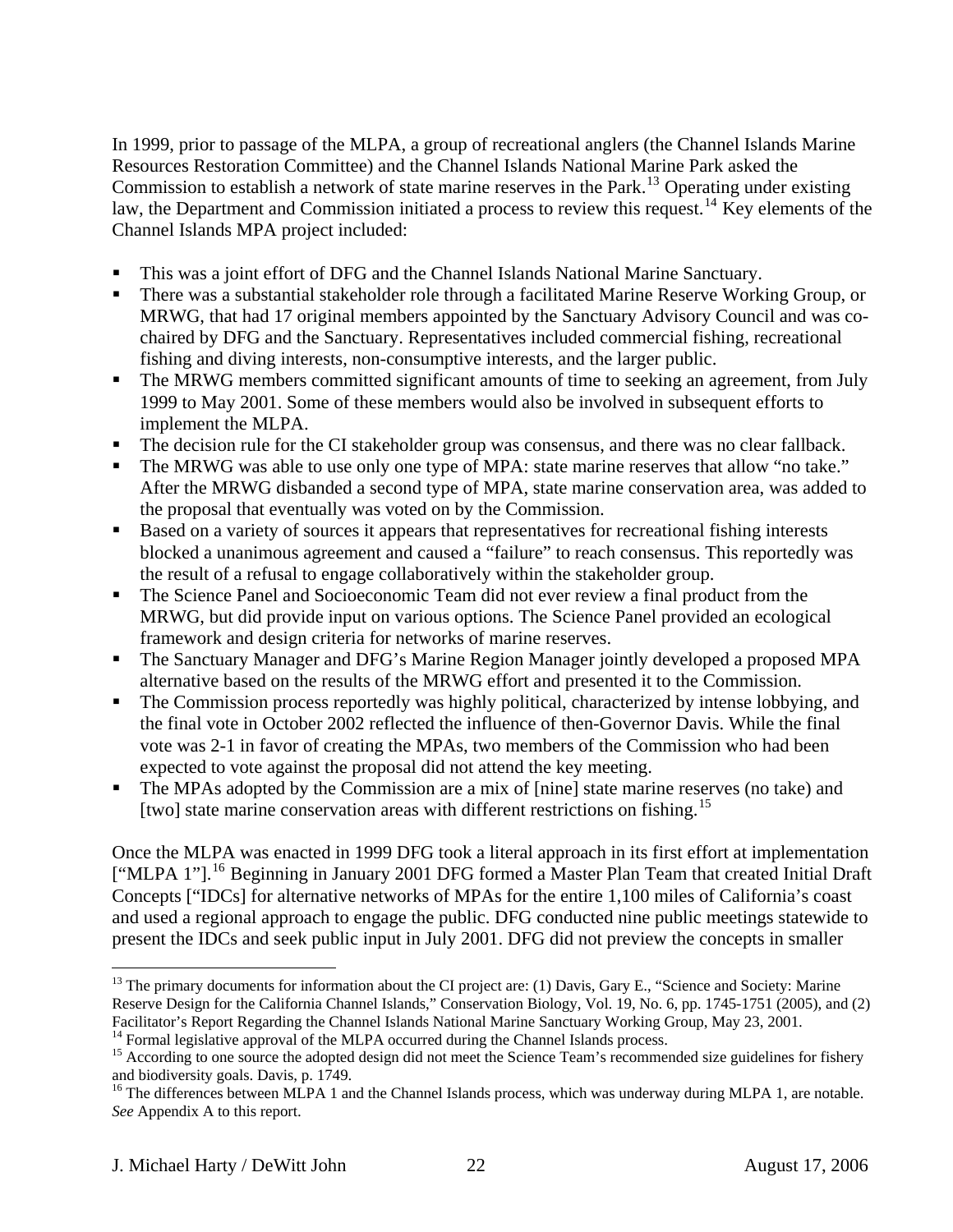In 1999, prior to passage of the MLPA, a group of recreational anglers (the Channel Islands Marine Resources Restoration Committee) and the Channel Islands National Marine Park asked the Commission to establish a network of state marine reserves in the Park.<sup>[13](#page-21-0)</sup> Operating under existing law, the Department and Commission initiated a process to review this request.<sup>[14](#page-21-1)</sup> Key elements of the Channel Islands MPA project included:

- This was a joint effort of DFG and the Channel Islands National Marine Sanctuary.
- There was a substantial stakeholder role through a facilitated Marine Reserve Working Group, or MRWG, that had 17 original members appointed by the Sanctuary Advisory Council and was cochaired by DFG and the Sanctuary. Representatives included commercial fishing, recreational fishing and diving interests, non-consumptive interests, and the larger public.
- The MRWG members committed significant amounts of time to seeking an agreement, from July 1999 to May 2001. Some of these members would also be involved in subsequent efforts to implement the MLPA.
- The decision rule for the CI stakeholder group was consensus, and there was no clear fallback.
- The MRWG was able to use only one type of MPA: state marine reserves that allow "no take." After the MRWG disbanded a second type of MPA, state marine conservation area, was added to the proposal that eventually was voted on by the Commission.
- Based on a variety of sources it appears that representatives for recreational fishing interests blocked a unanimous agreement and caused a "failure" to reach consensus. This reportedly was the result of a refusal to engage collaboratively within the stakeholder group.
- The Science Panel and Socioeconomic Team did not ever review a final product from the MRWG, but did provide input on various options. The Science Panel provided an ecological framework and design criteria for networks of marine reserves.
- The Sanctuary Manager and DFG's Marine Region Manager jointly developed a proposed MPA alternative based on the results of the MRWG effort and presented it to the Commission.
- The Commission process reportedly was highly political, characterized by intense lobbying, and the final vote in October 2002 reflected the influence of then-Governor Davis. While the final vote was 2-1 in favor of creating the MPAs, two members of the Commission who had been expected to vote against the proposal did not attend the key meeting.
- The MPAs adopted by the Commission are a mix of [nine] state marine reserves (no take) and [two] state marine conservation areas with different restrictions on fishing.<sup>[15](#page-21-2)</sup>

Once the MLPA was enacted in 1999 DFG took a literal approach in its first effort at implementation ["MLPA 1"].<sup>[16](#page-21-3)</sup> Beginning in January 2001 DFG formed a Master Plan Team that created Initial Draft Concepts ["IDCs] for alternative networks of MPAs for the entire 1,100 miles of California's coast and used a regional approach to engage the public. DFG conducted nine public meetings statewide to present the IDCs and seek public input in July 2001. DFG did not preview the concepts in smaller

<span id="page-21-0"></span><sup>&</sup>lt;sup>13</sup> The primary documents for information about the CI project are: (1) Davis, Gary E., "Science and Society: Marine Reserve Design for the California Channel Islands," Conservation Biology, Vol. 19, No. 6, pp. 1745-1751 (2005), and (2)<br>Facilitator's Report Regarding the Channel Islands National Marine Sanctuary Working Group, May 23, 20

<span id="page-21-2"></span><span id="page-21-1"></span><sup>&</sup>lt;sup>14</sup> Formal legislative approval of the MLPA occurred during the Channel Islands process.<br><sup>15</sup> According to one source the adopted design did not meet the Science Team's recommended size guidelines for fishery and biodiversity goals. Davis, p. 1749.

<span id="page-21-3"></span><sup>&</sup>lt;sup>16</sup> The differences between MLPA 1 and the Channel Islands process, which was underway during MLPA 1, are notable. *See* Appendix A to this report.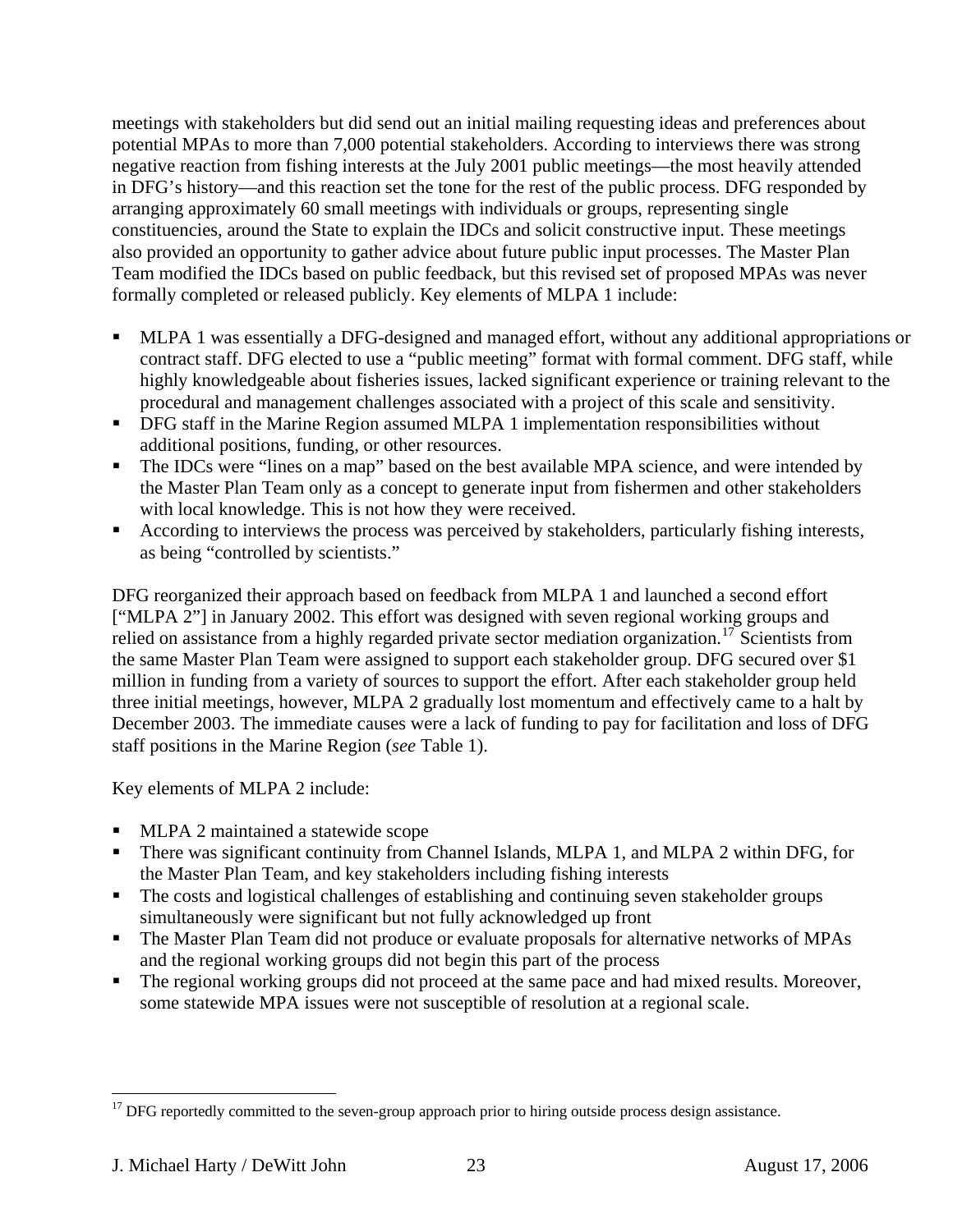meetings with stakeholders but did send out an initial mailing requesting ideas and preferences about potential MPAs to more than 7,000 potential stakeholders. According to interviews there was strong negative reaction from fishing interests at the July 2001 public meetings—the most heavily attended in DFG's history—and this reaction set the tone for the rest of the public process. DFG responded by arranging approximately 60 small meetings with individuals or groups, representing single constituencies, around the State to explain the IDCs and solicit constructive input. These meetings also provided an opportunity to gather advice about future public input processes. The Master Plan Team modified the IDCs based on public feedback, but this revised set of proposed MPAs was never formally completed or released publicly. Key elements of MLPA 1 include:

- MLPA 1 was essentially a DFG-designed and managed effort, without any additional appropriations or contract staff. DFG elected to use a "public meeting" format with formal comment. DFG staff, while highly knowledgeable about fisheries issues, lacked significant experience or training relevant to the procedural and management challenges associated with a project of this scale and sensitivity.
- **•** DFG staff in the Marine Region assumed MLPA 1 implementation responsibilities without additional positions, funding, or other resources.
- The IDCs were "lines on a map" based on the best available MPA science, and were intended by the Master Plan Team only as a concept to generate input from fishermen and other stakeholders with local knowledge. This is not how they were received.
- According to interviews the process was perceived by stakeholders, particularly fishing interests, as being "controlled by scientists."

DFG reorganized their approach based on feedback from MLPA 1 and launched a second effort ["MLPA 2"] in January 2002. This effort was designed with seven regional working groups and relied on assistance from a highly regarded private sector mediation organization.<sup>[17](#page-22-0)</sup> Scientists from the same Master Plan Team were assigned to support each stakeholder group. DFG secured over \$1 million in funding from a variety of sources to support the effort. After each stakeholder group held three initial meetings, however, MLPA 2 gradually lost momentum and effectively came to a halt by December 2003. The immediate causes were a lack of funding to pay for facilitation and loss of DFG staff positions in the Marine Region (*see* Table 1).

Key elements of MLPA 2 include:

- **MLPA 2 maintained a statewide scope**
- There was significant continuity from Channel Islands, MLPA 1, and MLPA 2 within DFG, for the Master Plan Team, and key stakeholders including fishing interests
- The costs and logistical challenges of establishing and continuing seven stakeholder groups simultaneously were significant but not fully acknowledged up front
- The Master Plan Team did not produce or evaluate proposals for alternative networks of MPAs and the regional working groups did not begin this part of the process
- The regional working groups did not proceed at the same pace and had mixed results. Moreover, some statewide MPA issues were not susceptible of resolution at a regional scale.

<span id="page-22-0"></span> $\overline{a}$  $17$  DFG reportedly committed to the seven-group approach prior to hiring outside process design assistance.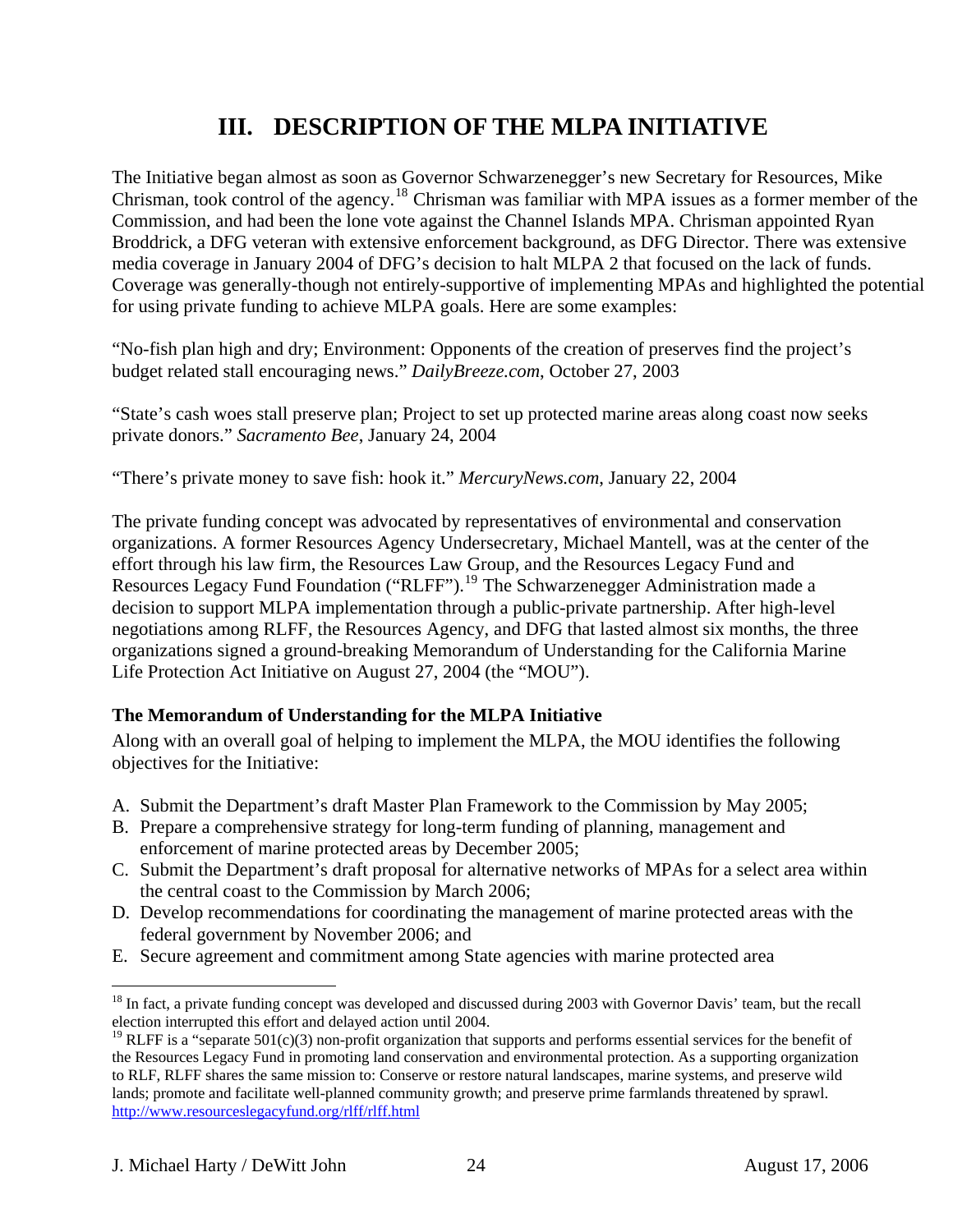# **III. DESCRIPTION OF THE MLPA INITIATIVE**

<span id="page-23-0"></span>The Initiative began almost as soon as Governor Schwarzenegger's new Secretary for Resources, Mike Chrisman, took control of the agency.[18](#page-23-1) Chrisman was familiar with MPA issues as a former member of the Commission, and had been the lone vote against the Channel Islands MPA. Chrisman appointed Ryan Broddrick, a DFG veteran with extensive enforcement background, as DFG Director. There was extensive media coverage in January 2004 of DFG's decision to halt MLPA 2 that focused on the lack of funds. Coverage was generally-though not entirely-supportive of implementing MPAs and highlighted the potential for using private funding to achieve MLPA goals. Here are some examples:

"No-fish plan high and dry; Environment: Opponents of the creation of preserves find the project's budget related stall encouraging news." *DailyBreeze.com*, October 27, 2003

"State's cash woes stall preserve plan; Project to set up protected marine areas along coast now seeks private donors." *Sacramento Bee*, January 24, 2004

"There's private money to save fish: hook it." *MercuryNews.com*, January 22, 2004

The private funding concept was advocated by representatives of environmental and conservation organizations. A former Resources Agency Undersecretary, Michael Mantell, was at the center of the effort through his law firm, the Resources Law Group, and the Resources Legacy Fund and Resources Legacy Fund Foundation ("RLFF").<sup>[19](#page-23-2)</sup> The Schwarzenegger Administration made a decision to support MLPA implementation through a public-private partnership. After high-level negotiations among RLFF, the Resources Agency, and DFG that lasted almost six months, the three organizations signed a ground-breaking Memorandum of Understanding for the California Marine Life Protection Act Initiative on August 27, 2004 (the "MOU").

## **The Memorandum of Understanding for the MLPA Initiative**

Along with an overall goal of helping to implement the MLPA, the MOU identifies the following objectives for the Initiative:

- A. Submit the Department's draft Master Plan Framework to the Commission by May 2005;
- B. Prepare a comprehensive strategy for long-term funding of planning, management and enforcement of marine protected areas by December 2005;
- C. Submit the Department's draft proposal for alternative networks of MPAs for a select area within the central coast to the Commission by March 2006;
- D. Develop recommendations for coordinating the management of marine protected areas with the federal government by November 2006; and
- E. Secure agreement and commitment among State agencies with marine protected area

<span id="page-23-1"></span> $\overline{a}$  $18$  In fact, a private funding concept was developed and discussed during 2003 with Governor Davis' team, but the recall election interrupted this effort and delayed action until 2004.

<span id="page-23-2"></span><sup>&</sup>lt;sup>19</sup> RLFF is a "separate 501(c)(3) non-profit organization that supports and performs essential services for the benefit of the Resources Legacy Fund in promoting land conservation and environmental protection. As a supporting organization to RLF, RLFF shares the same mission to: Conserve or restore natural landscapes, marine systems, and preserve wild lands; promote and facilitate well-planned community growth; and preserve prime farmlands threatened by sprawl. <http://www.resourceslegacyfund.org/rlff/rlff.html>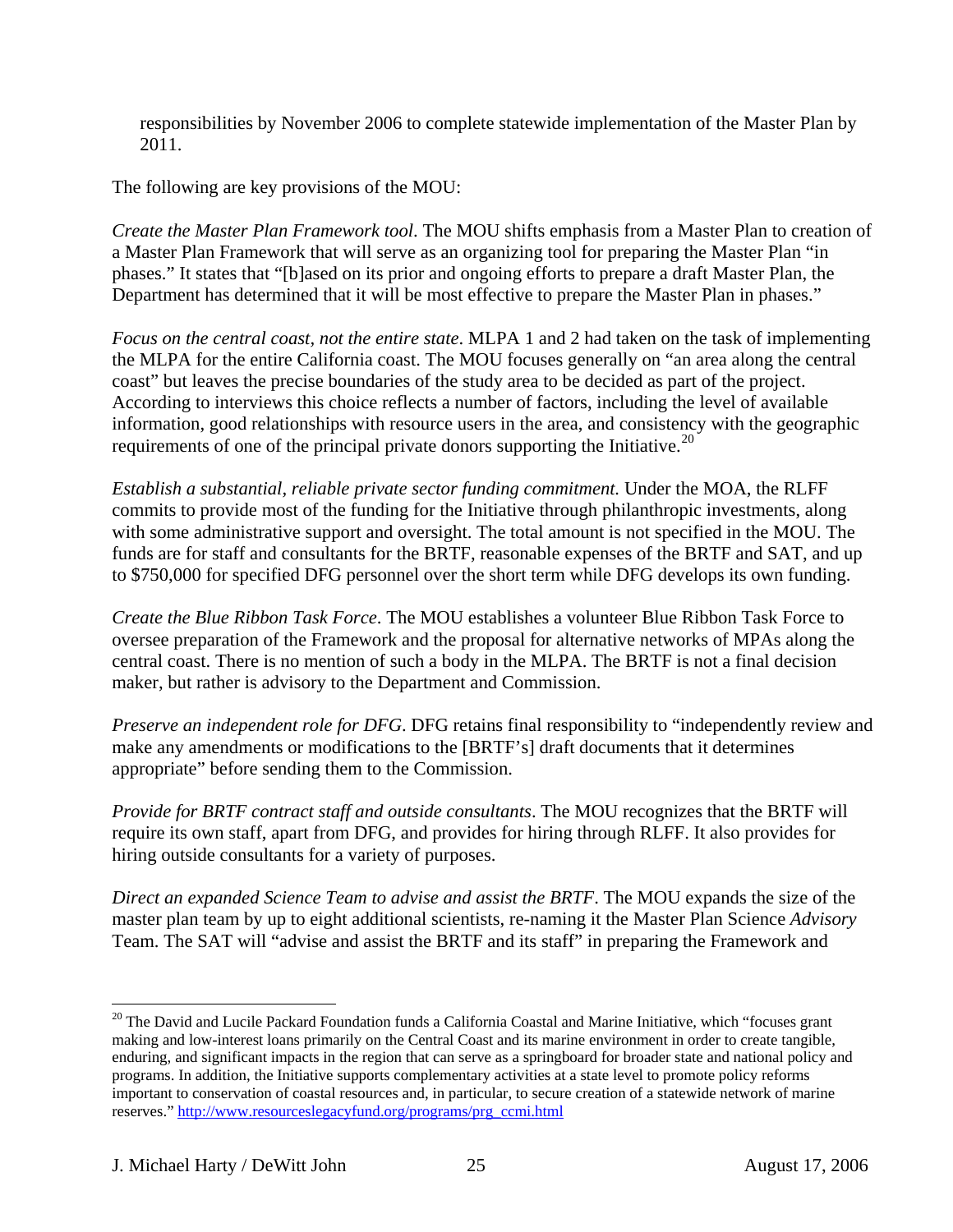responsibilities by November 2006 to complete statewide implementation of the Master Plan by 2011.

The following are key provisions of the MOU:

*Create the Master Plan Framework tool*. The MOU shifts emphasis from a Master Plan to creation of a Master Plan Framework that will serve as an organizing tool for preparing the Master Plan "in phases." It states that "[b]ased on its prior and ongoing efforts to prepare a draft Master Plan, the Department has determined that it will be most effective to prepare the Master Plan in phases."

*Focus on the central coast, not the entire state*. MLPA 1 and 2 had taken on the task of implementing the MLPA for the entire California coast. The MOU focuses generally on "an area along the central coast" but leaves the precise boundaries of the study area to be decided as part of the project. According to interviews this choice reflects a number of factors, including the level of available information, good relationships with resource users in the area, and consistency with the geographic requirements of one of the principal private donors supporting the Initiative.<sup>[20](#page-24-0)</sup>

*Establish a substantial, reliable private sector funding commitment.* Under the MOA, the RLFF commits to provide most of the funding for the Initiative through philanthropic investments, along with some administrative support and oversight. The total amount is not specified in the MOU. The funds are for staff and consultants for the BRTF, reasonable expenses of the BRTF and SAT, and up to \$750,000 for specified DFG personnel over the short term while DFG develops its own funding.

*Create the Blue Ribbon Task Force*. The MOU establishes a volunteer Blue Ribbon Task Force to oversee preparation of the Framework and the proposal for alternative networks of MPAs along the central coast. There is no mention of such a body in the MLPA. The BRTF is not a final decision maker, but rather is advisory to the Department and Commission.

*Preserve an independent role for DFG*. DFG retains final responsibility to "independently review and make any amendments or modifications to the [BRTF's] draft documents that it determines appropriate" before sending them to the Commission.

*Provide for BRTF contract staff and outside consultants*. The MOU recognizes that the BRTF will require its own staff, apart from DFG, and provides for hiring through RLFF. It also provides for hiring outside consultants for a variety of purposes.

*Direct an expanded Science Team to advise and assist the BRTF*. The MOU expands the size of the master plan team by up to eight additional scientists, re-naming it the Master Plan Science *Advisory* Team. The SAT will "advise and assist the BRTF and its staff" in preparing the Framework and

<span id="page-24-0"></span><sup>&</sup>lt;sup>20</sup> The David and Lucile Packard Foundation funds a California Coastal and Marine Initiative, which "focuses grant making and low-interest loans primarily on the Central Coast and its marine environment in order to create tangible, enduring, and significant impacts in the region that can serve as a springboard for broader state and national policy and programs. In addition, the Initiative supports complementary activities at a state level to promote policy reforms important to conservation of coastal resources and, in particular, to secure creation of a statewide network of marine reserves." [http://www.resourceslegacyfund.org/programs/prg\\_ccmi.html](http://www.resourceslegacyfund.org/programs/prg_ccmi.html)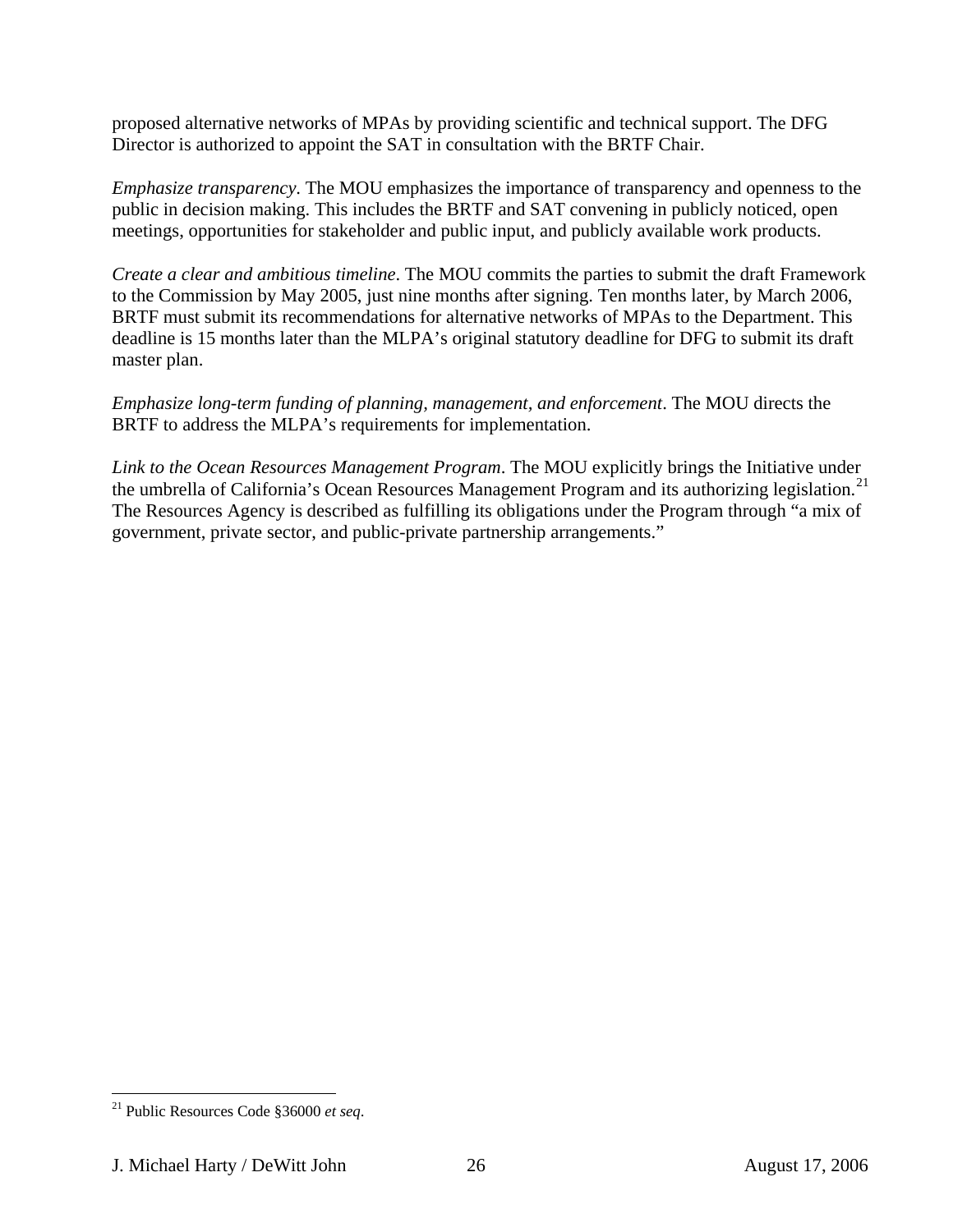proposed alternative networks of MPAs by providing scientific and technical support. The DFG Director is authorized to appoint the SAT in consultation with the BRTF Chair.

*Emphasize transparency*. The MOU emphasizes the importance of transparency and openness to the public in decision making. This includes the BRTF and SAT convening in publicly noticed, open meetings, opportunities for stakeholder and public input, and publicly available work products.

*Create a clear and ambitious timeline*. The MOU commits the parties to submit the draft Framework to the Commission by May 2005, just nine months after signing. Ten months later, by March 2006, BRTF must submit its recommendations for alternative networks of MPAs to the Department. This deadline is 15 months later than the MLPA's original statutory deadline for DFG to submit its draft master plan.

*Emphasize long-term funding of planning, management, and enforcement*. The MOU directs the BRTF to address the MLPA's requirements for implementation.

*Link to the Ocean Resources Management Program*. The MOU explicitly brings the Initiative under the umbrella of California's Ocean Resources Management Program and its authorizing legislation.<sup>[21](#page-25-0)</sup> The Resources Agency is described as fulfilling its obligations under the Program through "a mix of government, private sector, and public-private partnership arrangements."

<span id="page-25-0"></span><sup>21</sup> Public Resources Code §36000 *et seq*.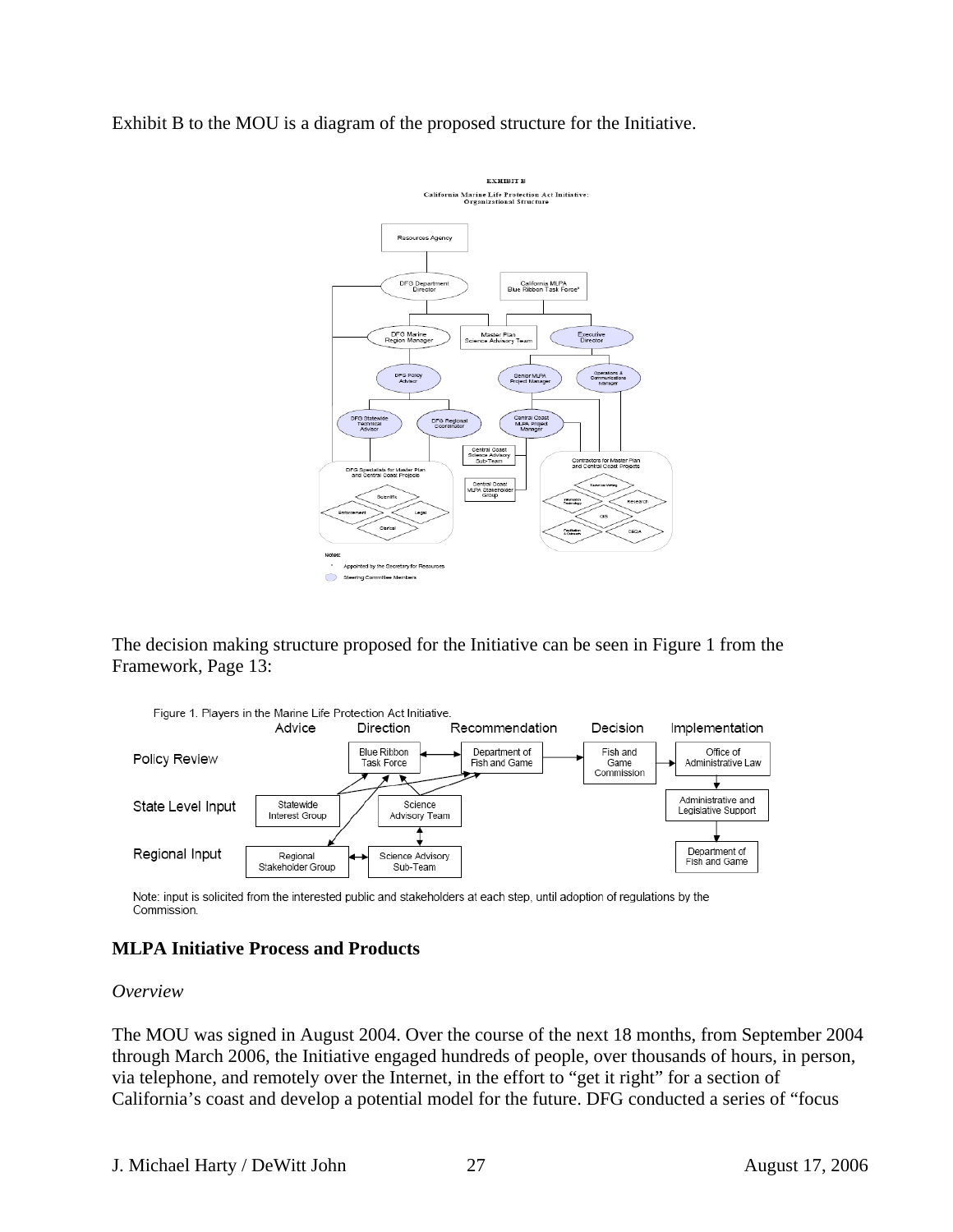<span id="page-26-0"></span>Exhibit B to the MOU is a diagram of the proposed structure for the Initiative.



The decision making structure proposed for the Initiative can be seen in Figure 1 from the Framework, Page 13:



Note: input is solicited from the interested public and stakeholders at each step, until adoption of regulations by the Commission.

## **MLPA Initiative Process and Products**

### *Overview*

The MOU was signed in August 2004. Over the course of the next 18 months, from September 2004 through March 2006, the Initiative engaged hundreds of people, over thousands of hours, in person, via telephone, and remotely over the Internet, in the effort to "get it right" for a section of California's coast and develop a potential model for the future. DFG conducted a series of "focus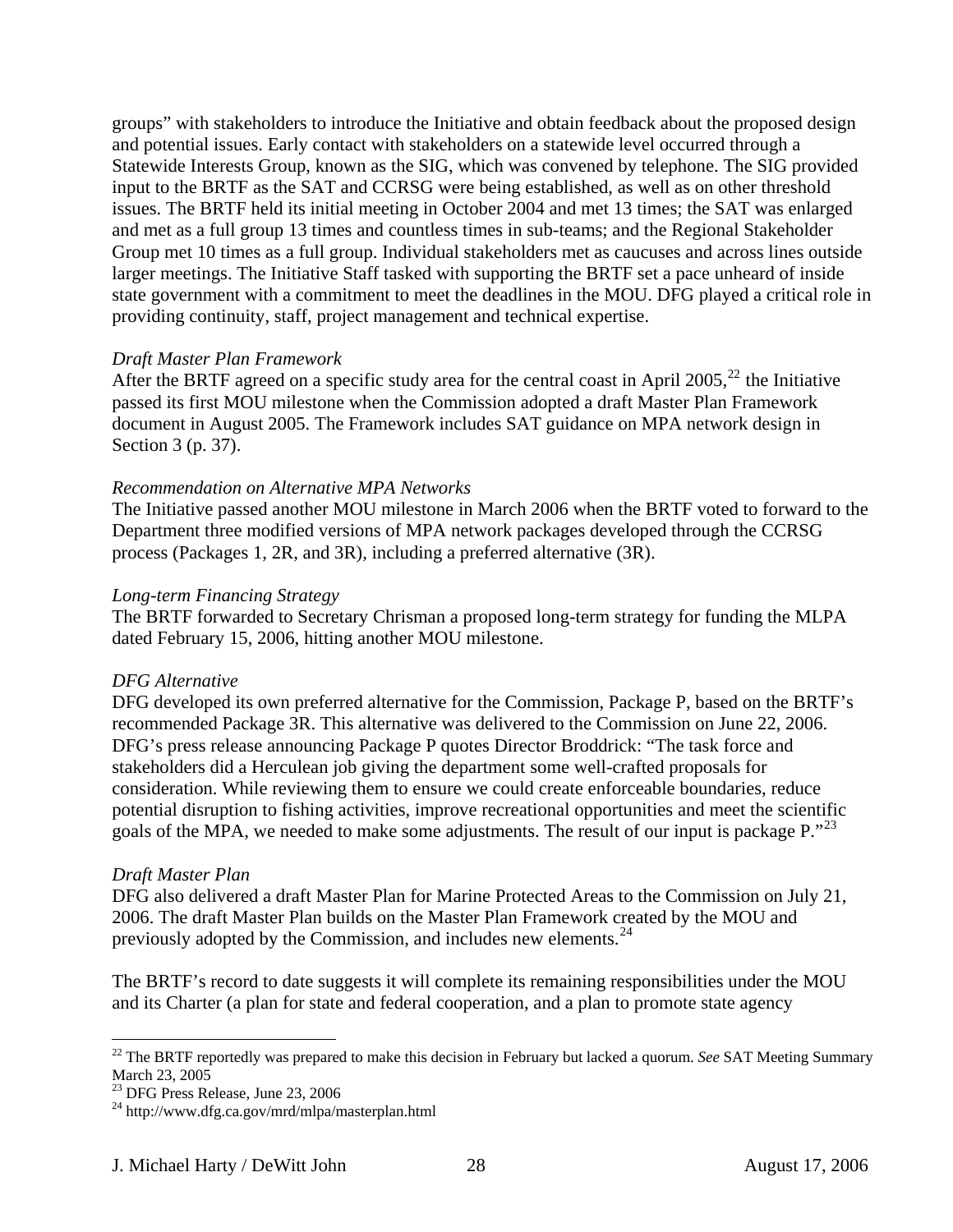groups" with stakeholders to introduce the Initiative and obtain feedback about the proposed design and potential issues. Early contact with stakeholders on a statewide level occurred through a Statewide Interests Group, known as the SIG, which was convened by telephone. The SIG provided input to the BRTF as the SAT and CCRSG were being established, as well as on other threshold issues. The BRTF held its initial meeting in October 2004 and met 13 times; the SAT was enlarged and met as a full group 13 times and countless times in sub-teams; and the Regional Stakeholder Group met 10 times as a full group. Individual stakeholders met as caucuses and across lines outside larger meetings. The Initiative Staff tasked with supporting the BRTF set a pace unheard of inside state government with a commitment to meet the deadlines in the MOU. DFG played a critical role in providing continuity, staff, project management and technical expertise.

#### *Draft Master Plan Framework*

After the BRTF agreed on a specific study area for the central coast in April 2005,<sup>[22](#page-27-0)</sup> the Initiative passed its first MOU milestone when the Commission adopted a draft Master Plan Framework document in August 2005. The Framework includes SAT guidance on MPA network design in Section 3 (p. 37).

### *Recommendation on Alternative MPA Networks*

The Initiative passed another MOU milestone in March 2006 when the BRTF voted to forward to the Department three modified versions of MPA network packages developed through the CCRSG process (Packages 1, 2R, and 3R), including a preferred alternative (3R).

#### *Long-term Financing Strategy*

The BRTF forwarded to Secretary Chrisman a proposed long-term strategy for funding the MLPA dated February 15, 2006, hitting another MOU milestone.

#### *DFG Alternative*

DFG developed its own preferred alternative for the Commission, Package P, based on the BRTF's recommended Package 3R. This alternative was delivered to the Commission on June 22, 2006. DFG's press release announcing Package P quotes Director Broddrick: "The task force and stakeholders did a Herculean job giving the department some well-crafted proposals for consideration. While reviewing them to ensure we could create enforceable boundaries, reduce potential disruption to fishing activities, improve recreational opportunities and meet the scientific goals of the MPA, we needed to make some adjustments. The result of our input is package P."[23](#page-27-1)

#### *Draft Master Plan*

 $\overline{a}$ 

DFG also delivered a draft Master Plan for Marine Protected Areas to the Commission on July 21, 2006. The draft Master Plan builds on the Master Plan Framework created by the MOU and previously adopted by the Commission, and includes new elements.[24](#page-27-2)

The BRTF's record to date suggests it will complete its remaining responsibilities under the MOU and its Charter (a plan for state and federal cooperation, and a plan to promote state agency

<span id="page-27-0"></span><sup>22</sup> The BRTF reportedly was prepared to make this decision in February but lacked a quorum. *See* SAT Meeting Summary March 23, 2005

<span id="page-27-1"></span><sup>23</sup> DFG Press Release, June 23, 2006

<span id="page-27-2"></span><sup>24</sup> http://www.dfg.ca.gov/mrd/mlpa/masterplan.html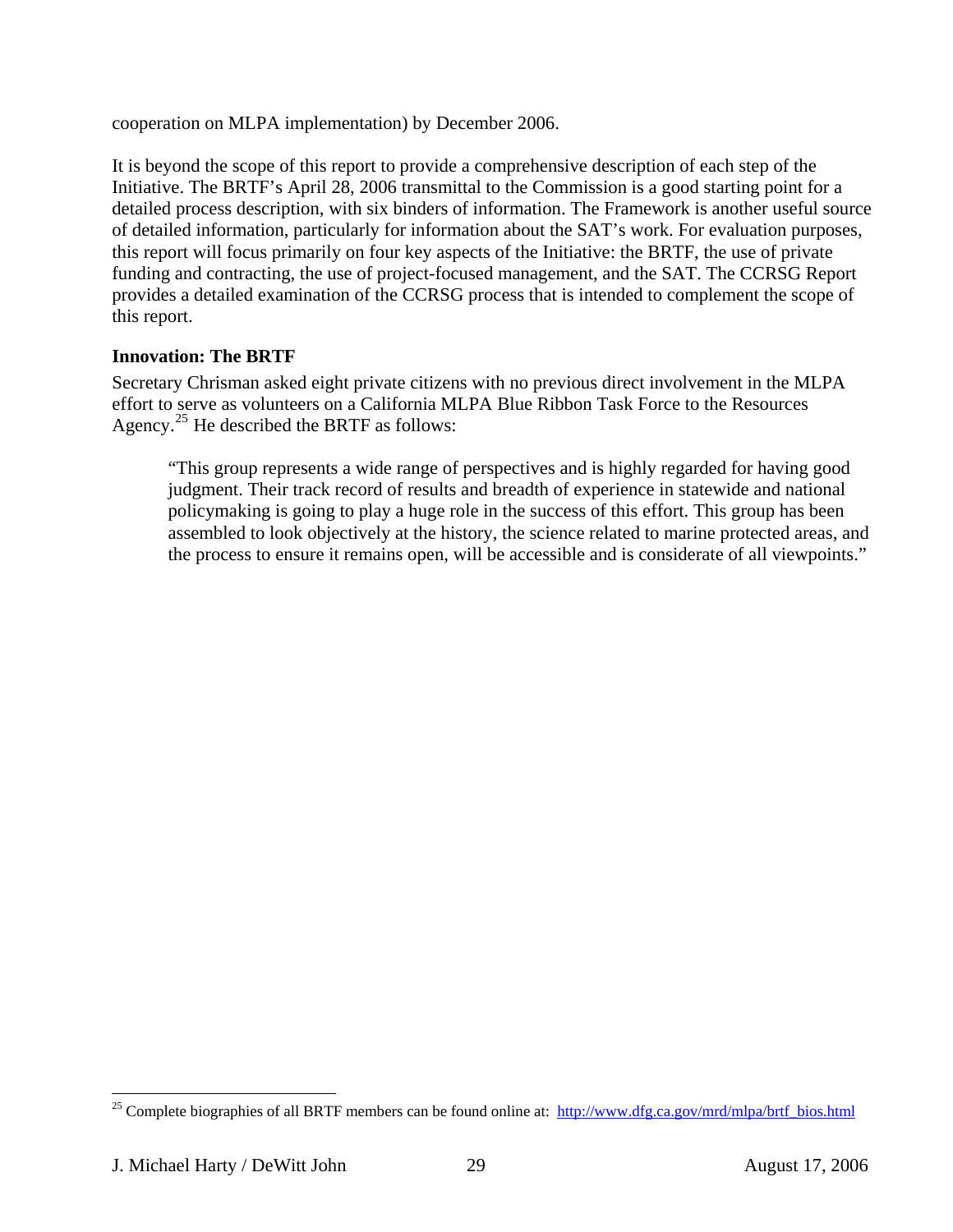<span id="page-28-0"></span>cooperation on MLPA implementation) by December 2006.

It is beyond the scope of this report to provide a comprehensive description of each step of the Initiative. The BRTF's April 28, 2006 transmittal to the Commission is a good starting point for a detailed process description, with six binders of information. The Framework is another useful source of detailed information, particularly for information about the SAT's work. For evaluation purposes, this report will focus primarily on four key aspects of the Initiative: the BRTF, the use of private funding and contracting, the use of project-focused management, and the SAT. The CCRSG Report provides a detailed examination of the CCRSG process that is intended to complement the scope of this report.

## **Innovation: The BRTF**

Secretary Chrisman asked eight private citizens with no previous direct involvement in the MLPA effort to serve as volunteers on a California MLPA Blue Ribbon Task Force to the Resources Agency.<sup>[25](#page-28-1)</sup> He described the BRTF as follows:

"This group represents a wide range of perspectives and is highly regarded for having good judgment. Their track record of results and breadth of experience in statewide and national policymaking is going to play a huge role in the success of this effort. This group has been assembled to look objectively at the history, the science related to marine protected areas, and the process to ensure it remains open, will be accessible and is considerate of all viewpoints."

<span id="page-28-1"></span><sup>&</sup>lt;sup>25</sup> Complete biographies of all BRTF members can be found online at: http://www.dfg.ca.gov/mrd/mlpa/brtf\_bios.html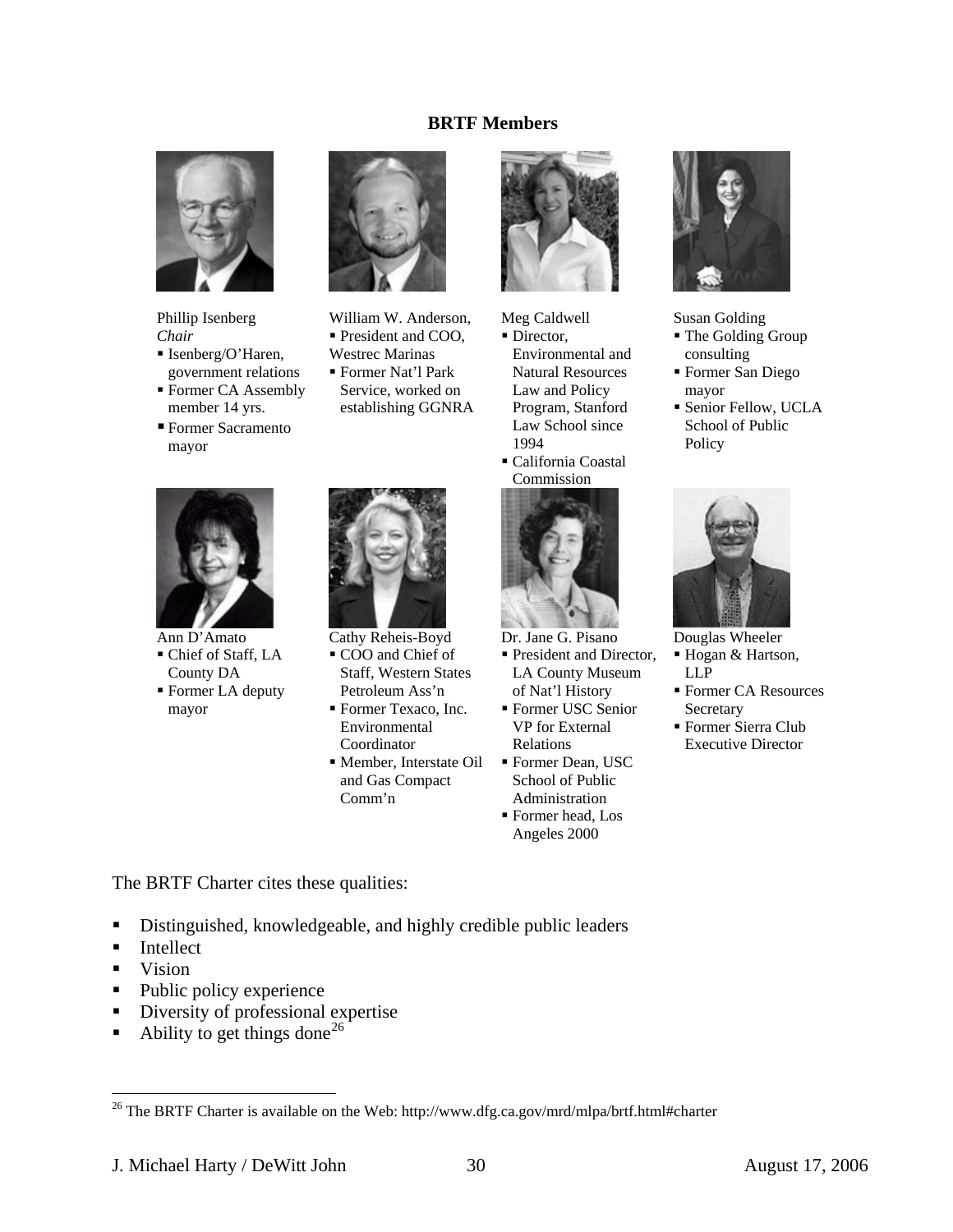### **BRTF Members**



Phillip Isenberg *Chair* 

mayor

Ann D'Amato Chief of Staff, LA County DA Former LA deputy

mayor

- Isenberg/O'Haren, government relations ■ Former CA Assembly
- member 14 yrs. Former Sacramento



William W. Anderson, President and COO, Westrec Marinas

 Former Nat'l Park Service, worked on establishing GGNRA

Cathy Reheis-Boyd  $\bullet$  COO and Chief of Staff, Western States Petroleum Ass'n Former Texaco, Inc. Environmental Coordinator

and Gas Compact



Meg Caldwell

• Director, Environmental and Natural Resources Law and Policy Program, Stanford Law School since 1994





Dr. Jane G. Pisano

- President and Director, LA County Museum of Nat'l History
- Former USC Senior VP for External Relations
- Member, Interstate Oil Former Dean, USC School of Public Administration Former head, Los Angeles 2000



Susan Golding

- The Golding Group consulting
- Former San Diego mayor
- Senior Fellow, UCLA School of Public Policy



Douglas Wheeler

- Hogan & Hartson, LLP
- Former CA Resources **Secretary**
- Former Sierra Club Executive Director

The BRTF Charter cites these qualities:

Distinguished, knowledgeable, and highly credible public leaders

Comm'n

- **Intellect**
- **v**ision

- Public policy experience
- Diversity of professional expertise
- Ability to get things done<sup>[26](#page-29-0)</sup>

<span id="page-29-0"></span><sup>&</sup>lt;sup>26</sup> The BRTF Charter is available on the Web: http://www.dfg.ca.gov/mrd/mlpa/brtf.html#charter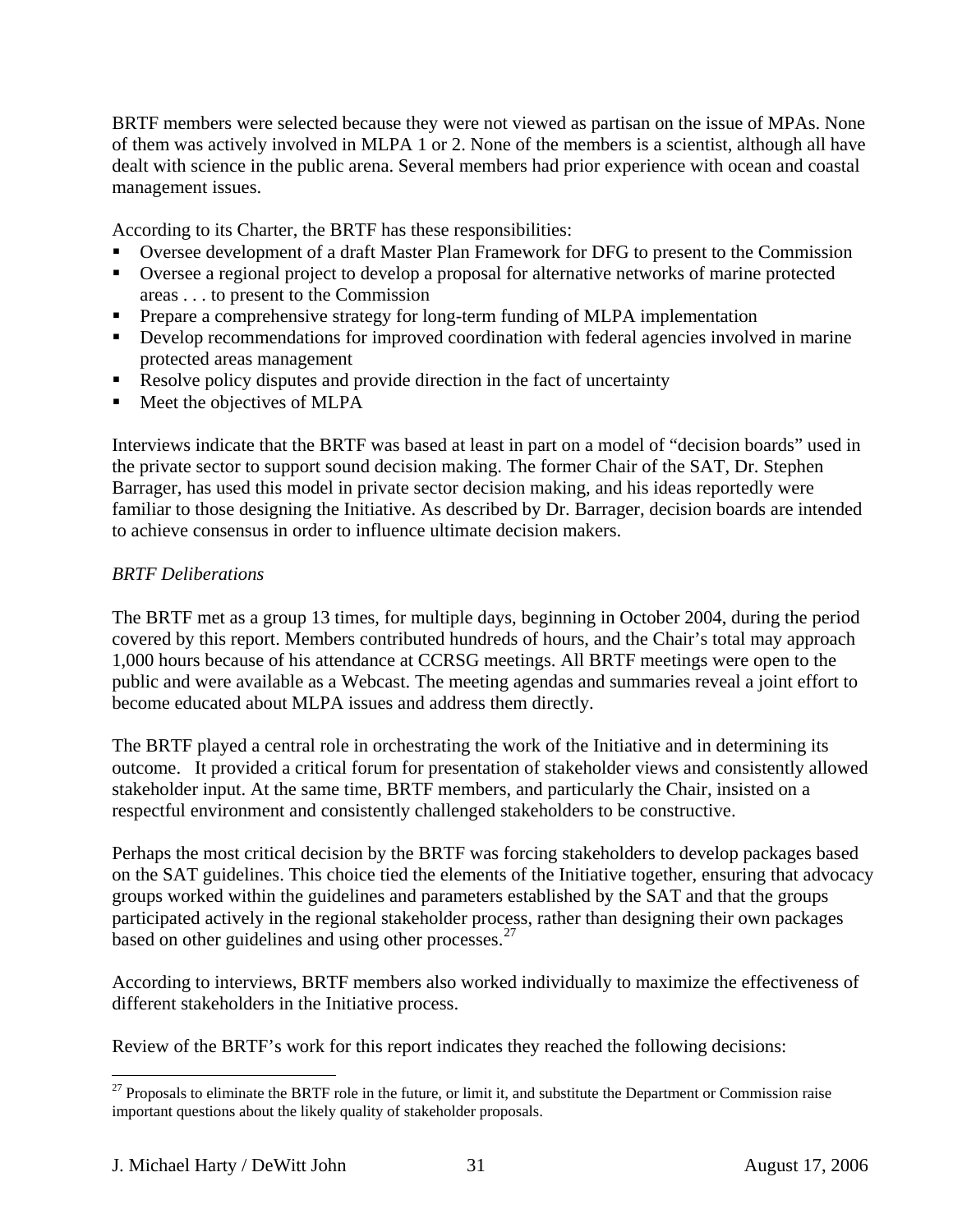BRTF members were selected because they were not viewed as partisan on the issue of MPAs. None of them was actively involved in MLPA 1 or 2. None of the members is a scientist, although all have dealt with science in the public arena. Several members had prior experience with ocean and coastal management issues.

According to its Charter, the BRTF has these responsibilities:

- Oversee development of a draft Master Plan Framework for DFG to present to the Commission
- Oversee a regional project to develop a proposal for alternative networks of marine protected areas . . . to present to the Commission
- Prepare a comprehensive strategy for long-term funding of MLPA implementation
- Develop recommendations for improved coordination with federal agencies involved in marine protected areas management
- Resolve policy disputes and provide direction in the fact of uncertainty
- Meet the objectives of MLPA

Interviews indicate that the BRTF was based at least in part on a model of "decision boards" used in the private sector to support sound decision making. The former Chair of the SAT, Dr. Stephen Barrager, has used this model in private sector decision making, and his ideas reportedly were familiar to those designing the Initiative. As described by Dr. Barrager, decision boards are intended to achieve consensus in order to influence ultimate decision makers.

## *BRTF Deliberations*

The BRTF met as a group 13 times, for multiple days, beginning in October 2004, during the period covered by this report. Members contributed hundreds of hours, and the Chair's total may approach 1,000 hours because of his attendance at CCRSG meetings. All BRTF meetings were open to the public and were available as a Webcast. The meeting agendas and summaries reveal a joint effort to become educated about MLPA issues and address them directly.

The BRTF played a central role in orchestrating the work of the Initiative and in determining its outcome. It provided a critical forum for presentation of stakeholder views and consistently allowed stakeholder input. At the same time, BRTF members, and particularly the Chair, insisted on a respectful environment and consistently challenged stakeholders to be constructive.

Perhaps the most critical decision by the BRTF was forcing stakeholders to develop packages based on the SAT guidelines. This choice tied the elements of the Initiative together, ensuring that advocacy groups worked within the guidelines and parameters established by the SAT and that the groups participated actively in the regional stakeholder process, rather than designing their own packages based on other guidelines and using other processes. $27$ 

According to interviews, BRTF members also worked individually to maximize the effectiveness of different stakeholders in the Initiative process.

Review of the BRTF's work for this report indicates they reached the following decisions:

<span id="page-30-0"></span> $27$  Proposals to eliminate the BRTF role in the future, or limit it, and substitute the Department or Commission raise important questions about the likely quality of stakeholder proposals.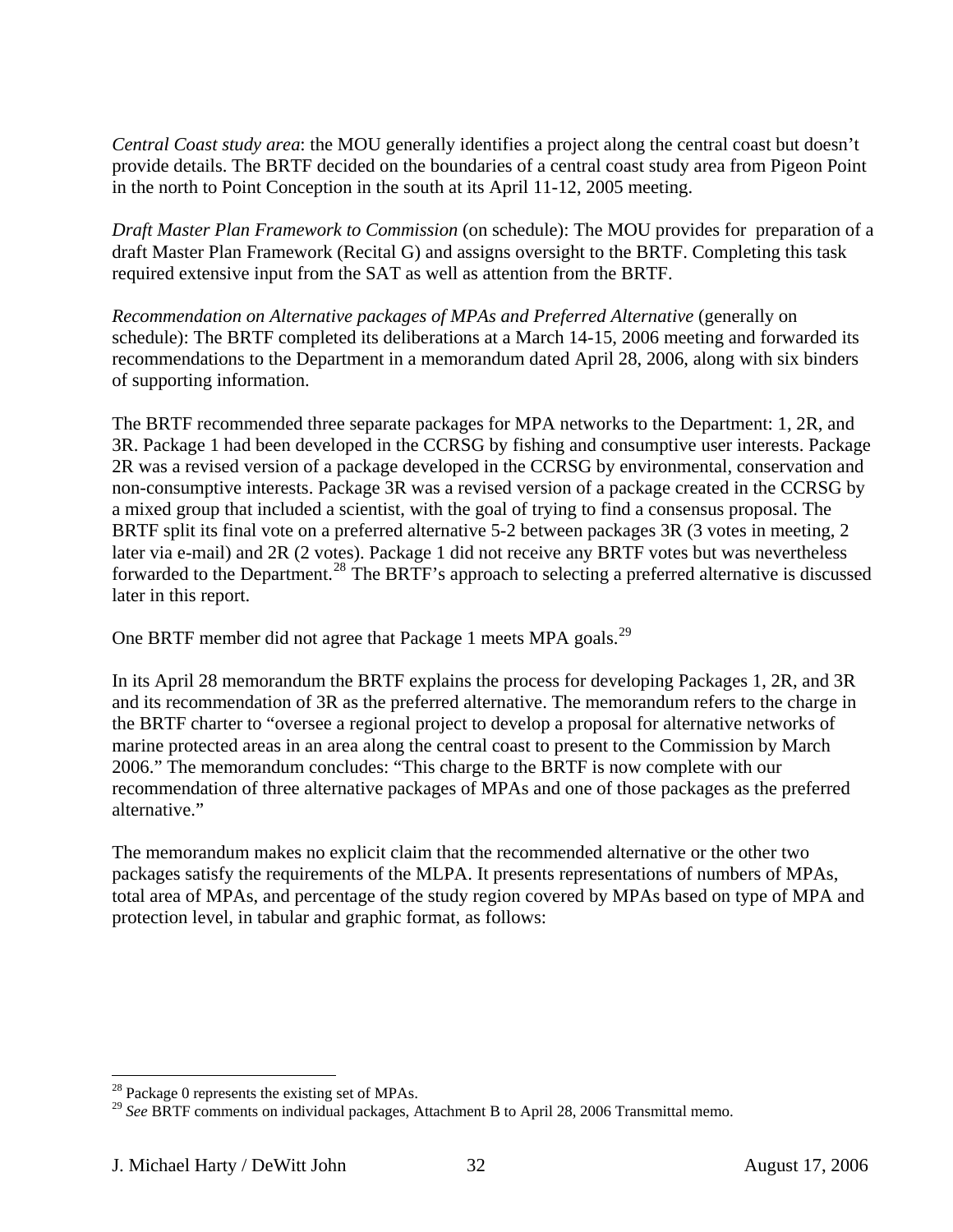*Central Coast study area*: the MOU generally identifies a project along the central coast but doesn't provide details. The BRTF decided on the boundaries of a central coast study area from Pigeon Point in the north to Point Conception in the south at its April 11-12, 2005 meeting.

*Draft Master Plan Framework to Commission* (on schedule): The MOU provides for preparation of a draft Master Plan Framework (Recital G) and assigns oversight to the BRTF. Completing this task required extensive input from the SAT as well as attention from the BRTF.

*Recommendation on Alternative packages of MPAs and Preferred Alternative* (generally on schedule): The BRTF completed its deliberations at a March 14-15, 2006 meeting and forwarded its recommendations to the Department in a memorandum dated April 28, 2006, along with six binders of supporting information.

The BRTF recommended three separate packages for MPA networks to the Department: 1, 2R, and 3R. Package 1 had been developed in the CCRSG by fishing and consumptive user interests. Package 2R was a revised version of a package developed in the CCRSG by environmental, conservation and non-consumptive interests. Package 3R was a revised version of a package created in the CCRSG by a mixed group that included a scientist, with the goal of trying to find a consensus proposal. The BRTF split its final vote on a preferred alternative 5-2 between packages 3R (3 votes in meeting, 2 later via e-mail) and 2R (2 votes). Package 1 did not receive any BRTF votes but was nevertheless forwarded to the Department.<sup>[28](#page-31-0)</sup> The BRTF's approach to selecting a preferred alternative is discussed later in this report.

One BRTF member did not agree that Package 1 meets MPA goals.<sup>[29](#page-31-1)</sup>

In its April 28 memorandum the BRTF explains the process for developing Packages 1, 2R, and 3R and its recommendation of 3R as the preferred alternative. The memorandum refers to the charge in the BRTF charter to "oversee a regional project to develop a proposal for alternative networks of marine protected areas in an area along the central coast to present to the Commission by March 2006." The memorandum concludes: "This charge to the BRTF is now complete with our recommendation of three alternative packages of MPAs and one of those packages as the preferred alternative."

The memorandum makes no explicit claim that the recommended alternative or the other two packages satisfy the requirements of the MLPA. It presents representations of numbers of MPAs, total area of MPAs, and percentage of the study region covered by MPAs based on type of MPA and protection level, in tabular and graphic format, as follows:

<span id="page-31-0"></span><sup>&</sup>lt;sup>28</sup> Package 0 represents the existing set of MPAs.

<span id="page-31-1"></span><sup>29</sup> *See* BRTF comments on individual packages, Attachment B to April 28, 2006 Transmittal memo.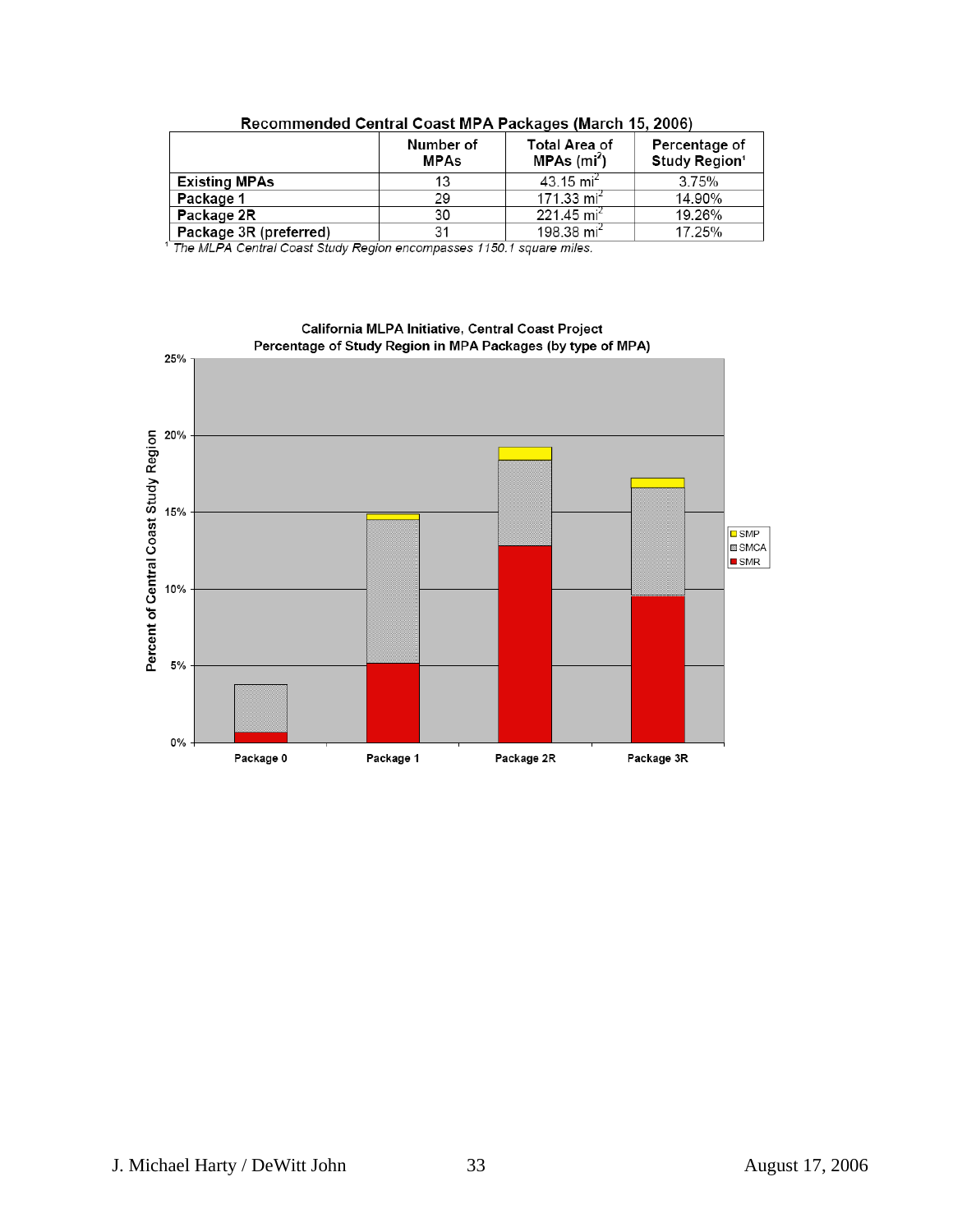|                        | Number of<br><b>MPAs</b> | <b>Total Area of</b><br>MPAs (mi <sup>2</sup> ) | Percentage of<br>Study Region <sup>1</sup> |
|------------------------|--------------------------|-------------------------------------------------|--------------------------------------------|
| <b>Existing MPAs</b>   | 13                       | 43.15 mi <sup>2</sup>                           | 3.75%                                      |
| Package 1              | 29                       | 171.33 $mi^2$                                   | 14.90%                                     |
| Package 2R             | 30                       | 221.45 mi <sup>2</sup>                          | 19.26%                                     |
| Package 3R (preferred) | 31                       | 198.38 mi <sup>2</sup>                          | 17.25%                                     |

<sup>1</sup> The MLPA Central Coast Study Region encompasses 1150.1 square miles.

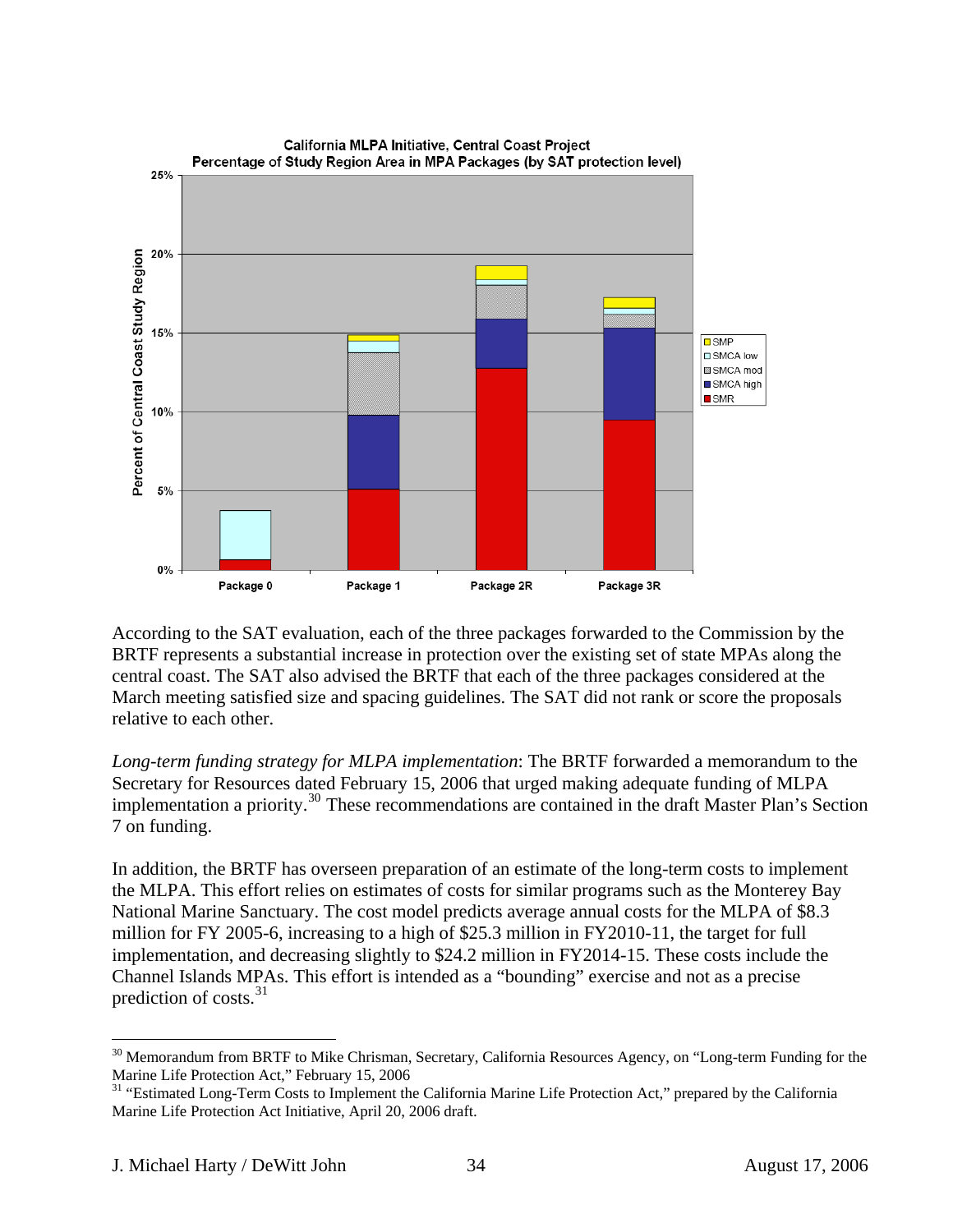

According to the SAT evaluation, each of the three packages forwarded to the Commission by the BRTF represents a substantial increase in protection over the existing set of state MPAs along the central coast. The SAT also advised the BRTF that each of the three packages considered at the March meeting satisfied size and spacing guidelines. The SAT did not rank or score the proposals relative to each other.

*Long-term funding strategy for MLPA implementation*: The BRTF forwarded a memorandum to the Secretary for Resources dated February 15, 2006 that urged making adequate funding of MLPA implementation a priority.[30](#page-33-0) These recommendations are contained in the draft Master Plan's Section 7 on funding.

In addition, the BRTF has overseen preparation of an estimate of the long-term costs to implement the MLPA. This effort relies on estimates of costs for similar programs such as the Monterey Bay National Marine Sanctuary. The cost model predicts average annual costs for the MLPA of \$8.3 million for FY 2005-6, increasing to a high of \$25.3 million in FY2010-11, the target for full implementation, and decreasing slightly to \$24.2 million in FY2014-15. These costs include the Channel Islands MPAs. This effort is intended as a "bounding" exercise and not as a precise prediction of costs.<sup>[31](#page-33-1)</sup>

<span id="page-33-0"></span><sup>&</sup>lt;sup>30</sup> Memorandum from BRTF to Mike Chrisman, Secretary, California Resources Agency, on "Long-term Funding for the Marine Life Protection Act," February 15, 2006

<span id="page-33-1"></span><sup>&</sup>lt;sup>31</sup> "Estimated Long-Term Costs to Implement the California Marine Life Protection Act," prepared by the California Marine Life Protection Act Initiative, April 20, 2006 draft.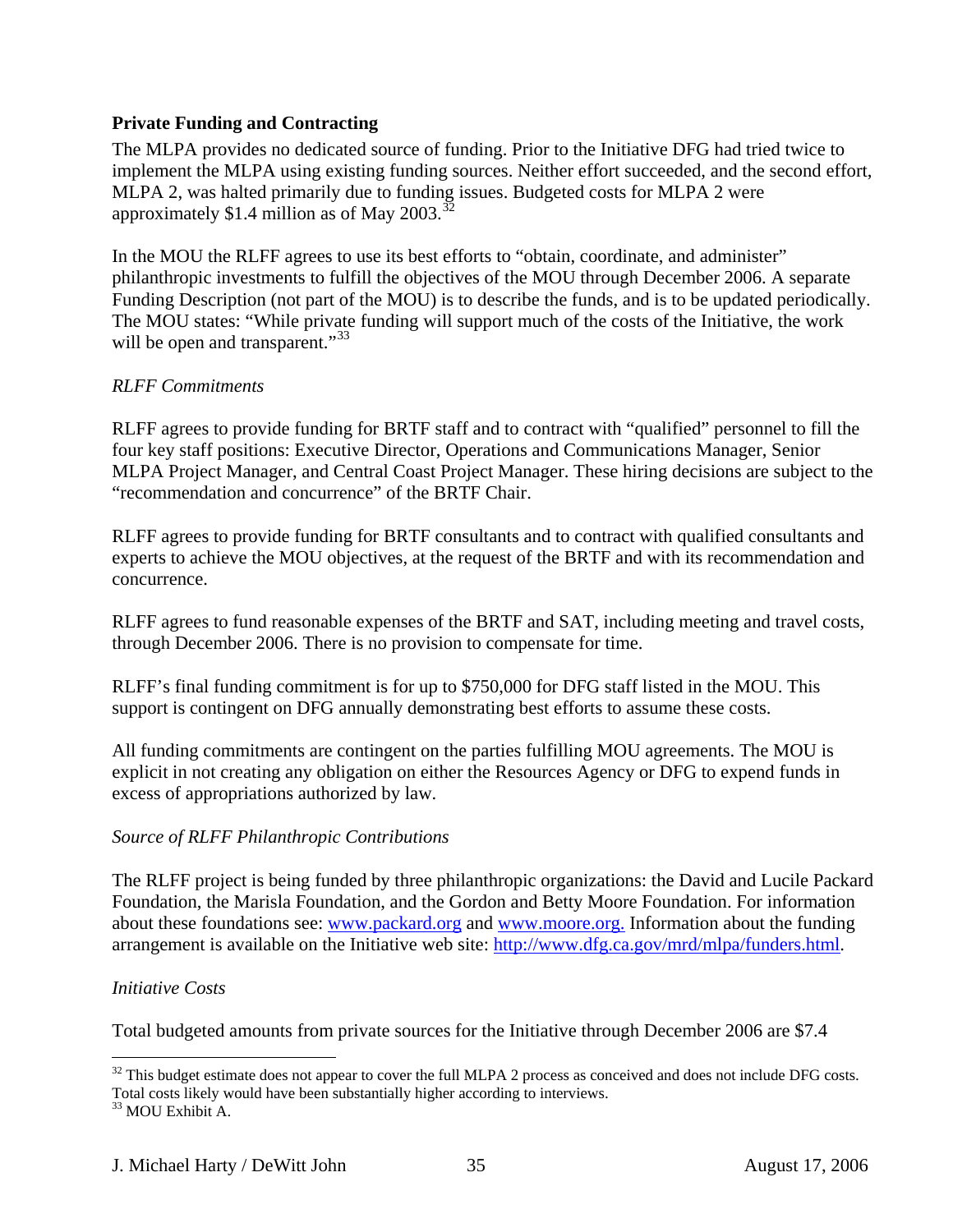## <span id="page-34-0"></span>**Private Funding and Contracting**

The MLPA provides no dedicated source of funding. Prior to the Initiative DFG had tried twice to implement the MLPA using existing funding sources. Neither effort succeeded, and the second effort, MLPA 2, was halted primarily due to funding issues. Budgeted costs for MLPA 2 were approximately \$1.4 million as of May 2003.<sup>[32](#page-34-1)</sup>

In the MOU the RLFF agrees to use its best efforts to "obtain, coordinate, and administer" philanthropic investments to fulfill the objectives of the MOU through December 2006. A separate Funding Description (not part of the MOU) is to describe the funds, and is to be updated periodically. The MOU states: "While private funding will support much of the costs of the Initiative, the work will be open and transparent."<sup>[33](#page-34-2)</sup>

## *RLFF Commitments*

RLFF agrees to provide funding for BRTF staff and to contract with "qualified" personnel to fill the four key staff positions: Executive Director, Operations and Communications Manager, Senior MLPA Project Manager, and Central Coast Project Manager. These hiring decisions are subject to the "recommendation and concurrence" of the BRTF Chair.

RLFF agrees to provide funding for BRTF consultants and to contract with qualified consultants and experts to achieve the MOU objectives, at the request of the BRTF and with its recommendation and concurrence.

RLFF agrees to fund reasonable expenses of the BRTF and SAT, including meeting and travel costs, through December 2006. There is no provision to compensate for time.

RLFF's final funding commitment is for up to \$750,000 for DFG staff listed in the MOU. This support is contingent on DFG annually demonstrating best efforts to assume these costs.

All funding commitments are contingent on the parties fulfilling MOU agreements. The MOU is explicit in not creating any obligation on either the Resources Agency or DFG to expend funds in excess of appropriations authorized by law.

### *Source of RLFF Philanthropic Contributions*

The RLFF project is being funded by three philanthropic organizations: the David and Lucile Packard Foundation, the Marisla Foundation, and the Gordon and Betty Moore Foundation. For information about these foundations see: [www.packard.org](http://www.packard.org/) and [www.moore.org.](http://www.moore.org/) Information about the funding arrangement is available on the Initiative web site: [http://www.dfg.ca.gov/mrd/mlpa/funders.html.](http://www.dfg.ca.gov/mrd/mlpa/funders.html)

### *Initiative Costs*

Total budgeted amounts from private sources for the Initiative through December 2006 are \$7.4

<span id="page-34-1"></span><sup>1</sup>  $32$  This budget estimate does not appear to cover the full MLPA 2 process as conceived and does not include DFG costs. Total costs likely would have been substantially higher according to interviews.

<span id="page-34-2"></span><sup>&</sup>lt;sup>33</sup> MOU Exhibit A.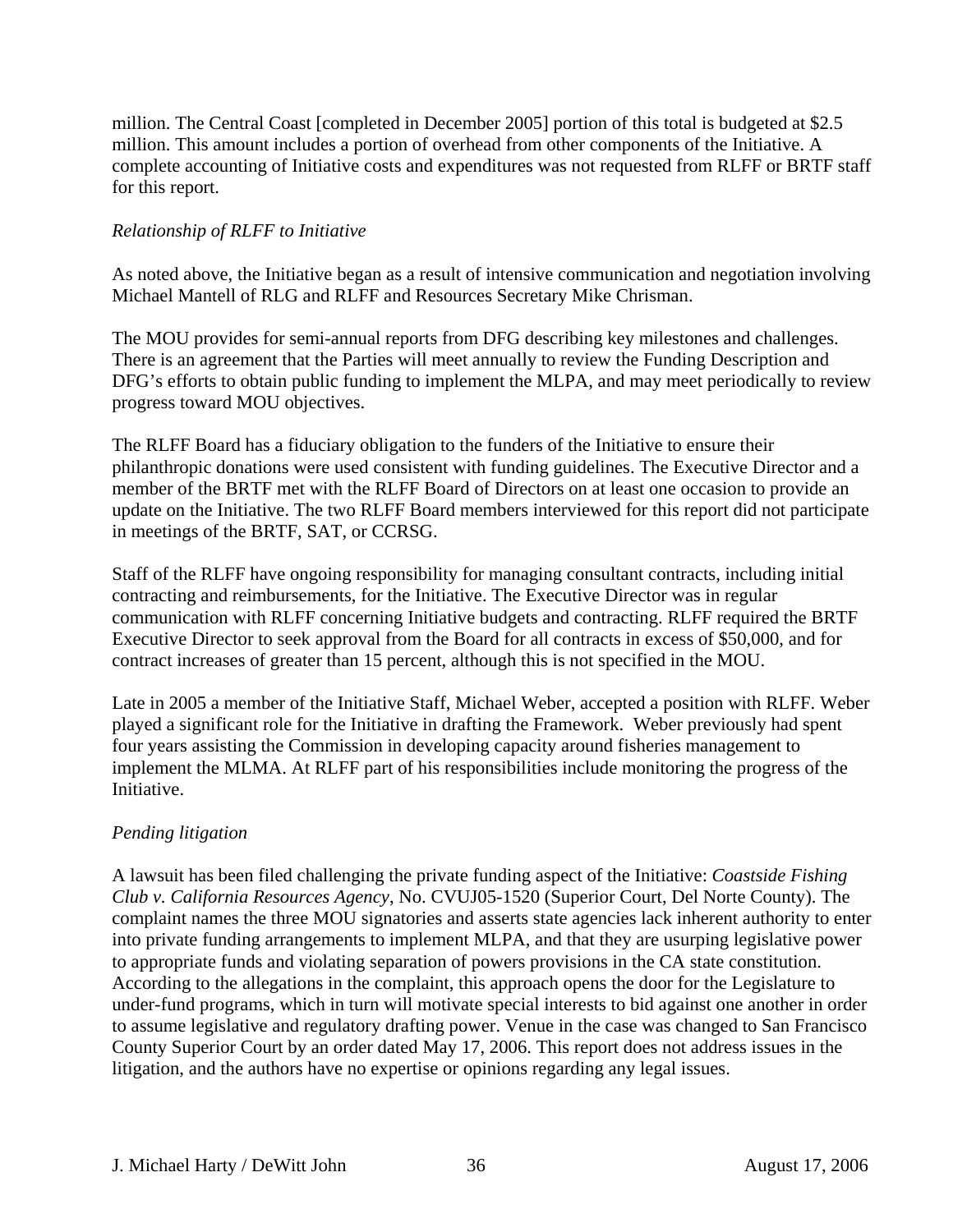million. The Central Coast [completed in December 2005] portion of this total is budgeted at \$2.5 million. This amount includes a portion of overhead from other components of the Initiative. A complete accounting of Initiative costs and expenditures was not requested from RLFF or BRTF staff for this report.

## *Relationship of RLFF to Initiative*

As noted above, the Initiative began as a result of intensive communication and negotiation involving Michael Mantell of RLG and RLFF and Resources Secretary Mike Chrisman.

The MOU provides for semi-annual reports from DFG describing key milestones and challenges. There is an agreement that the Parties will meet annually to review the Funding Description and DFG's efforts to obtain public funding to implement the MLPA, and may meet periodically to review progress toward MOU objectives.

The RLFF Board has a fiduciary obligation to the funders of the Initiative to ensure their philanthropic donations were used consistent with funding guidelines. The Executive Director and a member of the BRTF met with the RLFF Board of Directors on at least one occasion to provide an update on the Initiative. The two RLFF Board members interviewed for this report did not participate in meetings of the BRTF, SAT, or CCRSG.

Staff of the RLFF have ongoing responsibility for managing consultant contracts, including initial contracting and reimbursements, for the Initiative. The Executive Director was in regular communication with RLFF concerning Initiative budgets and contracting. RLFF required the BRTF Executive Director to seek approval from the Board for all contracts in excess of \$50,000, and for contract increases of greater than 15 percent, although this is not specified in the MOU.

Late in 2005 a member of the Initiative Staff, Michael Weber, accepted a position with RLFF. Weber played a significant role for the Initiative in drafting the Framework. Weber previously had spent four years assisting the Commission in developing capacity around fisheries management to implement the MLMA. At RLFF part of his responsibilities include monitoring the progress of the Initiative.

## *Pending litigation*

A lawsuit has been filed challenging the private funding aspect of the Initiative: *Coastside Fishing Club v. California Resources Agency*, No. CVUJ05-1520 (Superior Court, Del Norte County). The complaint names the three MOU signatories and asserts state agencies lack inherent authority to enter into private funding arrangements to implement MLPA, and that they are usurping legislative power to appropriate funds and violating separation of powers provisions in the CA state constitution. According to the allegations in the complaint, this approach opens the door for the Legislature to under-fund programs, which in turn will motivate special interests to bid against one another in order to assume legislative and regulatory drafting power. Venue in the case was changed to San Francisco County Superior Court by an order dated May 17, 2006. This report does not address issues in the litigation, and the authors have no expertise or opinions regarding any legal issues.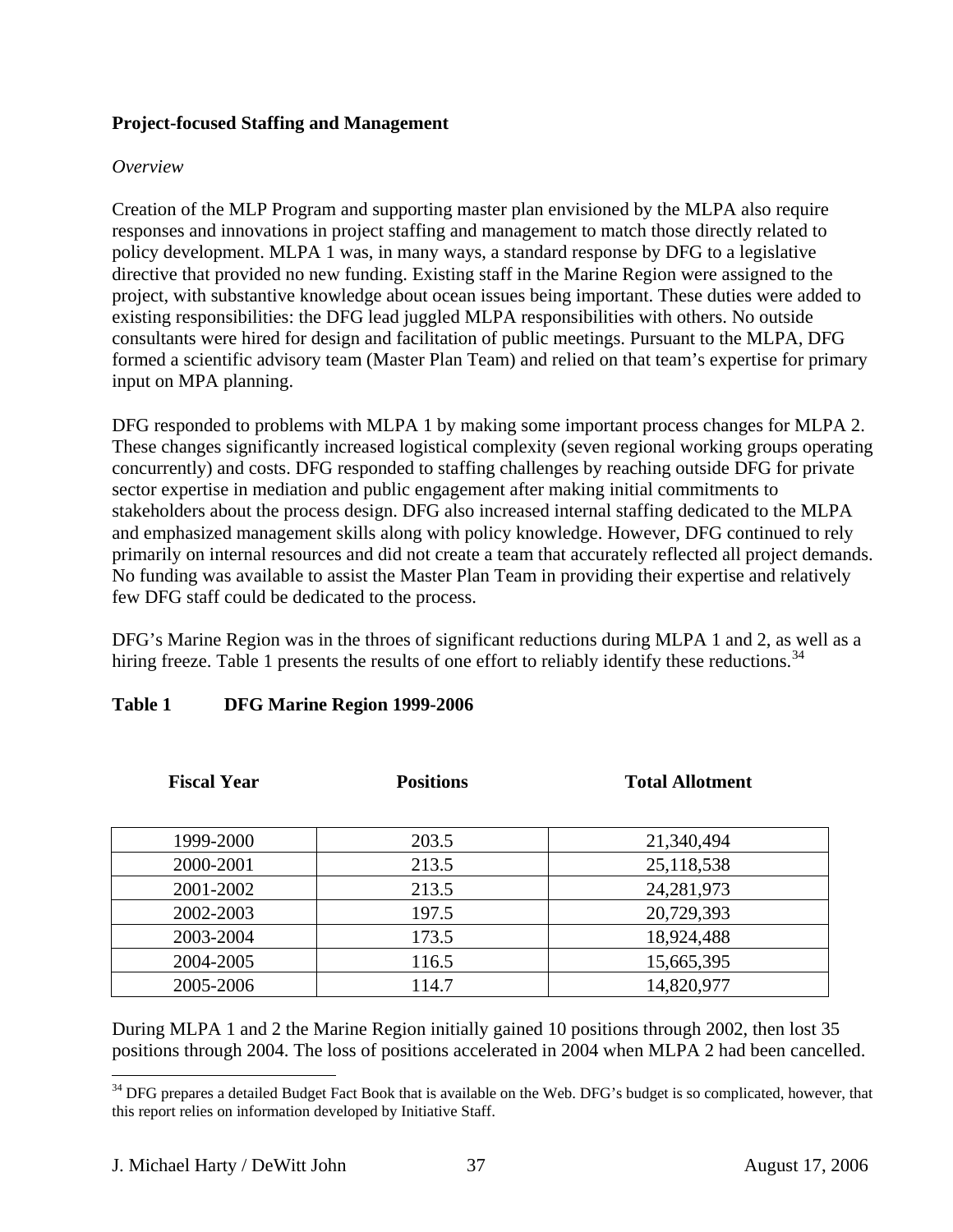### **Project-focused Staffing and Management**

#### *Overview*

Creation of the MLP Program and supporting master plan envisioned by the MLPA also require responses and innovations in project staffing and management to match those directly related to policy development. MLPA 1 was, in many ways, a standard response by DFG to a legislative directive that provided no new funding. Existing staff in the Marine Region were assigned to the project, with substantive knowledge about ocean issues being important. These duties were added to existing responsibilities: the DFG lead juggled MLPA responsibilities with others. No outside consultants were hired for design and facilitation of public meetings. Pursuant to the MLPA, DFG formed a scientific advisory team (Master Plan Team) and relied on that team's expertise for primary input on MPA planning.

DFG responded to problems with MLPA 1 by making some important process changes for MLPA 2. These changes significantly increased logistical complexity (seven regional working groups operating concurrently) and costs. DFG responded to staffing challenges by reaching outside DFG for private sector expertise in mediation and public engagement after making initial commitments to stakeholders about the process design. DFG also increased internal staffing dedicated to the MLPA and emphasized management skills along with policy knowledge. However, DFG continued to rely primarily on internal resources and did not create a team that accurately reflected all project demands. No funding was available to assist the Master Plan Team in providing their expertise and relatively few DFG staff could be dedicated to the process.

DFG's Marine Region was in the throes of significant reductions during MLPA 1 and 2, as well as a hiring freeze. Table 1 presents the results of one effort to reliably identify these reductions.<sup>[34](#page-36-0)</sup>

| <b>Fiscal Year</b> | <b>Positions</b> | <b>Total Allotment</b> |  |
|--------------------|------------------|------------------------|--|
| 1999-2000          | 203.5            | 21,340,494             |  |
| 2000-2001          | 213.5            | 25,118,538             |  |
| 2001-2002          | 213.5            | 24, 281, 973           |  |
| 2002-2003          | 197.5            | 20,729,393             |  |
| 2003-2004          | 173.5            | 18,924,488             |  |
| 2004-2005          | 116.5            | 15,665,395             |  |
| 2005-2006          | 114.7            | 14,820,977             |  |

## **Table 1 DFG Marine Region 1999-2006**

During MLPA 1 and 2 the Marine Region initially gained 10 positions through 2002, then lost 35 positions through 2004. The loss of positions accelerated in 2004 when MLPA 2 had been cancelled.

<span id="page-36-0"></span><sup>&</sup>lt;sup>34</sup> DFG prepares a detailed Budget Fact Book that is available on the Web. DFG's budget is so complicated, however, that this report relies on information developed by Initiative Staff.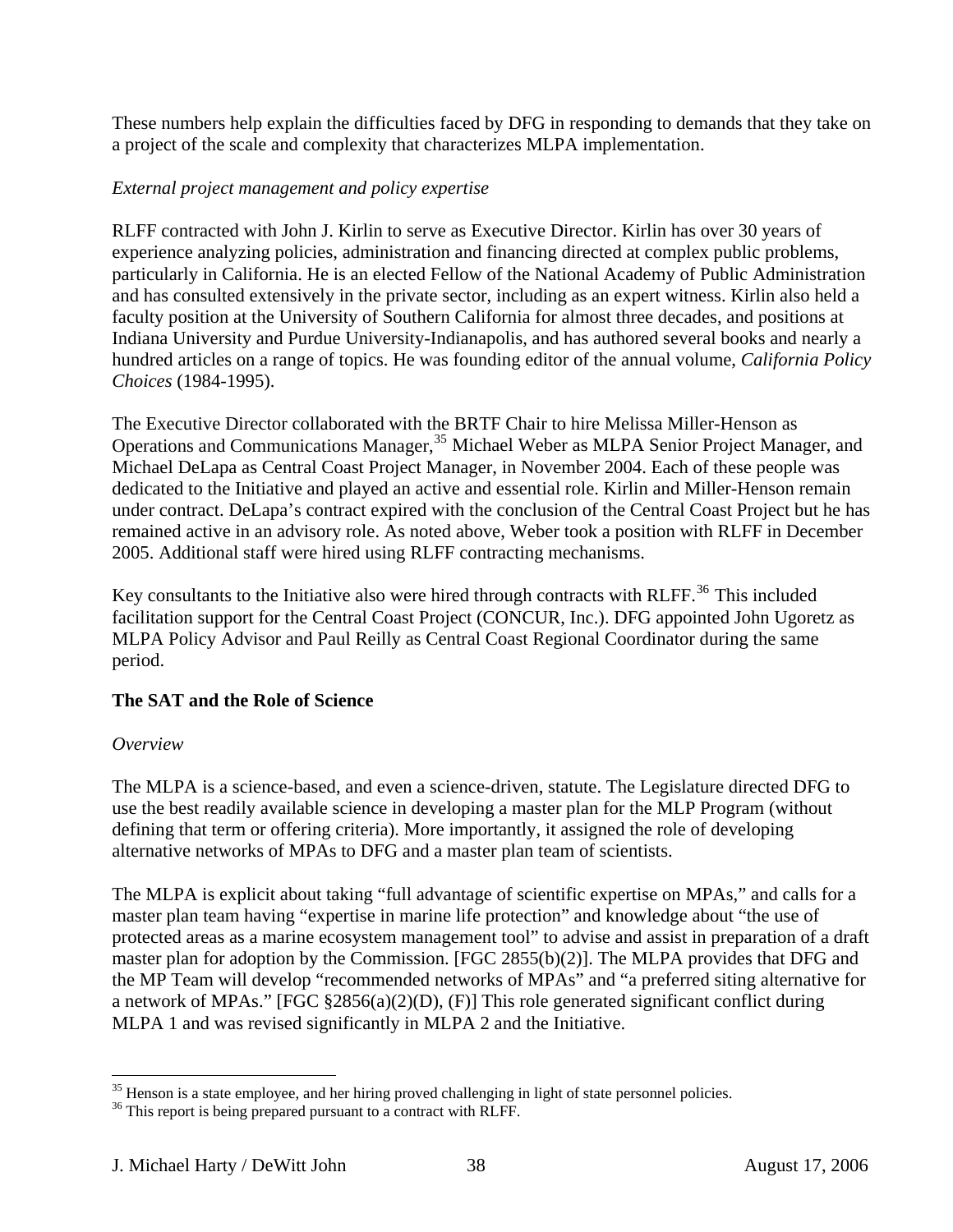These numbers help explain the difficulties faced by DFG in responding to demands that they take on a project of the scale and complexity that characterizes MLPA implementation.

## *External project management and policy expertise*

RLFF contracted with John J. Kirlin to serve as Executive Director. Kirlin has over 30 years of experience analyzing policies, administration and financing directed at complex public problems, particularly in California. He is an elected Fellow of the National Academy of Public Administration and has consulted extensively in the private sector, including as an expert witness. Kirlin also held a faculty position at the University of Southern California for almost three decades, and positions at Indiana University and Purdue University-Indianapolis, and has authored several books and nearly a hundred articles on a range of topics. He was founding editor of the annual volume, *California Policy Choices* (1984-1995).

The Executive Director collaborated with the BRTF Chair to hire Melissa Miller-Henson as Operations and Communications Manager,<sup>[35](#page-37-0)</sup> Michael Weber as MLPA Senior Project Manager, and Michael DeLapa as Central Coast Project Manager, in November 2004. Each of these people was dedicated to the Initiative and played an active and essential role. Kirlin and Miller-Henson remain under contract. DeLapa's contract expired with the conclusion of the Central Coast Project but he has remained active in an advisory role. As noted above, Weber took a position with RLFF in December 2005. Additional staff were hired using RLFF contracting mechanisms.

Key consultants to the Initiative also were hired through contracts with RLFF.<sup>[36](#page-37-1)</sup> This included facilitation support for the Central Coast Project (CONCUR, Inc.). DFG appointed John Ugoretz as MLPA Policy Advisor and Paul Reilly as Central Coast Regional Coordinator during the same period.

## **The SAT and the Role of Science**

## *Overview*

 $\overline{a}$ 

The MLPA is a science-based, and even a science-driven, statute. The Legislature directed DFG to use the best readily available science in developing a master plan for the MLP Program (without defining that term or offering criteria). More importantly, it assigned the role of developing alternative networks of MPAs to DFG and a master plan team of scientists.

The MLPA is explicit about taking "full advantage of scientific expertise on MPAs," and calls for a master plan team having "expertise in marine life protection" and knowledge about "the use of protected areas as a marine ecosystem management tool" to advise and assist in preparation of a draft master plan for adoption by the Commission. [FGC 2855(b)(2)]. The MLPA provides that DFG and the MP Team will develop "recommended networks of MPAs" and "a preferred siting alternative for a network of MPAs." [FGC §2856(a)(2)(D), (F)] This role generated significant conflict during MLPA 1 and was revised significantly in MLPA 2 and the Initiative.

<span id="page-37-0"></span><sup>&</sup>lt;sup>35</sup> Henson is a state employee, and her hiring proved challenging in light of state personnel policies.

<span id="page-37-1"></span><sup>&</sup>lt;sup>36</sup> This report is being prepared pursuant to a contract with RLFF.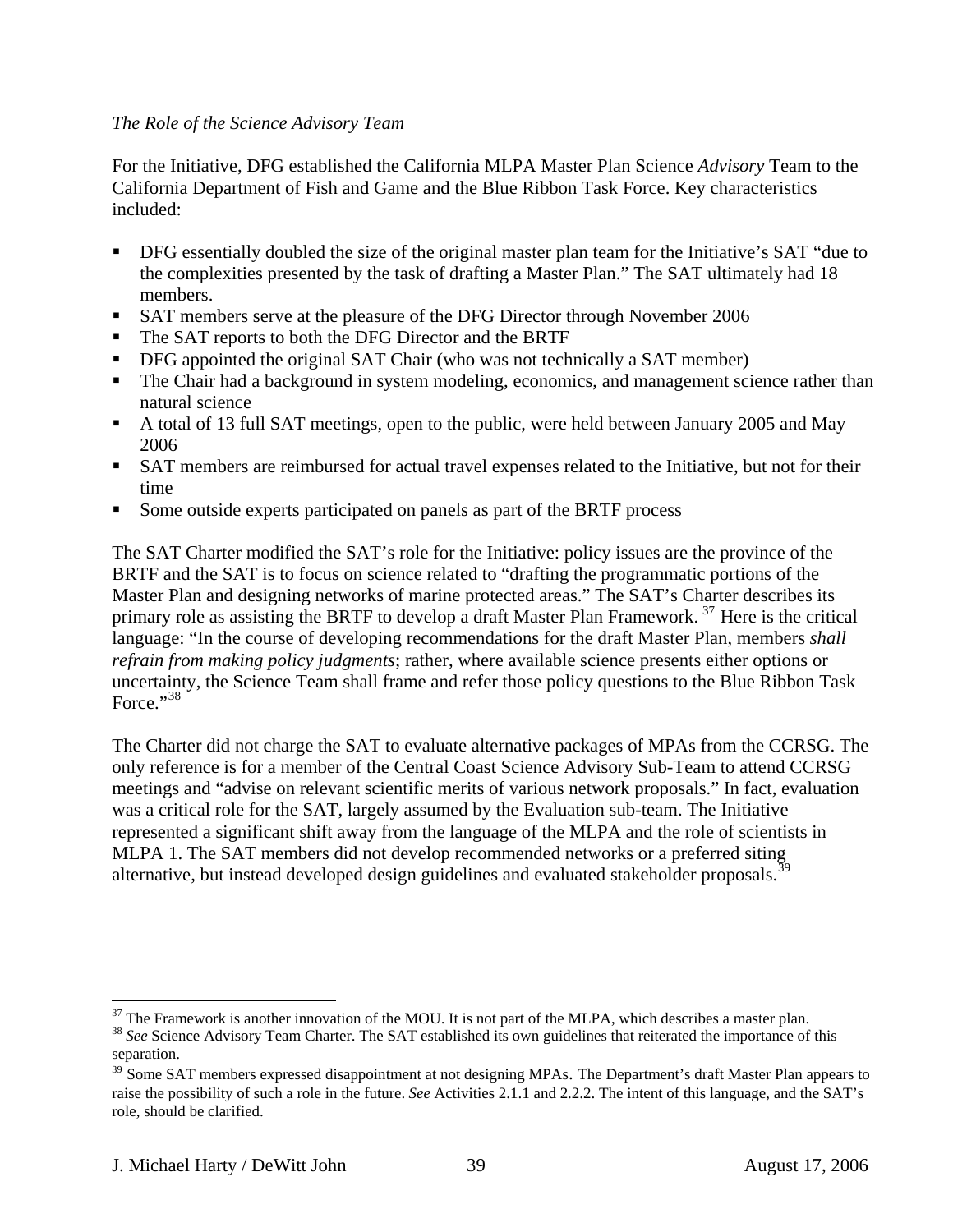#### *The Role of the Science Advisory Team*

For the Initiative, DFG established the California MLPA Master Plan Science *Advisory* Team to the California Department of Fish and Game and the Blue Ribbon Task Force. Key characteristics included:

- DFG essentially doubled the size of the original master plan team for the Initiative's SAT "due to the complexities presented by the task of drafting a Master Plan." The SAT ultimately had 18 members.
- SAT members serve at the pleasure of the DFG Director through November 2006
- The SAT reports to both the DFG Director and the BRTF
- **•** DFG appointed the original SAT Chair (who was not technically a SAT member)
- The Chair had a background in system modeling, economics, and management science rather than natural science
- A total of 13 full SAT meetings, open to the public, were held between January 2005 and May 2006
- SAT members are reimbursed for actual travel expenses related to the Initiative, but not for their time
- Some outside experts participated on panels as part of the BRTF process

The SAT Charter modified the SAT's role for the Initiative: policy issues are the province of the BRTF and the SAT is to focus on science related to "drafting the programmatic portions of the Master Plan and designing networks of marine protected areas." The SAT's Charter describes its primary role as assisting the BRTF to develop a draft Master Plan Framework.<sup>[37](#page-38-0)</sup> Here is the critical language: "In the course of developing recommendations for the draft Master Plan, members *shall refrain from making policy judgments*; rather, where available science presents either options or uncertainty, the Science Team shall frame and refer those policy questions to the Blue Ribbon Task Force." $38$ 

The Charter did not charge the SAT to evaluate alternative packages of MPAs from the CCRSG. The only reference is for a member of the Central Coast Science Advisory Sub-Team to attend CCRSG meetings and "advise on relevant scientific merits of various network proposals." In fact, evaluation was a critical role for the SAT, largely assumed by the Evaluation sub-team. The Initiative represented a significant shift away from the language of the MLPA and the role of scientists in MLPA 1. The SAT members did not develop recommended networks or a preferred siting alternative, but instead developed design guidelines and evaluated stakeholder proposals.<sup>3</sup>

<span id="page-38-0"></span> $37$  The Framework is another innovation of the MOU. It is not part of the MLPA, which describes a master plan.

<span id="page-38-1"></span><sup>&</sup>lt;sup>38</sup> See Science Advisory Team Charter. The SAT established its own guidelines that reiterated the importance of this separation.

<span id="page-38-2"></span><sup>&</sup>lt;sup>39</sup> Some SAT members expressed disappointment at not designing MPAs. The Department's draft Master Plan appears to raise the possibility of such a role in the future. *See* Activities 2.1.1 and 2.2.2. The intent of this language, and the SAT's role, should be clarified.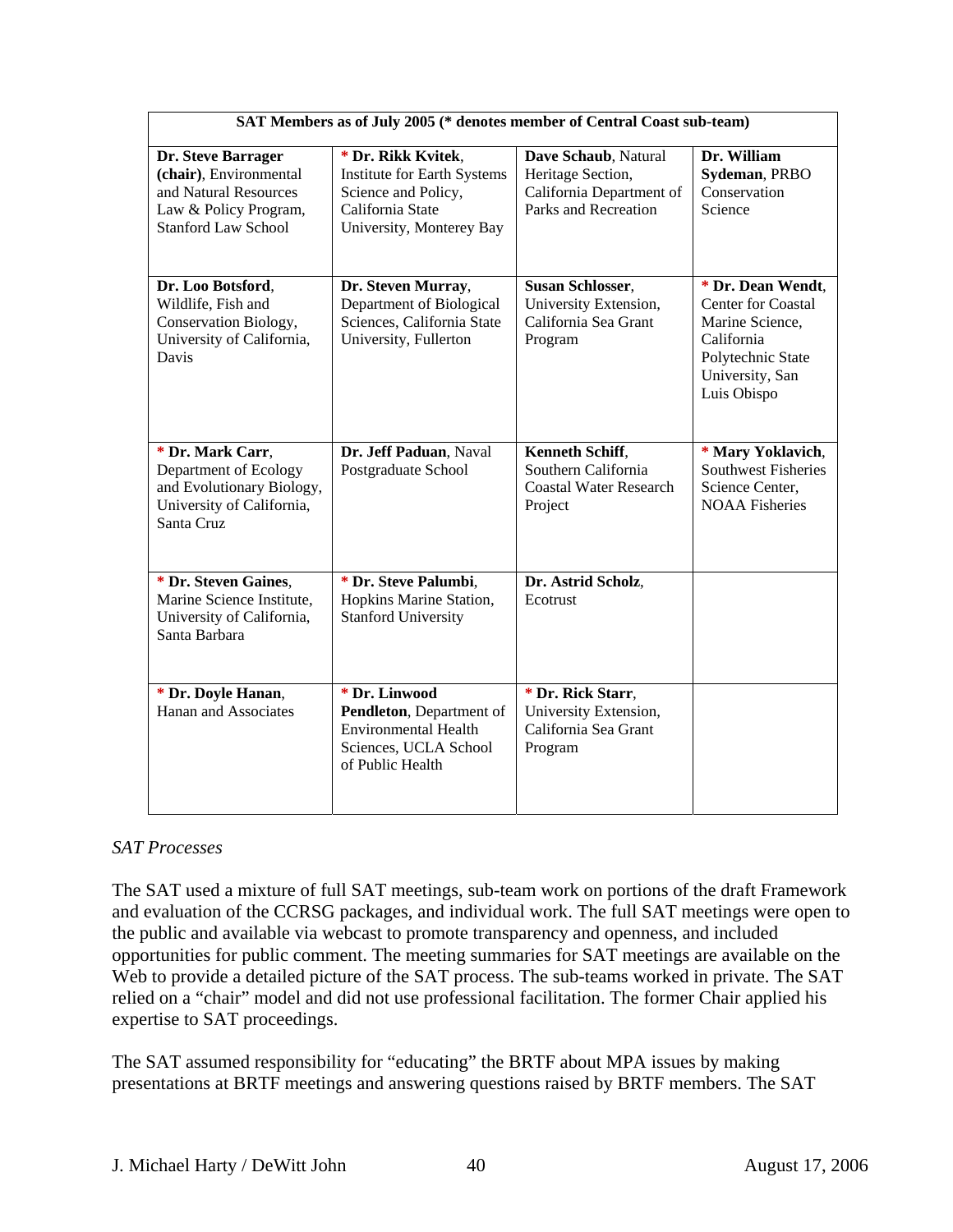| SAT Members as of July 2005 (* denotes member of Central Coast sub-team)                                                     |                                                                                                                                 |                                                                                               |                                                                                                                                        |  |
|------------------------------------------------------------------------------------------------------------------------------|---------------------------------------------------------------------------------------------------------------------------------|-----------------------------------------------------------------------------------------------|----------------------------------------------------------------------------------------------------------------------------------------|--|
| Dr. Steve Barrager<br>(chair), Environmental<br>and Natural Resources<br>Law & Policy Program,<br><b>Stanford Law School</b> | * Dr. Rikk Kvitek,<br><b>Institute for Earth Systems</b><br>Science and Policy,<br>California State<br>University, Monterey Bay | Dave Schaub, Natural<br>Heritage Section,<br>California Department of<br>Parks and Recreation | Dr. William<br>Sydeman, PRBO<br>Conservation<br>Science                                                                                |  |
| Dr. Loo Botsford,<br>Wildlife, Fish and<br>Conservation Biology,<br>University of California,<br>Davis                       | Dr. Steven Murray,<br>Department of Biological<br>Sciences, California State<br>University, Fullerton                           | <b>Susan Schlosser,</b><br>University Extension,<br>California Sea Grant<br>Program           | * Dr. Dean Wendt,<br><b>Center for Coastal</b><br>Marine Science,<br>California<br>Polytechnic State<br>University, San<br>Luis Obispo |  |
| * Dr. Mark Carr,<br>Department of Ecology<br>and Evolutionary Biology,<br>University of California,<br>Santa Cruz            | Dr. Jeff Paduan, Naval<br>Postgraduate School                                                                                   | Kenneth Schiff,<br>Southern California<br><b>Coastal Water Research</b><br>Project            | * Mary Yoklavich,<br><b>Southwest Fisheries</b><br>Science Center.<br><b>NOAA</b> Fisheries                                            |  |
| * Dr. Steven Gaines,<br>Marine Science Institute,<br>University of California,<br>Santa Barbara                              | * Dr. Steve Palumbi,<br>Hopkins Marine Station,<br><b>Stanford University</b>                                                   | Dr. Astrid Scholz,<br>Ecotrust                                                                |                                                                                                                                        |  |
| * Dr. Doyle Hanan,<br>Hanan and Associates                                                                                   | * Dr. Linwood<br>Pendleton, Department of<br><b>Environmental Health</b><br>Sciences, UCLA School<br>of Public Health           | * Dr. Rick Starr,<br>University Extension,<br>California Sea Grant<br>Program                 |                                                                                                                                        |  |

## *SAT Processes*

The SAT used a mixture of full SAT meetings, sub-team work on portions of the draft Framework and evaluation of the CCRSG packages, and individual work. The full SAT meetings were open to the public and available via webcast to promote transparency and openness, and included opportunities for public comment. The meeting summaries for SAT meetings are available on the Web to provide a detailed picture of the SAT process. The sub-teams worked in private. The SAT relied on a "chair" model and did not use professional facilitation. The former Chair applied his expertise to SAT proceedings.

The SAT assumed responsibility for "educating" the BRTF about MPA issues by making presentations at BRTF meetings and answering questions raised by BRTF members. The SAT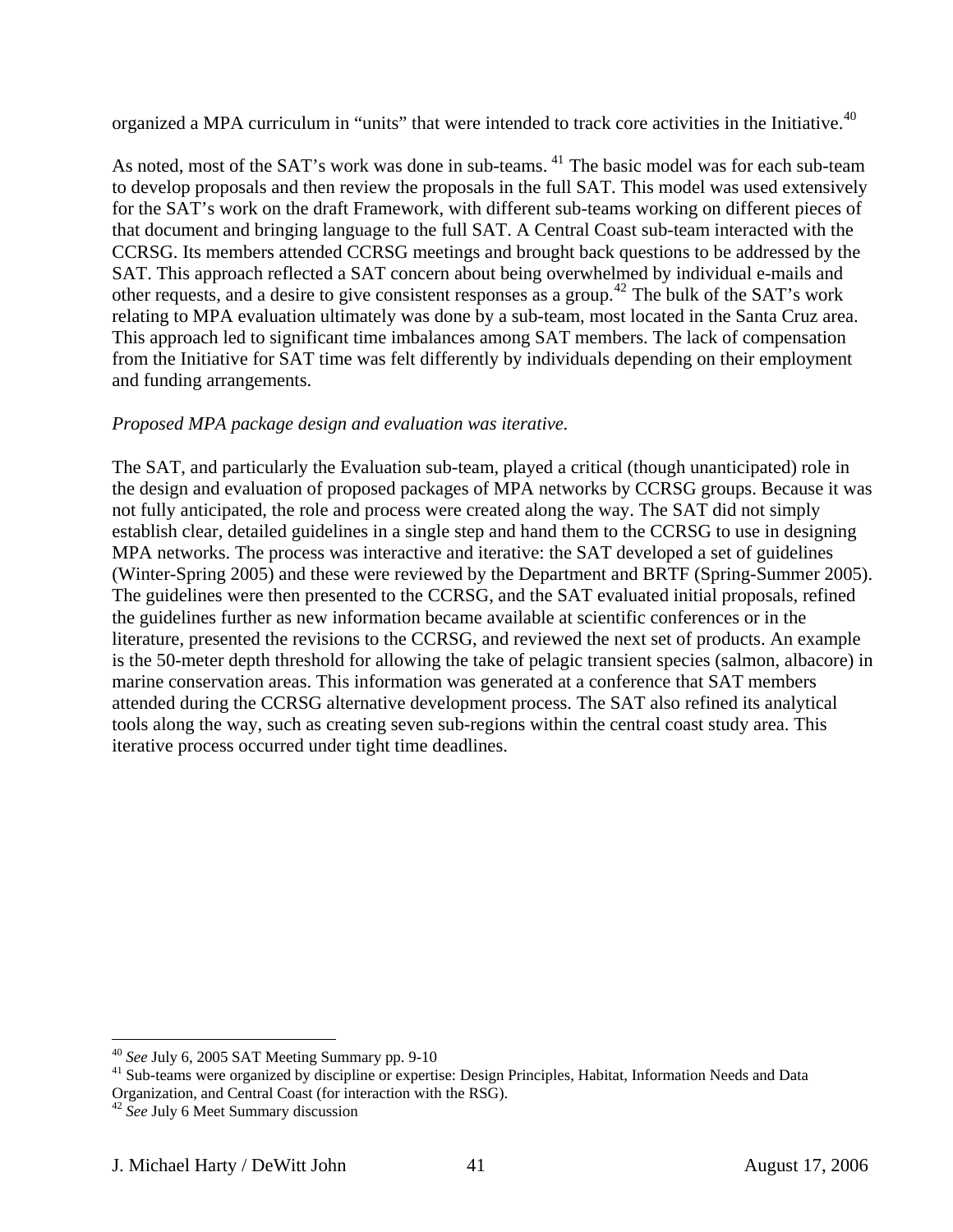organized a MPA curriculum in "units" that were intended to track core activities in the Initiative.<sup>[40](#page-40-0)</sup>

As noted, most of the SAT's work was done in sub-teams. <sup>[41](#page-40-1)</sup> The basic model was for each sub-team to develop proposals and then review the proposals in the full SAT. This model was used extensively for the SAT's work on the draft Framework, with different sub-teams working on different pieces of that document and bringing language to the full SAT. A Central Coast sub-team interacted with the CCRSG. Its members attended CCRSG meetings and brought back questions to be addressed by the SAT. This approach reflected a SAT concern about being overwhelmed by individual e-mails and other requests, and a desire to give consistent responses as a group.<sup>[42](#page-40-2)</sup> The bulk of the SAT's work relating to MPA evaluation ultimately was done by a sub-team, most located in the Santa Cruz area. This approach led to significant time imbalances among SAT members. The lack of compensation from the Initiative for SAT time was felt differently by individuals depending on their employment and funding arrangements.

## *Proposed MPA package design and evaluation was iterative.*

The SAT, and particularly the Evaluation sub-team, played a critical (though unanticipated) role in the design and evaluation of proposed packages of MPA networks by CCRSG groups. Because it was not fully anticipated, the role and process were created along the way. The SAT did not simply establish clear, detailed guidelines in a single step and hand them to the CCRSG to use in designing MPA networks. The process was interactive and iterative: the SAT developed a set of guidelines (Winter-Spring 2005) and these were reviewed by the Department and BRTF (Spring-Summer 2005). The guidelines were then presented to the CCRSG, and the SAT evaluated initial proposals, refined the guidelines further as new information became available at scientific conferences or in the literature, presented the revisions to the CCRSG, and reviewed the next set of products. An example is the 50-meter depth threshold for allowing the take of pelagic transient species (salmon, albacore) in marine conservation areas. This information was generated at a conference that SAT members attended during the CCRSG alternative development process. The SAT also refined its analytical tools along the way, such as creating seven sub-regions within the central coast study area. This iterative process occurred under tight time deadlines.

<span id="page-40-0"></span><sup>&</sup>lt;sup>40</sup> See July 6, 2005 SAT Meeting Summary pp. 9-10

<span id="page-40-1"></span><sup>&</sup>lt;sup>41</sup> Sub-teams were organized by discipline or expertise: Design Principles, Habitat, Information Needs and Data Organization, and Central Coast (for interaction with the RSG).

<span id="page-40-2"></span><sup>42</sup> *See* July 6 Meet Summary discussion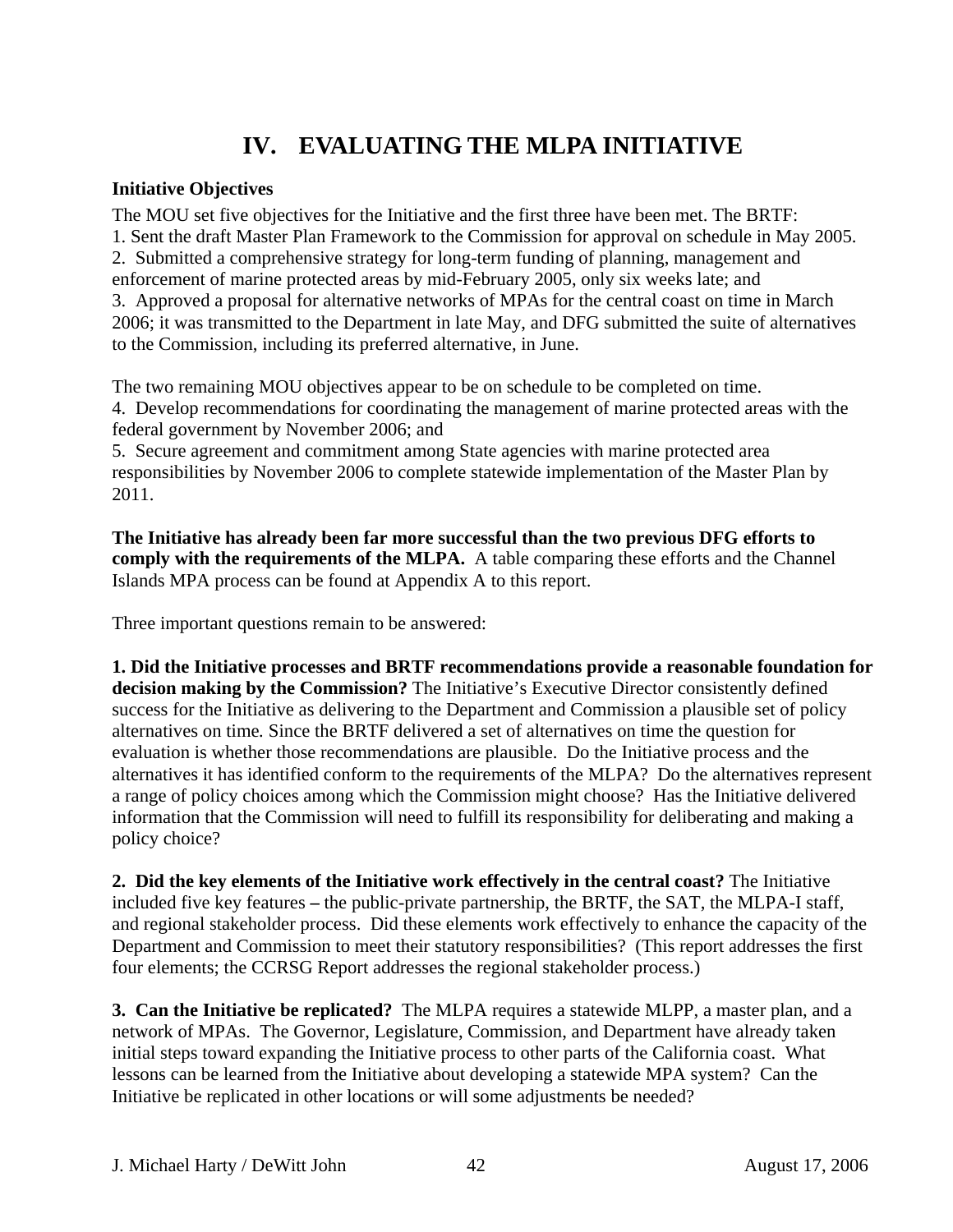# **IV. EVALUATING THE MLPA INITIATIVE**

## **Initiative Objectives**

The MOU set five objectives for the Initiative and the first three have been met. The BRTF: 1. Sent the draft Master Plan Framework to the Commission for approval on schedule in May 2005. 2. Submitted a comprehensive strategy for long-term funding of planning, management and enforcement of marine protected areas by mid-February 2005, only six weeks late; and 3. Approved a proposal for alternative networks of MPAs for the central coast on time in March 2006; it was transmitted to the Department in late May, and DFG submitted the suite of alternatives to the Commission, including its preferred alternative, in June.

The two remaining MOU objectives appear to be on schedule to be completed on time. 4. Develop recommendations for coordinating the management of marine protected areas with the federal government by November 2006; and

5. Secure agreement and commitment among State agencies with marine protected area responsibilities by November 2006 to complete statewide implementation of the Master Plan by 2011.

**The Initiative has already been far more successful than the two previous DFG efforts to comply with the requirements of the MLPA.** A table comparing these efforts and the Channel Islands MPA process can be found at Appendix A to this report.

Three important questions remain to be answered:

**1. Did the Initiative processes and BRTF recommendations provide a reasonable foundation for decision making by the Commission?** The Initiative's Executive Director consistently defined success for the Initiative as delivering to the Department and Commission a plausible set of policy alternatives on time*.* Since the BRTF delivered a set of alternatives on time the question for evaluation is whether those recommendations are plausible. Do the Initiative process and the alternatives it has identified conform to the requirements of the MLPA? Do the alternatives represent a range of policy choices among which the Commission might choose? Has the Initiative delivered information that the Commission will need to fulfill its responsibility for deliberating and making a policy choice?

**2. Did the key elements of the Initiative work effectively in the central coast?** The Initiative included five key features **–** the public-private partnership, the BRTF, the SAT, the MLPA-I staff, and regional stakeholder process. Did these elements work effectively to enhance the capacity of the Department and Commission to meet their statutory responsibilities? (This report addresses the first four elements; the CCRSG Report addresses the regional stakeholder process.)

**3. Can the Initiative be replicated?** The MLPA requires a statewide MLPP, a master plan, and a network of MPAs. The Governor, Legislature, Commission, and Department have already taken initial steps toward expanding the Initiative process to other parts of the California coast. What lessons can be learned from the Initiative about developing a statewide MPA system? Can the Initiative be replicated in other locations or will some adjustments be needed?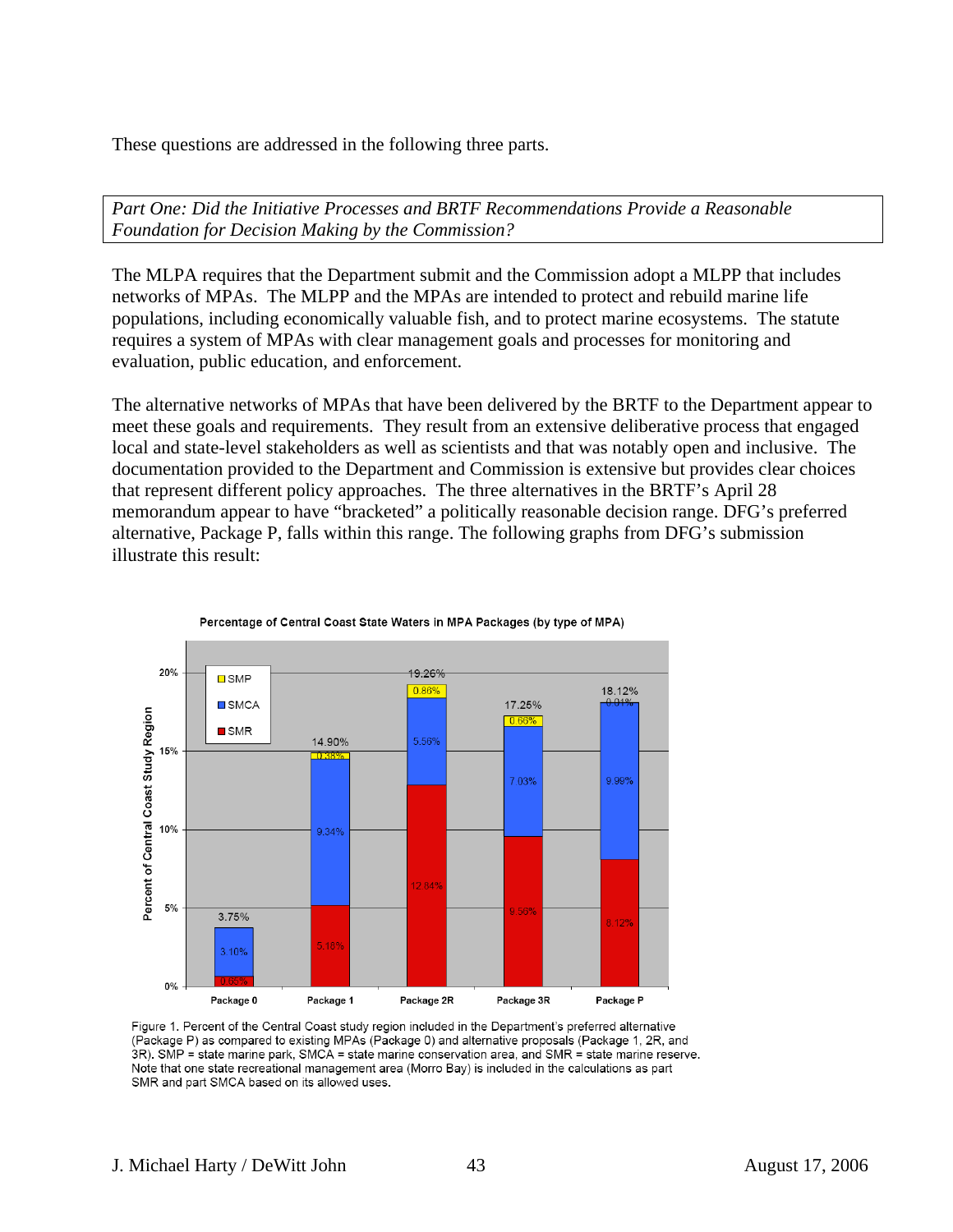These questions are addressed in the following three parts.

*Part One: Did the Initiative Processes and BRTF Recommendations Provide a Reasonable Foundation for Decision Making by the Commission?* 

The MLPA requires that the Department submit and the Commission adopt a MLPP that includes networks of MPAs. The MLPP and the MPAs are intended to protect and rebuild marine life populations, including economically valuable fish, and to protect marine ecosystems. The statute requires a system of MPAs with clear management goals and processes for monitoring and evaluation, public education, and enforcement.

The alternative networks of MPAs that have been delivered by the BRTF to the Department appear to meet these goals and requirements. They result from an extensive deliberative process that engaged local and state-level stakeholders as well as scientists and that was notably open and inclusive. The documentation provided to the Department and Commission is extensive but provides clear choices that represent different policy approaches. The three alternatives in the BRTF's April 28 memorandum appear to have "bracketed" a politically reasonable decision range. DFG's preferred alternative, Package P, falls within this range. The following graphs from DFG's submission illustrate this result:



Percentage of Central Coast State Waters in MPA Packages (by type of MPA)

Figure 1. Percent of the Central Coast study region included in the Department's preferred alternative (Package P) as compared to existing MPAs (Package 0) and alternative proposals (Package 1, 2R, and 3R). SMP = state marine park, SMCA = state marine conservation area, and SMR = state marine reserve. Note that one state recreational management area (Morro Bay) is included in the calculations as part SMR and part SMCA based on its allowed uses.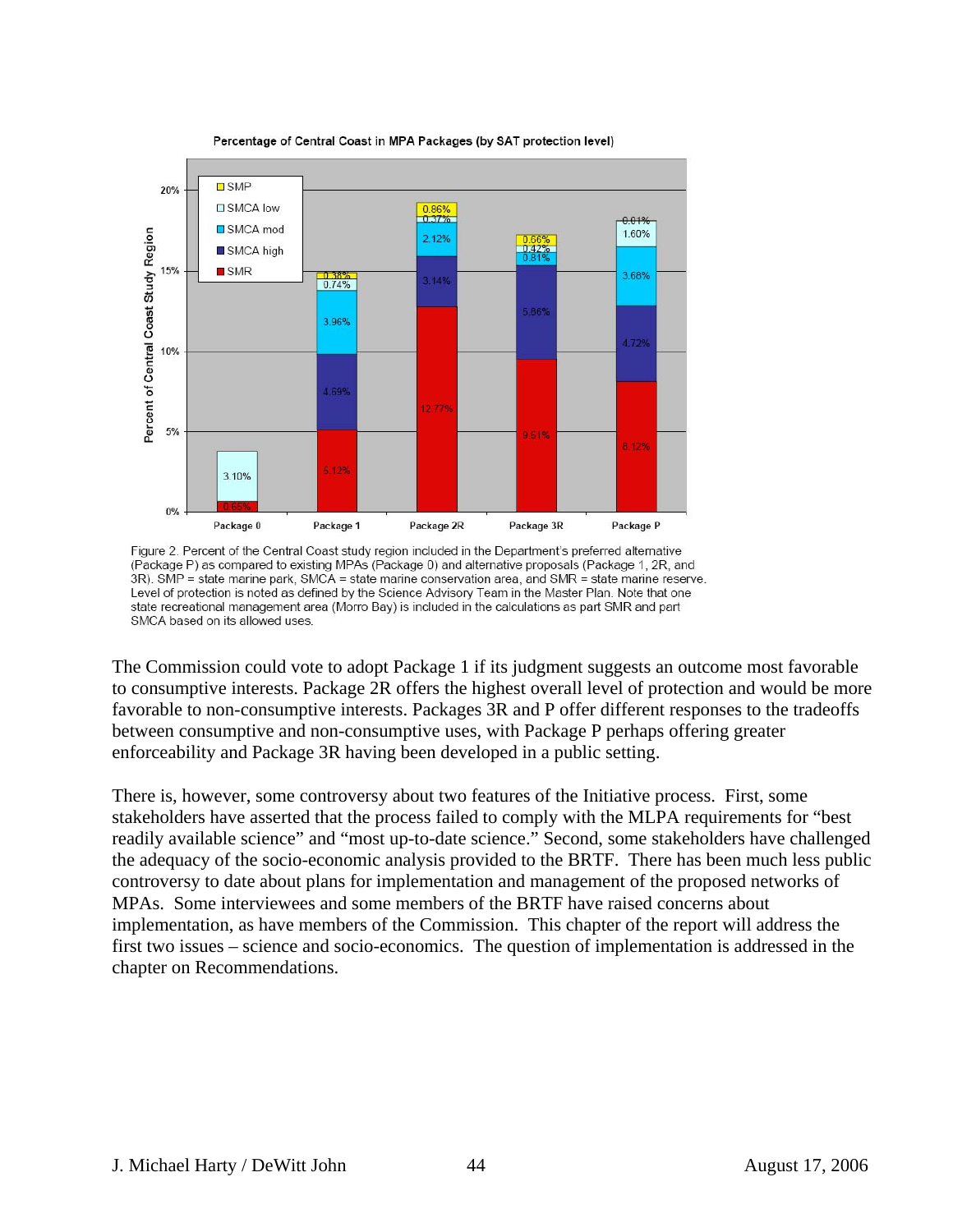

Percentage of Central Coast in MPA Packages (by SAT protection level)

Figure 2. Percent of the Central Coast study region included in the Department's preferred alternative (Package P) as compared to existing MPAs (Package 0) and alternative proposals (Package 1, 2R, and 3R). SMP = state marine park, SMCA = state marine conservation area, and SMR = state marine reserve. Level of protection is noted as defined by the Science Advisory Team in the Master Plan. Note that one state recreational management area (Morro Bay) is included in the calculations as part SMR and part SMCA based on its allowed uses.

The Commission could vote to adopt Package 1 if its judgment suggests an outcome most favorable to consumptive interests. Package 2R offers the highest overall level of protection and would be more favorable to non-consumptive interests. Packages 3R and P offer different responses to the tradeoffs between consumptive and non-consumptive uses, with Package P perhaps offering greater enforceability and Package 3R having been developed in a public setting.

There is, however, some controversy about two features of the Initiative process. First, some stakeholders have asserted that the process failed to comply with the MLPA requirements for "best readily available science" and "most up-to-date science." Second, some stakeholders have challenged the adequacy of the socio-economic analysis provided to the BRTF. There has been much less public controversy to date about plans for implementation and management of the proposed networks of MPAs. Some interviewees and some members of the BRTF have raised concerns about implementation, as have members of the Commission. This chapter of the report will address the first two issues – science and socio-economics. The question of implementation is addressed in the chapter on Recommendations.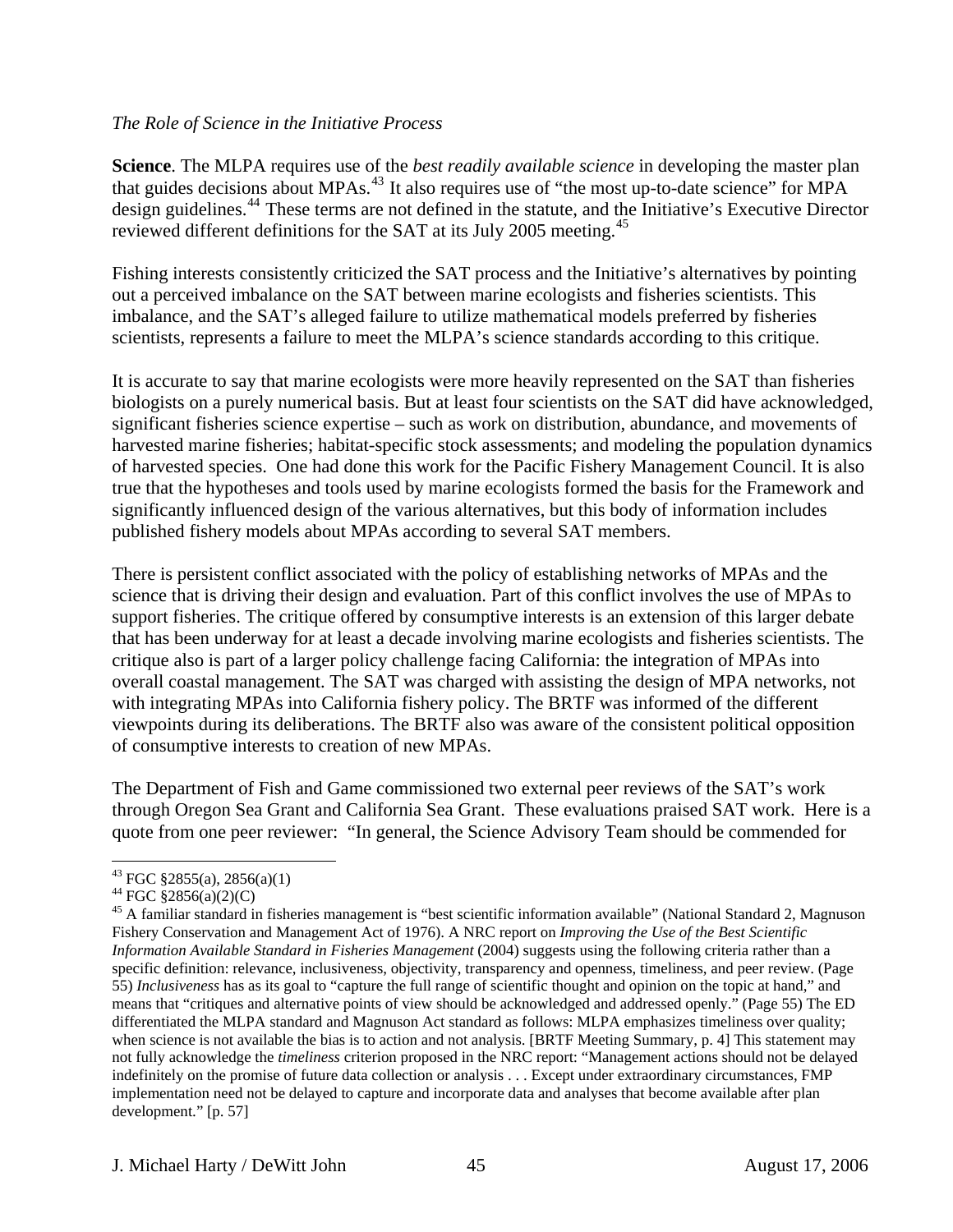#### *The Role of Science in the Initiative Process*

**Science**. The MLPA requires use of the *best readily available science* in developing the master plan that guides decisions about MPAs.<sup>[43](#page-44-0)</sup> It also requires use of "the most up-to-date science" for MPA design guidelines.<sup>[44](#page-44-1)</sup> These terms are not defined in the statute, and the Initiative's Executive Director reviewed different definitions for the SAT at its July 2005 meeting.<sup>[45](#page-44-2)</sup>

Fishing interests consistently criticized the SAT process and the Initiative's alternatives by pointing out a perceived imbalance on the SAT between marine ecologists and fisheries scientists. This imbalance, and the SAT's alleged failure to utilize mathematical models preferred by fisheries scientists, represents a failure to meet the MLPA's science standards according to this critique.

It is accurate to say that marine ecologists were more heavily represented on the SAT than fisheries biologists on a purely numerical basis. But at least four scientists on the SAT did have acknowledged, significant fisheries science expertise – such as work on distribution, abundance, and movements of harvested marine fisheries; habitat-specific stock assessments; and modeling the population dynamics of harvested species. One had done this work for the Pacific Fishery Management Council. It is also true that the hypotheses and tools used by marine ecologists formed the basis for the Framework and significantly influenced design of the various alternatives, but this body of information includes published fishery models about MPAs according to several SAT members.

There is persistent conflict associated with the policy of establishing networks of MPAs and the science that is driving their design and evaluation. Part of this conflict involves the use of MPAs to support fisheries. The critique offered by consumptive interests is an extension of this larger debate that has been underway for at least a decade involving marine ecologists and fisheries scientists. The critique also is part of a larger policy challenge facing California: the integration of MPAs into overall coastal management. The SAT was charged with assisting the design of MPA networks, not with integrating MPAs into California fishery policy. The BRTF was informed of the different viewpoints during its deliberations. The BRTF also was aware of the consistent political opposition of consumptive interests to creation of new MPAs.

The Department of Fish and Game commissioned two external peer reviews of the SAT's work through Oregon Sea Grant and California Sea Grant. These evaluations praised SAT work. Here is a quote from one peer reviewer: "In general, the Science Advisory Team should be commended for

<sup>43</sup> FGC §2855(a), 2856(a)(1)

<span id="page-44-1"></span><span id="page-44-0"></span> $^{44}$  FGC §2856(a)(2)(C)

<span id="page-44-2"></span><sup>&</sup>lt;sup>45</sup> A familiar standard in fisheries management is "best scientific information available" (National Standard 2, Magnuson Fishery Conservation and Management Act of 1976). A NRC report on *Improving the Use of the Best Scientific Information Available Standard in Fisheries Management* (2004) suggests using the following criteria rather than a specific definition: relevance, inclusiveness, objectivity, transparency and openness, timeliness, and peer review. (Page 55) *Inclusiveness* has as its goal to "capture the full range of scientific thought and opinion on the topic at hand," and means that "critiques and alternative points of view should be acknowledged and addressed openly." (Page 55) The ED differentiated the MLPA standard and Magnuson Act standard as follows: MLPA emphasizes timeliness over quality; when science is not available the bias is to action and not analysis. [BRTF Meeting Summary, p. 4] This statement may not fully acknowledge the *timeliness* criterion proposed in the NRC report: "Management actions should not be delayed indefinitely on the promise of future data collection or analysis . . . Except under extraordinary circumstances, FMP implementation need not be delayed to capture and incorporate data and analyses that become available after plan development." [p. 57]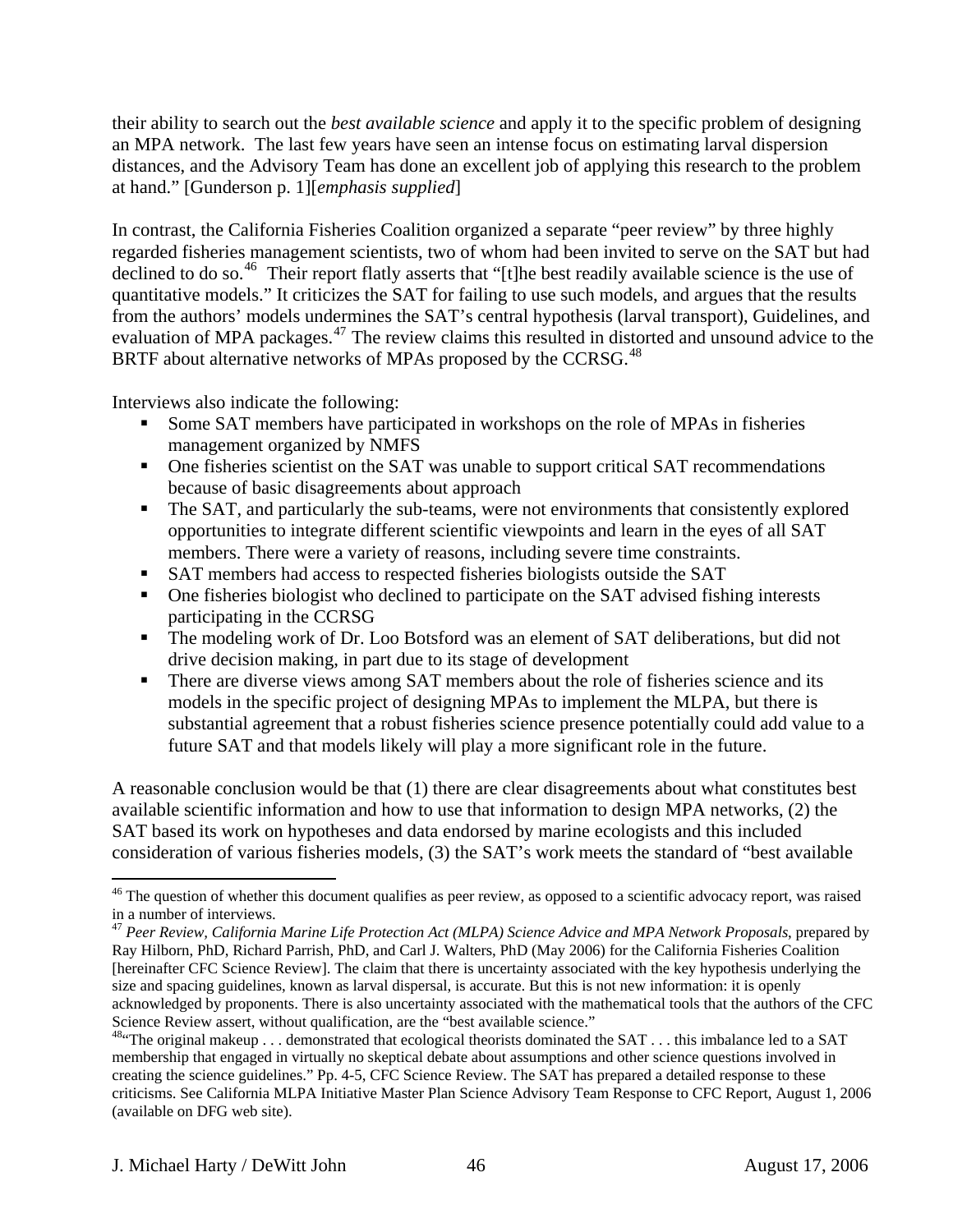their ability to search out the *best available science* and apply it to the specific problem of designing an MPA network. The last few years have seen an intense focus on estimating larval dispersion distances, and the Advisory Team has done an excellent job of applying this research to the problem at hand." [Gunderson p. 1][*emphasis supplied*]

In contrast, the California Fisheries Coalition organized a separate "peer review" by three highly regarded fisheries management scientists, two of whom had been invited to serve on the SAT but had declined to do so.<sup>[46](#page-45-0)</sup> Their report flatly asserts that "[t]he best readily available science is the use of quantitative models." It criticizes the SAT for failing to use such models, and argues that the results from the authors' models undermines the SAT's central hypothesis (larval transport), Guidelines, and evaluation of MPA packages.<sup>[47](#page-45-1)</sup> The review claims this resulted in distorted and unsound advice to the BRTF about alternative networks of MPAs proposed by the CCRSG.<sup>[48](#page-45-2)</sup>

Interviews also indicate the following:

- Some SAT members have participated in workshops on the role of MPAs in fisheries management organized by NMFS
- One fisheries scientist on the SAT was unable to support critical SAT recommendations because of basic disagreements about approach
- The SAT, and particularly the sub-teams, were not environments that consistently explored opportunities to integrate different scientific viewpoints and learn in the eyes of all SAT members. There were a variety of reasons, including severe time constraints.
- SAT members had access to respected fisheries biologists outside the SAT
- One fisheries biologist who declined to participate on the SAT advised fishing interests participating in the CCRSG
- The modeling work of Dr. Loo Botsford was an element of SAT deliberations, but did not drive decision making, in part due to its stage of development
- There are diverse views among SAT members about the role of fisheries science and its models in the specific project of designing MPAs to implement the MLPA, but there is substantial agreement that a robust fisheries science presence potentially could add value to a future SAT and that models likely will play a more significant role in the future.

A reasonable conclusion would be that (1) there are clear disagreements about what constitutes best available scientific information and how to use that information to design MPA networks, (2) the SAT based its work on hypotheses and data endorsed by marine ecologists and this included consideration of various fisheries models, (3) the SAT's work meets the standard of "best available

<span id="page-45-0"></span><sup>&</sup>lt;sup>46</sup> The question of whether this document qualifies as peer review, as opposed to a scientific advocacy report, was raised in a number of interviews.

<span id="page-45-1"></span><sup>47</sup> *Peer Review, California Marine Life Protection Act (MLPA) Science Advice and MPA Network Proposals*, prepared by Ray Hilborn, PhD, Richard Parrish, PhD, and Carl J. Walters, PhD (May 2006) for the California Fisheries Coalition [hereinafter CFC Science Review]. The claim that there is uncertainty associated with the key hypothesis underlying the size and spacing guidelines, known as larval dispersal, is accurate. But this is not new information: it is openly acknowledged by proponents. There is also uncertainty associated with the mathematical tools that the authors of the CFC Science Review assert, without qualification, are the "best available science."<br><sup>48.</sup> The original makeup . . . demonstrated that ecological theorists dominated the SAT . . . this imbalance led to a SAT

<span id="page-45-2"></span>membership that engaged in virtually no skeptical debate about assumptions and other science questions involved in creating the science guidelines." Pp. 4-5, CFC Science Review. The SAT has prepared a detailed response to these criticisms. See California MLPA Initiative Master Plan Science Advisory Team Response to CFC Report, August 1, 2006 (available on DFG web site).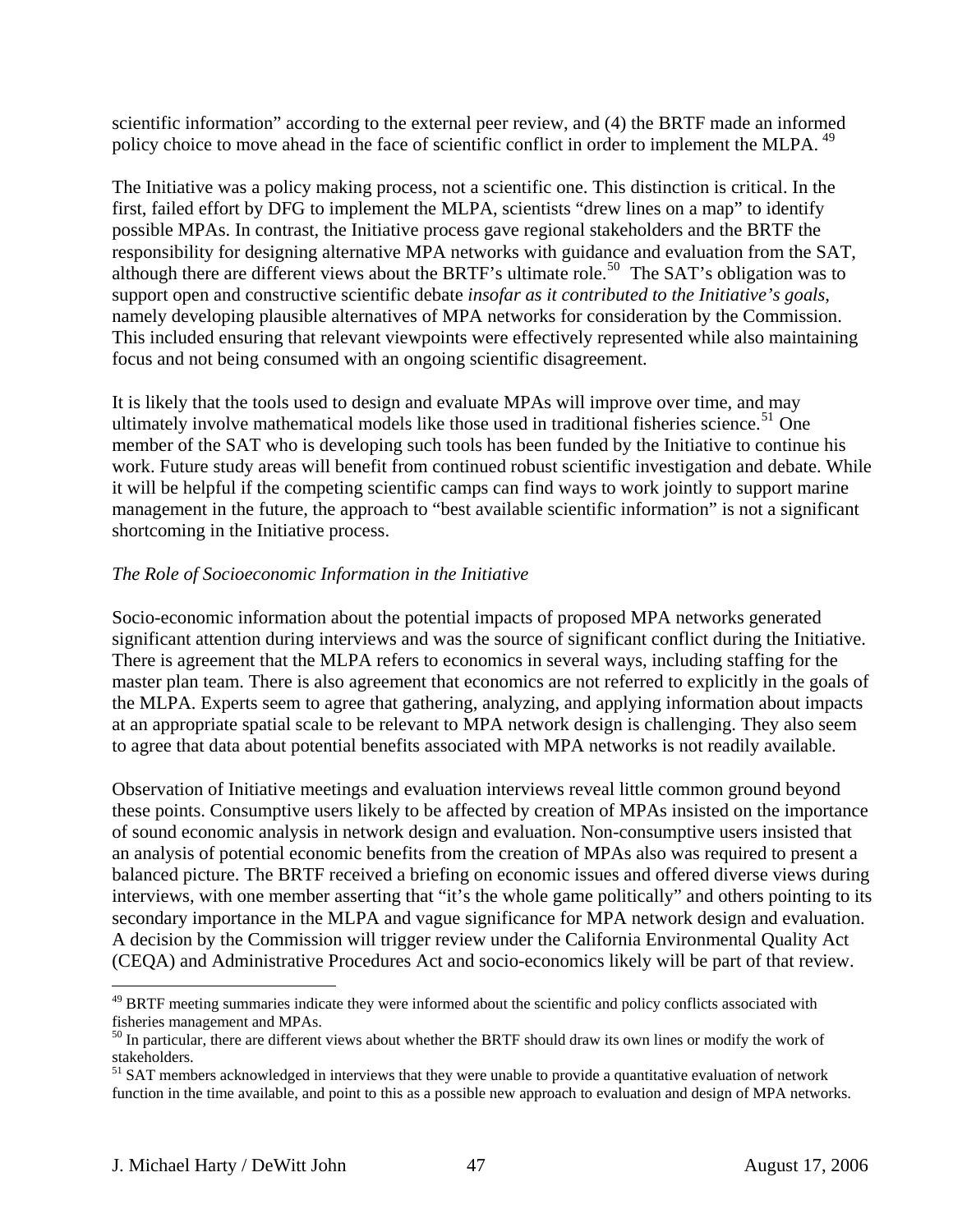scientific information" according to the external peer review, and (4) the BRTF made an informed policy choice to move ahead in the face of scientific conflict in order to implement the MLPA.<sup>[49](#page-46-0)</sup>

The Initiative was a policy making process, not a scientific one. This distinction is critical. In the first, failed effort by DFG to implement the MLPA, scientists "drew lines on a map" to identify possible MPAs. In contrast, the Initiative process gave regional stakeholders and the BRTF the responsibility for designing alternative MPA networks with guidance and evaluation from the SAT, although there are different views about the BRTF's ultimate role.<sup>[50](#page-46-1)</sup> The SAT's obligation was to support open and constructive scientific debate *insofar as it contributed to the Initiative's goals*, namely developing plausible alternatives of MPA networks for consideration by the Commission. This included ensuring that relevant viewpoints were effectively represented while also maintaining focus and not being consumed with an ongoing scientific disagreement.

It is likely that the tools used to design and evaluate MPAs will improve over time, and may ultimately involve mathematical models like those used in traditional fisheries science.<sup>[51](#page-46-2)</sup> One member of the SAT who is developing such tools has been funded by the Initiative to continue his work. Future study areas will benefit from continued robust scientific investigation and debate. While it will be helpful if the competing scientific camps can find ways to work jointly to support marine management in the future, the approach to "best available scientific information" is not a significant shortcoming in the Initiative process.

#### *The Role of Socioeconomic Information in the Initiative*

Socio-economic information about the potential impacts of proposed MPA networks generated significant attention during interviews and was the source of significant conflict during the Initiative. There is agreement that the MLPA refers to economics in several ways, including staffing for the master plan team. There is also agreement that economics are not referred to explicitly in the goals of the MLPA. Experts seem to agree that gathering, analyzing, and applying information about impacts at an appropriate spatial scale to be relevant to MPA network design is challenging. They also seem to agree that data about potential benefits associated with MPA networks is not readily available.

Observation of Initiative meetings and evaluation interviews reveal little common ground beyond these points. Consumptive users likely to be affected by creation of MPAs insisted on the importance of sound economic analysis in network design and evaluation. Non-consumptive users insisted that an analysis of potential economic benefits from the creation of MPAs also was required to present a balanced picture. The BRTF received a briefing on economic issues and offered diverse views during interviews, with one member asserting that "it's the whole game politically" and others pointing to its secondary importance in the MLPA and vague significance for MPA network design and evaluation. A decision by the Commission will trigger review under the California Environmental Quality Act (CEQA) and Administrative Procedures Act and socio-economics likely will be part of that review.

<u>.</u>

<span id="page-46-0"></span><sup>&</sup>lt;sup>49</sup> BRTF meeting summaries indicate they were informed about the scientific and policy conflicts associated with fisheries management and MPAs.

<span id="page-46-1"></span><sup>&</sup>lt;sup>50</sup> In particular, there are different views about whether the BRTF should draw its own lines or modify the work of stakeholders.

<span id="page-46-2"></span><sup>&</sup>lt;sup>51</sup> SAT members acknowledged in interviews that they were unable to provide a quantitative evaluation of network function in the time available, and point to this as a possible new approach to evaluation and design of MPA networks.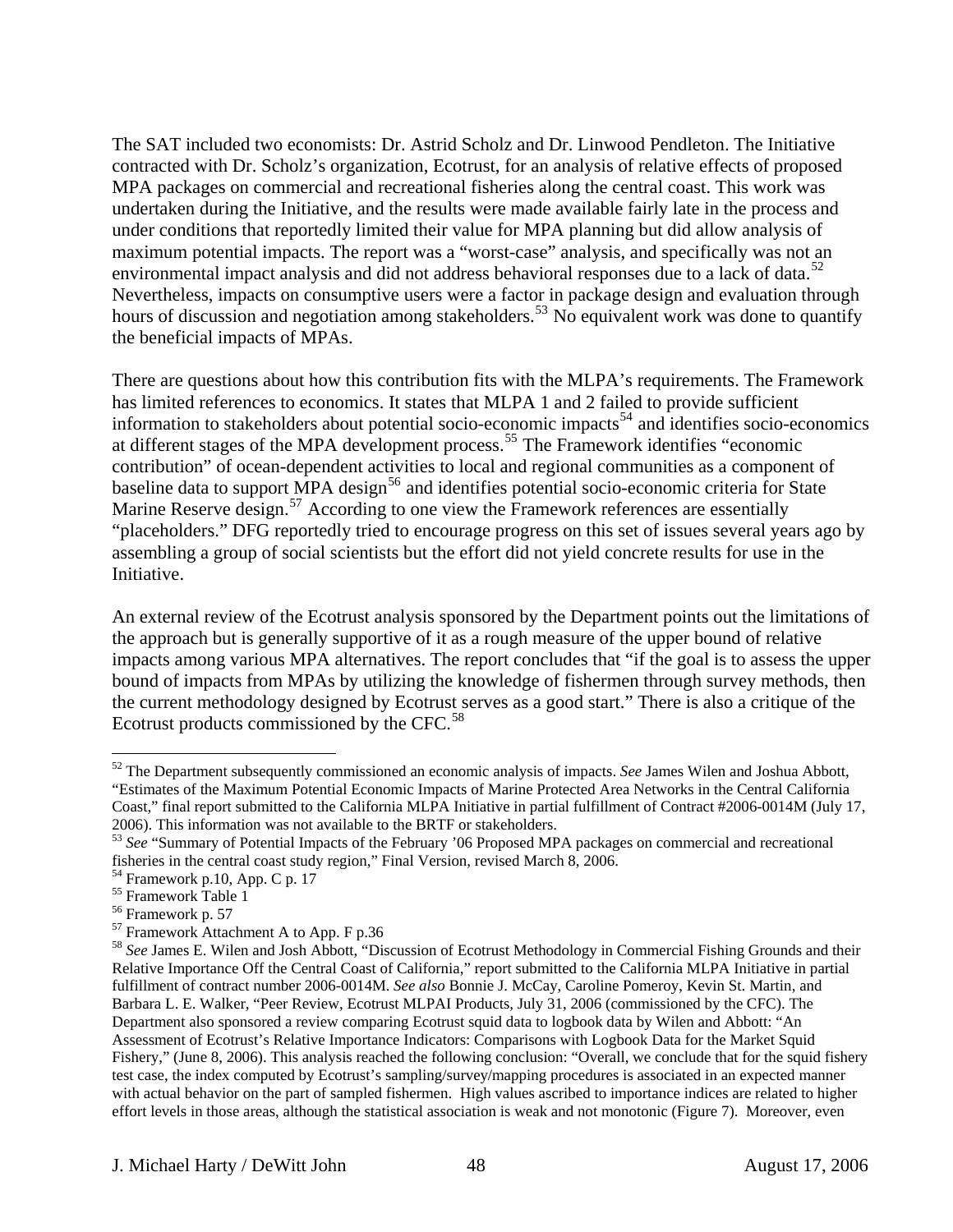The SAT included two economists: Dr. Astrid Scholz and Dr. Linwood Pendleton. The Initiative contracted with Dr. Scholz's organization, Ecotrust, for an analysis of relative effects of proposed MPA packages on commercial and recreational fisheries along the central coast. This work was undertaken during the Initiative, and the results were made available fairly late in the process and under conditions that reportedly limited their value for MPA planning but did allow analysis of maximum potential impacts. The report was a "worst-case" analysis, and specifically was not an environmental impact analysis and did not address behavioral responses due to a lack of data.<sup>[52](#page-47-0)</sup> Nevertheless, impacts on consumptive users were a factor in package design and evaluation through hours of discussion and negotiation among stakeholders.<sup>[53](#page-47-1)</sup> No equivalent work was done to quantify the beneficial impacts of MPAs.

There are questions about how this contribution fits with the MLPA's requirements. The Framework has limited references to economics. It states that MLPA 1 and 2 failed to provide sufficient information to stakeholders about potential socio-economic impacts<sup>[54](#page-47-2)</sup> and identifies socio-economics at different stages of the MPA development process.[55](#page-47-3) The Framework identifies "economic contribution" of ocean-dependent activities to local and regional communities as a component of baseline data to support MPA design<sup>[56](#page-47-4)</sup> and identifies potential socio-economic criteria for State Marine Reserve design.<sup>[57](#page-47-5)</sup> According to one view the Framework references are essentially "placeholders." DFG reportedly tried to encourage progress on this set of issues several years ago by assembling a group of social scientists but the effort did not yield concrete results for use in the Initiative.

An external review of the Ecotrust analysis sponsored by the Department points out the limitations of the approach but is generally supportive of it as a rough measure of the upper bound of relative impacts among various MPA alternatives. The report concludes that "if the goal is to assess the upper bound of impacts from MPAs by utilizing the knowledge of fishermen through survey methods, then the current methodology designed by Ecotrust serves as a good start." There is also a critique of the Ecotrust products commissioned by the CFC.<sup>[58](#page-47-6)</sup>

<span id="page-47-0"></span> $\overline{a}$ 52 The Department subsequently commissioned an economic analysis of impacts. *See* James Wilen and Joshua Abbott, "Estimates of the Maximum Potential Economic Impacts of Marine Protected Area Networks in the Central California Coast," final report submitted to the California MLPA Initiative in partial fulfillment of Contract #2006-0014M (July 17, 2006). This information was not available to the BRTF or stakeholders.

<span id="page-47-1"></span><sup>53</sup> *See* "Summary of Potential Impacts of the February '06 Proposed MPA packages on commercial and recreational fisheries in the central coast study region," Final Version, revised March 8, 2006.

<span id="page-47-2"></span><sup>54</sup> Framework p.10, App. C p. 17

<span id="page-47-3"></span><sup>55</sup> Framework Table 1

<span id="page-47-4"></span><sup>56</sup> Framework p. 57

<span id="page-47-5"></span><sup>57</sup> Framework Attachment A to App. F p.36

<span id="page-47-6"></span><sup>58</sup> *See* James E. Wilen and Josh Abbott, "Discussion of Ecotrust Methodology in Commercial Fishing Grounds and their Relative Importance Off the Central Coast of California," report submitted to the California MLPA Initiative in partial fulfillment of contract number 2006-0014M. *See also* Bonnie J. McCay, Caroline Pomeroy, Kevin St. Martin, and Barbara L. E. Walker, "Peer Review, Ecotrust MLPAI Products, July 31, 2006 (commissioned by the CFC). The Department also sponsored a review comparing Ecotrust squid data to logbook data by Wilen and Abbott: "An Assessment of Ecotrust's Relative Importance Indicators: Comparisons with Logbook Data for the Market Squid Fishery," (June 8, 2006). This analysis reached the following conclusion: "Overall, we conclude that for the squid fishery test case, the index computed by Ecotrust's sampling/survey/mapping procedures is associated in an expected manner with actual behavior on the part of sampled fishermen. High values ascribed to importance indices are related to higher effort levels in those areas, although the statistical association is weak and not monotonic (Figure 7). Moreover, even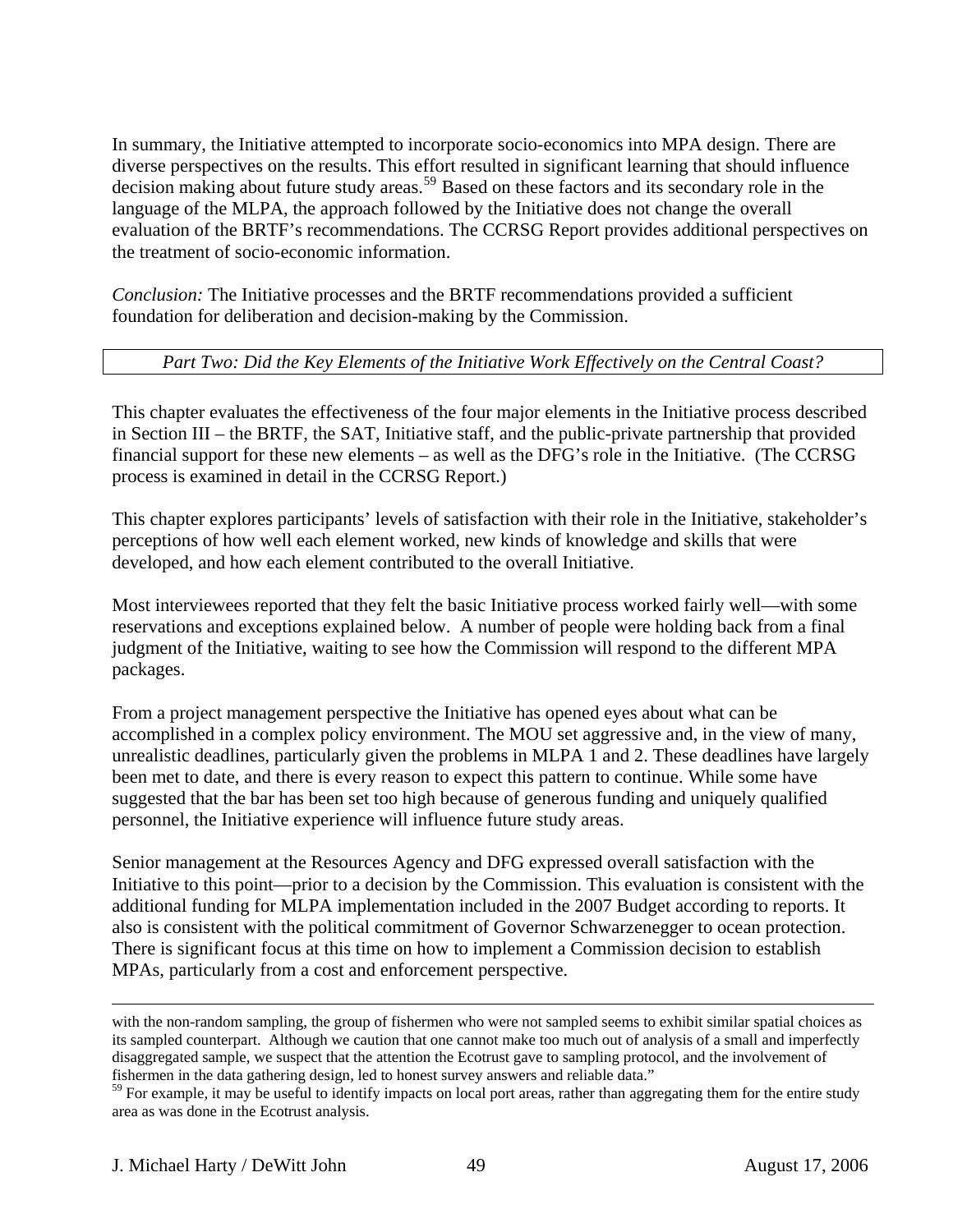In summary, the Initiative attempted to incorporate socio-economics into MPA design. There are diverse perspectives on the results. This effort resulted in significant learning that should influence decision making about future study areas.<sup>[59](#page-48-0)</sup> Based on these factors and its secondary role in the language of the MLPA, the approach followed by the Initiative does not change the overall evaluation of the BRTF's recommendations. The CCRSG Report provides additional perspectives on the treatment of socio-economic information.

*Conclusion:* The Initiative processes and the BRTF recommendations provided a sufficient foundation for deliberation and decision-making by the Commission.

## *Part Two: Did the Key Elements of the Initiative Work Effectively on the Central Coast?*

This chapter evaluates the effectiveness of the four major elements in the Initiative process described in Section III – the BRTF, the SAT, Initiative staff, and the public-private partnership that provided financial support for these new elements – as well as the DFG's role in the Initiative. (The CCRSG process is examined in detail in the CCRSG Report.)

This chapter explores participants' levels of satisfaction with their role in the Initiative, stakeholder's perceptions of how well each element worked, new kinds of knowledge and skills that were developed, and how each element contributed to the overall Initiative.

Most interviewees reported that they felt the basic Initiative process worked fairly well—with some reservations and exceptions explained below. A number of people were holding back from a final judgment of the Initiative, waiting to see how the Commission will respond to the different MPA packages.

From a project management perspective the Initiative has opened eyes about what can be accomplished in a complex policy environment. The MOU set aggressive and, in the view of many, unrealistic deadlines, particularly given the problems in MLPA 1 and 2. These deadlines have largely been met to date, and there is every reason to expect this pattern to continue. While some have suggested that the bar has been set too high because of generous funding and uniquely qualified personnel, the Initiative experience will influence future study areas.

Senior management at the Resources Agency and DFG expressed overall satisfaction with the Initiative to this point—prior to a decision by the Commission. This evaluation is consistent with the additional funding for MLPA implementation included in the 2007 Budget according to reports. It also is consistent with the political commitment of Governor Schwarzenegger to ocean protection. There is significant focus at this time on how to implement a Commission decision to establish MPAs, particularly from a cost and enforcement perspective.

with the non-random sampling, the group of fishermen who were not sampled seems to exhibit similar spatial choices as its sampled counterpart. Although we caution that one cannot make too much out of analysis of a small and imperfectly disaggregated sample, we suspect that the attention the Ecotrust gave to sampling protocol, and the involvement of fishermen in the data gathering design, led to honest survey answers and reliable data."

<span id="page-48-0"></span><sup>&</sup>lt;sup>59</sup> For example, it may be useful to identify impacts on local port areas, rather than aggregating them for the entire study area as was done in the Ecotrust analysis.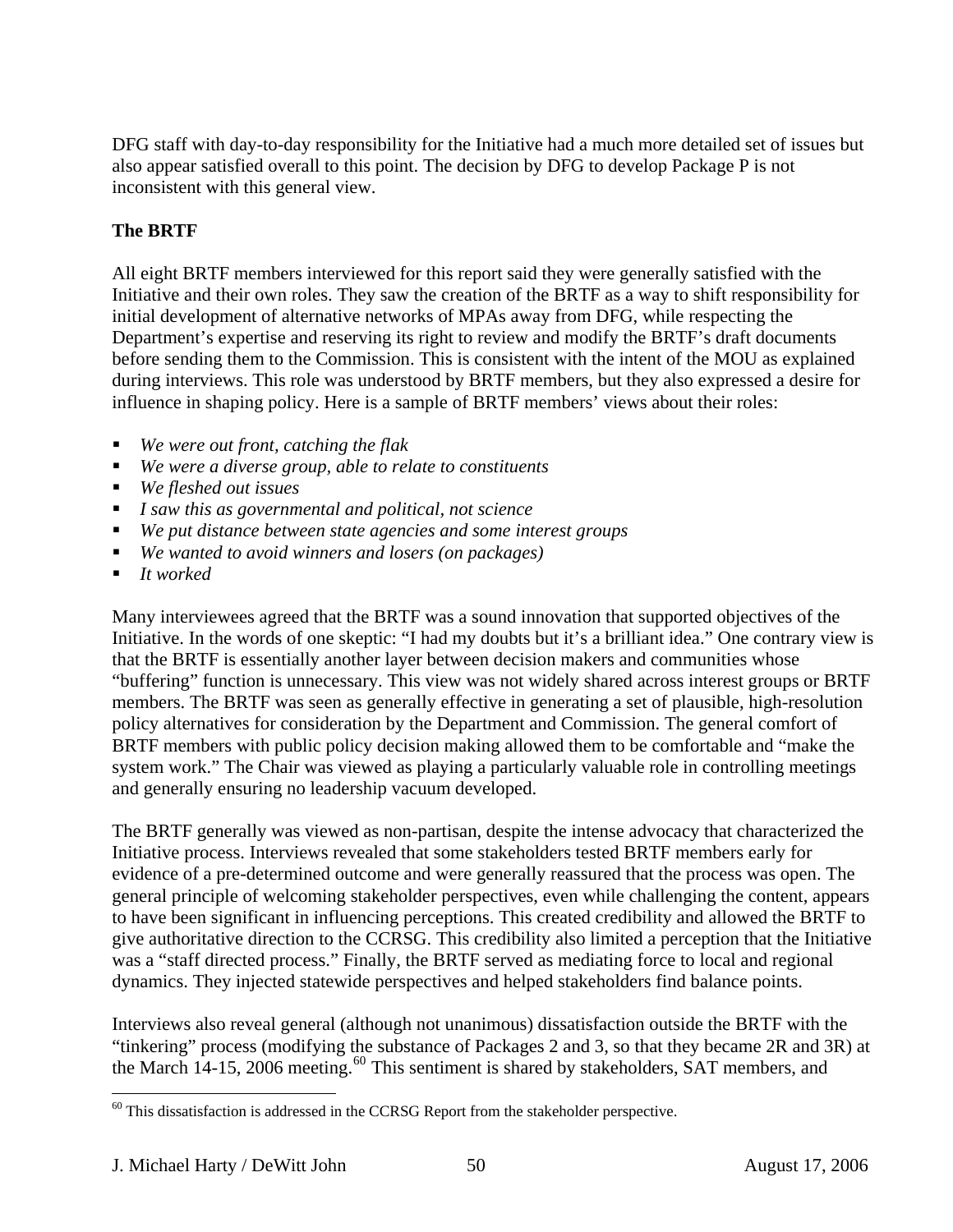DFG staff with day-to-day responsibility for the Initiative had a much more detailed set of issues but also appear satisfied overall to this point. The decision by DFG to develop Package P is not inconsistent with this general view.

# **The BRTF**

All eight BRTF members interviewed for this report said they were generally satisfied with the Initiative and their own roles. They saw the creation of the BRTF as a way to shift responsibility for initial development of alternative networks of MPAs away from DFG, while respecting the Department's expertise and reserving its right to review and modify the BRTF's draft documents before sending them to the Commission. This is consistent with the intent of the MOU as explained during interviews. This role was understood by BRTF members, but they also expressed a desire for influence in shaping policy. Here is a sample of BRTF members' views about their roles:

- *We were out front, catching the flak*
- *We were a diverse group, able to relate to constituents*
- *We fleshed out issues*
- *I saw this as governmental and political, not science*
- *We put distance between state agencies and some interest groups*
- *We wanted to avoid winners and losers (on packages)*
- *It worked*

Many interviewees agreed that the BRTF was a sound innovation that supported objectives of the Initiative. In the words of one skeptic: "I had my doubts but it's a brilliant idea." One contrary view is that the BRTF is essentially another layer between decision makers and communities whose "buffering" function is unnecessary. This view was not widely shared across interest groups or BRTF members. The BRTF was seen as generally effective in generating a set of plausible, high-resolution policy alternatives for consideration by the Department and Commission. The general comfort of BRTF members with public policy decision making allowed them to be comfortable and "make the system work." The Chair was viewed as playing a particularly valuable role in controlling meetings and generally ensuring no leadership vacuum developed.

The BRTF generally was viewed as non-partisan, despite the intense advocacy that characterized the Initiative process. Interviews revealed that some stakeholders tested BRTF members early for evidence of a pre-determined outcome and were generally reassured that the process was open. The general principle of welcoming stakeholder perspectives, even while challenging the content, appears to have been significant in influencing perceptions. This created credibility and allowed the BRTF to give authoritative direction to the CCRSG. This credibility also limited a perception that the Initiative was a "staff directed process." Finally, the BRTF served as mediating force to local and regional dynamics. They injected statewide perspectives and helped stakeholders find balance points.

Interviews also reveal general (although not unanimous) dissatisfaction outside the BRTF with the "tinkering" process (modifying the substance of Packages 2 and 3, so that they became 2R and 3R) at the March 14-15, 2006 meeting.<sup>[60](#page-49-0)</sup> This sentiment is shared by stakeholders, SAT members, and

<span id="page-49-0"></span> $\overline{a}$  $60$  This dissatisfaction is addressed in the CCRSG Report from the stakeholder perspective.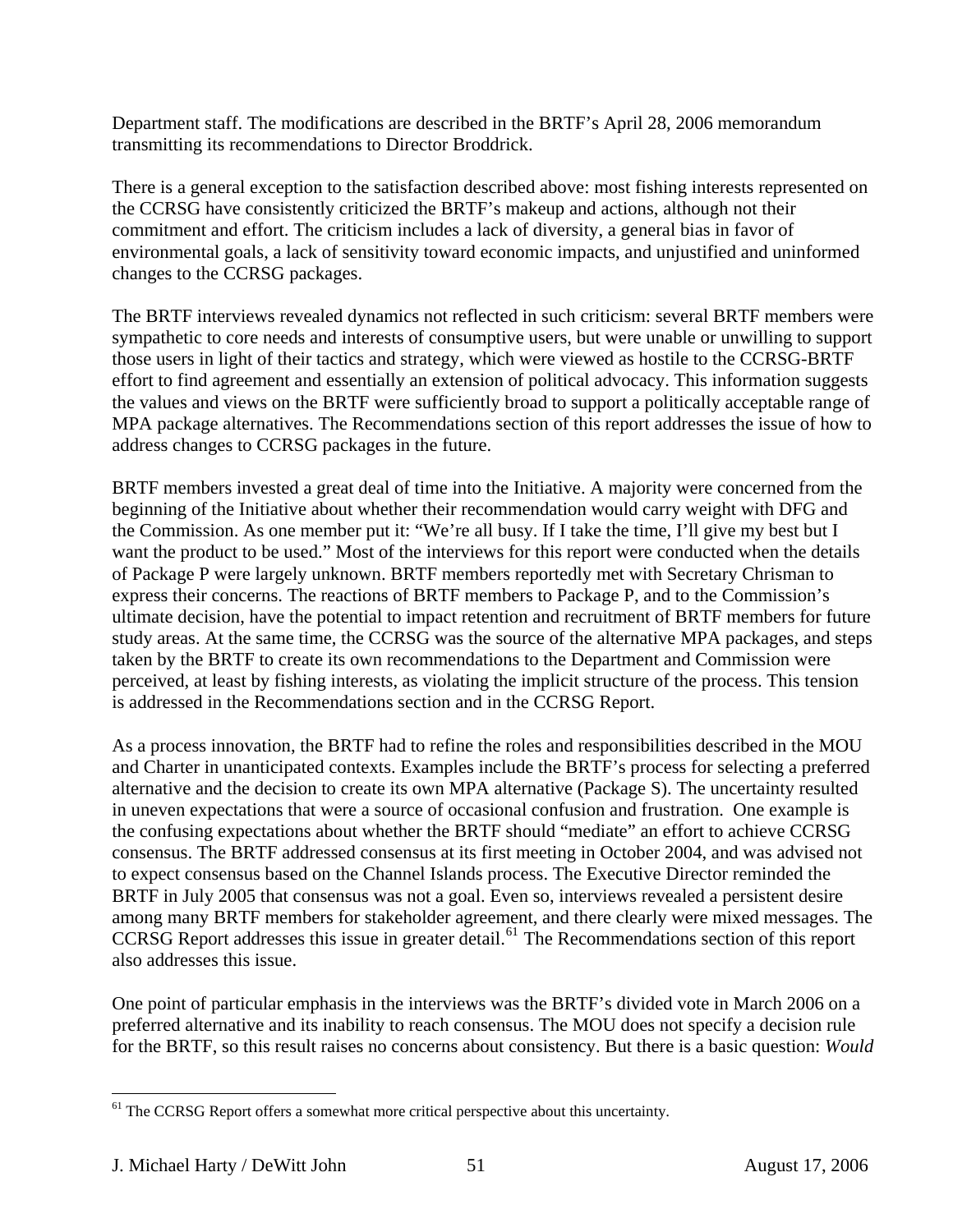Department staff. The modifications are described in the BRTF's April 28, 2006 memorandum transmitting its recommendations to Director Broddrick.

There is a general exception to the satisfaction described above: most fishing interests represented on the CCRSG have consistently criticized the BRTF's makeup and actions, although not their commitment and effort. The criticism includes a lack of diversity, a general bias in favor of environmental goals, a lack of sensitivity toward economic impacts, and unjustified and uninformed changes to the CCRSG packages.

The BRTF interviews revealed dynamics not reflected in such criticism: several BRTF members were sympathetic to core needs and interests of consumptive users, but were unable or unwilling to support those users in light of their tactics and strategy, which were viewed as hostile to the CCRSG-BRTF effort to find agreement and essentially an extension of political advocacy. This information suggests the values and views on the BRTF were sufficiently broad to support a politically acceptable range of MPA package alternatives. The Recommendations section of this report addresses the issue of how to address changes to CCRSG packages in the future.

BRTF members invested a great deal of time into the Initiative. A majority were concerned from the beginning of the Initiative about whether their recommendation would carry weight with DFG and the Commission. As one member put it: "We're all busy. If I take the time, I'll give my best but I want the product to be used." Most of the interviews for this report were conducted when the details of Package P were largely unknown. BRTF members reportedly met with Secretary Chrisman to express their concerns. The reactions of BRTF members to Package P, and to the Commission's ultimate decision, have the potential to impact retention and recruitment of BRTF members for future study areas. At the same time, the CCRSG was the source of the alternative MPA packages, and steps taken by the BRTF to create its own recommendations to the Department and Commission were perceived, at least by fishing interests, as violating the implicit structure of the process. This tension is addressed in the Recommendations section and in the CCRSG Report.

As a process innovation, the BRTF had to refine the roles and responsibilities described in the MOU and Charter in unanticipated contexts. Examples include the BRTF's process for selecting a preferred alternative and the decision to create its own MPA alternative (Package S). The uncertainty resulted in uneven expectations that were a source of occasional confusion and frustration. One example is the confusing expectations about whether the BRTF should "mediate" an effort to achieve CCRSG consensus. The BRTF addressed consensus at its first meeting in October 2004, and was advised not to expect consensus based on the Channel Islands process. The Executive Director reminded the BRTF in July 2005 that consensus was not a goal. Even so, interviews revealed a persistent desire among many BRTF members for stakeholder agreement, and there clearly were mixed messages. The CCRSG Report addresses this issue in greater detail.<sup>[61](#page-50-0)</sup> The Recommendations section of this report also addresses this issue.

One point of particular emphasis in the interviews was the BRTF's divided vote in March 2006 on a preferred alternative and its inability to reach consensus. The MOU does not specify a decision rule for the BRTF, so this result raises no concerns about consistency. But there is a basic question: *Would* 

<span id="page-50-0"></span> $\overline{a}$ <sup>61</sup> The CCRSG Report offers a somewhat more critical perspective about this uncertainty.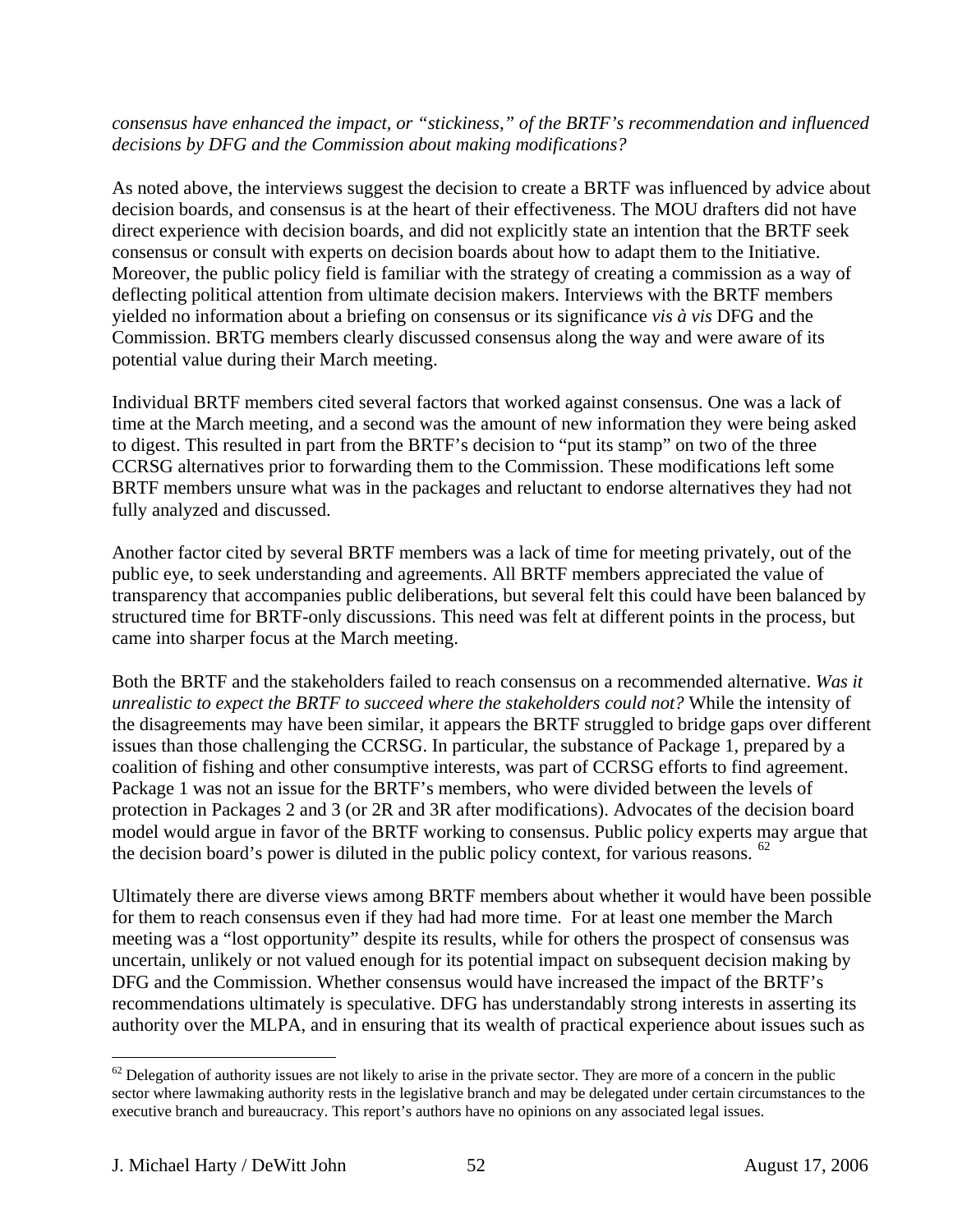#### *consensus have enhanced the impact, or "stickiness," of the BRTF's recommendation and influenced decisions by DFG and the Commission about making modifications?*

As noted above, the interviews suggest the decision to create a BRTF was influenced by advice about decision boards, and consensus is at the heart of their effectiveness. The MOU drafters did not have direct experience with decision boards, and did not explicitly state an intention that the BRTF seek consensus or consult with experts on decision boards about how to adapt them to the Initiative. Moreover, the public policy field is familiar with the strategy of creating a commission as a way of deflecting political attention from ultimate decision makers. Interviews with the BRTF members yielded no information about a briefing on consensus or its significance *vis à vis* DFG and the Commission. BRTG members clearly discussed consensus along the way and were aware of its potential value during their March meeting.

Individual BRTF members cited several factors that worked against consensus. One was a lack of time at the March meeting, and a second was the amount of new information they were being asked to digest. This resulted in part from the BRTF's decision to "put its stamp" on two of the three CCRSG alternatives prior to forwarding them to the Commission. These modifications left some BRTF members unsure what was in the packages and reluctant to endorse alternatives they had not fully analyzed and discussed.

Another factor cited by several BRTF members was a lack of time for meeting privately, out of the public eye, to seek understanding and agreements. All BRTF members appreciated the value of transparency that accompanies public deliberations, but several felt this could have been balanced by structured time for BRTF-only discussions. This need was felt at different points in the process, but came into sharper focus at the March meeting.

Both the BRTF and the stakeholders failed to reach consensus on a recommended alternative. *Was it unrealistic to expect the BRTF to succeed where the stakeholders could not?* While the intensity of the disagreements may have been similar, it appears the BRTF struggled to bridge gaps over different issues than those challenging the CCRSG. In particular, the substance of Package 1, prepared by a coalition of fishing and other consumptive interests, was part of CCRSG efforts to find agreement. Package 1 was not an issue for the BRTF's members, who were divided between the levels of protection in Packages 2 and 3 (or 2R and 3R after modifications). Advocates of the decision board model would argue in favor of the BRTF working to consensus. Public policy experts may argue that the decision board's power is diluted in the public policy context, for various reasons.  $62$ 

Ultimately there are diverse views among BRTF members about whether it would have been possible for them to reach consensus even if they had had more time. For at least one member the March meeting was a "lost opportunity" despite its results, while for others the prospect of consensus was uncertain, unlikely or not valued enough for its potential impact on subsequent decision making by DFG and the Commission. Whether consensus would have increased the impact of the BRTF's recommendations ultimately is speculative. DFG has understandably strong interests in asserting its authority over the MLPA, and in ensuring that its wealth of practical experience about issues such as

1

<span id="page-51-0"></span> $62$  Delegation of authority issues are not likely to arise in the private sector. They are more of a concern in the public sector where lawmaking authority rests in the legislative branch and may be delegated under certain circumstances to the executive branch and bureaucracy. This report's authors have no opinions on any associated legal issues.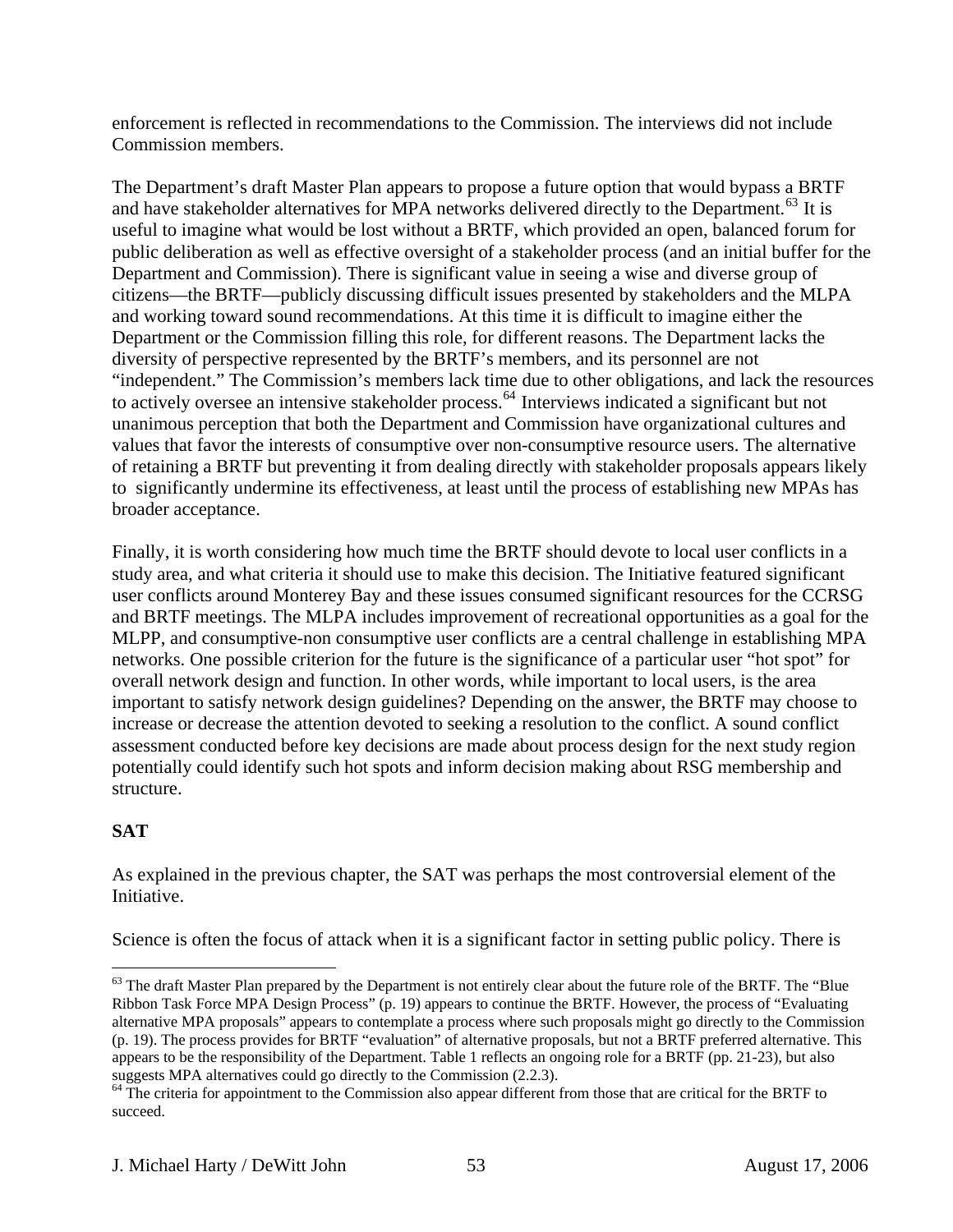enforcement is reflected in recommendations to the Commission. The interviews did not include Commission members.

The Department's draft Master Plan appears to propose a future option that would bypass a BRTF and have stakeholder alternatives for MPA networks delivered directly to the Department.<sup>[63](#page-52-0)</sup> It is useful to imagine what would be lost without a BRTF, which provided an open, balanced forum for public deliberation as well as effective oversight of a stakeholder process (and an initial buffer for the Department and Commission). There is significant value in seeing a wise and diverse group of citizens—the BRTF—publicly discussing difficult issues presented by stakeholders and the MLPA and working toward sound recommendations. At this time it is difficult to imagine either the Department or the Commission filling this role, for different reasons. The Department lacks the diversity of perspective represented by the BRTF's members, and its personnel are not "independent." The Commission's members lack time due to other obligations, and lack the resources to actively oversee an intensive stakeholder process.<sup>[64](#page-52-1)</sup> Interviews indicated a significant but not unanimous perception that both the Department and Commission have organizational cultures and values that favor the interests of consumptive over non-consumptive resource users. The alternative of retaining a BRTF but preventing it from dealing directly with stakeholder proposals appears likely to significantly undermine its effectiveness, at least until the process of establishing new MPAs has broader acceptance.

Finally, it is worth considering how much time the BRTF should devote to local user conflicts in a study area, and what criteria it should use to make this decision. The Initiative featured significant user conflicts around Monterey Bay and these issues consumed significant resources for the CCRSG and BRTF meetings. The MLPA includes improvement of recreational opportunities as a goal for the MLPP, and consumptive-non consumptive user conflicts are a central challenge in establishing MPA networks. One possible criterion for the future is the significance of a particular user "hot spot" for overall network design and function. In other words, while important to local users, is the area important to satisfy network design guidelines? Depending on the answer, the BRTF may choose to increase or decrease the attention devoted to seeking a resolution to the conflict. A sound conflict assessment conducted before key decisions are made about process design for the next study region potentially could identify such hot spots and inform decision making about RSG membership and structure.

# **SAT**

 $\overline{a}$ 

As explained in the previous chapter, the SAT was perhaps the most controversial element of the Initiative.

Science is often the focus of attack when it is a significant factor in setting public policy. There is

<span id="page-52-0"></span><sup>&</sup>lt;sup>63</sup> The draft Master Plan prepared by the Department is not entirely clear about the future role of the BRTF. The "Blue Ribbon Task Force MPA Design Process" (p. 19) appears to continue the BRTF. However, the process of "Evaluating alternative MPA proposals" appears to contemplate a process where such proposals might go directly to the Commission (p. 19). The process provides for BRTF "evaluation" of alternative proposals, but not a BRTF preferred alternative. This appears to be the responsibility of the Department. Table 1 reflects an ongoing role for a BRTF (pp. 21-23), but also suggests MPA alternatives could go directly to the Commission (2.2.3).

<span id="page-52-1"></span><sup>&</sup>lt;sup>64</sup> The criteria for appointment to the Commission also appear different from those that are critical for the BRTF to succeed.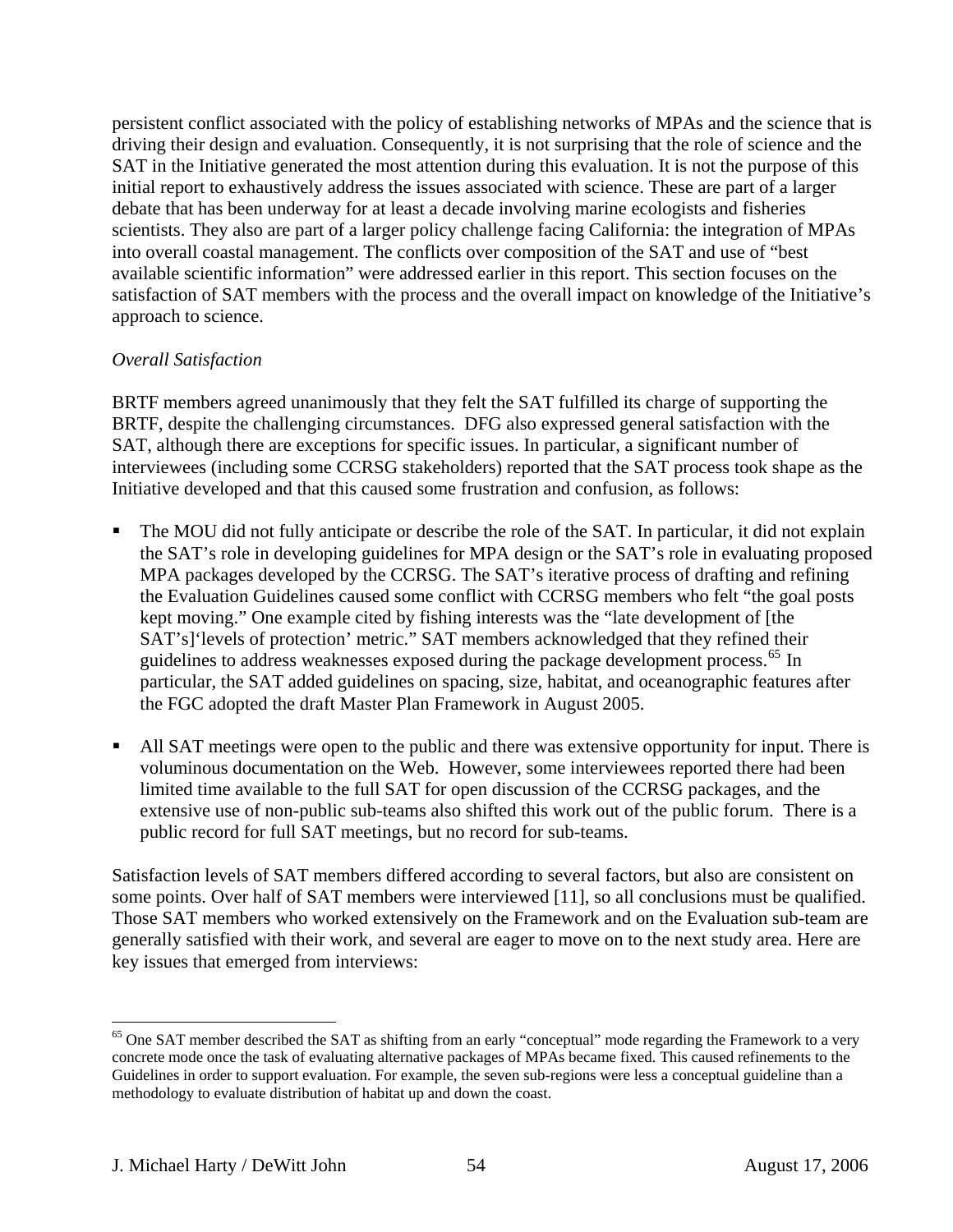persistent conflict associated with the policy of establishing networks of MPAs and the science that is driving their design and evaluation. Consequently, it is not surprising that the role of science and the SAT in the Initiative generated the most attention during this evaluation. It is not the purpose of this initial report to exhaustively address the issues associated with science. These are part of a larger debate that has been underway for at least a decade involving marine ecologists and fisheries scientists. They also are part of a larger policy challenge facing California: the integration of MPAs into overall coastal management. The conflicts over composition of the SAT and use of "best available scientific information" were addressed earlier in this report. This section focuses on the satisfaction of SAT members with the process and the overall impact on knowledge of the Initiative's approach to science.

## *Overall Satisfaction*

BRTF members agreed unanimously that they felt the SAT fulfilled its charge of supporting the BRTF, despite the challenging circumstances. DFG also expressed general satisfaction with the SAT, although there are exceptions for specific issues. In particular, a significant number of interviewees (including some CCRSG stakeholders) reported that the SAT process took shape as the Initiative developed and that this caused some frustration and confusion, as follows:

- The MOU did not fully anticipate or describe the role of the SAT. In particular, it did not explain the SAT's role in developing guidelines for MPA design or the SAT's role in evaluating proposed MPA packages developed by the CCRSG. The SAT's iterative process of drafting and refining the Evaluation Guidelines caused some conflict with CCRSG members who felt "the goal posts kept moving." One example cited by fishing interests was the "late development of [the SAT's]'levels of protection' metric." SAT members acknowledged that they refined their guidelines to address weaknesses exposed during the package development process.<sup>[65](#page-53-0)</sup> In particular, the SAT added guidelines on spacing, size, habitat, and oceanographic features after the FGC adopted the draft Master Plan Framework in August 2005.
- All SAT meetings were open to the public and there was extensive opportunity for input. There is voluminous documentation on the Web. However, some interviewees reported there had been limited time available to the full SAT for open discussion of the CCRSG packages, and the extensive use of non-public sub-teams also shifted this work out of the public forum. There is a public record for full SAT meetings, but no record for sub-teams.

Satisfaction levels of SAT members differed according to several factors, but also are consistent on some points. Over half of SAT members were interviewed [11], so all conclusions must be qualified. Those SAT members who worked extensively on the Framework and on the Evaluation sub-team are generally satisfied with their work, and several are eager to move on to the next study area. Here are key issues that emerged from interviews:

1

<span id="page-53-0"></span> $65$  One SAT member described the SAT as shifting from an early "conceptual" mode regarding the Framework to a very concrete mode once the task of evaluating alternative packages of MPAs became fixed. This caused refinements to the Guidelines in order to support evaluation. For example, the seven sub-regions were less a conceptual guideline than a methodology to evaluate distribution of habitat up and down the coast.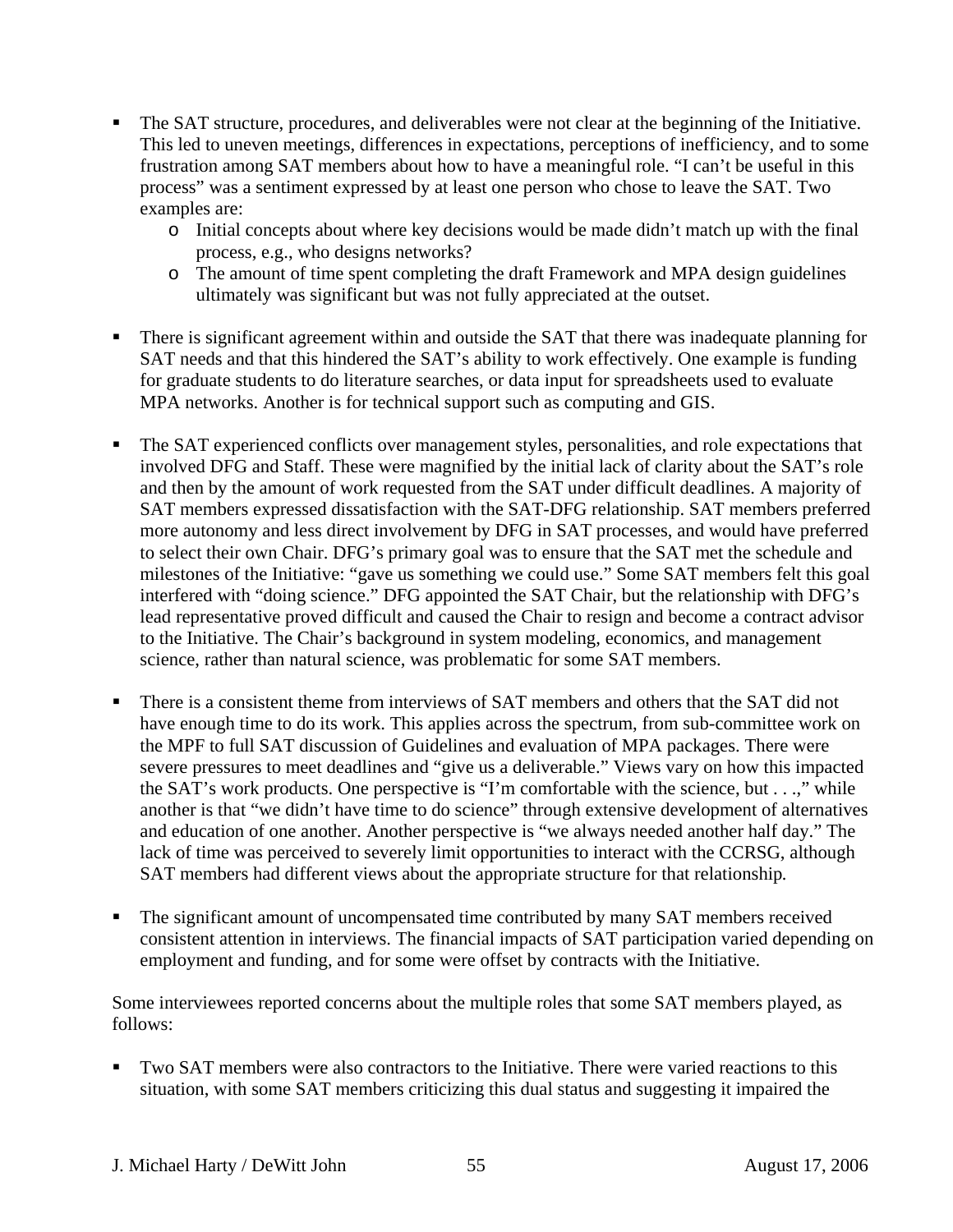- The SAT structure, procedures, and deliverables were not clear at the beginning of the Initiative. This led to uneven meetings, differences in expectations, perceptions of inefficiency, and to some frustration among SAT members about how to have a meaningful role. "I can't be useful in this process" was a sentiment expressed by at least one person who chose to leave the SAT. Two examples are:
	- o Initial concepts about where key decisions would be made didn't match up with the final process, e.g., who designs networks?
	- o The amount of time spent completing the draft Framework and MPA design guidelines ultimately was significant but was not fully appreciated at the outset.
- **There is significant agreement within and outside the SAT that there was inadequate planning for** SAT needs and that this hindered the SAT's ability to work effectively. One example is funding for graduate students to do literature searches, or data input for spreadsheets used to evaluate MPA networks. Another is for technical support such as computing and GIS.
- The SAT experienced conflicts over management styles, personalities, and role expectations that involved DFG and Staff. These were magnified by the initial lack of clarity about the SAT's role and then by the amount of work requested from the SAT under difficult deadlines. A majority of SAT members expressed dissatisfaction with the SAT-DFG relationship. SAT members preferred more autonomy and less direct involvement by DFG in SAT processes, and would have preferred to select their own Chair. DFG's primary goal was to ensure that the SAT met the schedule and milestones of the Initiative: "gave us something we could use." Some SAT members felt this goal interfered with "doing science." DFG appointed the SAT Chair, but the relationship with DFG's lead representative proved difficult and caused the Chair to resign and become a contract advisor to the Initiative. The Chair's background in system modeling, economics, and management science, rather than natural science, was problematic for some SAT members.
- There is a consistent theme from interviews of SAT members and others that the SAT did not have enough time to do its work. This applies across the spectrum, from sub-committee work on the MPF to full SAT discussion of Guidelines and evaluation of MPA packages. There were severe pressures to meet deadlines and "give us a deliverable." Views vary on how this impacted the SAT's work products. One perspective is "I'm comfortable with the science, but . . .," while another is that "we didn't have time to do science" through extensive development of alternatives and education of one another. Another perspective is "we always needed another half day." The lack of time was perceived to severely limit opportunities to interact with the CCRSG, although SAT members had different views about the appropriate structure for that relationship*.*
- The significant amount of uncompensated time contributed by many SAT members received consistent attention in interviews. The financial impacts of SAT participation varied depending on employment and funding, and for some were offset by contracts with the Initiative.

Some interviewees reported concerns about the multiple roles that some SAT members played, as follows:

 Two SAT members were also contractors to the Initiative. There were varied reactions to this situation, with some SAT members criticizing this dual status and suggesting it impaired the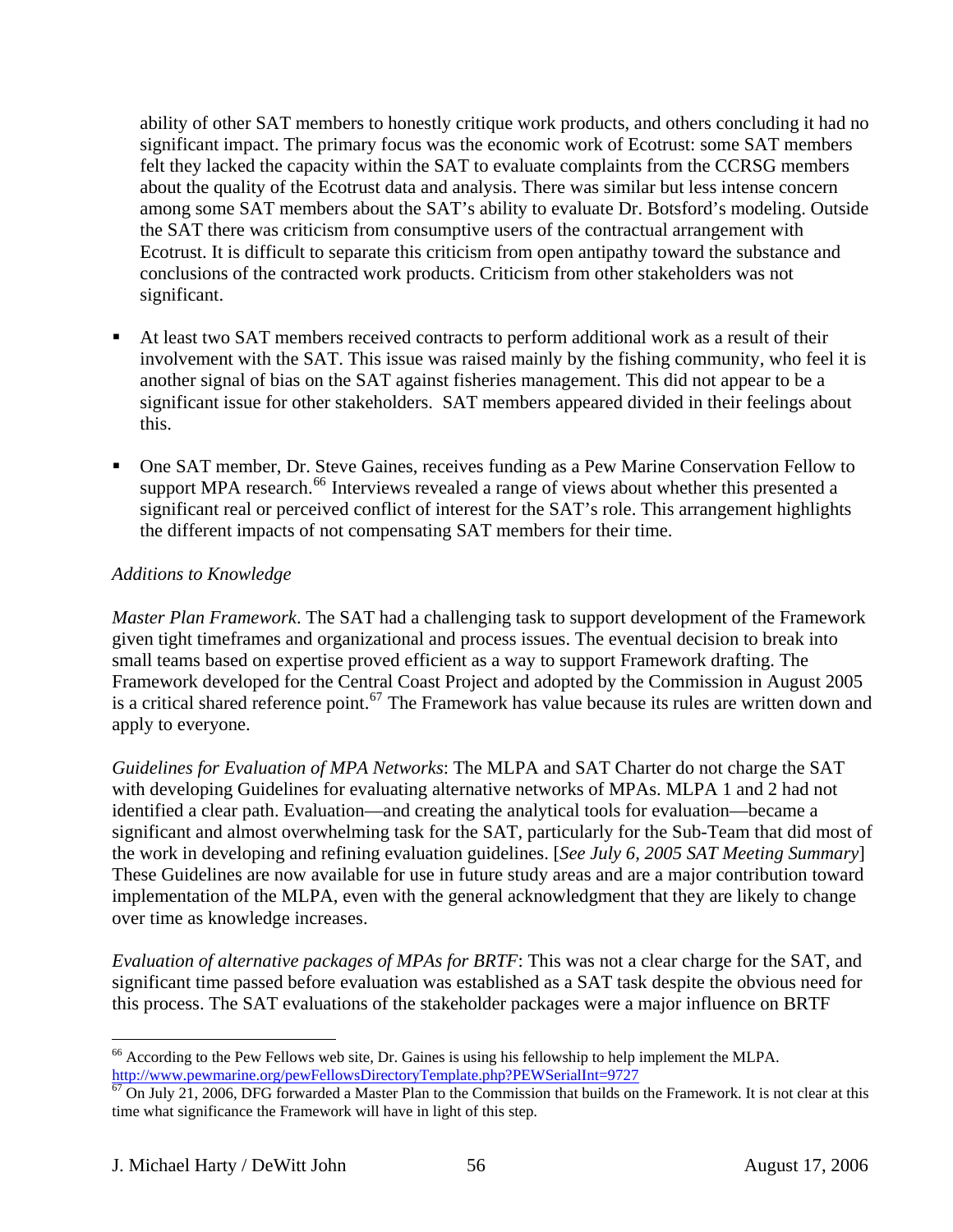ability of other SAT members to honestly critique work products, and others concluding it had no significant impact. The primary focus was the economic work of Ecotrust: some SAT members felt they lacked the capacity within the SAT to evaluate complaints from the CCRSG members about the quality of the Ecotrust data and analysis. There was similar but less intense concern among some SAT members about the SAT's ability to evaluate Dr. Botsford's modeling. Outside the SAT there was criticism from consumptive users of the contractual arrangement with Ecotrust. It is difficult to separate this criticism from open antipathy toward the substance and conclusions of the contracted work products. Criticism from other stakeholders was not significant.

- At least two SAT members received contracts to perform additional work as a result of their involvement with the SAT. This issue was raised mainly by the fishing community, who feel it is another signal of bias on the SAT against fisheries management. This did not appear to be a significant issue for other stakeholders. SAT members appeared divided in their feelings about this.
- One SAT member, Dr. Steve Gaines, receives funding as a Pew Marine Conservation Fellow to support MPA research.<sup>[66](#page-55-0)</sup> Interviews revealed a range of views about whether this presented a significant real or perceived conflict of interest for the SAT's role. This arrangement highlights the different impacts of not compensating SAT members for their time.

# *Additions to Knowledge*

*Master Plan Framework*. The SAT had a challenging task to support development of the Framework given tight timeframes and organizational and process issues. The eventual decision to break into small teams based on expertise proved efficient as a way to support Framework drafting. The Framework developed for the Central Coast Project and adopted by the Commission in August 2005 is a critical shared reference point.<sup>[67](#page-55-1)</sup> The Framework has value because its rules are written down and apply to everyone.

*Guidelines for Evaluation of MPA Networks*: The MLPA and SAT Charter do not charge the SAT with developing Guidelines for evaluating alternative networks of MPAs. MLPA 1 and 2 had not identified a clear path. Evaluation—and creating the analytical tools for evaluation—became a significant and almost overwhelming task for the SAT, particularly for the Sub-Team that did most of the work in developing and refining evaluation guidelines. [*See July 6, 2005 SAT Meeting Summary*] These Guidelines are now available for use in future study areas and are a major contribution toward implementation of the MLPA, even with the general acknowledgment that they are likely to change over time as knowledge increases.

*Evaluation of alternative packages of MPAs for BRTF*: This was not a clear charge for the SAT, and significant time passed before evaluation was established as a SAT task despite the obvious need for this process. The SAT evaluations of the stakeholder packages were a major influence on BRTF

<span id="page-55-0"></span><sup>&</sup>lt;sup>66</sup> According to the Pew Fellows web site, Dr. Gaines is using his fellowship to help implement the MLPA. http://www.pewmarine.org/pewFellowsDirectoryTemplate.php?PEWSerialInt=9727<br><sup>67</sup> On July 21, 2006, DFG forwarded a Master Plan to the Commission that builds on the Framework. It is not clear at this

<span id="page-55-1"></span>time what significance the Framework will have in light of this step.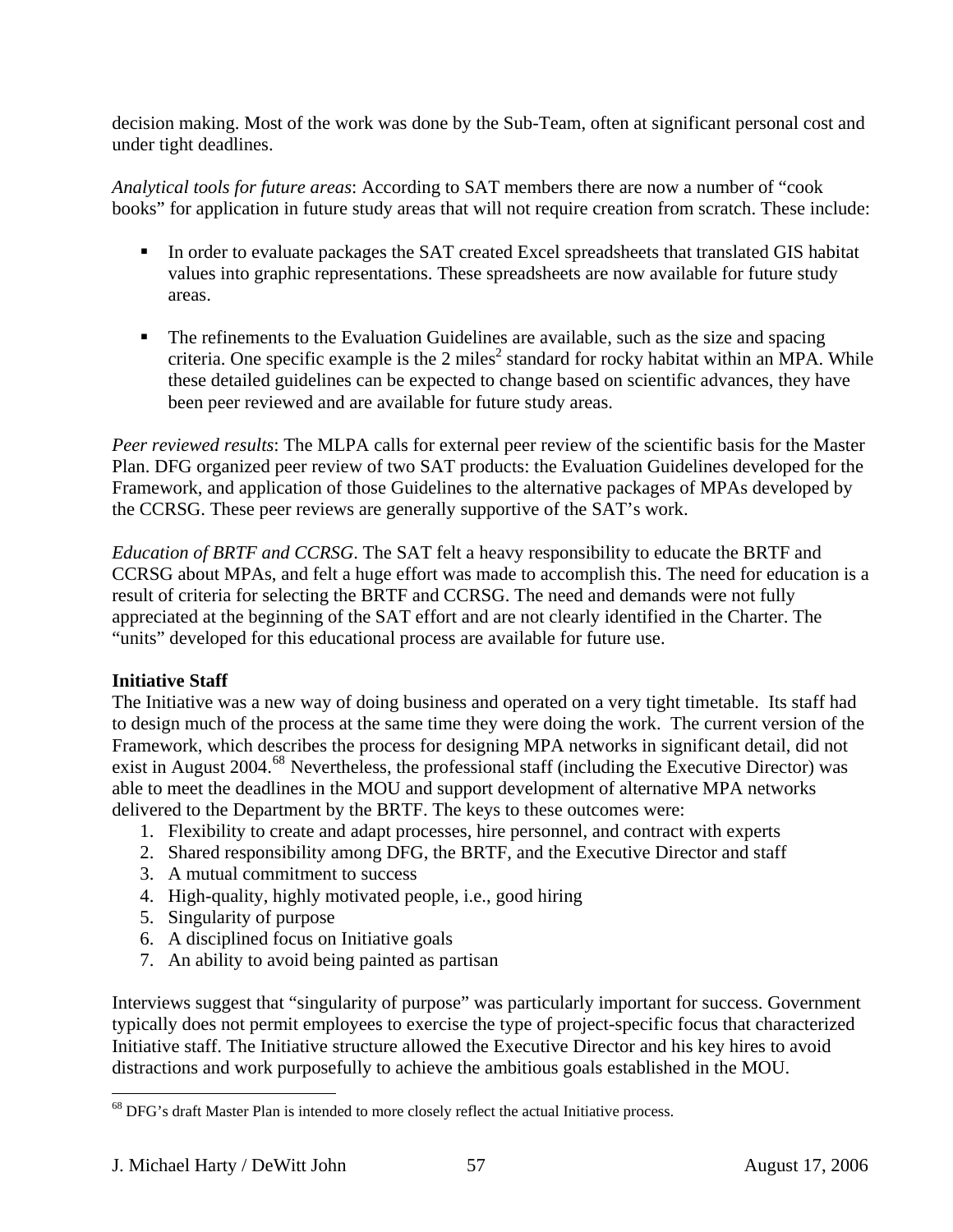decision making. Most of the work was done by the Sub-Team, often at significant personal cost and under tight deadlines.

*Analytical tools for future areas*: According to SAT members there are now a number of "cook books" for application in future study areas that will not require creation from scratch. These include:

- In order to evaluate packages the SAT created Excel spreadsheets that translated GIS habitat values into graphic representations. These spreadsheets are now available for future study areas.
- The refinements to the Evaluation Guidelines are available, such as the size and spacing criteria. One specific example is the 2 miles<sup>2</sup> standard for rocky habitat within an MPA. While these detailed guidelines can be expected to change based on scientific advances, they have been peer reviewed and are available for future study areas.

*Peer reviewed results*: The MLPA calls for external peer review of the scientific basis for the Master Plan. DFG organized peer review of two SAT products: the Evaluation Guidelines developed for the Framework, and application of those Guidelines to the alternative packages of MPAs developed by the CCRSG. These peer reviews are generally supportive of the SAT's work.

*Education of BRTF and CCRSG*. The SAT felt a heavy responsibility to educate the BRTF and CCRSG about MPAs, and felt a huge effort was made to accomplish this. The need for education is a result of criteria for selecting the BRTF and CCRSG. The need and demands were not fully appreciated at the beginning of the SAT effort and are not clearly identified in the Charter. The "units" developed for this educational process are available for future use.

## **Initiative Staff**

The Initiative was a new way of doing business and operated on a very tight timetable. Its staff had to design much of the process at the same time they were doing the work. The current version of the Framework, which describes the process for designing MPA networks in significant detail, did not exist in August 2004.<sup>[68](#page-56-0)</sup> Nevertheless, the professional staff (including the Executive Director) was able to meet the deadlines in the MOU and support development of alternative MPA networks delivered to the Department by the BRTF. The keys to these outcomes were:

- 1. Flexibility to create and adapt processes, hire personnel, and contract with experts
- 2. Shared responsibility among DFG, the BRTF, and the Executive Director and staff
- 3. A mutual commitment to success
- 4. High-quality, highly motivated people, i.e., good hiring
- 5. Singularity of purpose
- 6. A disciplined focus on Initiative goals
- 7. An ability to avoid being painted as partisan

Interviews suggest that "singularity of purpose" was particularly important for success. Government typically does not permit employees to exercise the type of project-specific focus that characterized Initiative staff. The Initiative structure allowed the Executive Director and his key hires to avoid distractions and work purposefully to achieve the ambitious goals established in the MOU.

<span id="page-56-0"></span><sup>&</sup>lt;sup>68</sup> DFG's draft Master Plan is intended to more closely reflect the actual Initiative process.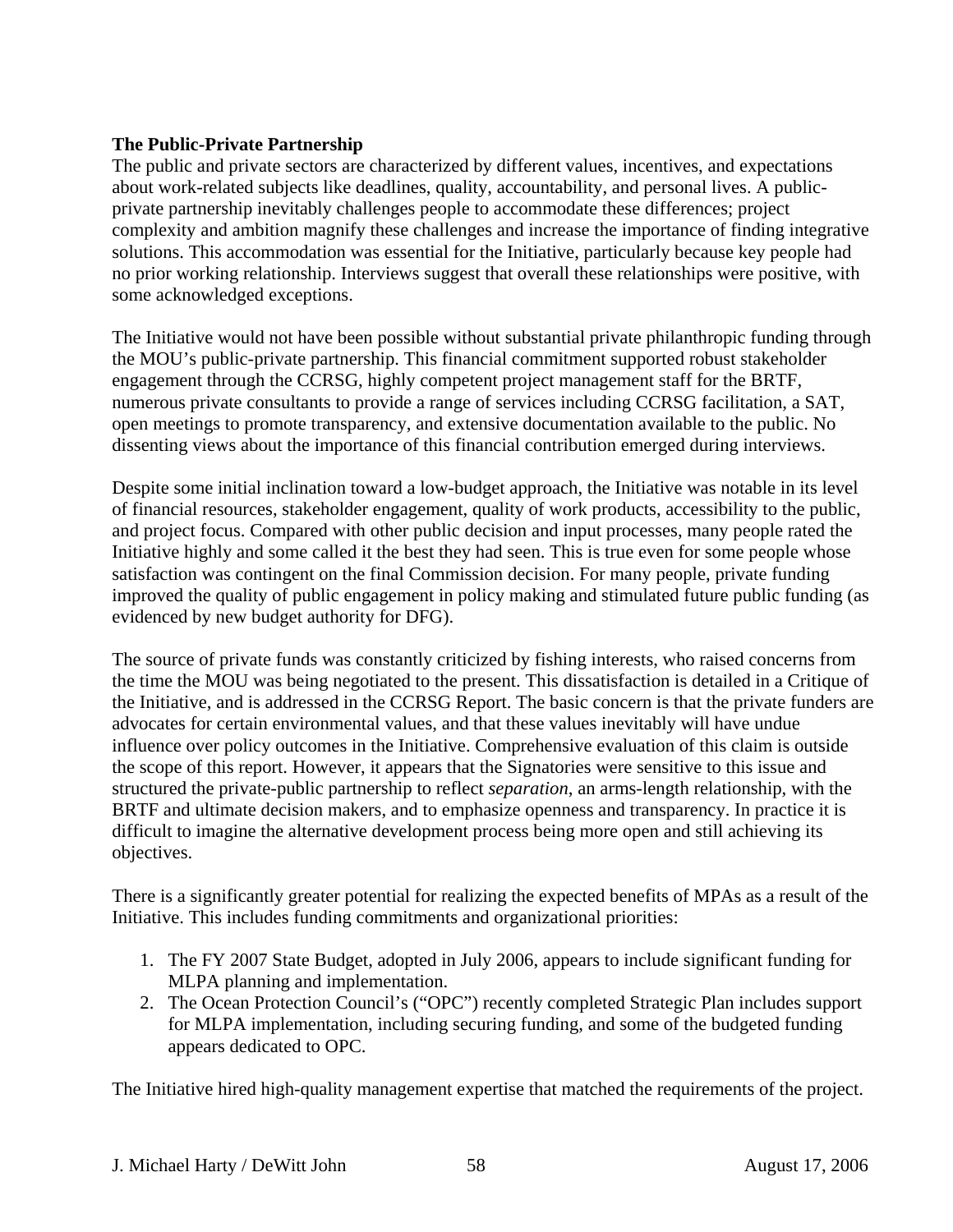## **The Public-Private Partnership**

The public and private sectors are characterized by different values, incentives, and expectations about work-related subjects like deadlines, quality, accountability, and personal lives. A publicprivate partnership inevitably challenges people to accommodate these differences; project complexity and ambition magnify these challenges and increase the importance of finding integrative solutions. This accommodation was essential for the Initiative, particularly because key people had no prior working relationship. Interviews suggest that overall these relationships were positive, with some acknowledged exceptions.

The Initiative would not have been possible without substantial private philanthropic funding through the MOU's public-private partnership. This financial commitment supported robust stakeholder engagement through the CCRSG, highly competent project management staff for the BRTF, numerous private consultants to provide a range of services including CCRSG facilitation, a SAT, open meetings to promote transparency, and extensive documentation available to the public. No dissenting views about the importance of this financial contribution emerged during interviews.

Despite some initial inclination toward a low-budget approach, the Initiative was notable in its level of financial resources, stakeholder engagement, quality of work products, accessibility to the public, and project focus. Compared with other public decision and input processes, many people rated the Initiative highly and some called it the best they had seen. This is true even for some people whose satisfaction was contingent on the final Commission decision. For many people, private funding improved the quality of public engagement in policy making and stimulated future public funding (as evidenced by new budget authority for DFG).

The source of private funds was constantly criticized by fishing interests, who raised concerns from the time the MOU was being negotiated to the present. This dissatisfaction is detailed in a Critique of the Initiative, and is addressed in the CCRSG Report. The basic concern is that the private funders are advocates for certain environmental values, and that these values inevitably will have undue influence over policy outcomes in the Initiative. Comprehensive evaluation of this claim is outside the scope of this report. However, it appears that the Signatories were sensitive to this issue and structured the private-public partnership to reflect *separation*, an arms-length relationship, with the BRTF and ultimate decision makers, and to emphasize openness and transparency. In practice it is difficult to imagine the alternative development process being more open and still achieving its objectives.

There is a significantly greater potential for realizing the expected benefits of MPAs as a result of the Initiative. This includes funding commitments and organizational priorities:

- 1. The FY 2007 State Budget, adopted in July 2006, appears to include significant funding for MLPA planning and implementation.
- 2. The Ocean Protection Council's ("OPC") recently completed Strategic Plan includes support for MLPA implementation, including securing funding, and some of the budgeted funding appears dedicated to OPC.

The Initiative hired high-quality management expertise that matched the requirements of the project.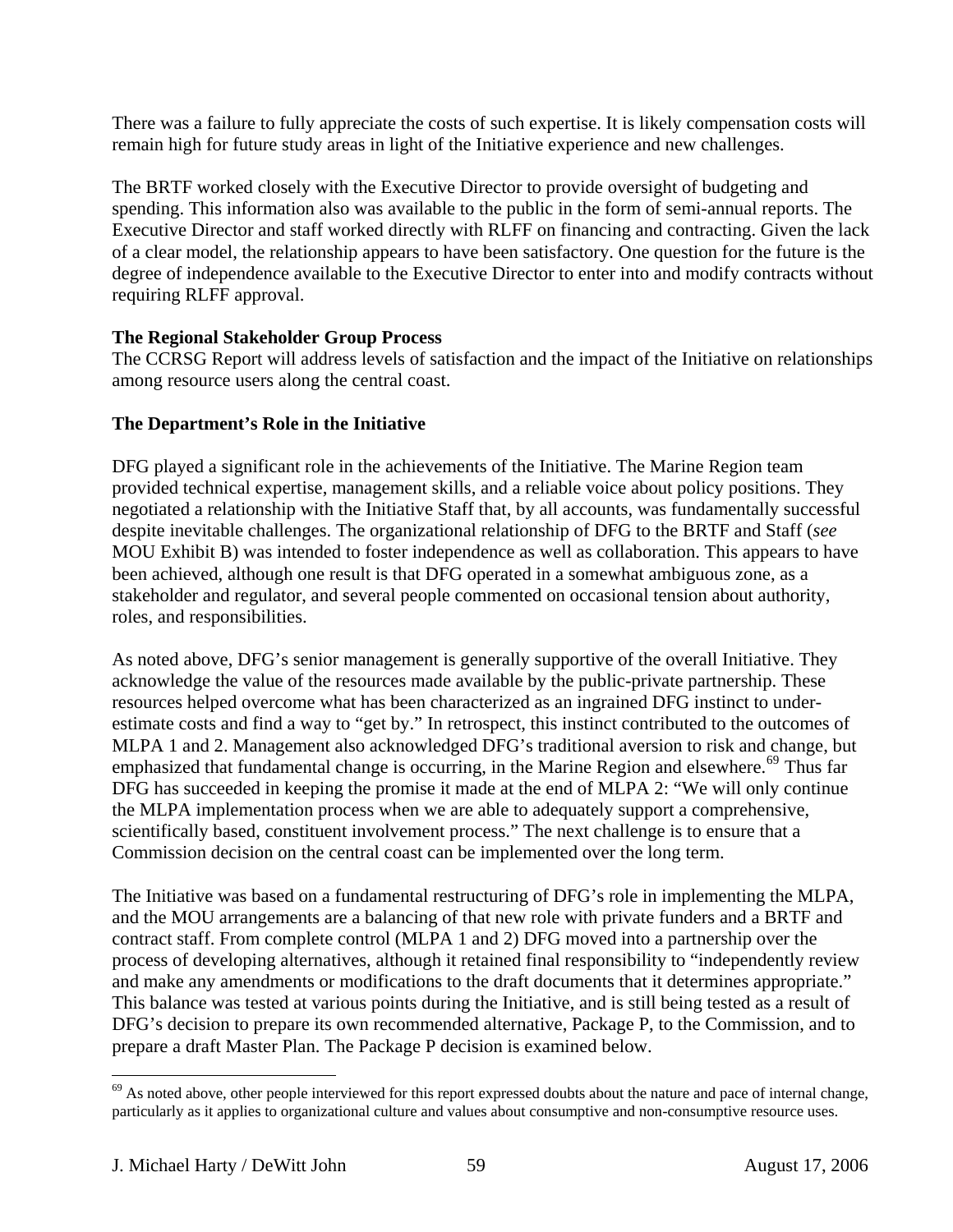There was a failure to fully appreciate the costs of such expertise. It is likely compensation costs will remain high for future study areas in light of the Initiative experience and new challenges.

The BRTF worked closely with the Executive Director to provide oversight of budgeting and spending. This information also was available to the public in the form of semi-annual reports. The Executive Director and staff worked directly with RLFF on financing and contracting. Given the lack of a clear model, the relationship appears to have been satisfactory. One question for the future is the degree of independence available to the Executive Director to enter into and modify contracts without requiring RLFF approval.

## **The Regional Stakeholder Group Process**

The CCRSG Report will address levels of satisfaction and the impact of the Initiative on relationships among resource users along the central coast.

## **The Department's Role in the Initiative**

DFG played a significant role in the achievements of the Initiative. The Marine Region team provided technical expertise, management skills, and a reliable voice about policy positions. They negotiated a relationship with the Initiative Staff that, by all accounts, was fundamentally successful despite inevitable challenges. The organizational relationship of DFG to the BRTF and Staff (*see* MOU Exhibit B) was intended to foster independence as well as collaboration. This appears to have been achieved, although one result is that DFG operated in a somewhat ambiguous zone, as a stakeholder and regulator, and several people commented on occasional tension about authority, roles, and responsibilities.

As noted above, DFG's senior management is generally supportive of the overall Initiative. They acknowledge the value of the resources made available by the public-private partnership. These resources helped overcome what has been characterized as an ingrained DFG instinct to underestimate costs and find a way to "get by." In retrospect, this instinct contributed to the outcomes of MLPA 1 and 2. Management also acknowledged DFG's traditional aversion to risk and change, but emphasized that fundamental change is occurring, in the Marine Region and elsewhere.<sup>[69](#page-58-0)</sup> Thus far DFG has succeeded in keeping the promise it made at the end of MLPA 2: "We will only continue the MLPA implementation process when we are able to adequately support a comprehensive, scientifically based, constituent involvement process." The next challenge is to ensure that a Commission decision on the central coast can be implemented over the long term.

The Initiative was based on a fundamental restructuring of DFG's role in implementing the MLPA, and the MOU arrangements are a balancing of that new role with private funders and a BRTF and contract staff. From complete control (MLPA 1 and 2) DFG moved into a partnership over the process of developing alternatives, although it retained final responsibility to "independently review and make any amendments or modifications to the draft documents that it determines appropriate." This balance was tested at various points during the Initiative, and is still being tested as a result of DFG's decision to prepare its own recommended alternative, Package P, to the Commission, and to prepare a draft Master Plan. The Package P decision is examined below.

1

<span id="page-58-0"></span> $69$  As noted above, other people interviewed for this report expressed doubts about the nature and pace of internal change, particularly as it applies to organizational culture and values about consumptive and non-consumptive resource uses.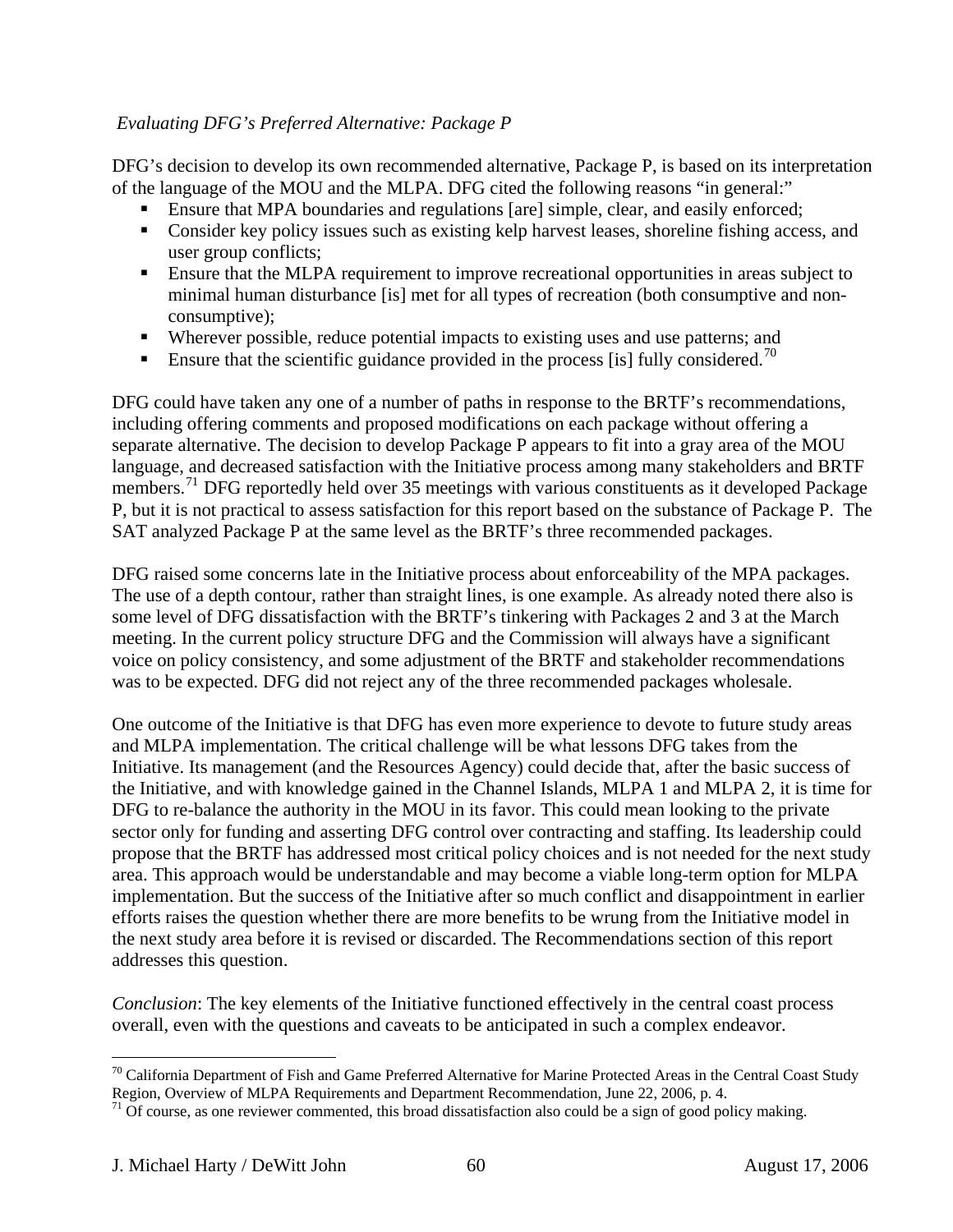## *Evaluating DFG's Preferred Alternative: Package P*

DFG's decision to develop its own recommended alternative, Package P, is based on its interpretation of the language of the MOU and the MLPA. DFG cited the following reasons "in general:"

- **Ensure that MPA boundaries and regulations [are] simple, clear, and easily enforced;**
- Consider key policy issues such as existing kelp harvest leases, shoreline fishing access, and user group conflicts;
- Ensure that the MLPA requirement to improve recreational opportunities in areas subject to minimal human disturbance [is] met for all types of recreation (both consumptive and nonconsumptive);
- Wherever possible, reduce potential impacts to existing uses and use patterns; and
- Ensure that the scientific guidance provided in the process [is] fully considered.<sup>[70](#page-59-0)</sup>

DFG could have taken any one of a number of paths in response to the BRTF's recommendations, including offering comments and proposed modifications on each package without offering a separate alternative. The decision to develop Package P appears to fit into a gray area of the MOU language, and decreased satisfaction with the Initiative process among many stakeholders and BRTF members.<sup>[71](#page-59-1)</sup> DFG reportedly held over 35 meetings with various constituents as it developed Package P, but it is not practical to assess satisfaction for this report based on the substance of Package P. The SAT analyzed Package P at the same level as the BRTF's three recommended packages.

DFG raised some concerns late in the Initiative process about enforceability of the MPA packages. The use of a depth contour, rather than straight lines, is one example. As already noted there also is some level of DFG dissatisfaction with the BRTF's tinkering with Packages 2 and 3 at the March meeting. In the current policy structure DFG and the Commission will always have a significant voice on policy consistency, and some adjustment of the BRTF and stakeholder recommendations was to be expected. DFG did not reject any of the three recommended packages wholesale.

One outcome of the Initiative is that DFG has even more experience to devote to future study areas and MLPA implementation. The critical challenge will be what lessons DFG takes from the Initiative. Its management (and the Resources Agency) could decide that, after the basic success of the Initiative, and with knowledge gained in the Channel Islands, MLPA 1 and MLPA 2, it is time for DFG to re-balance the authority in the MOU in its favor. This could mean looking to the private sector only for funding and asserting DFG control over contracting and staffing. Its leadership could propose that the BRTF has addressed most critical policy choices and is not needed for the next study area. This approach would be understandable and may become a viable long-term option for MLPA implementation. But the success of the Initiative after so much conflict and disappointment in earlier efforts raises the question whether there are more benefits to be wrung from the Initiative model in the next study area before it is revised or discarded. The Recommendations section of this report addresses this question.

*Conclusion*: The key elements of the Initiative functioned effectively in the central coast process overall, even with the questions and caveats to be anticipated in such a complex endeavor.

<span id="page-59-0"></span> $\overline{a}$  $70$  California Department of Fish and Game Preferred Alternative for Marine Protected Areas in the Central Coast Study Region, Overview of MLPA Requirements and Department Recommendation, June 22, 2006, p. 4.

<span id="page-59-1"></span> $71$  Of course, as one reviewer commented, this broad dissatisfaction also could be a sign of good policy making.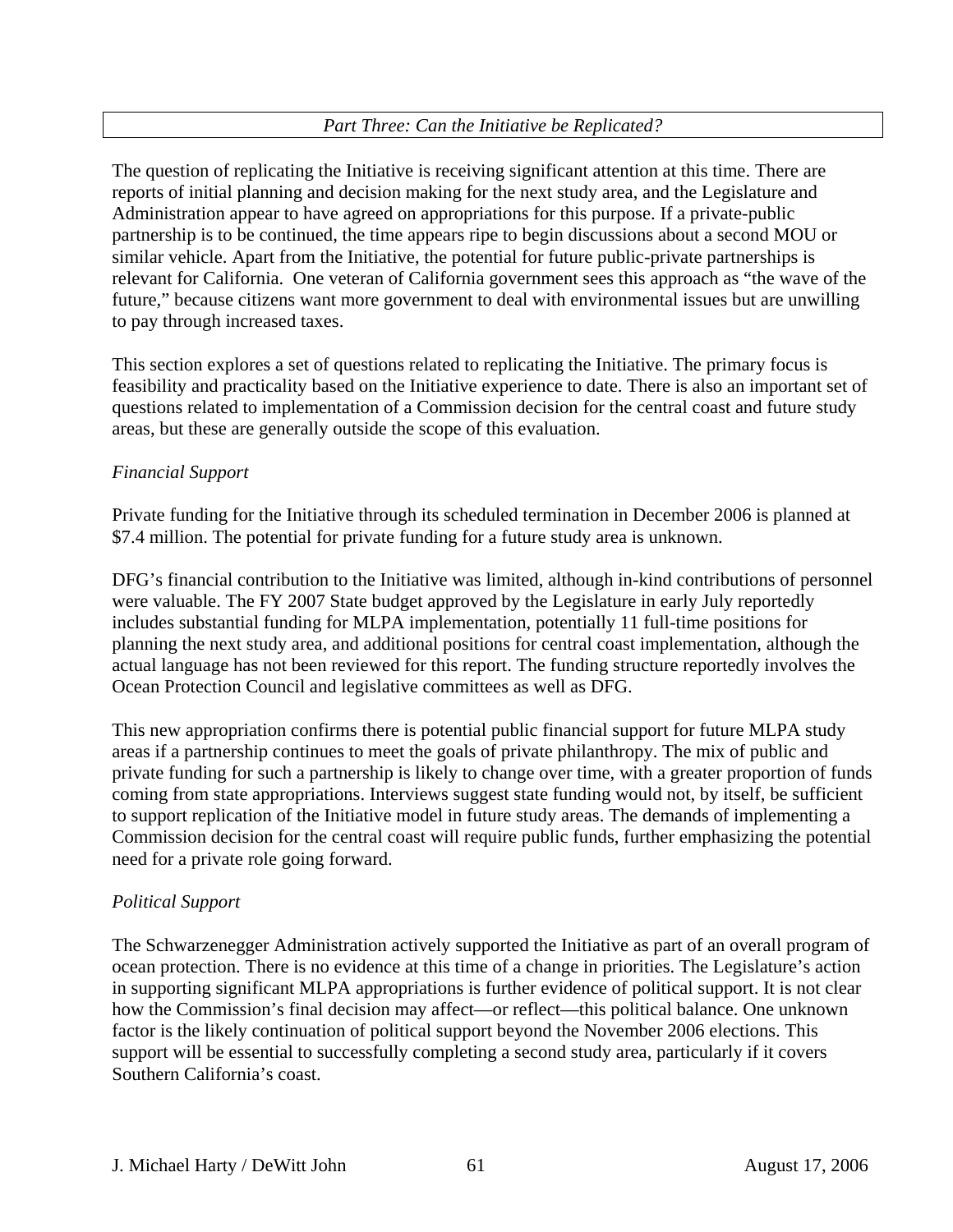# *Part Three: Can the Initiative be Replicated?*

The question of replicating the Initiative is receiving significant attention at this time. There are reports of initial planning and decision making for the next study area, and the Legislature and Administration appear to have agreed on appropriations for this purpose. If a private-public partnership is to be continued, the time appears ripe to begin discussions about a second MOU or similar vehicle. Apart from the Initiative, the potential for future public-private partnerships is relevant for California. One veteran of California government sees this approach as "the wave of the future," because citizens want more government to deal with environmental issues but are unwilling to pay through increased taxes.

This section explores a set of questions related to replicating the Initiative. The primary focus is feasibility and practicality based on the Initiative experience to date. There is also an important set of questions related to implementation of a Commission decision for the central coast and future study areas, but these are generally outside the scope of this evaluation.

#### *Financial Support*

Private funding for the Initiative through its scheduled termination in December 2006 is planned at \$7.4 million. The potential for private funding for a future study area is unknown.

DFG's financial contribution to the Initiative was limited, although in-kind contributions of personnel were valuable. The FY 2007 State budget approved by the Legislature in early July reportedly includes substantial funding for MLPA implementation, potentially 11 full-time positions for planning the next study area, and additional positions for central coast implementation, although the actual language has not been reviewed for this report. The funding structure reportedly involves the Ocean Protection Council and legislative committees as well as DFG.

This new appropriation confirms there is potential public financial support for future MLPA study areas if a partnership continues to meet the goals of private philanthropy. The mix of public and private funding for such a partnership is likely to change over time, with a greater proportion of funds coming from state appropriations. Interviews suggest state funding would not, by itself, be sufficient to support replication of the Initiative model in future study areas. The demands of implementing a Commission decision for the central coast will require public funds, further emphasizing the potential need for a private role going forward.

## *Political Support*

The Schwarzenegger Administration actively supported the Initiative as part of an overall program of ocean protection. There is no evidence at this time of a change in priorities. The Legislature's action in supporting significant MLPA appropriations is further evidence of political support. It is not clear how the Commission's final decision may affect—or reflect—this political balance. One unknown factor is the likely continuation of political support beyond the November 2006 elections. This support will be essential to successfully completing a second study area, particularly if it covers Southern California's coast.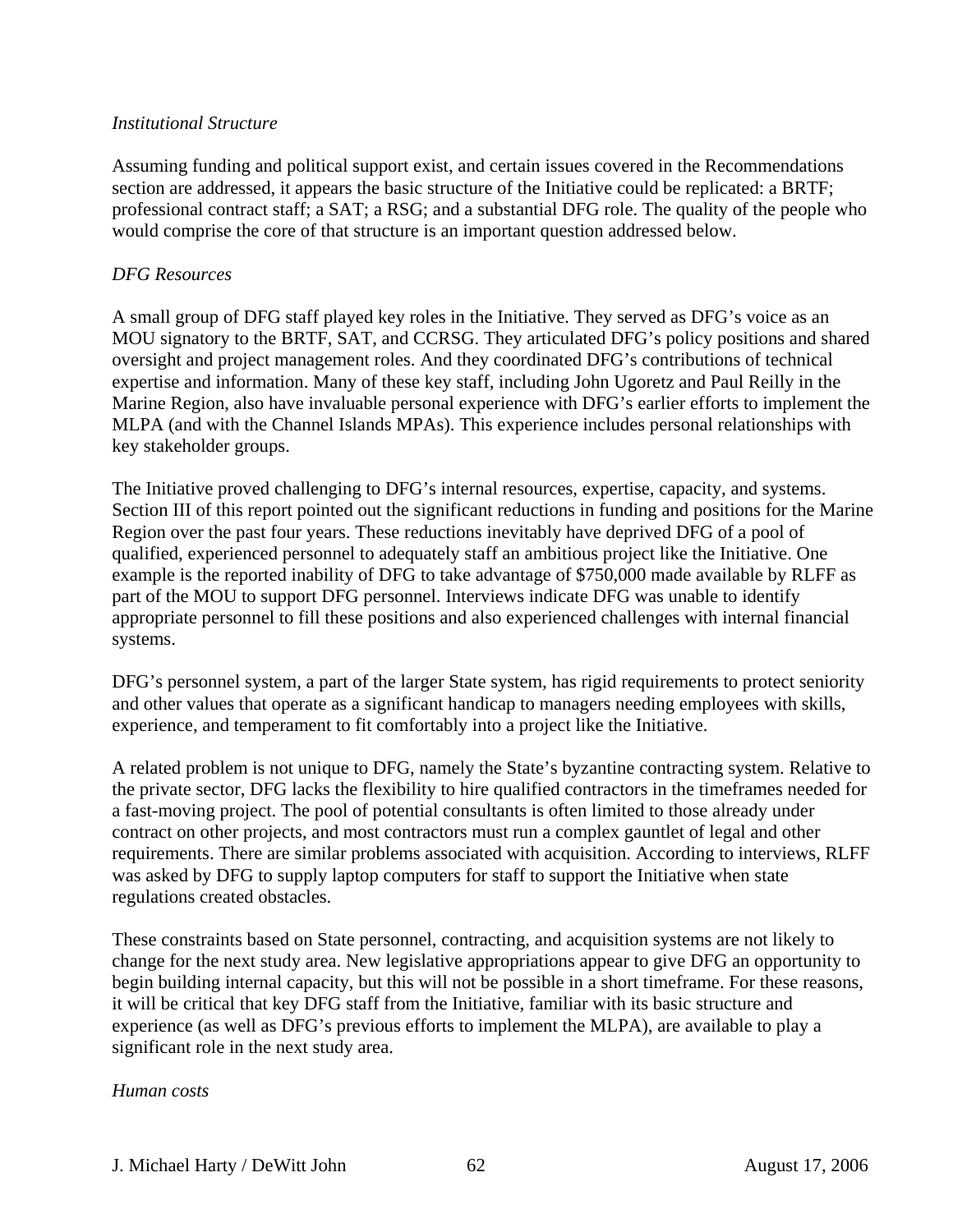#### *Institutional Structure*

Assuming funding and political support exist, and certain issues covered in the Recommendations section are addressed, it appears the basic structure of the Initiative could be replicated: a BRTF; professional contract staff; a SAT; a RSG; and a substantial DFG role. The quality of the people who would comprise the core of that structure is an important question addressed below.

### *DFG Resources*

A small group of DFG staff played key roles in the Initiative. They served as DFG's voice as an MOU signatory to the BRTF, SAT, and CCRSG. They articulated DFG's policy positions and shared oversight and project management roles. And they coordinated DFG's contributions of technical expertise and information. Many of these key staff, including John Ugoretz and Paul Reilly in the Marine Region, also have invaluable personal experience with DFG's earlier efforts to implement the MLPA (and with the Channel Islands MPAs). This experience includes personal relationships with key stakeholder groups.

The Initiative proved challenging to DFG's internal resources, expertise, capacity, and systems. Section III of this report pointed out the significant reductions in funding and positions for the Marine Region over the past four years. These reductions inevitably have deprived DFG of a pool of qualified, experienced personnel to adequately staff an ambitious project like the Initiative. One example is the reported inability of DFG to take advantage of \$750,000 made available by RLFF as part of the MOU to support DFG personnel. Interviews indicate DFG was unable to identify appropriate personnel to fill these positions and also experienced challenges with internal financial systems.

DFG's personnel system, a part of the larger State system, has rigid requirements to protect seniority and other values that operate as a significant handicap to managers needing employees with skills, experience, and temperament to fit comfortably into a project like the Initiative.

A related problem is not unique to DFG, namely the State's byzantine contracting system. Relative to the private sector, DFG lacks the flexibility to hire qualified contractors in the timeframes needed for a fast-moving project. The pool of potential consultants is often limited to those already under contract on other projects, and most contractors must run a complex gauntlet of legal and other requirements. There are similar problems associated with acquisition. According to interviews, RLFF was asked by DFG to supply laptop computers for staff to support the Initiative when state regulations created obstacles.

These constraints based on State personnel, contracting, and acquisition systems are not likely to change for the next study area. New legislative appropriations appear to give DFG an opportunity to begin building internal capacity, but this will not be possible in a short timeframe. For these reasons, it will be critical that key DFG staff from the Initiative, familiar with its basic structure and experience (as well as DFG's previous efforts to implement the MLPA), are available to play a significant role in the next study area.

#### *Human costs*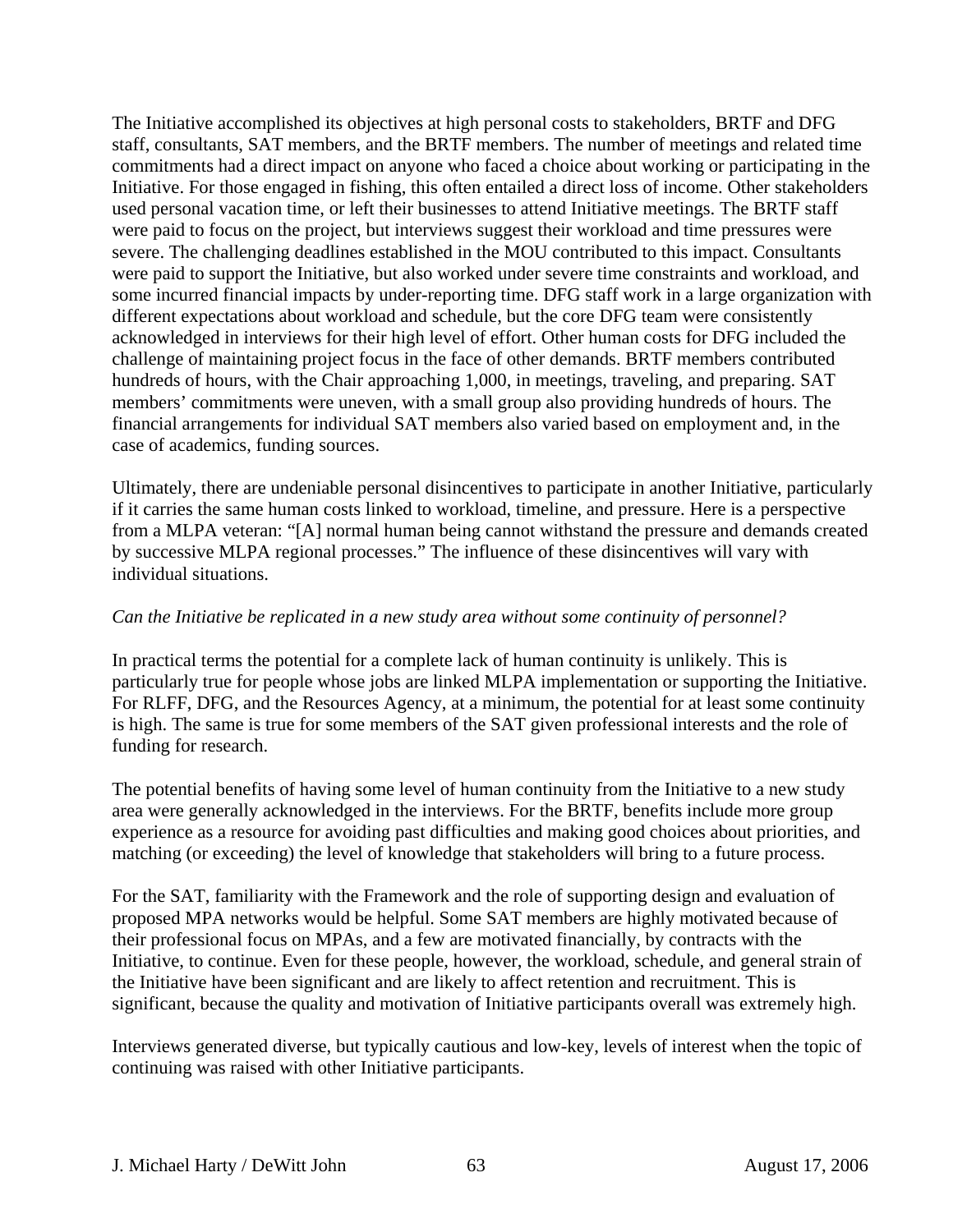The Initiative accomplished its objectives at high personal costs to stakeholders, BRTF and DFG staff, consultants, SAT members, and the BRTF members. The number of meetings and related time commitments had a direct impact on anyone who faced a choice about working or participating in the Initiative. For those engaged in fishing, this often entailed a direct loss of income. Other stakeholders used personal vacation time, or left their businesses to attend Initiative meetings. The BRTF staff were paid to focus on the project, but interviews suggest their workload and time pressures were severe. The challenging deadlines established in the MOU contributed to this impact. Consultants were paid to support the Initiative, but also worked under severe time constraints and workload, and some incurred financial impacts by under-reporting time. DFG staff work in a large organization with different expectations about workload and schedule, but the core DFG team were consistently acknowledged in interviews for their high level of effort. Other human costs for DFG included the challenge of maintaining project focus in the face of other demands. BRTF members contributed hundreds of hours, with the Chair approaching 1,000, in meetings, traveling, and preparing. SAT members' commitments were uneven, with a small group also providing hundreds of hours. The financial arrangements for individual SAT members also varied based on employment and, in the case of academics, funding sources.

Ultimately, there are undeniable personal disincentives to participate in another Initiative, particularly if it carries the same human costs linked to workload, timeline, and pressure. Here is a perspective from a MLPA veteran: "[A] normal human being cannot withstand the pressure and demands created by successive MLPA regional processes." The influence of these disincentives will vary with individual situations.

### *Can the Initiative be replicated in a new study area without some continuity of personnel?*

In practical terms the potential for a complete lack of human continuity is unlikely. This is particularly true for people whose jobs are linked MLPA implementation or supporting the Initiative. For RLFF, DFG, and the Resources Agency, at a minimum, the potential for at least some continuity is high. The same is true for some members of the SAT given professional interests and the role of funding for research.

The potential benefits of having some level of human continuity from the Initiative to a new study area were generally acknowledged in the interviews. For the BRTF, benefits include more group experience as a resource for avoiding past difficulties and making good choices about priorities, and matching (or exceeding) the level of knowledge that stakeholders will bring to a future process.

For the SAT, familiarity with the Framework and the role of supporting design and evaluation of proposed MPA networks would be helpful. Some SAT members are highly motivated because of their professional focus on MPAs, and a few are motivated financially, by contracts with the Initiative, to continue. Even for these people, however, the workload, schedule, and general strain of the Initiative have been significant and are likely to affect retention and recruitment. This is significant, because the quality and motivation of Initiative participants overall was extremely high.

Interviews generated diverse, but typically cautious and low-key, levels of interest when the topic of continuing was raised with other Initiative participants.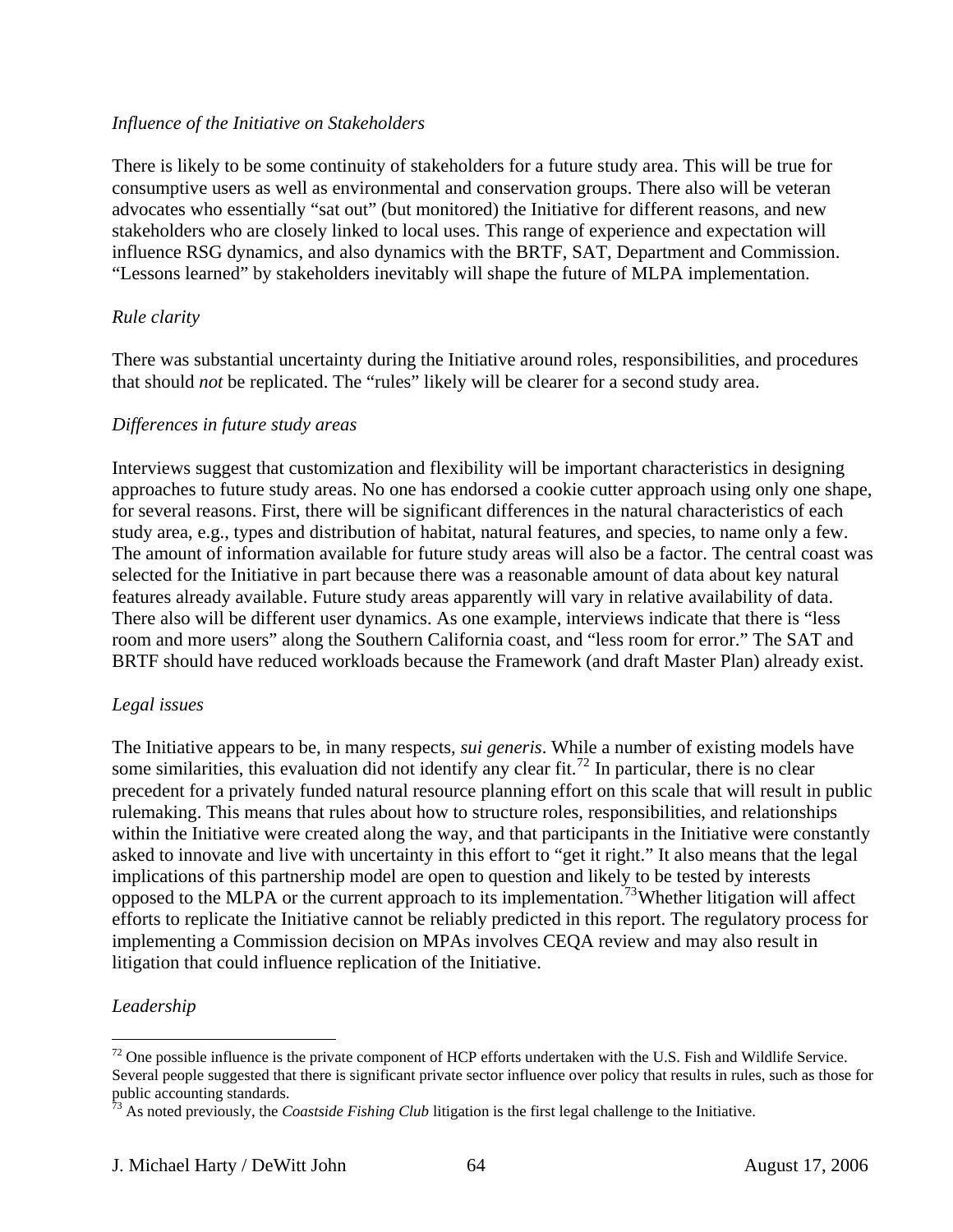#### *Influence of the Initiative on Stakeholders*

There is likely to be some continuity of stakeholders for a future study area. This will be true for consumptive users as well as environmental and conservation groups. There also will be veteran advocates who essentially "sat out" (but monitored) the Initiative for different reasons, and new stakeholders who are closely linked to local uses. This range of experience and expectation will influence RSG dynamics, and also dynamics with the BRTF, SAT, Department and Commission. "Lessons learned" by stakeholders inevitably will shape the future of MLPA implementation.

## *Rule clarity*

There was substantial uncertainty during the Initiative around roles, responsibilities, and procedures that should *not* be replicated. The "rules" likely will be clearer for a second study area.

## *Differences in future study areas*

Interviews suggest that customization and flexibility will be important characteristics in designing approaches to future study areas. No one has endorsed a cookie cutter approach using only one shape, for several reasons. First, there will be significant differences in the natural characteristics of each study area, e.g., types and distribution of habitat, natural features, and species, to name only a few. The amount of information available for future study areas will also be a factor. The central coast was selected for the Initiative in part because there was a reasonable amount of data about key natural features already available. Future study areas apparently will vary in relative availability of data. There also will be different user dynamics. As one example, interviews indicate that there is "less room and more users" along the Southern California coast, and "less room for error." The SAT and BRTF should have reduced workloads because the Framework (and draft Master Plan) already exist.

## *Legal issues*

The Initiative appears to be, in many respects, *sui generis*. While a number of existing models have some similarities, this evaluation did not identify any clear fit.<sup>[72](#page-63-0)</sup> In particular, there is no clear precedent for a privately funded natural resource planning effort on this scale that will result in public rulemaking. This means that rules about how to structure roles, responsibilities, and relationships within the Initiative were created along the way, and that participants in the Initiative were constantly asked to innovate and live with uncertainty in this effort to "get it right." It also means that the legal implications of this partnership model are open to question and likely to be tested by interests opposed to the MLPA or the current approach to its implementation.[73](#page-63-1)Whether litigation will affect efforts to replicate the Initiative cannot be reliably predicted in this report. The regulatory process for implementing a Commission decision on MPAs involves CEQA review and may also result in litigation that could influence replication of the Initiative.

## *Leadership*

<span id="page-63-0"></span> $72$  One possible influence is the private component of HCP efforts undertaken with the U.S. Fish and Wildlife Service. Several people suggested that there is significant private sector influence over policy that results in rules, such as those for public accounting standards.

<span id="page-63-1"></span> $^{73}$  As noted previously, the *Coastside Fishing Club* litigation is the first legal challenge to the Initiative.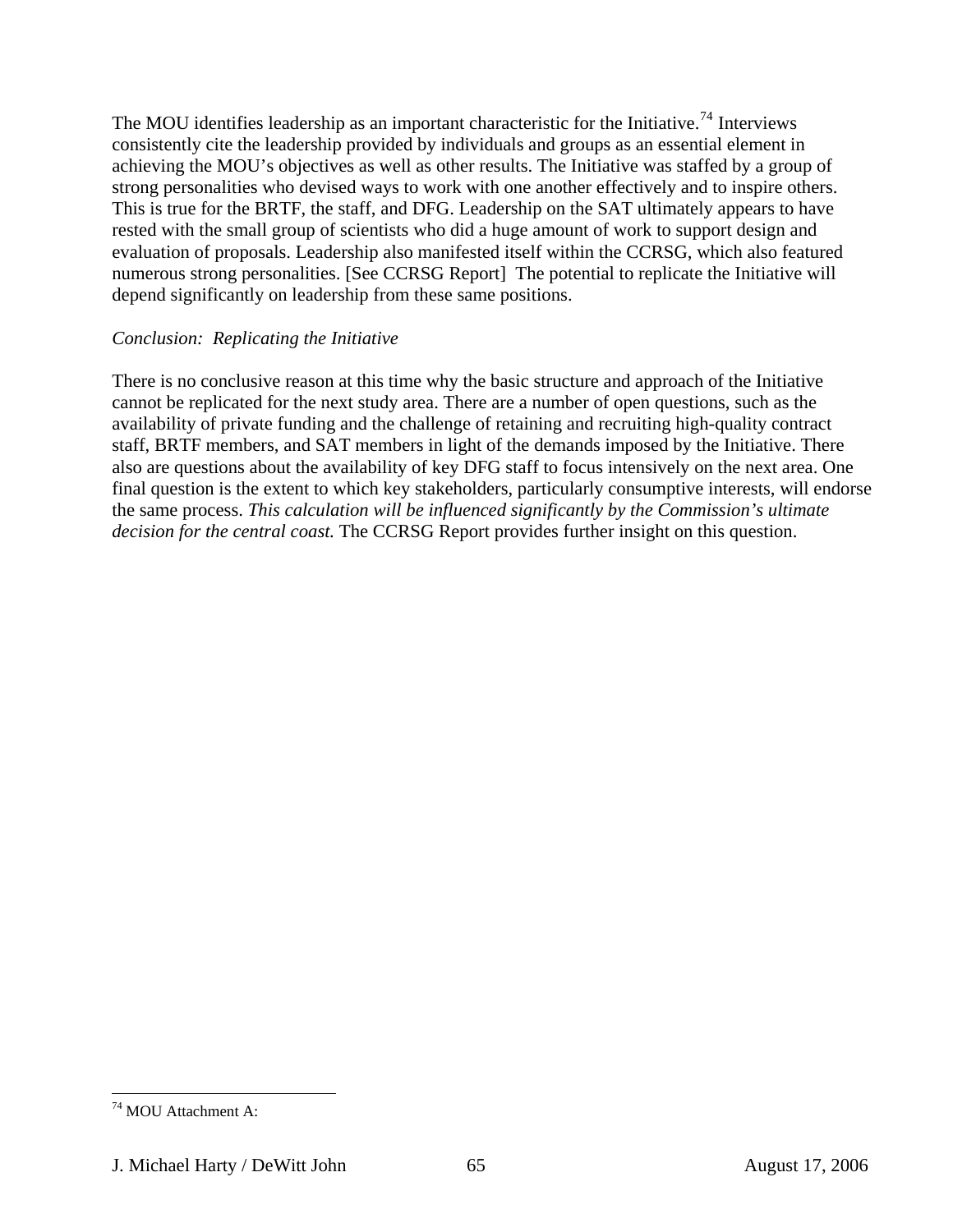The MOU identifies leadership as an important characteristic for the Initiative.<sup>[74](#page-64-0)</sup> Interviews consistently cite the leadership provided by individuals and groups as an essential element in achieving the MOU's objectives as well as other results. The Initiative was staffed by a group of strong personalities who devised ways to work with one another effectively and to inspire others. This is true for the BRTF, the staff, and DFG. Leadership on the SAT ultimately appears to have rested with the small group of scientists who did a huge amount of work to support design and evaluation of proposals. Leadership also manifested itself within the CCRSG, which also featured numerous strong personalities. [See CCRSG Report] The potential to replicate the Initiative will depend significantly on leadership from these same positions.

#### *Conclusion: Replicating the Initiative*

There is no conclusive reason at this time why the basic structure and approach of the Initiative cannot be replicated for the next study area. There are a number of open questions, such as the availability of private funding and the challenge of retaining and recruiting high-quality contract staff, BRTF members, and SAT members in light of the demands imposed by the Initiative. There also are questions about the availability of key DFG staff to focus intensively on the next area. One final question is the extent to which key stakeholders, particularly consumptive interests, will endorse the same process. *This calculation will be influenced significantly by the Commission's ultimate decision for the central coast.* The CCRSG Report provides further insight on this question.

<span id="page-64-0"></span><sup>74</sup> MOU Attachment A:

J. Michael Harty / DeWitt John 65 August 17, 2006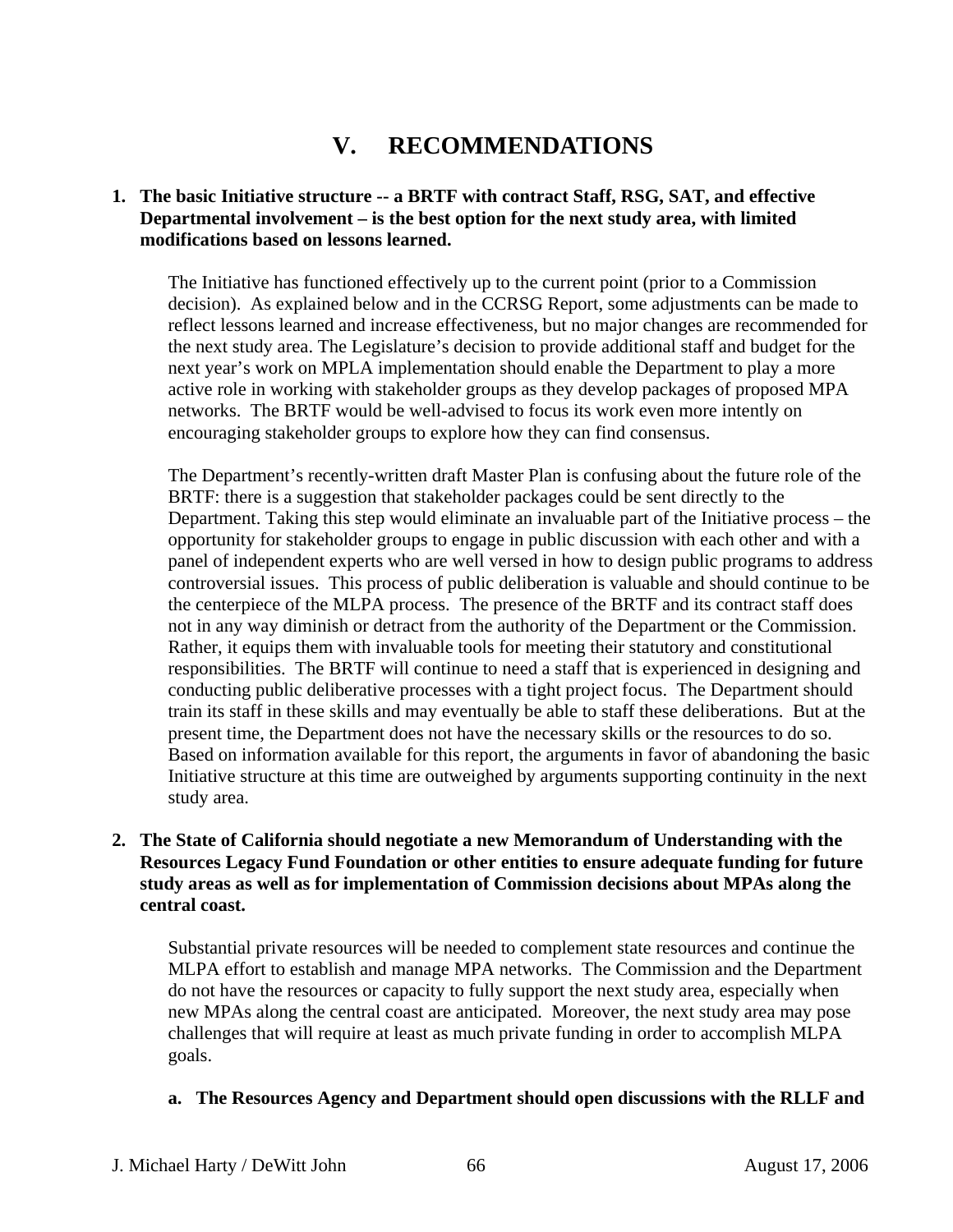# **V. RECOMMENDATIONS**

## **1. The basic Initiative structure -- a BRTF with contract Staff, RSG, SAT, and effective Departmental involvement – is the best option for the next study area, with limited modifications based on lessons learned.**

The Initiative has functioned effectively up to the current point (prior to a Commission decision). As explained below and in the CCRSG Report, some adjustments can be made to reflect lessons learned and increase effectiveness, but no major changes are recommended for the next study area. The Legislature's decision to provide additional staff and budget for the next year's work on MPLA implementation should enable the Department to play a more active role in working with stakeholder groups as they develop packages of proposed MPA networks. The BRTF would be well-advised to focus its work even more intently on encouraging stakeholder groups to explore how they can find consensus.

The Department's recently-written draft Master Plan is confusing about the future role of the BRTF: there is a suggestion that stakeholder packages could be sent directly to the Department. Taking this step would eliminate an invaluable part of the Initiative process – the opportunity for stakeholder groups to engage in public discussion with each other and with a panel of independent experts who are well versed in how to design public programs to address controversial issues. This process of public deliberation is valuable and should continue to be the centerpiece of the MLPA process. The presence of the BRTF and its contract staff does not in any way diminish or detract from the authority of the Department or the Commission. Rather, it equips them with invaluable tools for meeting their statutory and constitutional responsibilities. The BRTF will continue to need a staff that is experienced in designing and conducting public deliberative processes with a tight project focus. The Department should train its staff in these skills and may eventually be able to staff these deliberations. But at the present time, the Department does not have the necessary skills or the resources to do so. Based on information available for this report, the arguments in favor of abandoning the basic Initiative structure at this time are outweighed by arguments supporting continuity in the next study area.

## **2. The State of California should negotiate a new Memorandum of Understanding with the Resources Legacy Fund Foundation or other entities to ensure adequate funding for future study areas as well as for implementation of Commission decisions about MPAs along the central coast.**

Substantial private resources will be needed to complement state resources and continue the MLPA effort to establish and manage MPA networks. The Commission and the Department do not have the resources or capacity to fully support the next study area, especially when new MPAs along the central coast are anticipated. Moreover, the next study area may pose challenges that will require at least as much private funding in order to accomplish MLPA goals.

## **a. The Resources Agency and Department should open discussions with the RLLF and**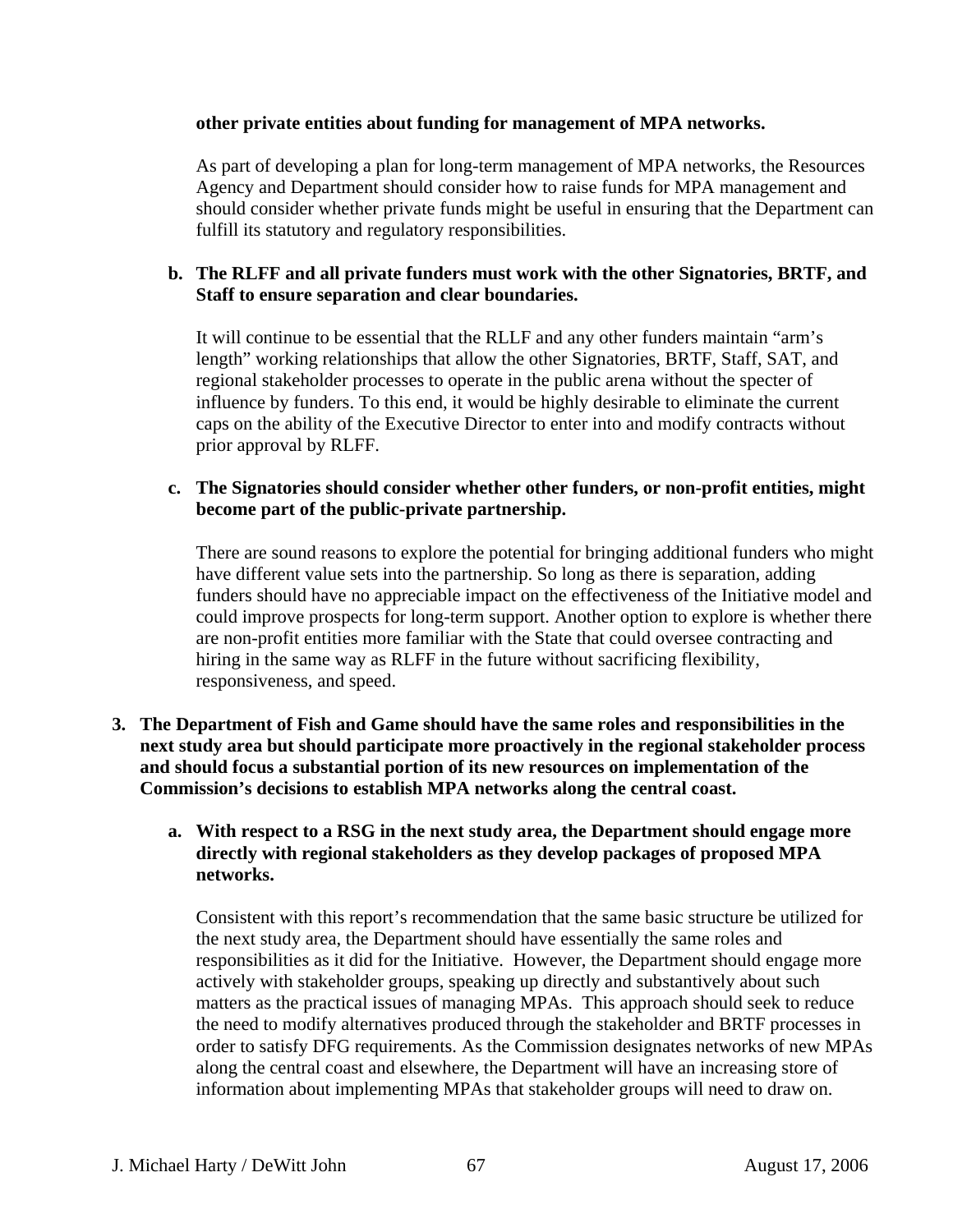#### **other private entities about funding for management of MPA networks.**

As part of developing a plan for long-term management of MPA networks, the Resources Agency and Department should consider how to raise funds for MPA management and should consider whether private funds might be useful in ensuring that the Department can fulfill its statutory and regulatory responsibilities.

## **b. The RLFF and all private funders must work with the other Signatories, BRTF, and Staff to ensure separation and clear boundaries.**

It will continue to be essential that the RLLF and any other funders maintain "arm's length" working relationships that allow the other Signatories, BRTF, Staff, SAT, and regional stakeholder processes to operate in the public arena without the specter of influence by funders. To this end, it would be highly desirable to eliminate the current caps on the ability of the Executive Director to enter into and modify contracts without prior approval by RLFF.

#### **c. The Signatories should consider whether other funders, or non-profit entities, might become part of the public-private partnership.**

There are sound reasons to explore the potential for bringing additional funders who might have different value sets into the partnership. So long as there is separation, adding funders should have no appreciable impact on the effectiveness of the Initiative model and could improve prospects for long-term support. Another option to explore is whether there are non-profit entities more familiar with the State that could oversee contracting and hiring in the same way as RLFF in the future without sacrificing flexibility, responsiveness, and speed.

**3. The Department of Fish and Game should have the same roles and responsibilities in the next study area but should participate more proactively in the regional stakeholder process and should focus a substantial portion of its new resources on implementation of the Commission's decisions to establish MPA networks along the central coast.** 

#### **a. With respect to a RSG in the next study area, the Department should engage more directly with regional stakeholders as they develop packages of proposed MPA networks.**

Consistent with this report's recommendation that the same basic structure be utilized for the next study area, the Department should have essentially the same roles and responsibilities as it did for the Initiative. However, the Department should engage more actively with stakeholder groups, speaking up directly and substantively about such matters as the practical issues of managing MPAs. This approach should seek to reduce the need to modify alternatives produced through the stakeholder and BRTF processes in order to satisfy DFG requirements. As the Commission designates networks of new MPAs along the central coast and elsewhere, the Department will have an increasing store of information about implementing MPAs that stakeholder groups will need to draw on.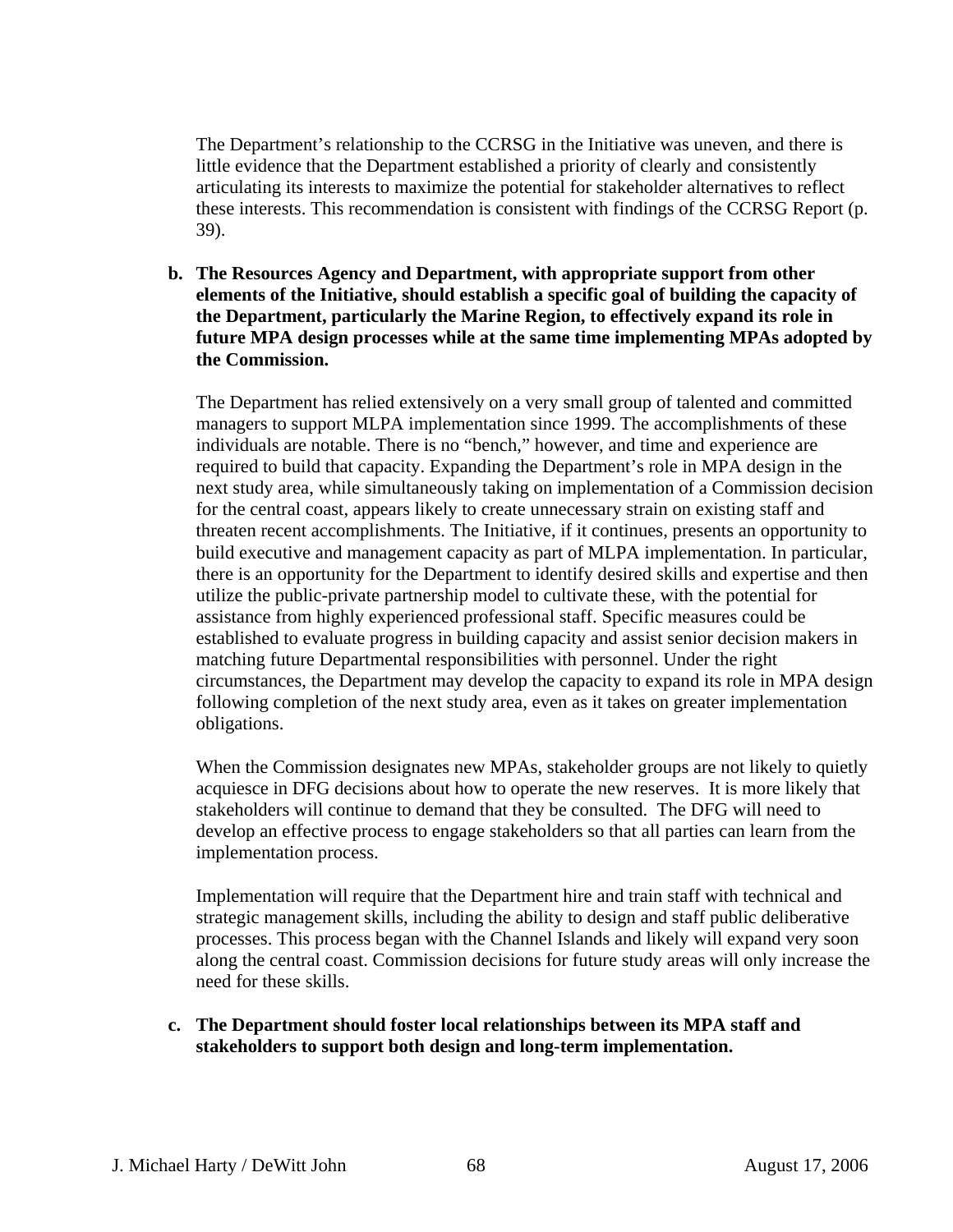The Department's relationship to the CCRSG in the Initiative was uneven, and there is little evidence that the Department established a priority of clearly and consistently articulating its interests to maximize the potential for stakeholder alternatives to reflect these interests. This recommendation is consistent with findings of the CCRSG Report (p. 39).

**b. The Resources Agency and Department, with appropriate support from other elements of the Initiative, should establish a specific goal of building the capacity of the Department, particularly the Marine Region, to effectively expand its role in future MPA design processes while at the same time implementing MPAs adopted by the Commission.** 

The Department has relied extensively on a very small group of talented and committed managers to support MLPA implementation since 1999. The accomplishments of these individuals are notable. There is no "bench," however, and time and experience are required to build that capacity. Expanding the Department's role in MPA design in the next study area, while simultaneously taking on implementation of a Commission decision for the central coast, appears likely to create unnecessary strain on existing staff and threaten recent accomplishments. The Initiative, if it continues, presents an opportunity to build executive and management capacity as part of MLPA implementation. In particular, there is an opportunity for the Department to identify desired skills and expertise and then utilize the public-private partnership model to cultivate these, with the potential for assistance from highly experienced professional staff. Specific measures could be established to evaluate progress in building capacity and assist senior decision makers in matching future Departmental responsibilities with personnel. Under the right circumstances, the Department may develop the capacity to expand its role in MPA design following completion of the next study area, even as it takes on greater implementation obligations.

When the Commission designates new MPAs, stakeholder groups are not likely to quietly acquiesce in DFG decisions about how to operate the new reserves. It is more likely that stakeholders will continue to demand that they be consulted. The DFG will need to develop an effective process to engage stakeholders so that all parties can learn from the implementation process.

Implementation will require that the Department hire and train staff with technical and strategic management skills, including the ability to design and staff public deliberative processes. This process began with the Channel Islands and likely will expand very soon along the central coast. Commission decisions for future study areas will only increase the need for these skills.

**c. The Department should foster local relationships between its MPA staff and stakeholders to support both design and long-term implementation.**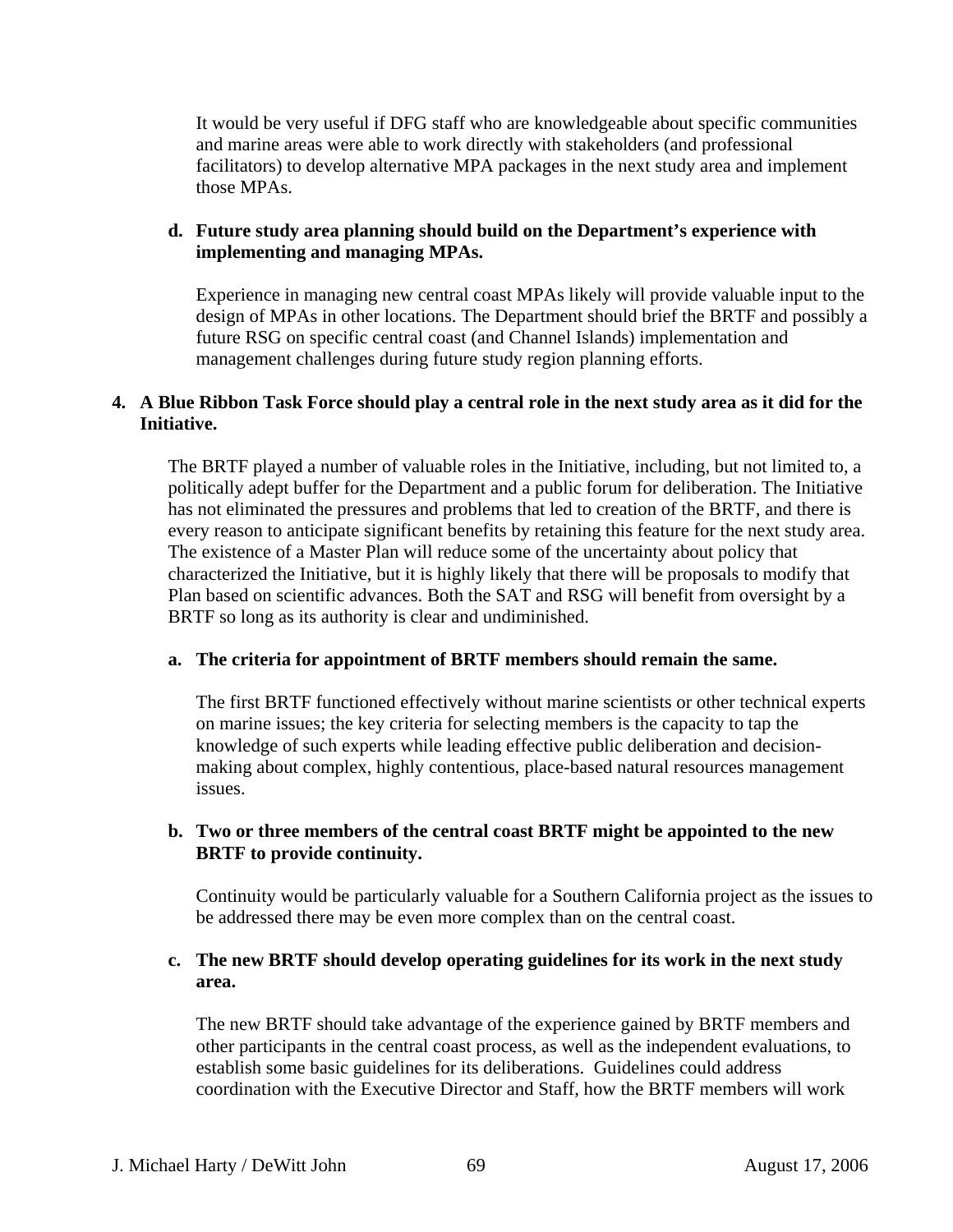It would be very useful if DFG staff who are knowledgeable about specific communities and marine areas were able to work directly with stakeholders (and professional facilitators) to develop alternative MPA packages in the next study area and implement those MPAs.

#### **d. Future study area planning should build on the Department's experience with implementing and managing MPAs.**

Experience in managing new central coast MPAs likely will provide valuable input to the design of MPAs in other locations. The Department should brief the BRTF and possibly a future RSG on specific central coast (and Channel Islands) implementation and management challenges during future study region planning efforts.

#### **4. A Blue Ribbon Task Force should play a central role in the next study area as it did for the Initiative.**

The BRTF played a number of valuable roles in the Initiative, including, but not limited to, a politically adept buffer for the Department and a public forum for deliberation. The Initiative has not eliminated the pressures and problems that led to creation of the BRTF, and there is every reason to anticipate significant benefits by retaining this feature for the next study area. The existence of a Master Plan will reduce some of the uncertainty about policy that characterized the Initiative, but it is highly likely that there will be proposals to modify that Plan based on scientific advances. Both the SAT and RSG will benefit from oversight by a BRTF so long as its authority is clear and undiminished.

#### **a. The criteria for appointment of BRTF members should remain the same.**

The first BRTF functioned effectively without marine scientists or other technical experts on marine issues; the key criteria for selecting members is the capacity to tap the knowledge of such experts while leading effective public deliberation and decisionmaking about complex, highly contentious, place-based natural resources management issues.

#### **b. Two or three members of the central coast BRTF might be appointed to the new BRTF to provide continuity.**

Continuity would be particularly valuable for a Southern California project as the issues to be addressed there may be even more complex than on the central coast.

## **c. The new BRTF should develop operating guidelines for its work in the next study area.**

The new BRTF should take advantage of the experience gained by BRTF members and other participants in the central coast process, as well as the independent evaluations, to establish some basic guidelines for its deliberations. Guidelines could address coordination with the Executive Director and Staff, how the BRTF members will work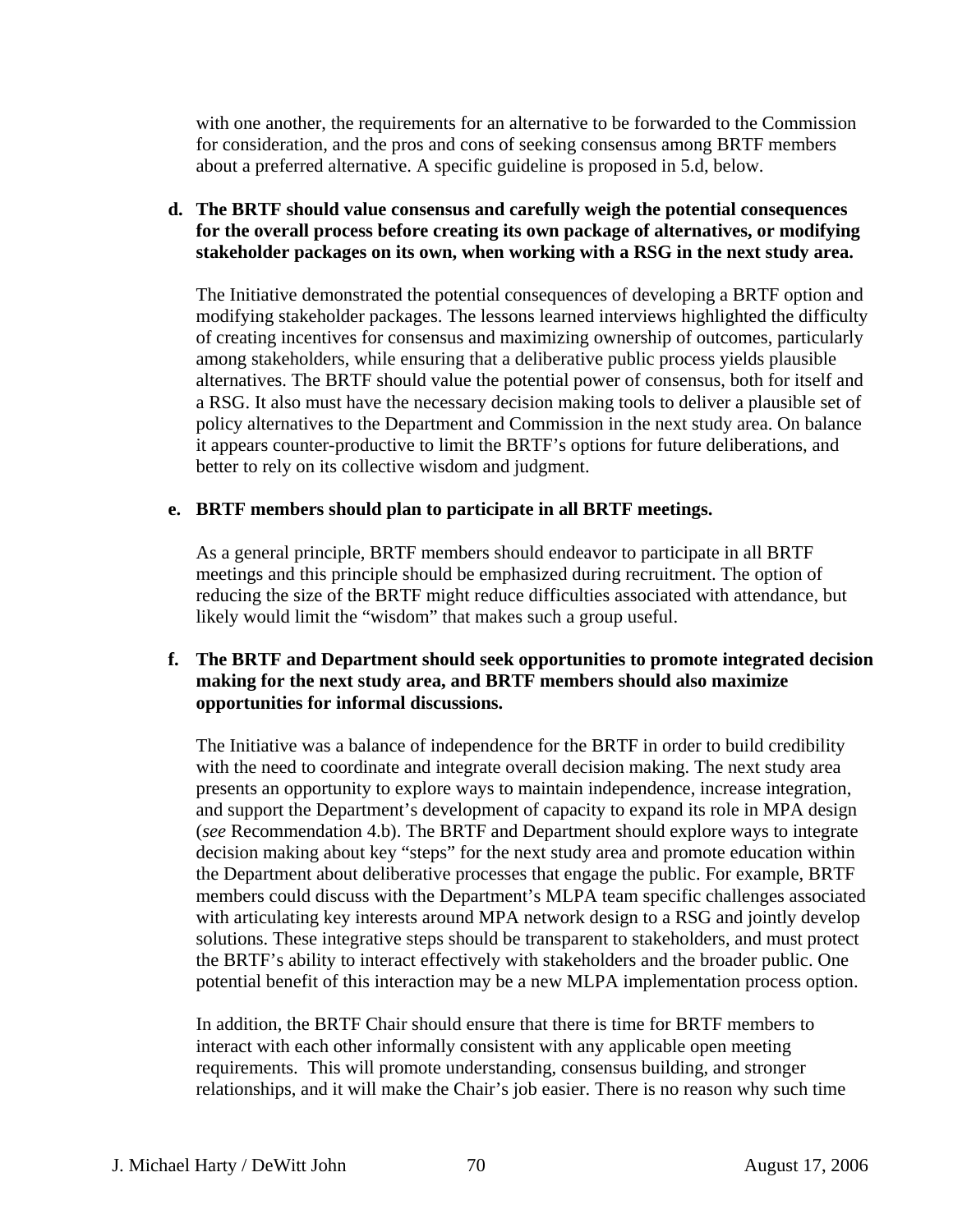with one another, the requirements for an alternative to be forwarded to the Commission for consideration, and the pros and cons of seeking consensus among BRTF members about a preferred alternative. A specific guideline is proposed in 5.d, below.

## **d. The BRTF should value consensus and carefully weigh the potential consequences for the overall process before creating its own package of alternatives, or modifying stakeholder packages on its own, when working with a RSG in the next study area.**

The Initiative demonstrated the potential consequences of developing a BRTF option and modifying stakeholder packages. The lessons learned interviews highlighted the difficulty of creating incentives for consensus and maximizing ownership of outcomes, particularly among stakeholders, while ensuring that a deliberative public process yields plausible alternatives. The BRTF should value the potential power of consensus, both for itself and a RSG. It also must have the necessary decision making tools to deliver a plausible set of policy alternatives to the Department and Commission in the next study area. On balance it appears counter-productive to limit the BRTF's options for future deliberations, and better to rely on its collective wisdom and judgment.

#### **e. BRTF members should plan to participate in all BRTF meetings.**

As a general principle, BRTF members should endeavor to participate in all BRTF meetings and this principle should be emphasized during recruitment. The option of reducing the size of the BRTF might reduce difficulties associated with attendance, but likely would limit the "wisdom" that makes such a group useful.

## **f. The BRTF and Department should seek opportunities to promote integrated decision making for the next study area, and BRTF members should also maximize opportunities for informal discussions.**

The Initiative was a balance of independence for the BRTF in order to build credibility with the need to coordinate and integrate overall decision making. The next study area presents an opportunity to explore ways to maintain independence, increase integration, and support the Department's development of capacity to expand its role in MPA design (*see* Recommendation 4.b). The BRTF and Department should explore ways to integrate decision making about key "steps" for the next study area and promote education within the Department about deliberative processes that engage the public. For example, BRTF members could discuss with the Department's MLPA team specific challenges associated with articulating key interests around MPA network design to a RSG and jointly develop solutions. These integrative steps should be transparent to stakeholders, and must protect the BRTF's ability to interact effectively with stakeholders and the broader public. One potential benefit of this interaction may be a new MLPA implementation process option.

In addition, the BRTF Chair should ensure that there is time for BRTF members to interact with each other informally consistent with any applicable open meeting requirements. This will promote understanding, consensus building, and stronger relationships, and it will make the Chair's job easier. There is no reason why such time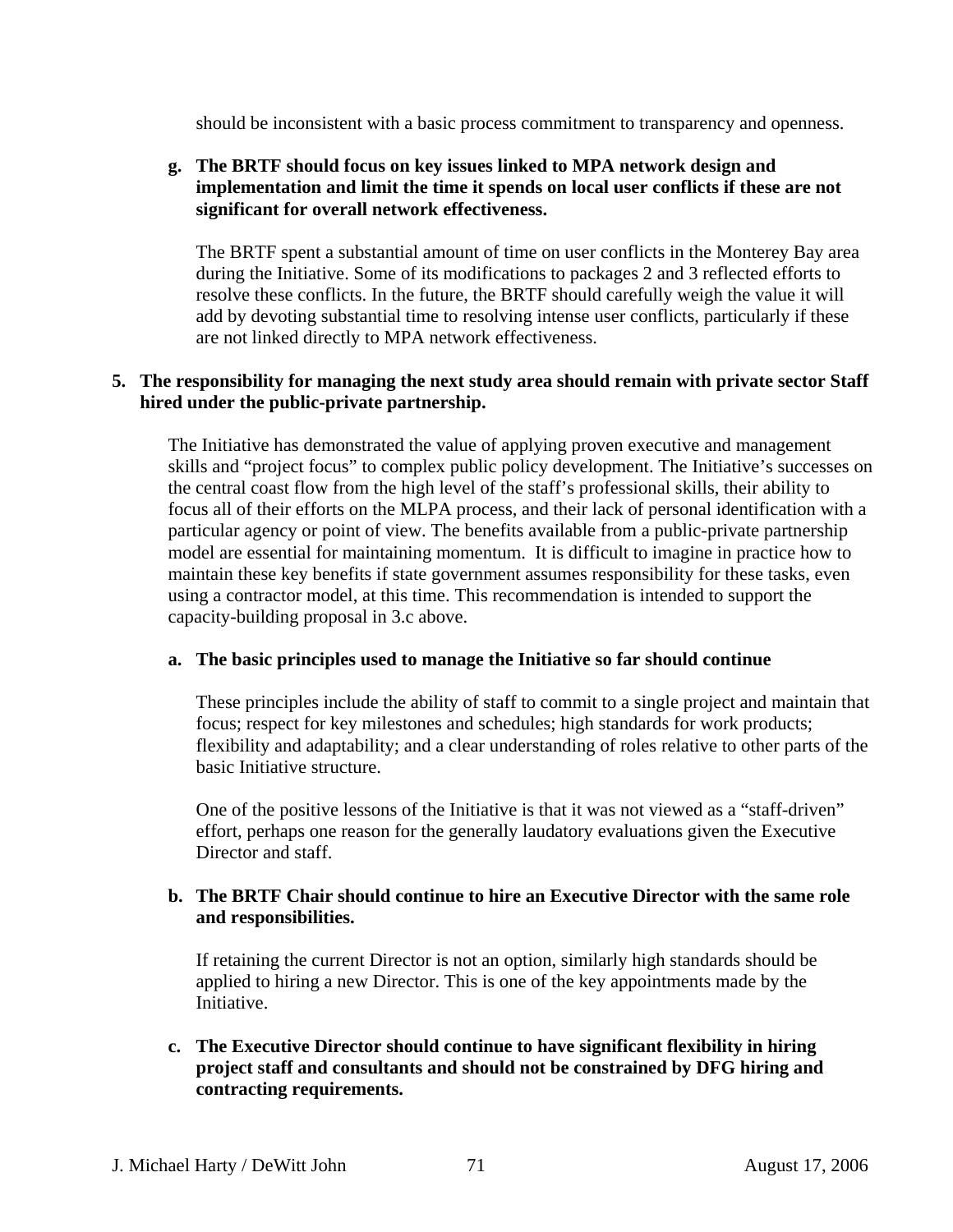should be inconsistent with a basic process commitment to transparency and openness.

#### **g. The BRTF should focus on key issues linked to MPA network design and implementation and limit the time it spends on local user conflicts if these are not significant for overall network effectiveness.**

The BRTF spent a substantial amount of time on user conflicts in the Monterey Bay area during the Initiative. Some of its modifications to packages 2 and 3 reflected efforts to resolve these conflicts. In the future, the BRTF should carefully weigh the value it will add by devoting substantial time to resolving intense user conflicts, particularly if these are not linked directly to MPA network effectiveness.

#### **5. The responsibility for managing the next study area should remain with private sector Staff hired under the public-private partnership.**

The Initiative has demonstrated the value of applying proven executive and management skills and "project focus" to complex public policy development. The Initiative's successes on the central coast flow from the high level of the staff's professional skills, their ability to focus all of their efforts on the MLPA process, and their lack of personal identification with a particular agency or point of view. The benefits available from a public-private partnership model are essential for maintaining momentum. It is difficult to imagine in practice how to maintain these key benefits if state government assumes responsibility for these tasks, even using a contractor model, at this time. This recommendation is intended to support the capacity-building proposal in 3.c above.

#### **a. The basic principles used to manage the Initiative so far should continue**

These principles include the ability of staff to commit to a single project and maintain that focus; respect for key milestones and schedules; high standards for work products; flexibility and adaptability; and a clear understanding of roles relative to other parts of the basic Initiative structure.

One of the positive lessons of the Initiative is that it was not viewed as a "staff-driven" effort, perhaps one reason for the generally laudatory evaluations given the Executive Director and staff.

### **b. The BRTF Chair should continue to hire an Executive Director with the same role and responsibilities.**

If retaining the current Director is not an option, similarly high standards should be applied to hiring a new Director. This is one of the key appointments made by the Initiative.

**c. The Executive Director should continue to have significant flexibility in hiring project staff and consultants and should not be constrained by DFG hiring and contracting requirements.**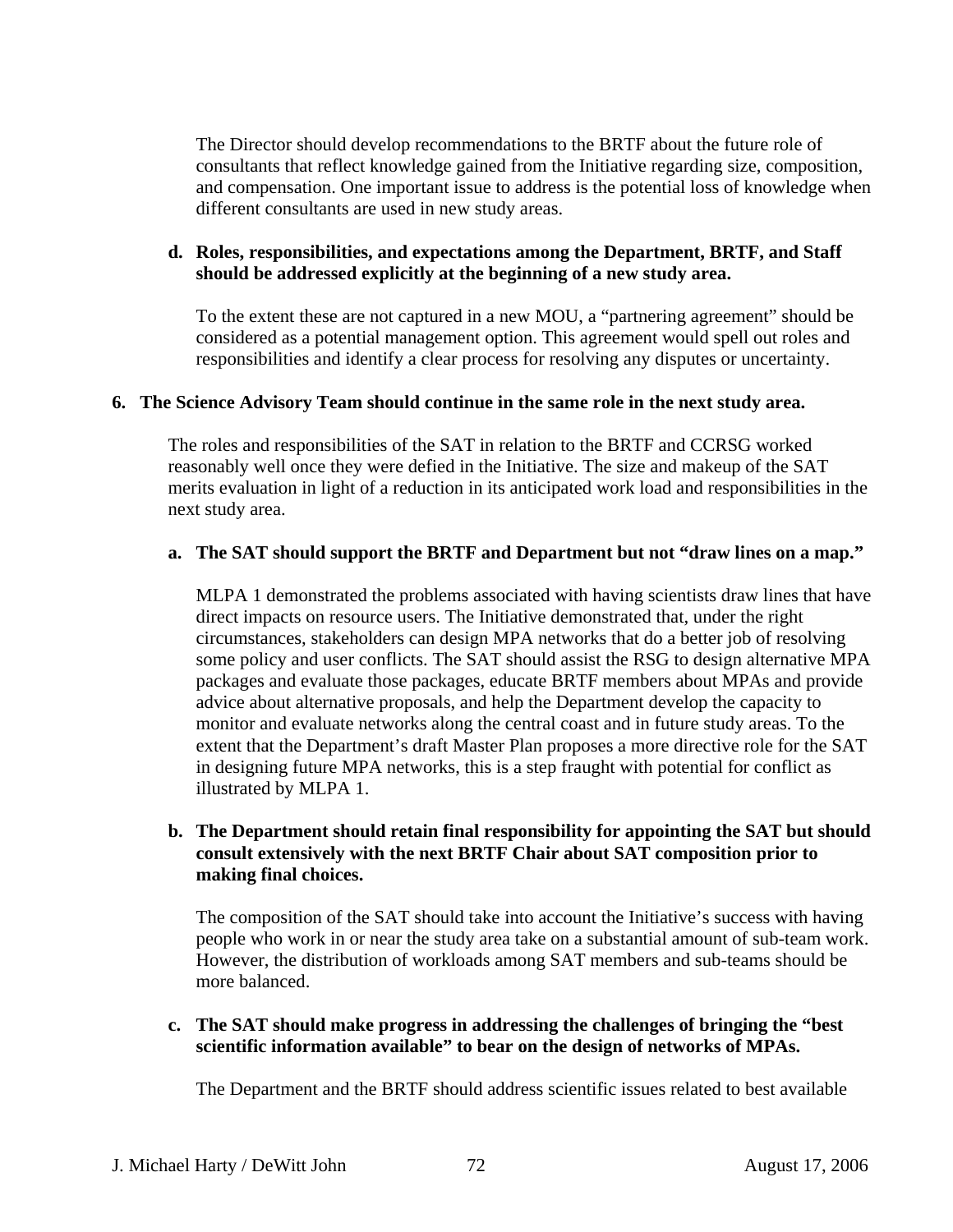The Director should develop recommendations to the BRTF about the future role of consultants that reflect knowledge gained from the Initiative regarding size, composition, and compensation. One important issue to address is the potential loss of knowledge when different consultants are used in new study areas.

## **d. Roles, responsibilities, and expectations among the Department, BRTF, and Staff should be addressed explicitly at the beginning of a new study area.**

To the extent these are not captured in a new MOU, a "partnering agreement" should be considered as a potential management option. This agreement would spell out roles and responsibilities and identify a clear process for resolving any disputes or uncertainty.

#### **6. The Science Advisory Team should continue in the same role in the next study area.**

The roles and responsibilities of the SAT in relation to the BRTF and CCRSG worked reasonably well once they were defied in the Initiative. The size and makeup of the SAT merits evaluation in light of a reduction in its anticipated work load and responsibilities in the next study area.

#### **a. The SAT should support the BRTF and Department but not "draw lines on a map."**

MLPA 1 demonstrated the problems associated with having scientists draw lines that have direct impacts on resource users. The Initiative demonstrated that, under the right circumstances, stakeholders can design MPA networks that do a better job of resolving some policy and user conflicts. The SAT should assist the RSG to design alternative MPA packages and evaluate those packages, educate BRTF members about MPAs and provide advice about alternative proposals, and help the Department develop the capacity to monitor and evaluate networks along the central coast and in future study areas. To the extent that the Department's draft Master Plan proposes a more directive role for the SAT in designing future MPA networks, this is a step fraught with potential for conflict as illustrated by MLPA 1.

#### **b. The Department should retain final responsibility for appointing the SAT but should consult extensively with the next BRTF Chair about SAT composition prior to making final choices.**

The composition of the SAT should take into account the Initiative's success with having people who work in or near the study area take on a substantial amount of sub-team work. However, the distribution of workloads among SAT members and sub-teams should be more balanced.

#### **c. The SAT should make progress in addressing the challenges of bringing the "best scientific information available" to bear on the design of networks of MPAs.**

The Department and the BRTF should address scientific issues related to best available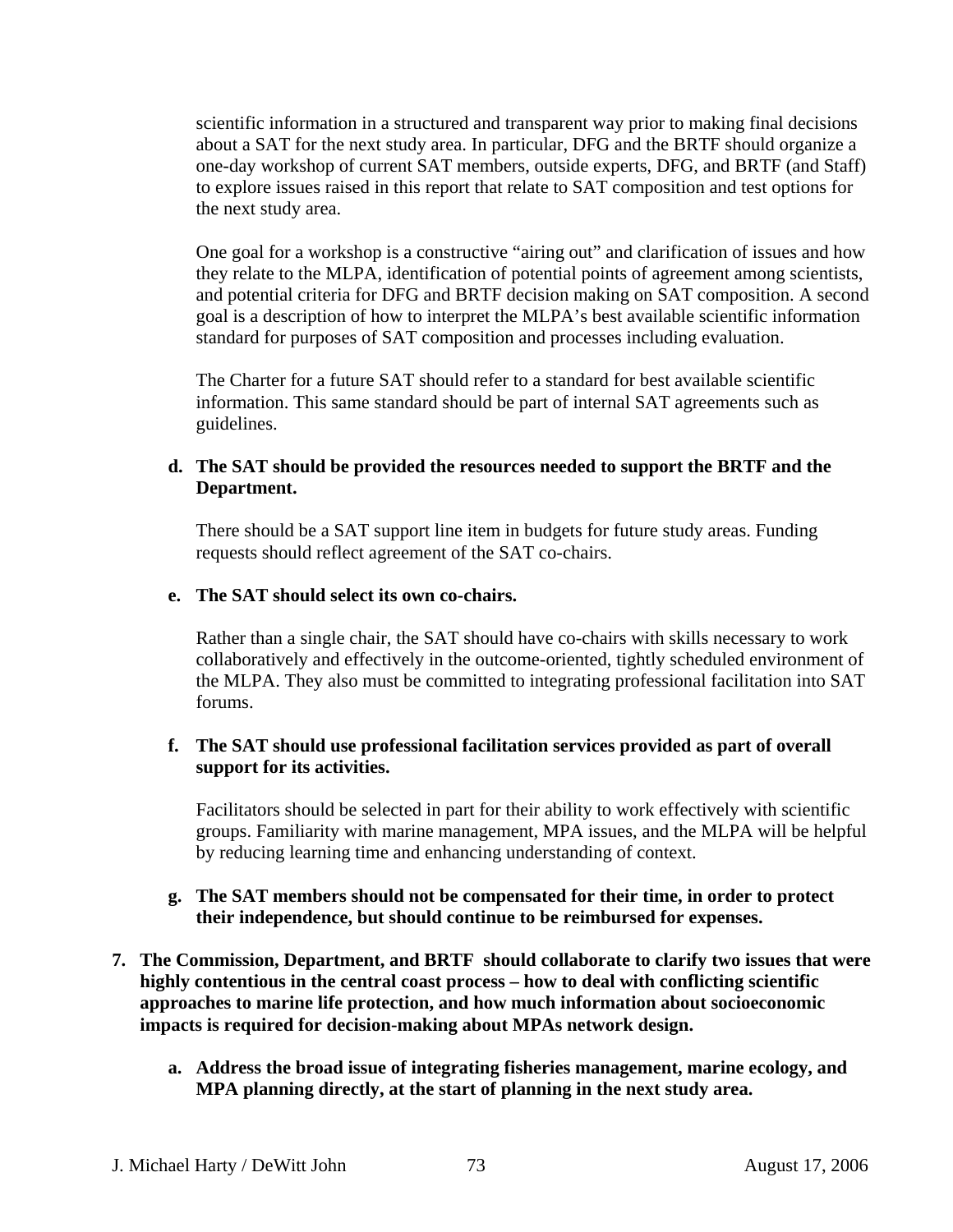scientific information in a structured and transparent way prior to making final decisions about a SAT for the next study area. In particular, DFG and the BRTF should organize a one-day workshop of current SAT members, outside experts, DFG, and BRTF (and Staff) to explore issues raised in this report that relate to SAT composition and test options for the next study area.

One goal for a workshop is a constructive "airing out" and clarification of issues and how they relate to the MLPA, identification of potential points of agreement among scientists, and potential criteria for DFG and BRTF decision making on SAT composition. A second goal is a description of how to interpret the MLPA's best available scientific information standard for purposes of SAT composition and processes including evaluation.

The Charter for a future SAT should refer to a standard for best available scientific information. This same standard should be part of internal SAT agreements such as guidelines.

## **d. The SAT should be provided the resources needed to support the BRTF and the Department.**

There should be a SAT support line item in budgets for future study areas. Funding requests should reflect agreement of the SAT co-chairs.

## **e. The SAT should select its own co-chairs.**

Rather than a single chair, the SAT should have co-chairs with skills necessary to work collaboratively and effectively in the outcome-oriented, tightly scheduled environment of the MLPA. They also must be committed to integrating professional facilitation into SAT forums.

## **f. The SAT should use professional facilitation services provided as part of overall support for its activities.**

Facilitators should be selected in part for their ability to work effectively with scientific groups. Familiarity with marine management, MPA issues, and the MLPA will be helpful by reducing learning time and enhancing understanding of context.

- **g. The SAT members should not be compensated for their time, in order to protect their independence, but should continue to be reimbursed for expenses.**
- **7. The Commission, Department, and BRTF should collaborate to clarify two issues that were highly contentious in the central coast process – how to deal with conflicting scientific approaches to marine life protection, and how much information about socioeconomic impacts is required for decision-making about MPAs network design.** 
	- **a. Address the broad issue of integrating fisheries management, marine ecology, and MPA planning directly, at the start of planning in the next study area.**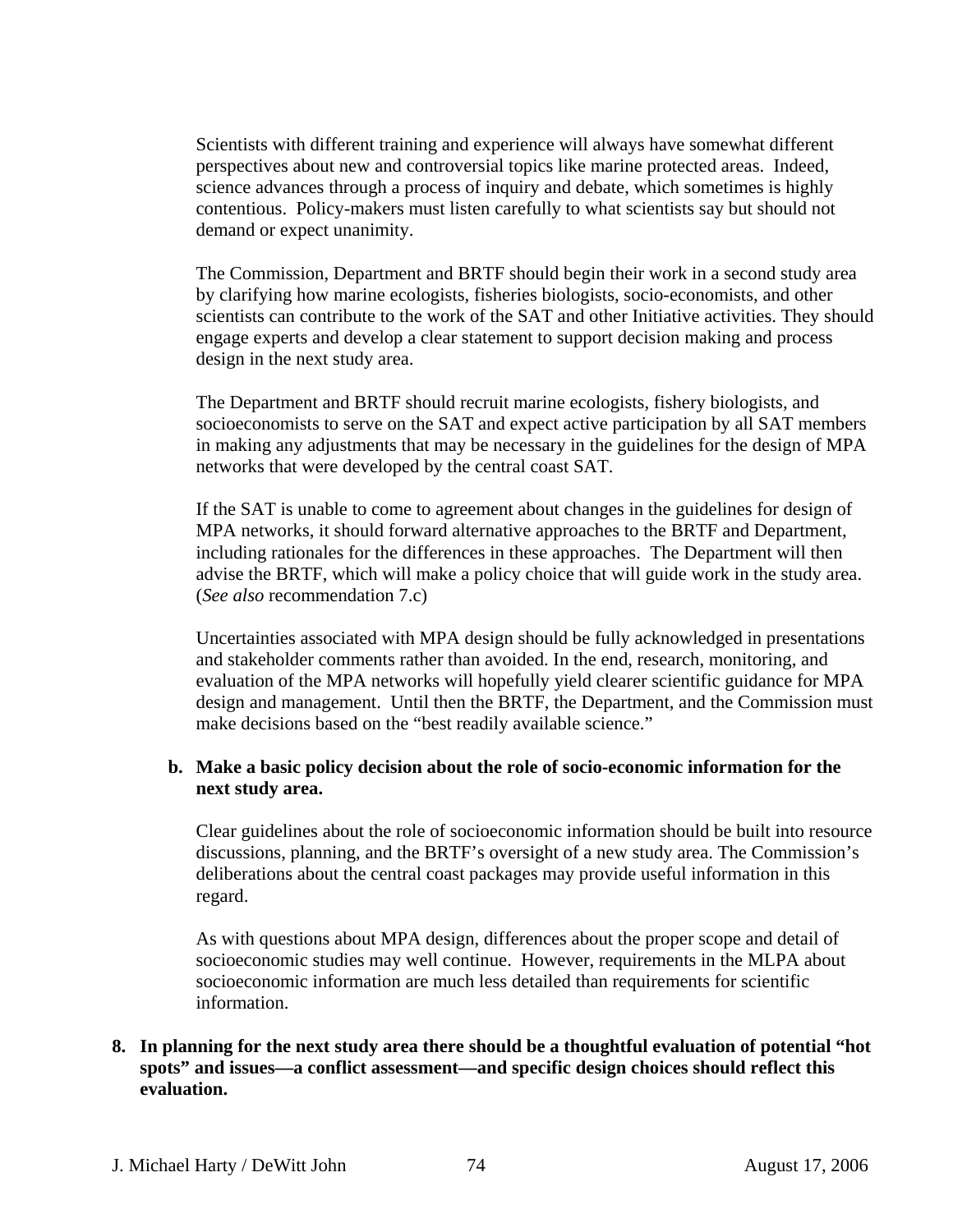Scientists with different training and experience will always have somewhat different perspectives about new and controversial topics like marine protected areas. Indeed, science advances through a process of inquiry and debate, which sometimes is highly contentious. Policy-makers must listen carefully to what scientists say but should not demand or expect unanimity.

The Commission, Department and BRTF should begin their work in a second study area by clarifying how marine ecologists, fisheries biologists, socio-economists, and other scientists can contribute to the work of the SAT and other Initiative activities. They should engage experts and develop a clear statement to support decision making and process design in the next study area.

The Department and BRTF should recruit marine ecologists, fishery biologists, and socioeconomists to serve on the SAT and expect active participation by all SAT members in making any adjustments that may be necessary in the guidelines for the design of MPA networks that were developed by the central coast SAT.

If the SAT is unable to come to agreement about changes in the guidelines for design of MPA networks, it should forward alternative approaches to the BRTF and Department, including rationales for the differences in these approaches. The Department will then advise the BRTF, which will make a policy choice that will guide work in the study area. (*See also* recommendation 7.c)

Uncertainties associated with MPA design should be fully acknowledged in presentations and stakeholder comments rather than avoided. In the end, research, monitoring, and evaluation of the MPA networks will hopefully yield clearer scientific guidance for MPA design and management. Until then the BRTF, the Department, and the Commission must make decisions based on the "best readily available science."

## **b. Make a basic policy decision about the role of socio-economic information for the next study area.**

Clear guidelines about the role of socioeconomic information should be built into resource discussions, planning, and the BRTF's oversight of a new study area. The Commission's deliberations about the central coast packages may provide useful information in this regard.

As with questions about MPA design, differences about the proper scope and detail of socioeconomic studies may well continue. However, requirements in the MLPA about socioeconomic information are much less detailed than requirements for scientific information.

## **8. In planning for the next study area there should be a thoughtful evaluation of potential "hot spots" and issues—a conflict assessment—and specific design choices should reflect this evaluation.**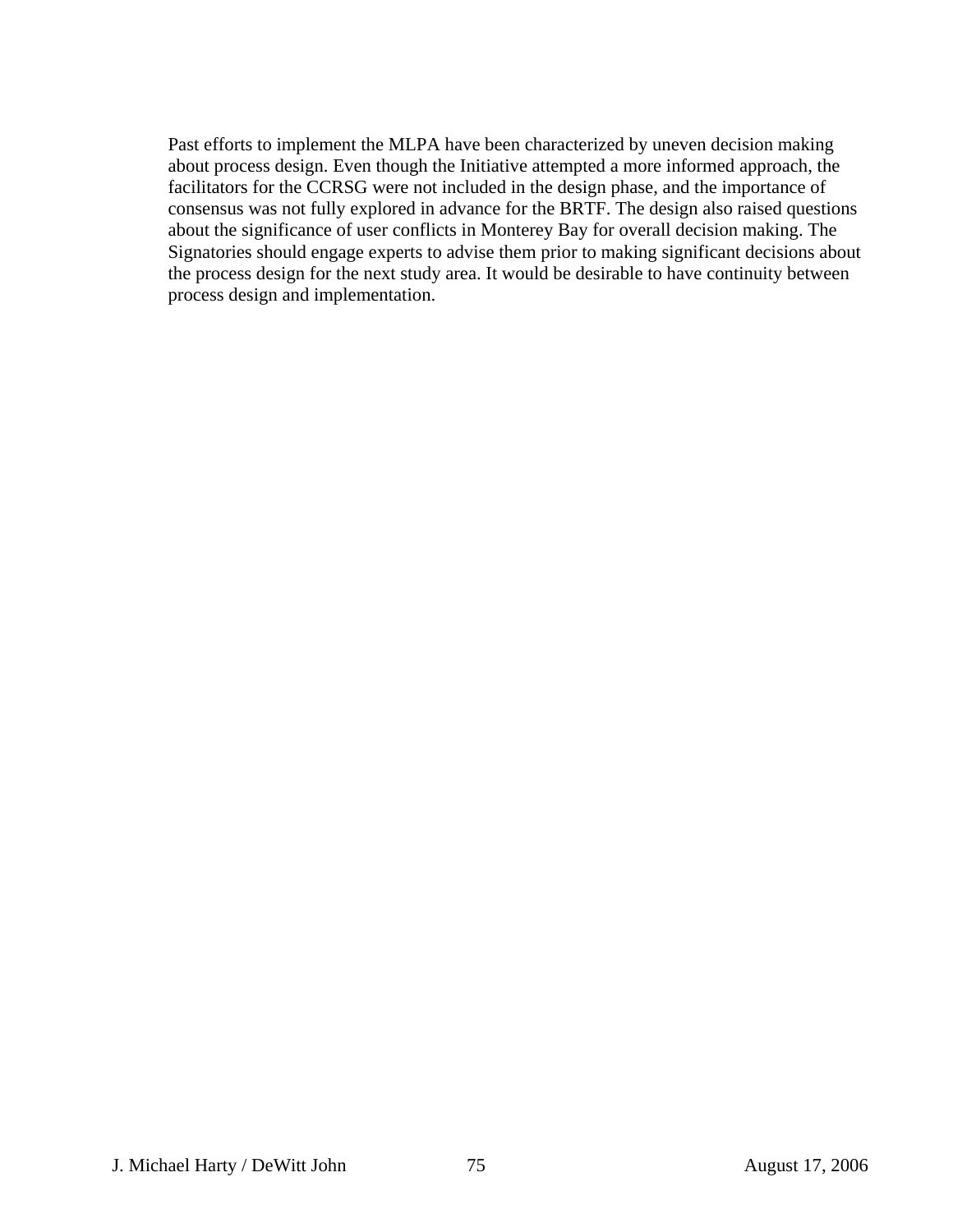Past efforts to implement the MLPA have been characterized by uneven decision making about process design. Even though the Initiative attempted a more informed approach, the facilitators for the CCRSG were not included in the design phase, and the importance of consensus was not fully explored in advance for the BRTF. The design also raised questions about the significance of user conflicts in Monterey Bay for overall decision making. The Signatories should engage experts to advise them prior to making significant decisions about the process design for the next study area. It would be desirable to have continuity between process design and implementation.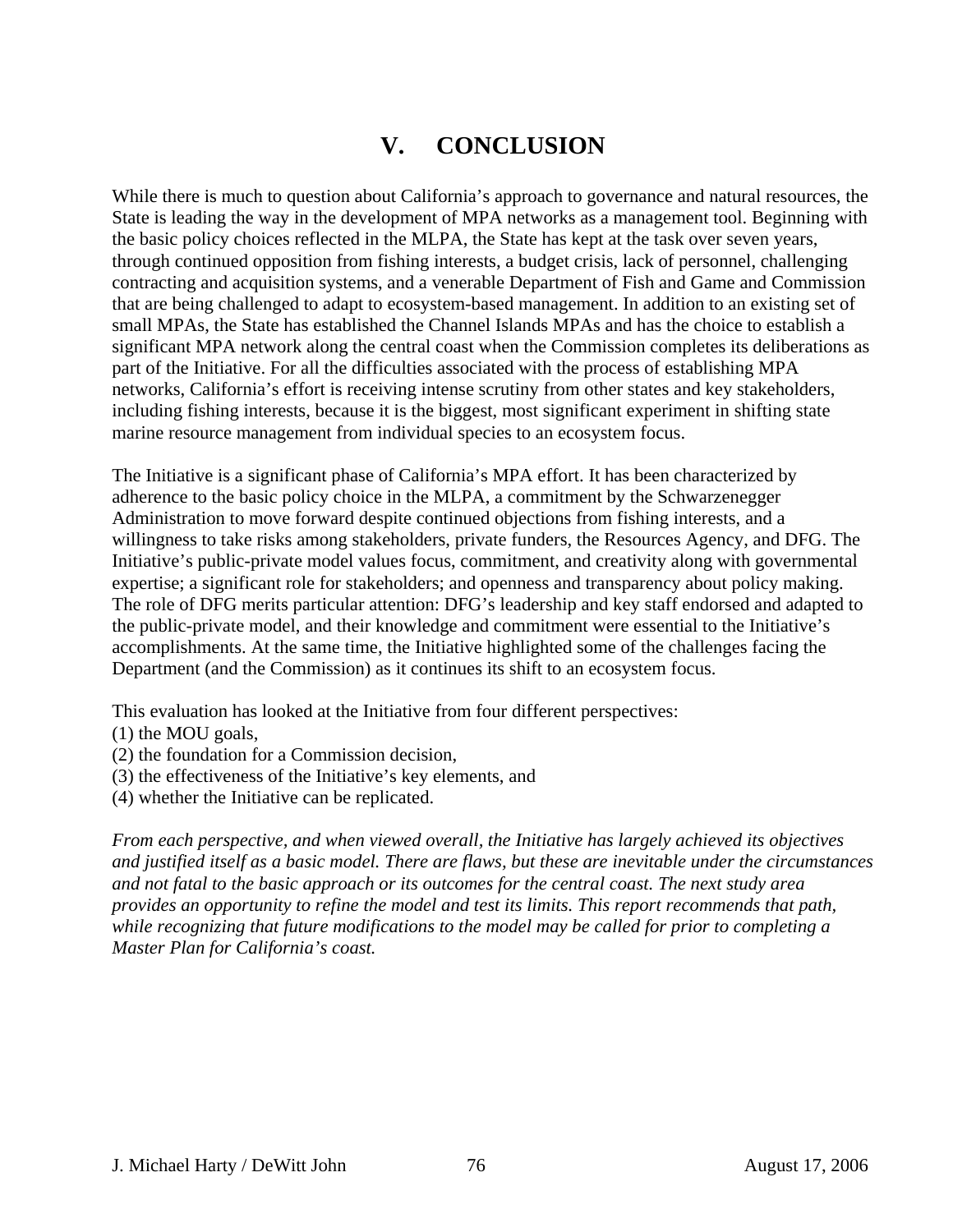# **V. CONCLUSION**

While there is much to question about California's approach to governance and natural resources, the State is leading the way in the development of MPA networks as a management tool. Beginning with the basic policy choices reflected in the MLPA, the State has kept at the task over seven years, through continued opposition from fishing interests, a budget crisis, lack of personnel, challenging contracting and acquisition systems, and a venerable Department of Fish and Game and Commission that are being challenged to adapt to ecosystem-based management. In addition to an existing set of small MPAs, the State has established the Channel Islands MPAs and has the choice to establish a significant MPA network along the central coast when the Commission completes its deliberations as part of the Initiative. For all the difficulties associated with the process of establishing MPA networks, California's effort is receiving intense scrutiny from other states and key stakeholders, including fishing interests, because it is the biggest, most significant experiment in shifting state marine resource management from individual species to an ecosystem focus.

The Initiative is a significant phase of California's MPA effort. It has been characterized by adherence to the basic policy choice in the MLPA, a commitment by the Schwarzenegger Administration to move forward despite continued objections from fishing interests, and a willingness to take risks among stakeholders, private funders, the Resources Agency, and DFG. The Initiative's public-private model values focus, commitment, and creativity along with governmental expertise; a significant role for stakeholders; and openness and transparency about policy making. The role of DFG merits particular attention: DFG's leadership and key staff endorsed and adapted to the public-private model, and their knowledge and commitment were essential to the Initiative's accomplishments. At the same time, the Initiative highlighted some of the challenges facing the Department (and the Commission) as it continues its shift to an ecosystem focus.

This evaluation has looked at the Initiative from four different perspectives:

- (1) the MOU goals,
- (2) the foundation for a Commission decision,
- (3) the effectiveness of the Initiative's key elements, and
- (4) whether the Initiative can be replicated.

*From each perspective, and when viewed overall, the Initiative has largely achieved its objectives and justified itself as a basic model. There are flaws, but these are inevitable under the circumstances and not fatal to the basic approach or its outcomes for the central coast. The next study area provides an opportunity to refine the model and test its limits. This report recommends that path, while recognizing that future modifications to the model may be called for prior to completing a Master Plan for California's coast.*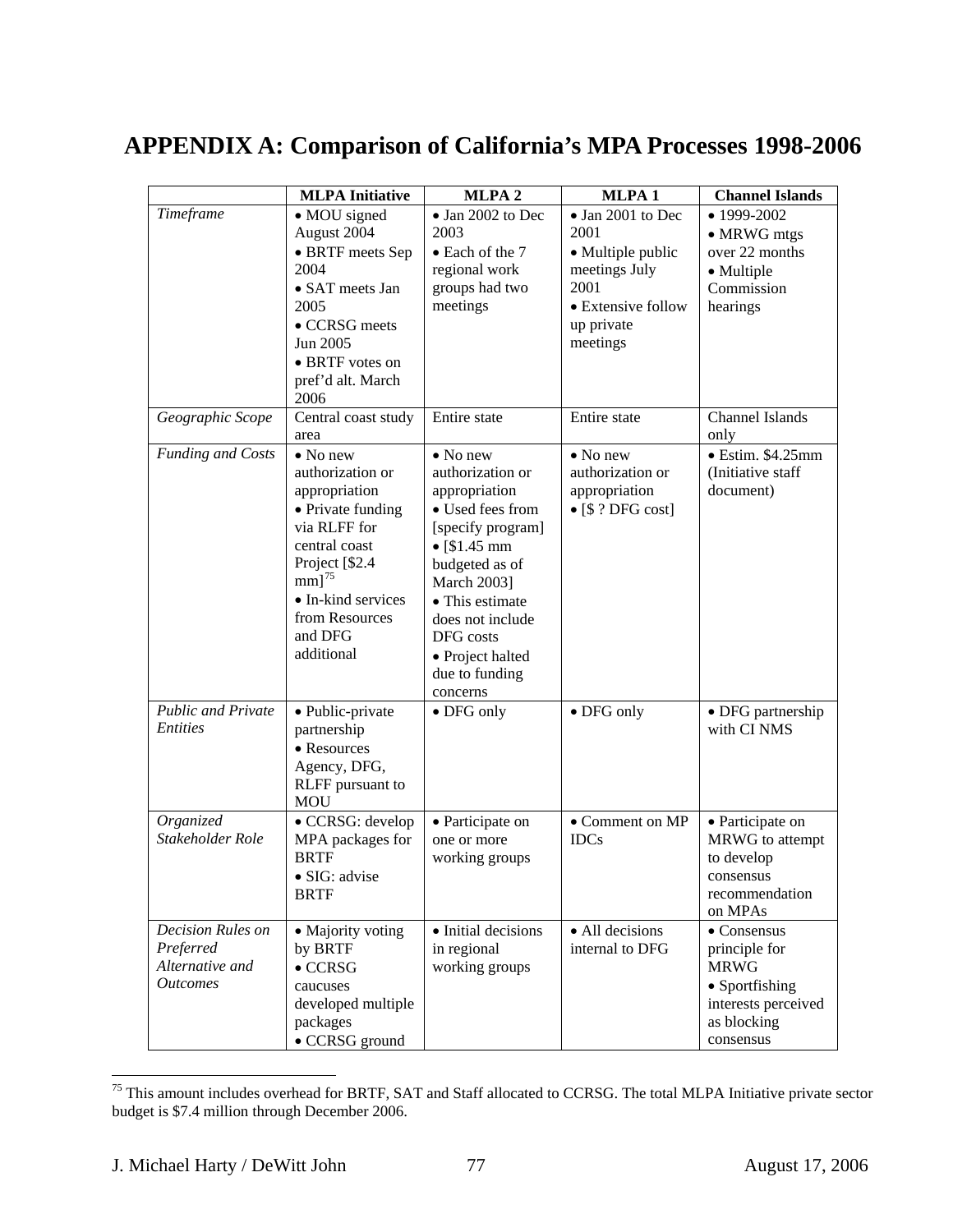# **APPENDIX A: Comparison of California's MPA Processes 1998-2006**

|                                                                      | <b>MLPA</b> Initiative                                                                                                                                                                                       | MLPA <sub>2</sub>                                                                                                                                                                                                                                                     | MLPA <sub>1</sub>                                                                                                       | <b>Channel Islands</b>                                                                                                   |
|----------------------------------------------------------------------|--------------------------------------------------------------------------------------------------------------------------------------------------------------------------------------------------------------|-----------------------------------------------------------------------------------------------------------------------------------------------------------------------------------------------------------------------------------------------------------------------|-------------------------------------------------------------------------------------------------------------------------|--------------------------------------------------------------------------------------------------------------------------|
| Timeframe                                                            | • MOU signed<br>August 2004<br>• BRTF meets Sep<br>2004<br>• SAT meets Jan<br>2005<br>• CCRSG meets<br>Jun 2005<br>• BRTF votes on<br>pref'd alt. March<br>2006                                              | $\bullet$ Jan 2002 to Dec<br>2003<br>• Each of the 7<br>regional work<br>groups had two<br>meetings                                                                                                                                                                   | • Jan 2001 to Dec<br>2001<br>• Multiple public<br>meetings July<br>2001<br>• Extensive follow<br>up private<br>meetings | • 1999-2002<br>• MRWG mtgs<br>over 22 months<br>• Multiple<br>Commission<br>hearings                                     |
| Geographic Scope                                                     | Central coast study<br>area                                                                                                                                                                                  | Entire state                                                                                                                                                                                                                                                          | Entire state                                                                                                            | Channel Islands<br>only                                                                                                  |
| <b>Funding and Costs</b>                                             | $\bullet$ No new<br>authorization or<br>appropriation<br>• Private funding<br>via RLFF for<br>central coast<br>Project [\$2.4<br>$mm]^{75}$<br>• In-kind services<br>from Resources<br>and DFG<br>additional | $\bullet$ No new<br>authorization or<br>appropriation<br>• Used fees from<br>[specify program]<br>$\bullet$ [\$1.45 mm<br>budgeted as of<br><b>March 2003</b> ]<br>• This estimate<br>does not include<br>DFG costs<br>• Project halted<br>due to funding<br>concerns | $\bullet$ No new<br>authorization or<br>appropriation<br>$\bullet$ [\$ ? DFG cost]                                      | $\bullet$ Estim. \$4.25mm<br>(Initiative staff<br>document)                                                              |
| <b>Public and Private</b><br><b>Entities</b>                         | • Public-private<br>partnership<br>• Resources<br>Agency, DFG,<br>RLFF pursuant to<br><b>MOU</b>                                                                                                             | $\bullet$ DFG only                                                                                                                                                                                                                                                    | $\bullet$ DFG only                                                                                                      | • DFG partnership<br>with CI NMS                                                                                         |
| Organized<br>Stakeholder Role                                        | · CCRSG: develop<br>MPA packages for<br><b>BRTF</b><br>· SIG: advise<br><b>BRTF</b>                                                                                                                          | • Participate on<br>one or more<br>working groups                                                                                                                                                                                                                     | • Comment on MP<br><b>IDCs</b>                                                                                          | • Participate on<br>MRWG to attempt<br>to develop<br>consensus<br>recommendation<br>on MPAs                              |
| Decision Rules on<br>Preferred<br>Alternative and<br><b>Outcomes</b> | • Majority voting<br>by BRTF<br>$\bullet$ CCRSG<br>caucuses<br>developed multiple<br>packages<br>• CCRSG ground                                                                                              | · Initial decisions<br>in regional<br>working groups                                                                                                                                                                                                                  | · All decisions<br>internal to DFG                                                                                      | $\bullet$ Consensus<br>principle for<br><b>MRWG</b><br>• Sportfishing<br>interests perceived<br>as blocking<br>consensus |

<span id="page-76-0"></span><sup>&</sup>lt;sup>75</sup> This amount includes overhead for BRTF, SAT and Staff allocated to CCRSG. The total MLPA Initiative private sector budget is \$7.4 million through December 2006.

 $\overline{a}$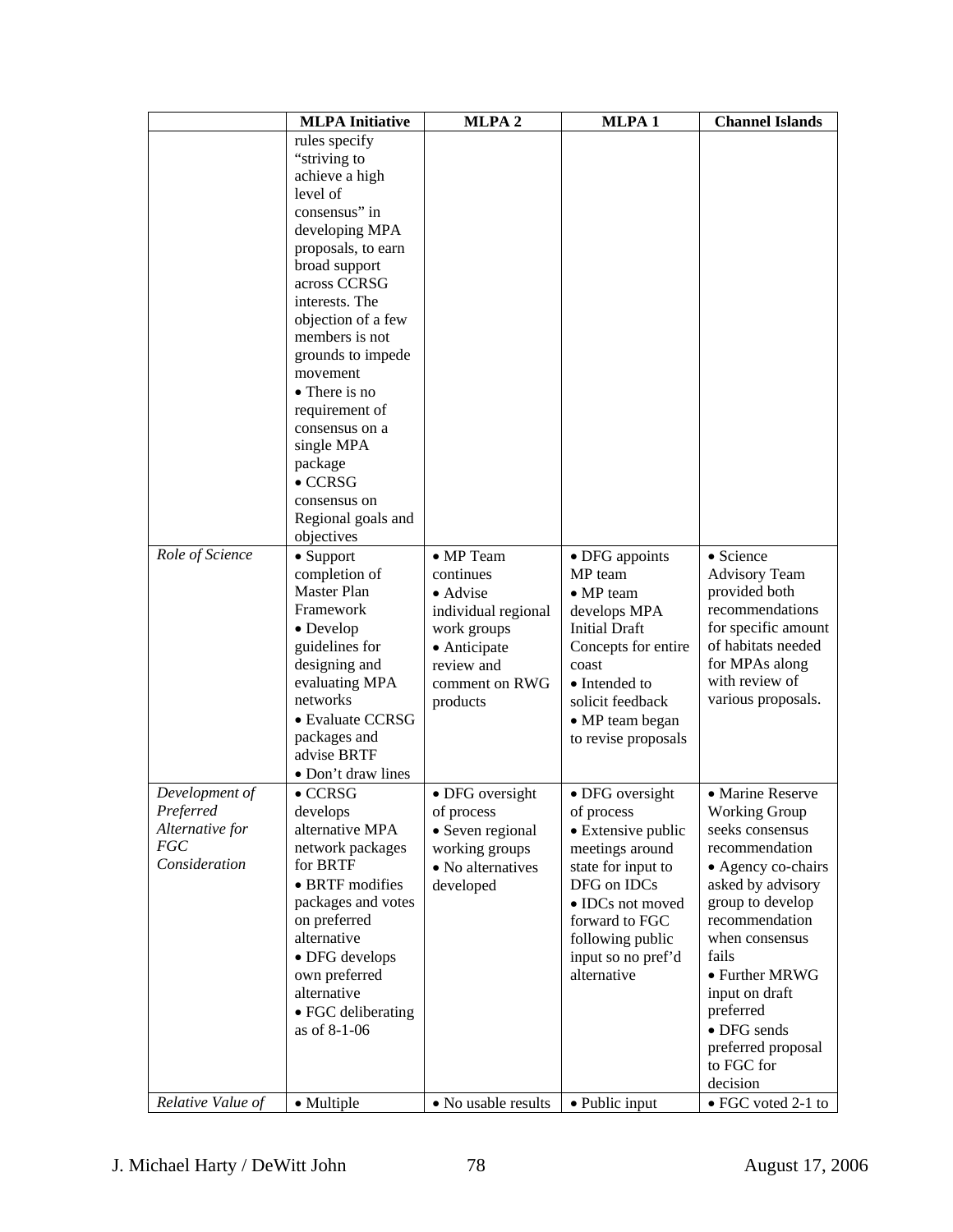|                   | <b>MLPA</b> Initiative             | MLPA <sub>2</sub>   | MLPA <sub>1</sub>                 | <b>Channel Islands</b>           |
|-------------------|------------------------------------|---------------------|-----------------------------------|----------------------------------|
|                   | rules specify                      |                     |                                   |                                  |
|                   | "striving to                       |                     |                                   |                                  |
|                   | achieve a high                     |                     |                                   |                                  |
|                   | level of                           |                     |                                   |                                  |
|                   | consensus" in                      |                     |                                   |                                  |
|                   | developing MPA                     |                     |                                   |                                  |
|                   | proposals, to earn                 |                     |                                   |                                  |
|                   | broad support                      |                     |                                   |                                  |
|                   | across CCRSG                       |                     |                                   |                                  |
|                   | interests. The                     |                     |                                   |                                  |
|                   | objection of a few                 |                     |                                   |                                  |
|                   | members is not                     |                     |                                   |                                  |
|                   | grounds to impede                  |                     |                                   |                                  |
|                   | movement                           |                     |                                   |                                  |
|                   | • There is no                      |                     |                                   |                                  |
|                   | requirement of                     |                     |                                   |                                  |
|                   | consensus on a                     |                     |                                   |                                  |
|                   | single MPA                         |                     |                                   |                                  |
|                   | package                            |                     |                                   |                                  |
|                   | $\bullet$ CCRSG                    |                     |                                   |                                  |
|                   | consensus on                       |                     |                                   |                                  |
|                   | Regional goals and                 |                     |                                   |                                  |
|                   | objectives                         |                     |                                   |                                  |
| Role of Science   | $\bullet$ Support                  | • MP Team           | • DFG appoints                    | • Science                        |
|                   | completion of                      | continues           | MP team                           | <b>Advisory Team</b>             |
|                   | Master Plan                        | • Advise            | • MP team                         | provided both                    |
|                   | Framework                          | individual regional | develops MPA                      | recommendations                  |
|                   | • Develop                          | work groups         | <b>Initial Draft</b>              | for specific amount              |
|                   | guidelines for                     | • Anticipate        | Concepts for entire               | of habitats needed               |
|                   | designing and                      | review and          | coast                             | for MPAs along                   |
|                   | evaluating MPA                     | comment on RWG      | • Intended to                     | with review of                   |
|                   | networks                           | products            | solicit feedback                  | various proposals.               |
|                   | • Evaluate CCRSG                   |                     | • MP team began                   |                                  |
|                   | packages and                       |                     | to revise proposals               |                                  |
|                   | advise BRTF                        |                     |                                   |                                  |
|                   | • Don't draw lines                 |                     |                                   |                                  |
| Development of    | $\bullet$ CCRSG                    | • DFG oversight     | • DFG oversight                   | • Marine Reserve                 |
| Preferred         | develops                           | of process          |                                   | <b>Working Group</b>             |
| Alternative for   | alternative MPA                    | • Seven regional    | of process<br>• Extensive public  | seeks consensus                  |
| FGC               | network packages                   | working groups      | meetings around                   | recommendation                   |
| Consideration     | for BRTF                           | • No alternatives   | state for input to                | • Agency co-chairs               |
|                   | • BRTF modifies                    | developed           | DFG on IDCs                       | asked by advisory                |
|                   | packages and votes                 |                     | • IDCs not moved                  | group to develop                 |
|                   | on preferred                       |                     | forward to FGC                    | recommendation                   |
|                   | alternative                        |                     | following public                  | when consensus                   |
|                   | • DFG develops                     |                     |                                   | fails                            |
|                   | own preferred                      |                     | input so no pref'd<br>alternative | • Further MRWG                   |
|                   | alternative                        |                     |                                   | input on draft                   |
|                   |                                    |                     |                                   | preferred                        |
|                   | • FGC deliberating<br>as of 8-1-06 |                     |                                   | • DFG sends                      |
|                   |                                    |                     |                                   |                                  |
|                   |                                    |                     |                                   | preferred proposal<br>to FGC for |
|                   |                                    |                     |                                   | decision                         |
| Relative Value of |                                    |                     |                                   |                                  |
|                   | • Multiple                         | • No usable results | • Public input                    | $\bullet$ FGC voted 2-1 to       |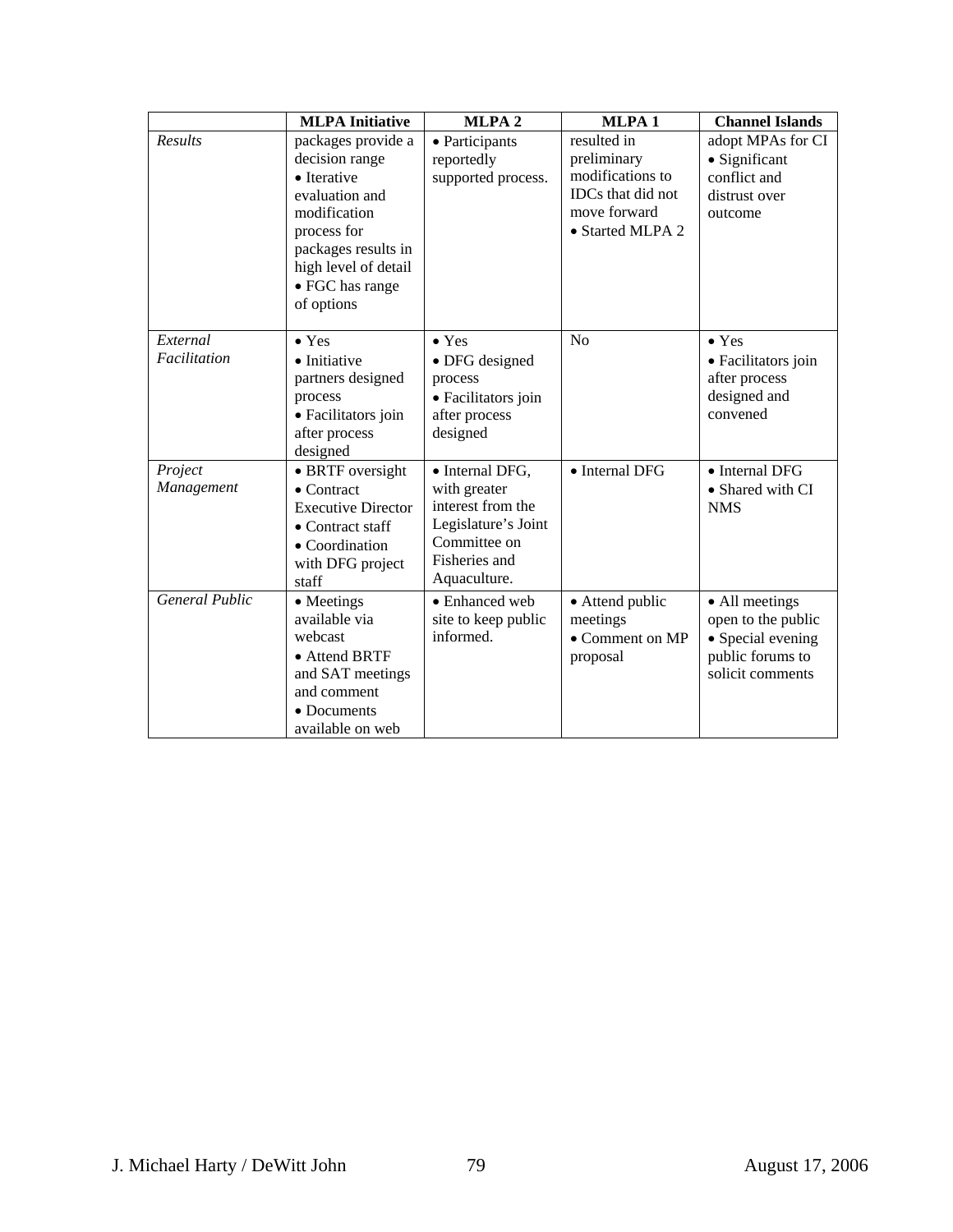|                          | <b>MLPA</b> Initiative                                                                                                                                                               | MLPA <sub>2</sub>                                                                                                            | MLPA <sub>1</sub>                                                                                       | <b>Channel Islands</b>                                                                            |
|--------------------------|--------------------------------------------------------------------------------------------------------------------------------------------------------------------------------------|------------------------------------------------------------------------------------------------------------------------------|---------------------------------------------------------------------------------------------------------|---------------------------------------------------------------------------------------------------|
| Results                  | packages provide a<br>decision range<br>• Iterative<br>evaluation and<br>modification<br>process for<br>packages results in<br>high level of detail<br>• FGC has range<br>of options | • Participants<br>reportedly<br>supported process.                                                                           | resulted in<br>preliminary<br>modifications to<br>IDCs that did not<br>move forward<br>• Started MLPA 2 | adopt MPAs for CI<br>• Significant<br>conflict and<br>distrust over<br>outcome                    |
| External<br>Facilitation | $\bullet$ Yes<br>• Initiative<br>partners designed<br>process<br>· Facilitators join<br>after process<br>designed                                                                    | $\bullet$ Yes<br>• DFG designed<br>process<br>· Facilitators join<br>after process<br>designed                               | N <sub>o</sub>                                                                                          | $\bullet$ Yes<br>• Facilitators join<br>after process<br>designed and<br>convened                 |
| Project<br>Management    | • BRTF oversight<br>$\bullet$ Contract<br><b>Executive Director</b><br>$\bullet$ Contract staff<br>• Coordination<br>with DFG project<br>staff                                       | · Internal DFG,<br>with greater<br>interest from the<br>Legislature's Joint<br>Committee on<br>Fisheries and<br>Aquaculture. | • Internal DFG                                                                                          | • Internal DFG<br>• Shared with CI<br><b>NMS</b>                                                  |
| <b>General Public</b>    | • Meetings<br>available via<br>webcast<br>• Attend BRTF<br>and SAT meetings<br>and comment<br>• Documents<br>available on web                                                        | • Enhanced web<br>site to keep public<br>informed.                                                                           | • Attend public<br>meetings<br>• Comment on MP<br>proposal                                              | • All meetings<br>open to the public<br>• Special evening<br>public forums to<br>solicit comments |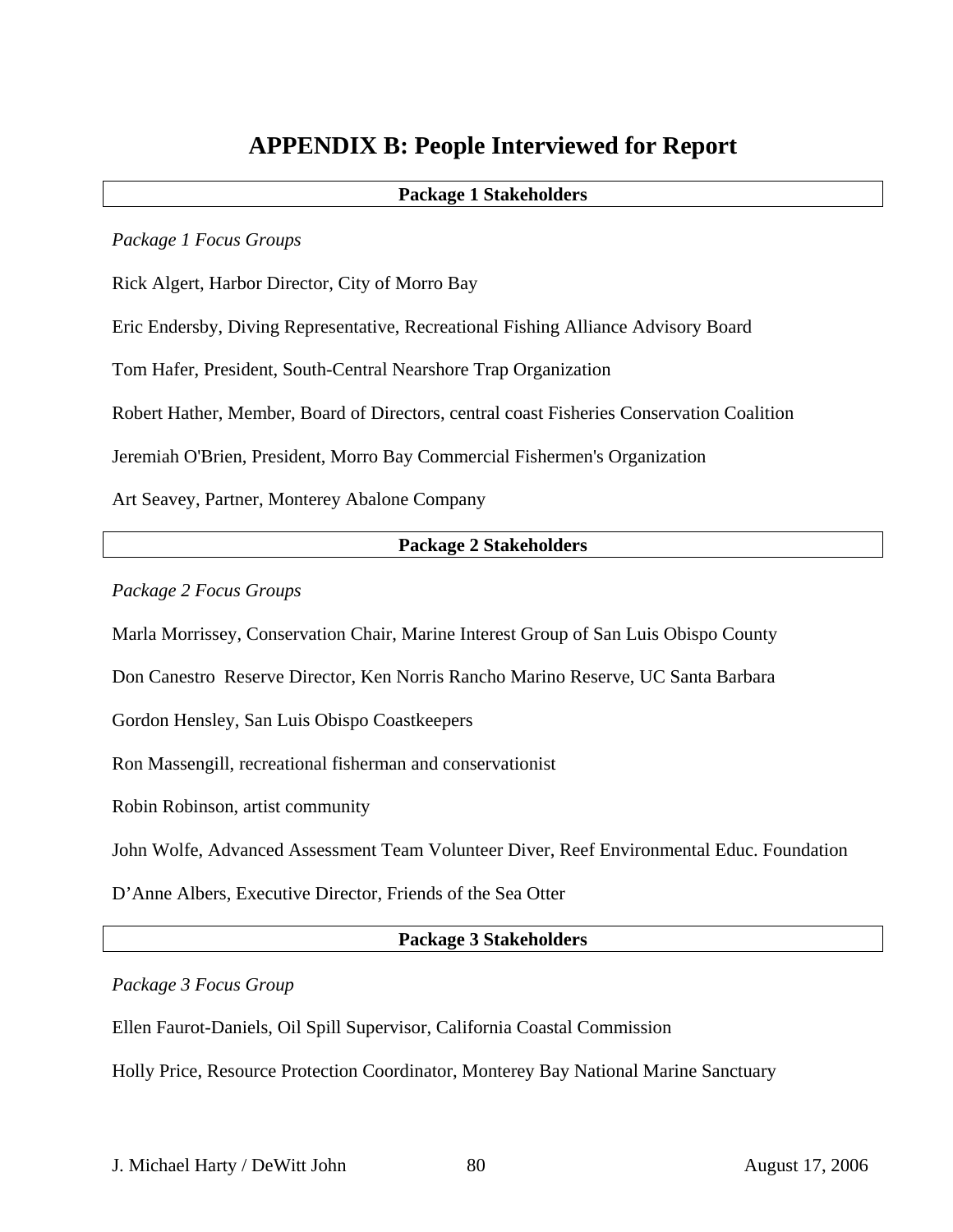# **APPENDIX B: People Interviewed for Report**

## **Package 1 Stakeholders**

*Package 1 Focus Groups* 

Rick Algert, Harbor Director, City of Morro Bay

Eric Endersby, Diving Representative, Recreational Fishing Alliance Advisory Board

Tom Hafer, President, South-Central Nearshore Trap Organization

Robert Hather, Member, Board of Directors, central coast Fisheries Conservation Coalition

Jeremiah O'Brien, President, Morro Bay Commercial Fishermen's Organization

Art Seavey, Partner, Monterey Abalone Company

#### **Package 2 Stakeholders**

*Package 2 Focus Groups* 

Marla Morrissey, Conservation Chair, Marine Interest Group of San Luis Obispo County

Don Canestro Reserve Director, Ken Norris Rancho Marino Reserve, UC Santa Barbara

Gordon Hensley, San Luis Obispo Coastkeepers

Ron Massengill, recreational fisherman and conservationist

Robin Robinson, artist community

John Wolfe, Advanced Assessment Team Volunteer Diver, Reef Environmental Educ. Foundation

D'Anne Albers, Executive Director, Friends of the Sea Otter

## **Package 3 Stakeholders**

## *Package 3 Focus Group*

Ellen Faurot-Daniels, Oil Spill Supervisor, California Coastal Commission

Holly Price, Resource Protection Coordinator, Monterey Bay National Marine Sanctuary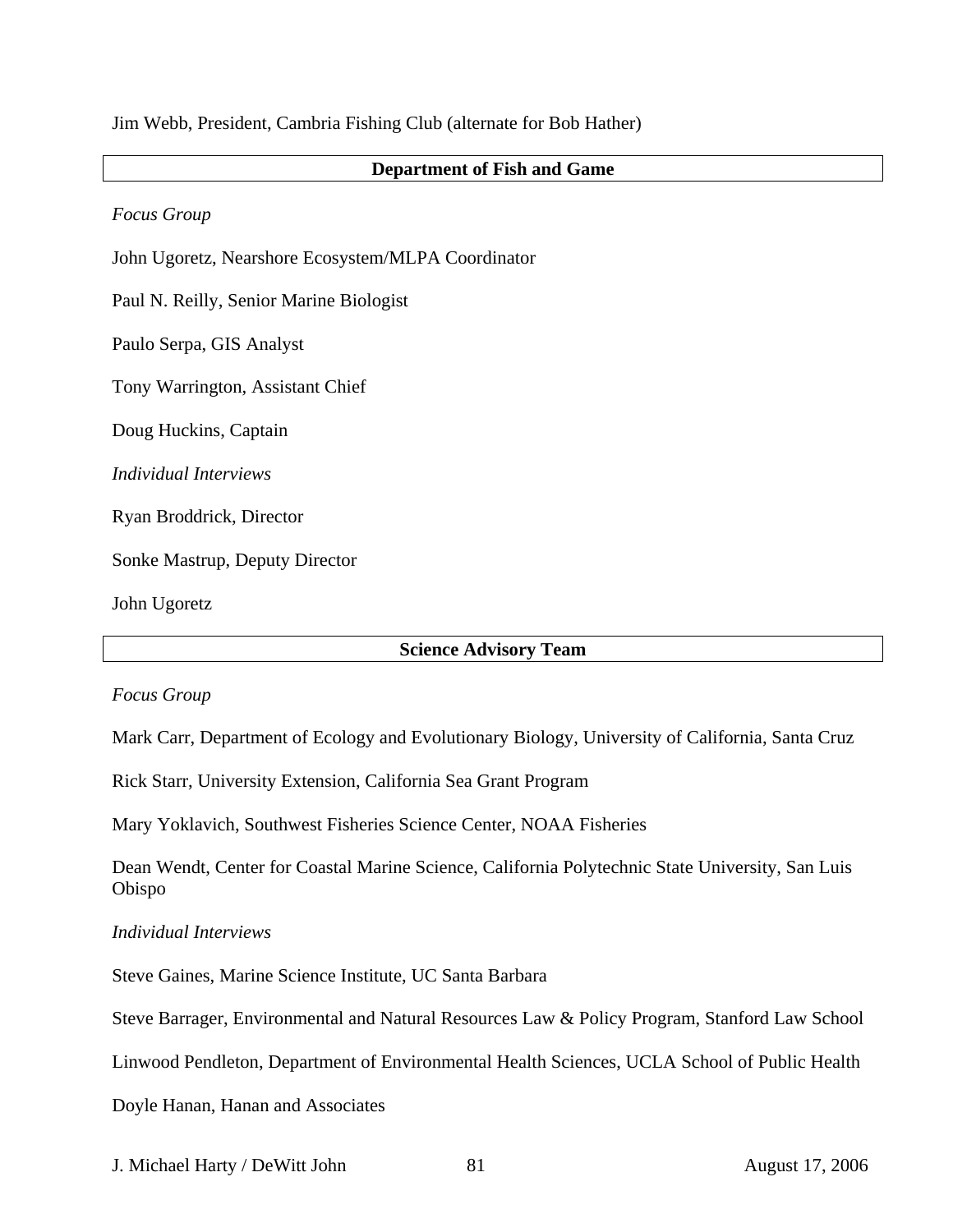Jim Webb, President, Cambria Fishing Club (alternate for Bob Hather)

#### **Department of Fish and Game**

*Focus Group* 

John Ugoretz, Nearshore Ecosystem/MLPA Coordinator

Paul N. Reilly, Senior Marine Biologist

Paulo Serpa, GIS Analyst

Tony Warrington, Assistant Chief

Doug Huckins, Captain

*Individual Interviews* 

Ryan Broddrick, Director

Sonke Mastrup, Deputy Director

John Ugoretz

#### **Science Advisory Team**

#### *Focus Group*

Mark Carr, Department of Ecology and Evolutionary Biology, University of California, Santa Cruz

Rick Starr, University Extension, California Sea Grant Program

Mary Yoklavich, Southwest Fisheries Science Center, NOAA Fisheries

Dean Wendt, Center for Coastal Marine Science, California Polytechnic State University, San Luis Obispo

#### *Individual Interviews*

Steve Gaines, Marine Science Institute, UC Santa Barbara

Steve Barrager, Environmental and Natural Resources Law & Policy Program, Stanford Law School

Linwood Pendleton, Department of Environmental Health Sciences, UCLA School of Public Health

Doyle Hanan, Hanan and Associates

J. Michael Harty / DeWitt John 81 August 17, 2006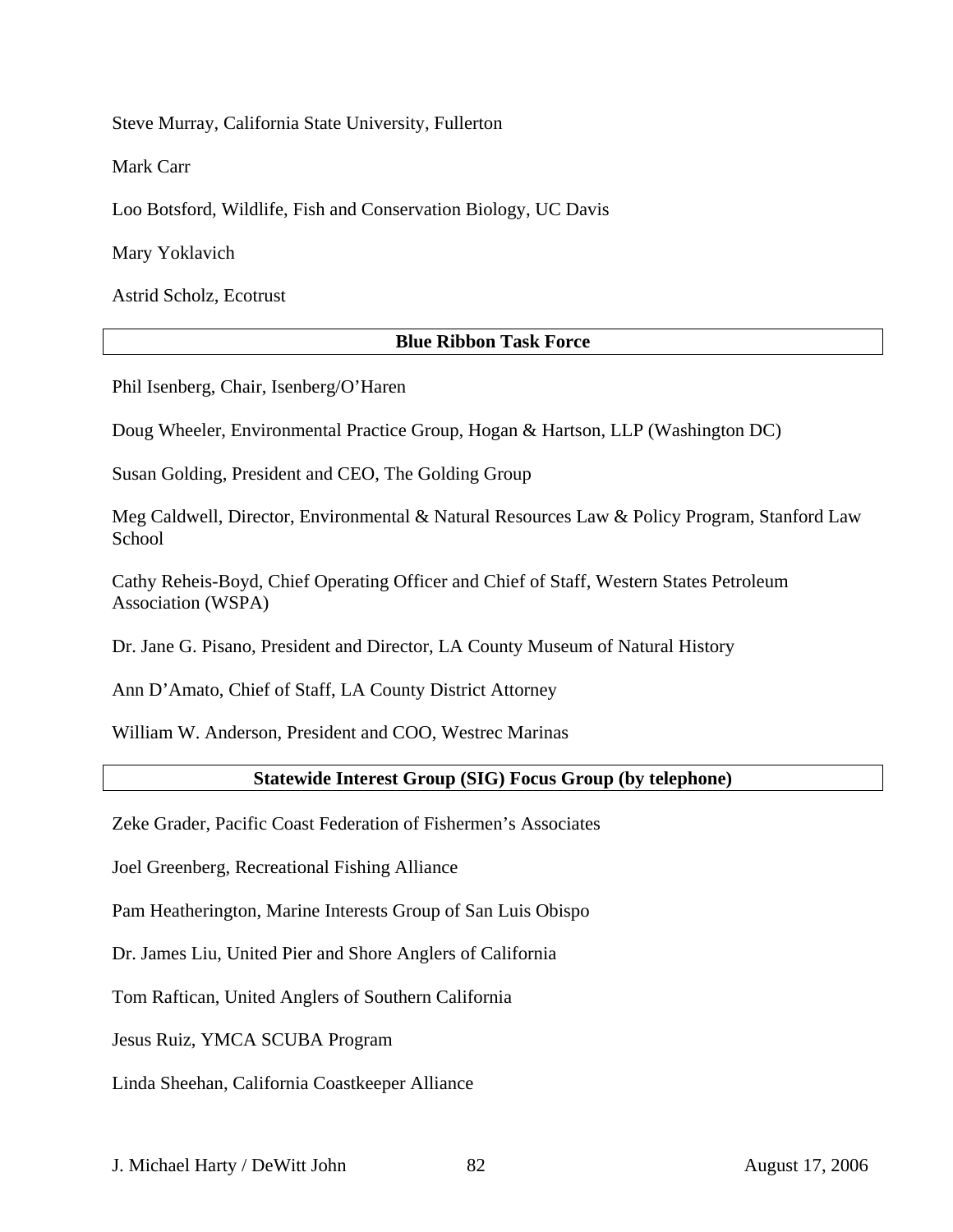Steve Murray, California State University, Fullerton

Mark Carr

Loo Botsford, Wildlife, Fish and Conservation Biology, UC Davis

Mary Yoklavich

Astrid Scholz, Ecotrust

## **Blue Ribbon Task Force**

Phil Isenberg, Chair, Isenberg/O'Haren

Doug Wheeler, Environmental Practice Group, Hogan & Hartson, LLP (Washington DC)

Susan Golding, President and CEO, The Golding Group

Meg Caldwell, Director, Environmental & Natural Resources Law & Policy Program, Stanford Law School

Cathy Reheis-Boyd, Chief Operating Officer and Chief of Staff, Western States Petroleum Association (WSPA)

Dr. Jane G. Pisano, President and Director, LA County Museum of Natural History

Ann D'Amato, Chief of Staff, LA County District Attorney

William W. Anderson, President and COO, Westrec Marinas

## **Statewide Interest Group (SIG) Focus Group (by telephone)**

Zeke Grader, Pacific Coast Federation of Fishermen's Associates

Joel Greenberg, Recreational Fishing Alliance

Pam Heatherington, Marine Interests Group of San Luis Obispo

Dr. James Liu, United Pier and Shore Anglers of California

Tom Raftican, United Anglers of Southern California

Jesus Ruiz, YMCA SCUBA Program

Linda Sheehan, California Coastkeeper Alliance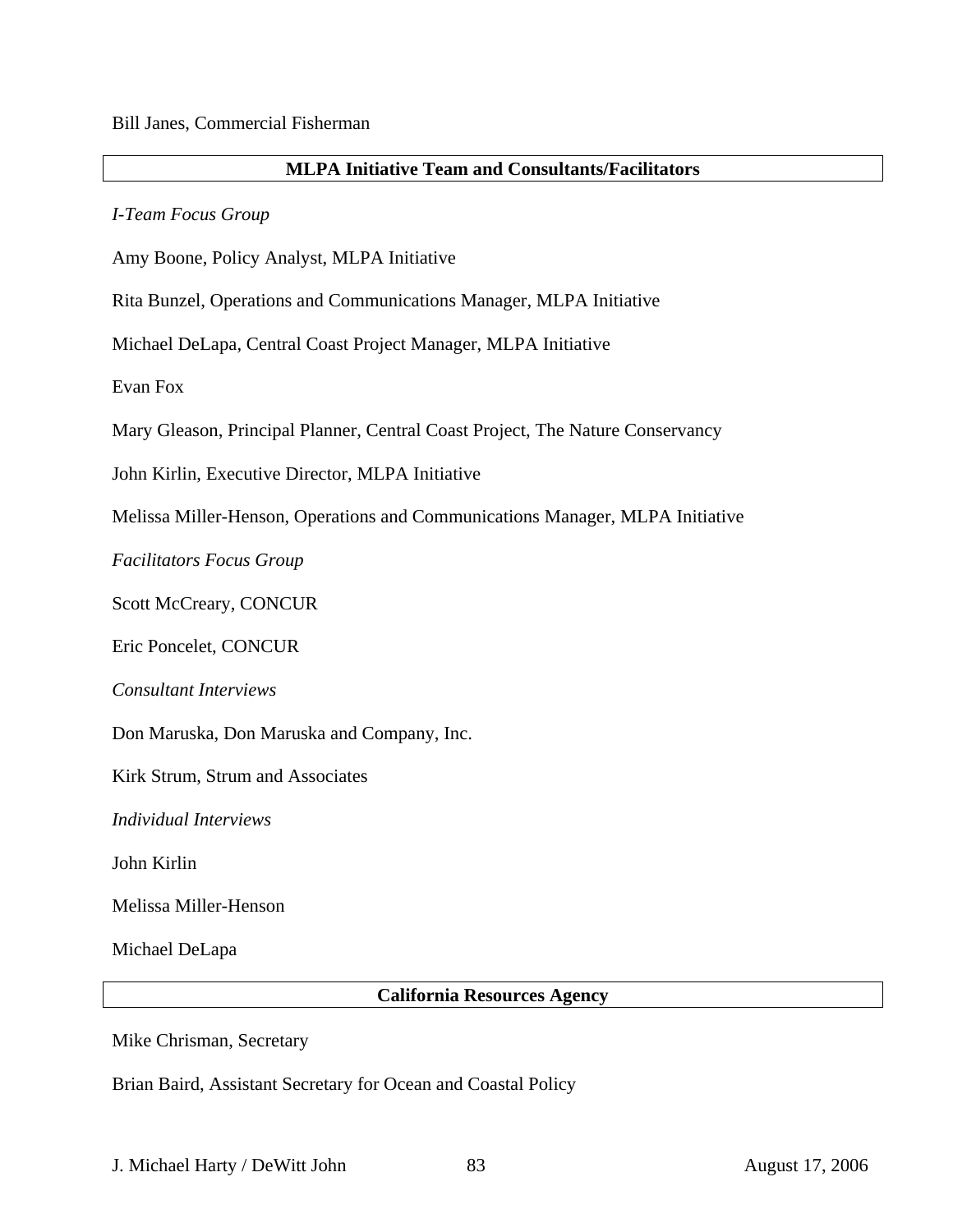## **MLPA Initiative Team and Consultants/Facilitators**

*I-Team Focus Group* 

Amy Boone, Policy Analyst, MLPA Initiative

Rita Bunzel, Operations and Communications Manager, MLPA Initiative

Michael DeLapa, Central Coast Project Manager, MLPA Initiative

Evan Fox

Mary Gleason, Principal Planner, Central Coast Project, The Nature Conservancy

John Kirlin, Executive Director, MLPA Initiative

Melissa Miller-Henson, Operations and Communications Manager, MLPA Initiative

*Facilitators Focus Group* 

Scott McCreary, CONCUR

Eric Poncelet, CONCUR

*Consultant Interviews* 

Don Maruska, Don Maruska and Company, Inc.

Kirk Strum, Strum and Associates

*Individual Interviews* 

John Kirlin

Melissa Miller-Henson

Michael DeLapa

**California Resources Agency** 

Mike Chrisman, Secretary

Brian Baird, Assistant Secretary for Ocean and Coastal Policy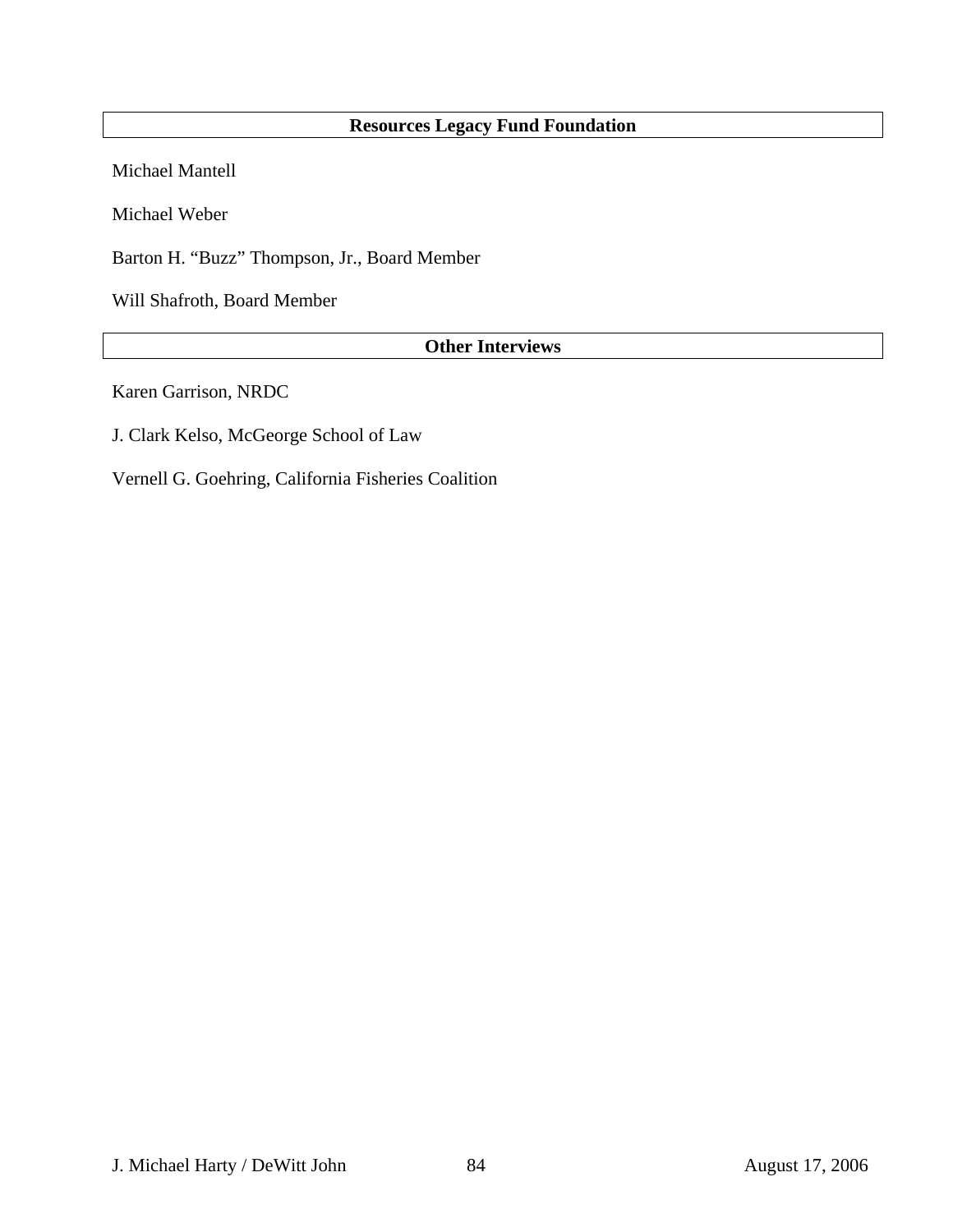## **Resources Legacy Fund Foundation**

Michael Mantell

Michael Weber

Barton H. "Buzz" Thompson, Jr., Board Member

Will Shafroth, Board Member

## **Other Interviews**

Karen Garrison, NRDC

J. Clark Kelso, McGeorge School of Law

Vernell G. Goehring, California Fisheries Coalition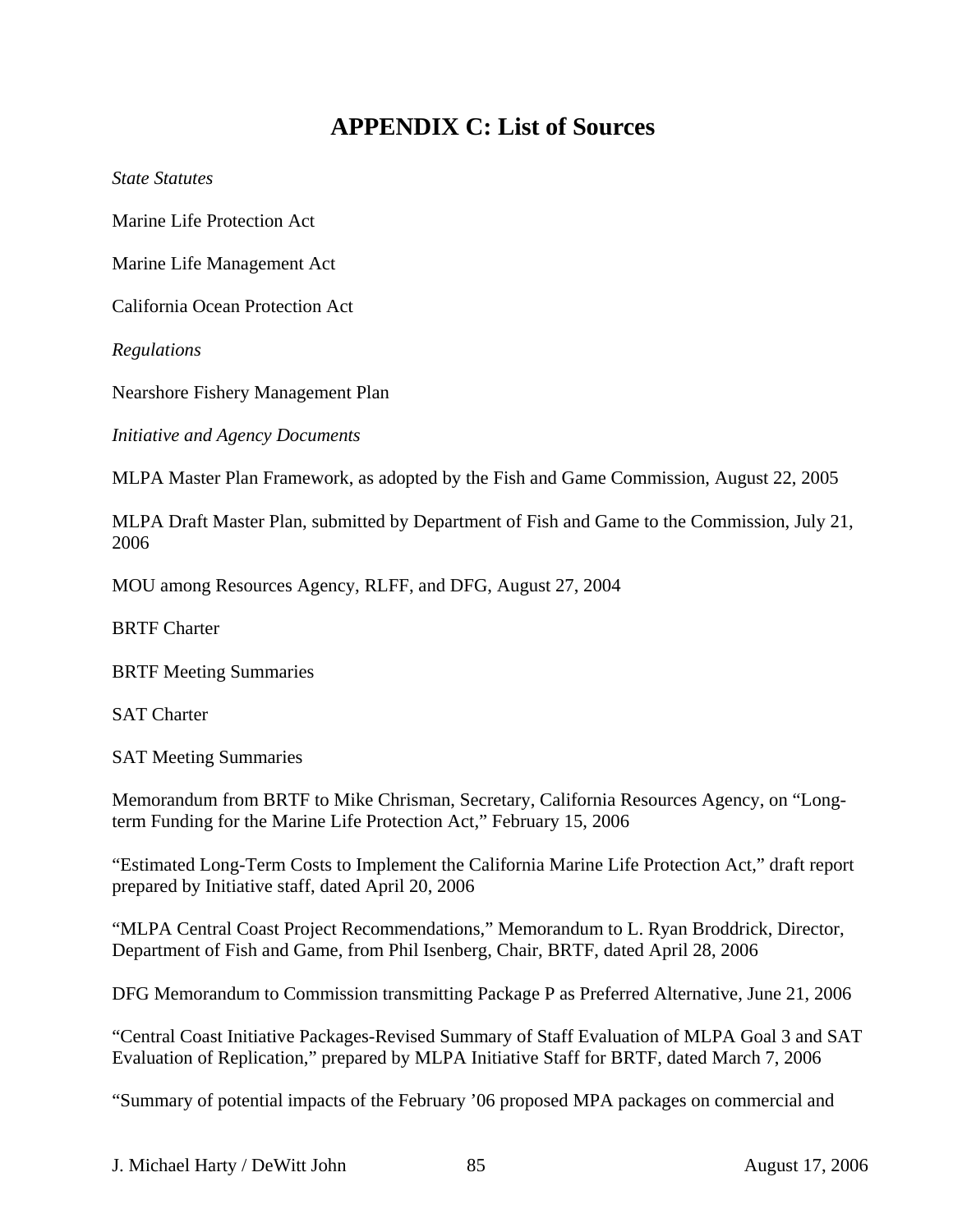# **APPENDIX C: List of Sources**

*State Statutes* 

Marine Life Protection Act

Marine Life Management Act

California Ocean Protection Act

*Regulations* 

Nearshore Fishery Management Plan

*Initiative and Agency Documents* 

MLPA Master Plan Framework, as adopted by the Fish and Game Commission, August 22, 2005

MLPA Draft Master Plan, submitted by Department of Fish and Game to the Commission, July 21, 2006

MOU among Resources Agency, RLFF, and DFG, August 27, 2004

BRTF Charter

BRTF Meeting Summaries

SAT Charter

SAT Meeting Summaries

Memorandum from BRTF to Mike Chrisman, Secretary, California Resources Agency, on "Longterm Funding for the Marine Life Protection Act," February 15, 2006

"Estimated Long-Term Costs to Implement the California Marine Life Protection Act," draft report prepared by Initiative staff, dated April 20, 2006

"MLPA Central Coast Project Recommendations," Memorandum to L. Ryan Broddrick, Director, Department of Fish and Game, from Phil Isenberg, Chair, BRTF, dated April 28, 2006

DFG Memorandum to Commission transmitting Package P as Preferred Alternative, June 21, 2006

"Central Coast Initiative Packages-Revised Summary of Staff Evaluation of MLPA Goal 3 and SAT Evaluation of Replication," prepared by MLPA Initiative Staff for BRTF, dated March 7, 2006

"Summary of potential impacts of the February '06 proposed MPA packages on commercial and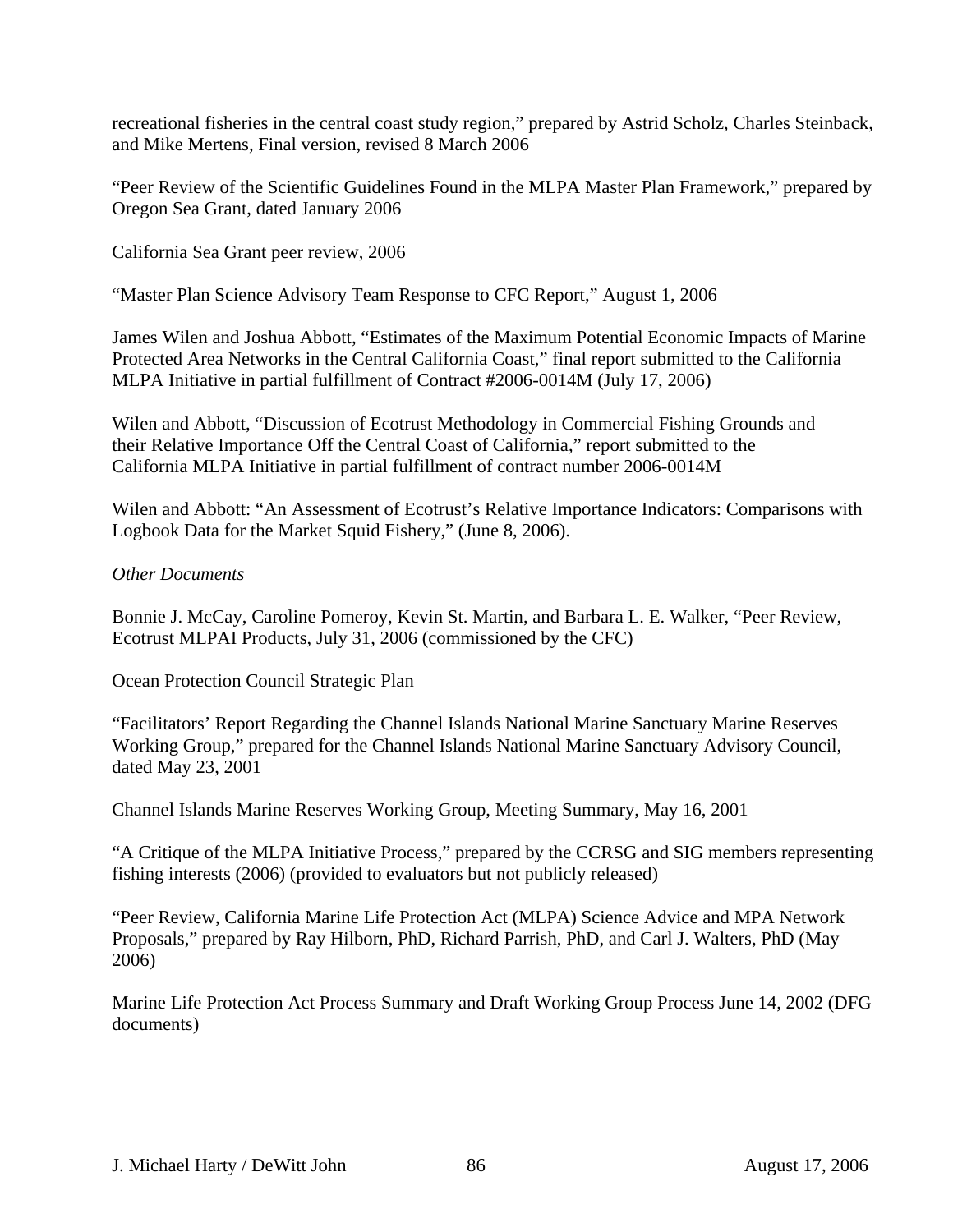recreational fisheries in the central coast study region," prepared by Astrid Scholz, Charles Steinback, and Mike Mertens, Final version, revised 8 March 2006

"Peer Review of the Scientific Guidelines Found in the MLPA Master Plan Framework," prepared by Oregon Sea Grant, dated January 2006

California Sea Grant peer review, 2006

"Master Plan Science Advisory Team Response to CFC Report," August 1, 2006

James Wilen and Joshua Abbott, "Estimates of the Maximum Potential Economic Impacts of Marine Protected Area Networks in the Central California Coast," final report submitted to the California MLPA Initiative in partial fulfillment of Contract #2006-0014M (July 17, 2006)

Wilen and Abbott, "Discussion of Ecotrust Methodology in Commercial Fishing Grounds and their Relative Importance Off the Central Coast of California," report submitted to the California MLPA Initiative in partial fulfillment of contract number 2006-0014M

Wilen and Abbott: "An Assessment of Ecotrust's Relative Importance Indicators: Comparisons with Logbook Data for the Market Squid Fishery," (June 8, 2006).

## *Other Documents*

Bonnie J. McCay, Caroline Pomeroy, Kevin St. Martin, and Barbara L. E. Walker, "Peer Review, Ecotrust MLPAI Products, July 31, 2006 (commissioned by the CFC)

Ocean Protection Council Strategic Plan

"Facilitators' Report Regarding the Channel Islands National Marine Sanctuary Marine Reserves Working Group," prepared for the Channel Islands National Marine Sanctuary Advisory Council, dated May 23, 2001

Channel Islands Marine Reserves Working Group, Meeting Summary, May 16, 2001

"A Critique of the MLPA Initiative Process," prepared by the CCRSG and SIG members representing fishing interests (2006) (provided to evaluators but not publicly released)

"Peer Review, California Marine Life Protection Act (MLPA) Science Advice and MPA Network Proposals," prepared by Ray Hilborn, PhD, Richard Parrish, PhD, and Carl J. Walters, PhD (May 2006)

Marine Life Protection Act Process Summary and Draft Working Group Process June 14, 2002 (DFG documents)